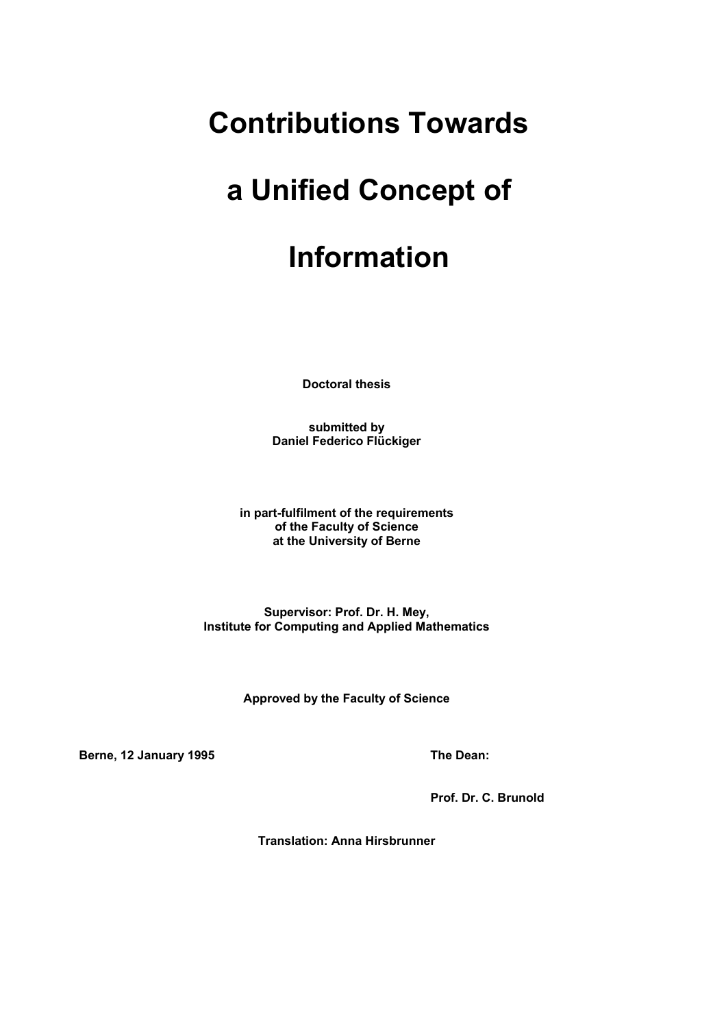# **Contributions Towards**

# **a Unified Concept of**

# **Information**

**Doctoral thesis** 

**submitted by Daniel Federico Flückiger** 

**in part-fulfilment of the requirements of the Faculty of Science at the University of Berne** 

**Supervisor: Prof. Dr. H. Mey, Institute for Computing and Applied Mathematics** 

**Approved by the Faculty of Science** 

**Berne, 12 January 1995 The Dean:** The Dean:

 **Prof. Dr. C. Brunold** 

**Translation: Anna Hirsbrunner**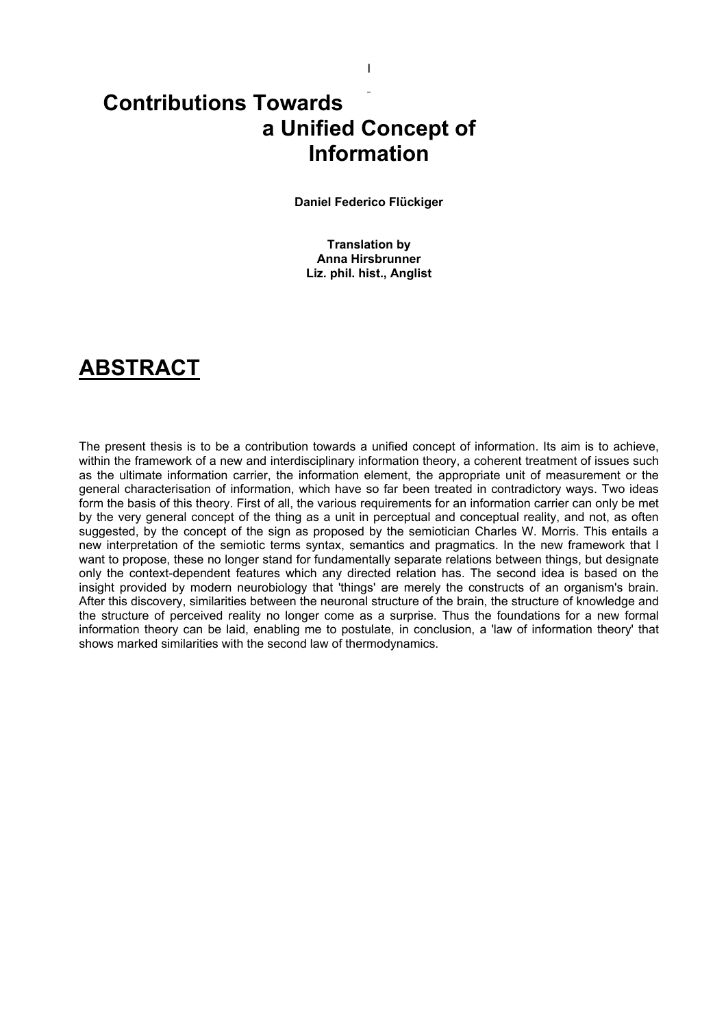## **Contributions Towards a Unified Concept of Information**

**Daniel Federico Flückiger** 

I

**Translation by Anna Hirsbrunner Liz. phil. hist., Anglist** 

## **ABSTRACT**

The present thesis is to be a contribution towards a unified concept of information. Its aim is to achieve, within the framework of a new and interdisciplinary information theory, a coherent treatment of issues such as the ultimate information carrier, the information element, the appropriate unit of measurement or the general characterisation of information, which have so far been treated in contradictory ways. Two ideas form the basis of this theory. First of all, the various requirements for an information carrier can only be met by the very general concept of the thing as a unit in perceptual and conceptual reality, and not, as often suggested, by the concept of the sign as proposed by the semiotician Charles W. Morris. This entails a new interpretation of the semiotic terms syntax, semantics and pragmatics. In the new framework that I want to propose, these no longer stand for fundamentally separate relations between things, but designate only the context-dependent features which any directed relation has. The second idea is based on the insight provided by modern neurobiology that 'things' are merely the constructs of an organism's brain. After this discovery, similarities between the neuronal structure of the brain, the structure of knowledge and the structure of perceived reality no longer come as a surprise. Thus the foundations for a new formal information theory can be laid, enabling me to postulate, in conclusion, a 'law of information theory' that shows marked similarities with the second law of thermodynamics.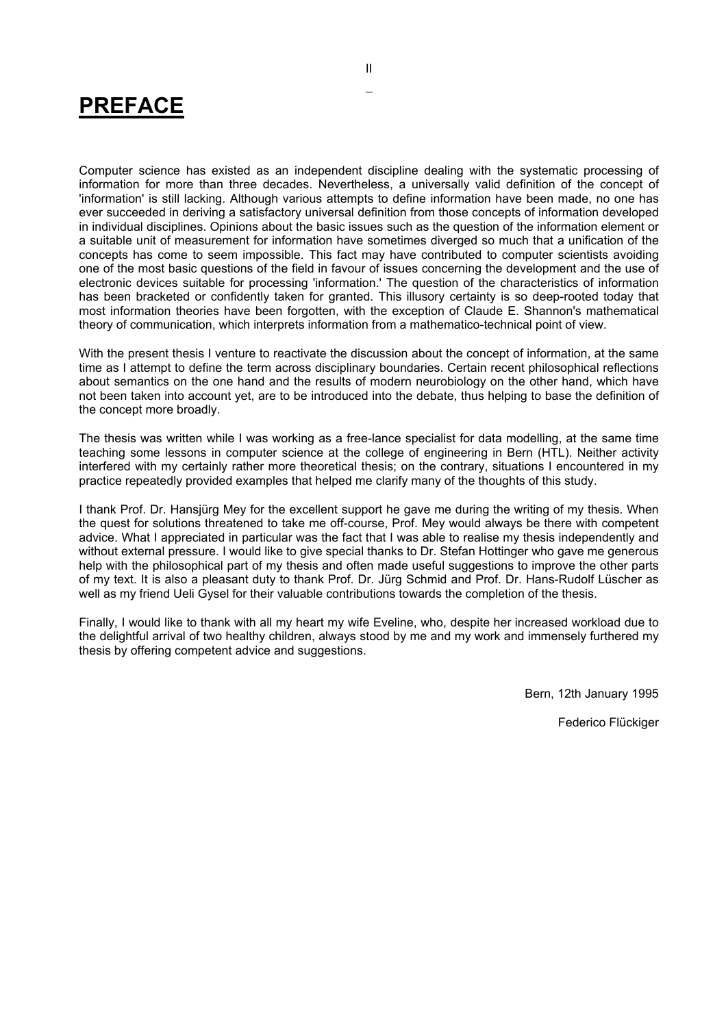# **PREFACE**

Computer science has existed as an independent discipline dealing with the systematic processing of information for more than three decades. Nevertheless, a universally valid definition of the concept of 'information' is still lacking. Although various attempts to define information have been made, no one has ever succeeded in deriving a satisfactory universal definition from those concepts of information developed in individual disciplines. Opinions about the basic issues such as the question of the information element or a suitable unit of measurement for information have sometimes diverged so much that a unification of the concepts has come to seem impossible. This fact may have contributed to computer scientists avoiding one of the most basic questions of the field in favour of issues concerning the development and the use of electronic devices suitable for processing 'information.' The question of the characteristics of information has been bracketed or confidently taken for granted. This illusory certainty is so deep-rooted today that most information theories have been forgotten, with the exception of Claude E. Shannon's mathematical theory of communication, which interprets information from a mathematico-technical point of view.

With the present thesis I venture to reactivate the discussion about the concept of information, at the same time as I attempt to define the term across disciplinary boundaries. Certain recent philosophical reflections about semantics on the one hand and the results of modern neurobiology on the other hand, which have not been taken into account yet, are to be introduced into the debate, thus helping to base the definition of the concept more broadly.

The thesis was written while I was working as a free-lance specialist for data modelling, at the same time teaching some lessons in computer science at the college of engineering in Bern (HTL). Neither activity interfered with my certainly rather more theoretical thesis; on the contrary, situations I encountered in my practice repeatedly provided examples that helped me clarify many of the thoughts of this study.

I thank Prof. Dr. Hansjürg Mey for the excellent support he gave me during the writing of my thesis. When the quest for solutions threatened to take me off-course, Prof. Mey would always be there with competent advice. What I appreciated in particular was the fact that I was able to realise my thesis independently and without external pressure. I would like to give special thanks to Dr. Stefan Hottinger who gave me generous help with the philosophical part of my thesis and often made useful suggestions to improve the other parts of my text. It is also a pleasant duty to thank Prof. Dr. Jürg Schmid and Prof. Dr. Hans-Rudolf Lüscher as well as my friend Ueli Gysel for their valuable contributions towards the completion of the thesis.

Finally, I would like to thank with all my heart my wife Eveline, who, despite her increased workload due to the delightful arrival of two healthy children, always stood by me and my work and immensely furthered my thesis by offering competent advice and suggestions.

Bern, 12th January 1995

Federico Flückiger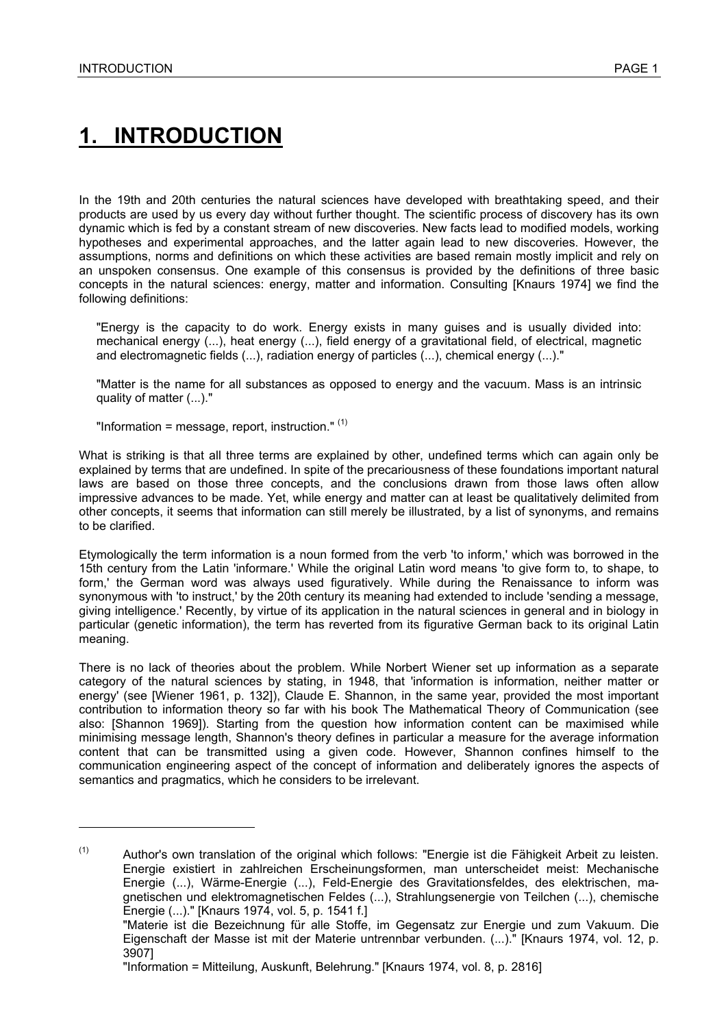# **1. INTRODUCTION**

In the 19th and 20th centuries the natural sciences have developed with breathtaking speed, and their products are used by us every day without further thought. The scientific process of discovery has its own dynamic which is fed by a constant stream of new discoveries. New facts lead to modified models, working hypotheses and experimental approaches, and the latter again lead to new discoveries. However, the assumptions, norms and definitions on which these activities are based remain mostly implicit and rely on an unspoken consensus. One example of this consensus is provided by the definitions of three basic concepts in the natural sciences: energy, matter and information. Consulting [Knaurs 1974] we find the following definitions:

"Energy is the capacity to do work. Energy exists in many guises and is usually divided into: mechanical energy (...), heat energy (...), field energy of a gravitational field, of electrical, magnetic and electromagnetic fields (...), radiation energy of particles (...), chemical energy (...)."

"Matter is the name for all substances as opposed to energy and the vacuum. Mass is an intrinsic quality of matter (...)."

"Information = message, report, instruction." $(1)$ 

What is striking is that all three terms are explained by other, undefined terms which can again only be explained by terms that are undefined. In spite of the precariousness of these foundations important natural laws are based on those three concepts, and the conclusions drawn from those laws often allow impressive advances to be made. Yet, while energy and matter can at least be qualitatively delimited from other concepts, it seems that information can still merely be illustrated, by a list of synonyms, and remains to be clarified.

Etymologically the term information is a noun formed from the verb 'to inform,' which was borrowed in the 15th century from the Latin 'informare.' While the original Latin word means 'to give form to, to shape, to form,' the German word was always used figuratively. While during the Renaissance to inform was synonymous with 'to instruct,' by the 20th century its meaning had extended to include 'sending a message, giving intelligence.' Recently, by virtue of its application in the natural sciences in general and in biology in particular (genetic information), the term has reverted from its figurative German back to its original Latin .<br>meaning.

There is no lack of theories about the problem. While Norbert Wiener set up information as a separate category of the natural sciences by stating, in 1948, that 'information is information, neither matter or energy' (see [Wiener 1961, p. 132]), Claude E. Shannon, in the same year, provided the most important contribution to information theory so far with his book The Mathematical Theory of Communication (see also: [Shannon 1969]). Starting from the question how information content can be maximised while minimising message length, Shannon's theory defines in particular a measure for the average information content that can be transmitted using a given code. However, Shannon confines himself to the communication engineering aspect of the concept of information and deliberately ignores the aspects of semantics and pragmatics, which he considers to be irrelevant.

 $(1)$  Author's own translation of the original which follows: "Energie ist die Fähigkeit Arbeit zu leisten. Energie existiert in zahlreichen Erscheinungsformen, man unterscheidet meist: Mechanische Energie (...), Wärme-Energie (...), Feld-Energie des Gravitationsfeldes, des elektrischen, magnetischen und elektromagnetischen Feldes (...), Strahlungsenergie von Teilchen (...), chemische Energie (...)." [Knaurs 1974, vol. 5, p. 1541 f.]

 <sup>&</sup>quot;Materie ist die Bezeichnung für alle Stoffe, im Gegensatz zur Energie und zum Vakuum. Die Eigenschaft der Masse ist mit der Materie untrennbar verbunden. (...)." [Knaurs 1974, vol. 12, p. 3907]

 <sup>&</sup>quot;Information = Mitteilung, Auskunft, Belehrung." [Knaurs 1974, vol. 8, p. 2816]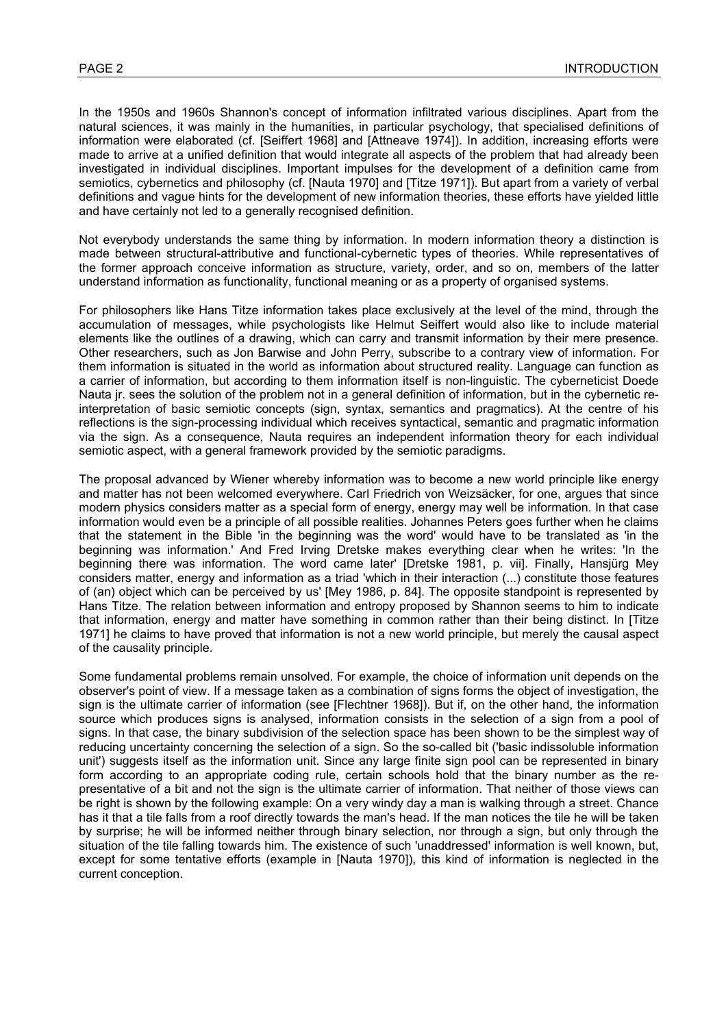In the 1950s and 1960s Shannon's concept of information infiltrated various disciplines. Apart from the natural sciences, it was mainly in the humanities, in particular psychology, that specialised definitions of information were elaborated (cf. [Seiffert 1968] and [Attneave 1974]). In addition, increasing efforts were made to arrive at a unified definition that would integrate all aspects of the problem that had already been investigated in individual disciplines. Important impulses for the development of a definition came from semiotics, cybernetics and philosophy (cf. [Nauta 1970] and [Titze 1971]). But apart from a variety of verbal definitions and vague hints for the development of new information theories, these efforts have yielded little and have certainly not led to a generally recognised definition.

Not everybody understands the same thing by information. In modern information theory a distinction is made between structural-attributive and functional-cybernetic types of theories. While representatives of the former approach conceive information as structure, variety, order, and so on, members of the latter understand information as functionality, functional meaning or as a property of organised systems.

For philosophers like Hans Titze information takes place exclusively at the level of the mind, through the accumulation of messages, while psychologists like Helmut Seiffert would also like to include material elements like the outlines of a drawing, which can carry and transmit information by their mere presence. Other researchers, such as Jon Barwise and John Perry, subscribe to a contrary view of information. For them information is situated in the world as information about structured reality. Language can function as a carrier of information, but according to them information itself is non-linguistic. The cyberneticist Doede Nauta jr. sees the solution of the problem not in a general definition of information, but in the cybernetic reinterpretation of basic semiotic concepts (sign, syntax, semantics and pragmatics). At the centre of his reflections is the sign-processing individual which receives syntactical, semantic and pragmatic information via the sign. As a consequence, Nauta requires an independent information theory for each individual semiotic aspect, with a general framework provided by the semiotic paradigms.

The proposal advanced by Wiener whereby information was to become a new world principle like energy and matter has not been welcomed everywhere. Carl Friedrich von Weizsäcker, for one, argues that since modern physics considers matter as a special form of energy, energy may well be information. In that case information would even be a principle of all possible realities. Johannes Peters goes further when he claims that the statement in the Bible 'in the beginning was the word' would have to be translated as 'in the beginning was information.' And Fred Irving Dretske makes everything clear when he writes: 'In the beginning there was information. The word came later' [Dretske 1981, p. vii]. Finally, Hansjürg Mey considers matter, energy and information as a triad 'which in their interaction (...) constitute those features of (an) object which can be perceived by us' [Mey 1986, p. 84]. The opposite standpoint is represented by Hans Titze. The relation between information and entropy proposed by Shannon seems to him to indicate that information, energy and matter have something in common rather than their being distinct. In [Titze 1971] he claims to have proved that information is not a new world principle, but merely the causal aspect of the causality principle.

Some fundamental problems remain unsolved. For example, the choice of information unit depends on the observer's point of view. If a message taken as a combination of signs forms the object of investigation, the sign is the ultimate carrier of information (see [Flechtner 1968]). But if, on the other hand, the information source which produces signs is analysed, information consists in the selection of a sign from a pool of signs. In that case, the binary subdivision of the selection space has been shown to be the simplest way of reducing uncertainty concerning the selection of a sign. So the so-called bit ('basic indissoluble information unit') suggests itself as the information unit. Since any large finite sign pool can be represented in binary form according to an appropriate coding rule, certain schools hold that the binary number as the representative of a bit and not the sign is the ultimate carrier of information. That neither of those views can be right is shown by the following example: On a very windy day a man is walking through a street. Chance has it that a tile falls from a roof directly towards the man's head. If the man notices the tile he will be taken by surprise; he will be informed neither through binary selection, nor through a sign, but only through the situation of the tile falling towards him. The existence of such 'unaddressed' information is well known, but, except for some tentative efforts (example in [Nauta 1970]), this kind of information is neglected in the current conception.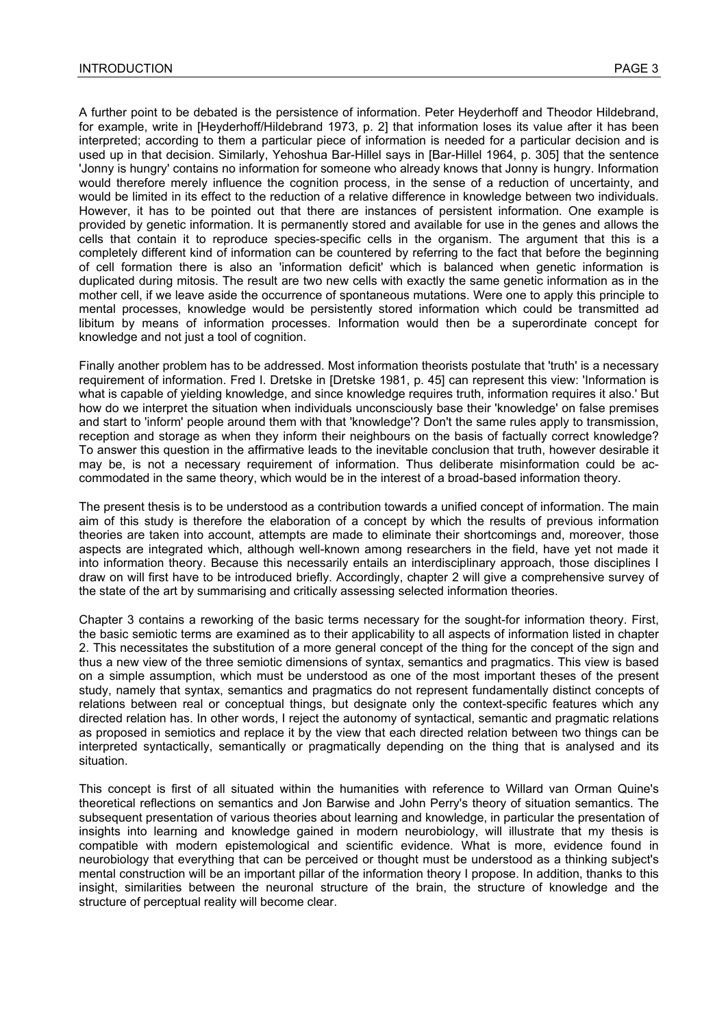A further point to be debated is the persistence of information. Peter Heyderhoff and Theodor Hildebrand, for example, write in [Heyderhoff/Hildebrand 1973, p. 2] that information loses its value after it has been interpreted; according to them a particular piece of information is needed for a particular decision and is used up in that decision. Similarly, Yehoshua Bar-Hillel says in [Bar-Hillel 1964, p. 305] that the sentence 'Jonny is hungry' contains no information for someone who already knows that Jonny is hungry. Information would therefore merely influence the cognition process, in the sense of a reduction of uncertainty, and would be limited in its effect to the reduction of a relative difference in knowledge between two individuals. However, it has to be pointed out that there are instances of persistent information. One example is provided by genetic information. It is permanently stored and available for use in the genes and allows the cells that contain it to reproduce species-specific cells in the organism. The argument that this is a completely different kind of information can be countered by referring to the fact that before the beginning of cell formation there is also an 'information deficit' which is balanced when genetic information is duplicated during mitosis. The result are two new cells with exactly the same genetic information as in the mother cell, if we leave aside the occurrence of spontaneous mutations. Were one to apply this principle to mental processes, knowledge would be persistently stored information which could be transmitted ad libitum by means of information processes. Information would then be a superordinate concept for knowledge and not just a tool of cognition.

Finally another problem has to be addressed. Most information theorists postulate that 'truth' is a necessary requirement of information. Fred I. Dretske in [Dretske 1981, p. 45] can represent this view: 'Information is what is capable of yielding knowledge, and since knowledge requires truth, information requires it also.' But how do we interpret the situation when individuals unconsciously base their 'knowledge' on false premises and start to 'inform' people around them with that 'knowledge'? Don't the same rules apply to transmission, reception and storage as when they inform their neighbours on the basis of factually correct knowledge? To answer this question in the affirmative leads to the inevitable conclusion that truth, however desirable it may be, is not a necessary requirement of information. Thus deliberate misinformation could be accommodated in the same theory, which would be in the interest of a broad-based information theory.

The present thesis is to be understood as a contribution towards a unified concept of information. The main aim of this study is therefore the elaboration of a concept by which the results of previous information theories are taken into account, attempts are made to eliminate their shortcomings and, moreover, those aspects are integrated which, although well-known among researchers in the field, have yet not made it into information theory. Because this necessarily entails an interdisciplinary approach, those disciplines I draw on will first have to be introduced briefly. Accordingly, chapter 2 will give a comprehensive survey of the state of the art by summarising and critically assessing selected information theories.

Chapter 3 contains a reworking of the basic terms necessary for the sought-for information theory. First, the basic semiotic terms are examined as to their applicability to all aspects of information listed in chapter 2. This necessitates the substitution of a more general concept of the thing for the concept of the sign and thus a new view of the three semiotic dimensions of syntax, semantics and pragmatics. This view is based on a simple assumption, which must be understood as one of the most important theses of the present study, namely that syntax, semantics and pragmatics do not represent fundamentally distinct concepts of relations between real or conceptual things, but designate only the context-specific features which any directed relation has. In other words, I reject the autonomy of syntactical, semantic and pragmatic relations as proposed in semiotics and replace it by the view that each directed relation between two things can be interpreted syntactically, semantically or pragmatically depending on the thing that is analysed and its situation.

This concept is first of all situated within the humanities with reference to Willard van Orman Quine's theoretical reflections on semantics and Jon Barwise and John Perry's theory of situation semantics. The subsequent presentation of various theories about learning and knowledge, in particular the presentation of insights into learning and knowledge gained in modern neurobiology, will illustrate that my thesis is compatible with modern epistemological and scientific evidence. What is more, evidence found in neurobiology that everything that can be perceived or thought must be understood as a thinking subject's mental construction will be an important pillar of the information theory I propose. In addition, thanks to this insight, similarities between the neuronal structure of the brain, the structure of knowledge and the structure of perceptual reality will become clear.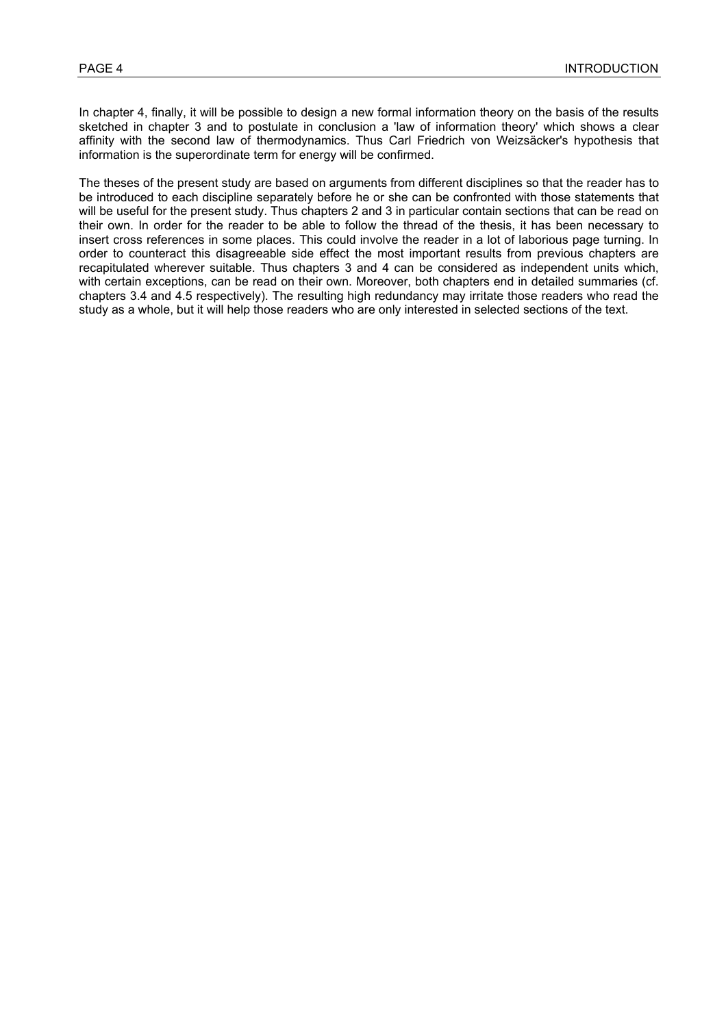In chapter 4, finally, it will be possible to design a new formal information theory on the basis of the results sketched in chapter 3 and to postulate in conclusion a 'law of information theory' which shows a clear affinity with the second law of thermodynamics. Thus Carl Friedrich von Weizsäcker's hypothesis that information is the superordinate term for energy will be confirmed.

The theses of the present study are based on arguments from different disciplines so that the reader has to be introduced to each discipline separately before he or she can be confronted with those statements that will be useful for the present study. Thus chapters 2 and 3 in particular contain sections that can be read on their own. In order for the reader to be able to follow the thread of the thesis, it has been necessary to insert cross references in some places. This could involve the reader in a lot of laborious page turning. In order to counteract this disagreeable side effect the most important results from previous chapters are recapitulated wherever suitable. Thus chapters 3 and 4 can be considered as independent units which, with certain exceptions, can be read on their own. Moreover, both chapters end in detailed summaries (cf. chapters 3.4 and 4.5 respectively). The resulting high redundancy may irritate those readers who read the study as a whole, but it will help those readers who are only interested in selected sections of the text.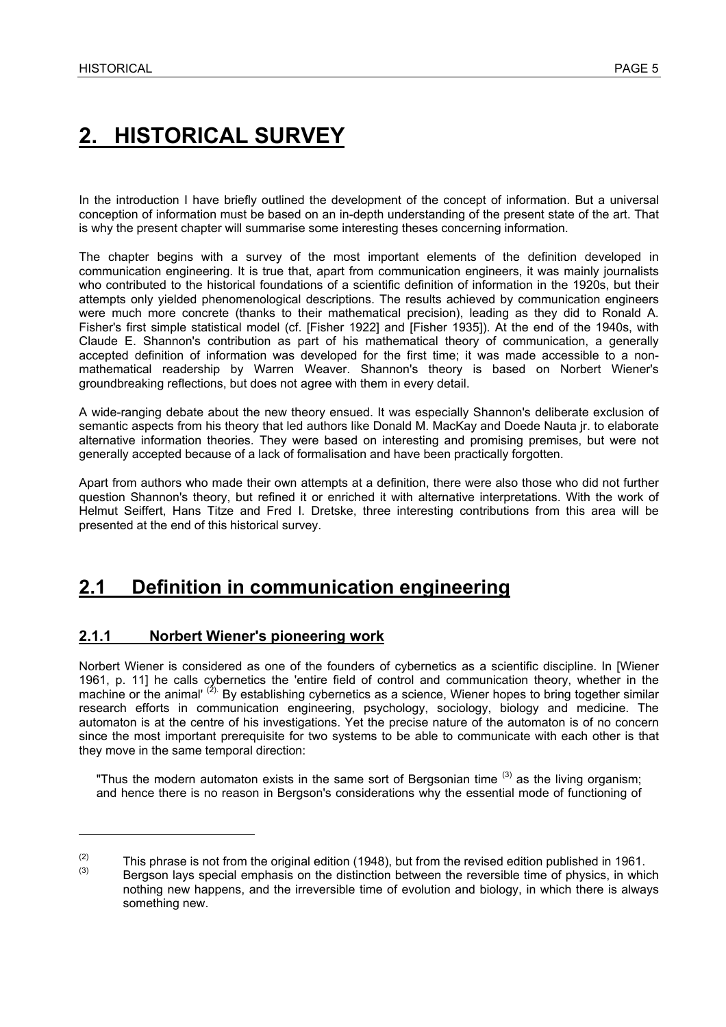# **2. HISTORICAL SURVEY**

In the introduction I have briefly outlined the development of the concept of information. But a universal conception of information must be based on an in-depth understanding of the present state of the art. That is why the present chapter will summarise some interesting theses concerning information.

The chapter begins with a survey of the most important elements of the definition developed in communication engineering. It is true that, apart from communication engineers, it was mainly journalists who contributed to the historical foundations of a scientific definition of information in the 1920s, but their attempts only yielded phenomenological descriptions. The results achieved by communication engineers were much more concrete (thanks to their mathematical precision), leading as they did to Ronald A. Fisher's first simple statistical model (cf. [Fisher 1922] and [Fisher 1935]). At the end of the 1940s, with Claude E. Shannon's contribution as part of his mathematical theory of communication, a generally accepted definition of information was developed for the first time; it was made accessible to a nonmathematical readership by Warren Weaver. Shannon's theory is based on Norbert Wiener's groundbreaking reflections, but does not agree with them in every detail.

A wide-ranging debate about the new theory ensued. It was especially Shannon's deliberate exclusion of semantic aspects from his theory that led authors like Donald M. MacKay and Doede Nauta jr. to elaborate alternative information theories. They were based on interesting and promising premises, but were not generally accepted because of a lack of formalisation and have been practically forgotten.

Apart from authors who made their own attempts at a definition, there were also those who did not further question Shannon's theory, but refined it or enriched it with alternative interpretations. With the work of Helmut Seiffert, Hans Titze and Fred I. Dretske, three interesting contributions from this area will be presented at the end of this historical survey.

### **2.1 Definition in communication engineering**

#### **2.1.1 Norbert Wiener's pioneering work**

Norbert Wiener is considered as one of the founders of cybernetics as a scientific discipline. In [Wiener 1961, p. 11] he calls cybernetics the 'entire field of control and communication theory, whether in the machine or the animal' <sup>(2).</sup> By establishing cybernetics as a science, Wiener hopes to bring together similar research efforts in communication engineering, psychology, sociology, biology and medicine. The automaton is at the centre of his investigations. Yet the precise nature of the automaton is of no concern since the most important prerequisite for two systems to be able to communicate with each other is that they move in the same temporal direction:

"Thus the modern automaton exists in the same sort of Bergsonian time  $(3)$  as the living organism; and hence there is no reason in Bergson's considerations why the essential mode of functioning of

<sup>(2)</sup> This phrase is not from the original edition (1948), but from the revised edition published in 1961.<br>(3) Bergson lays special emphasis on the distinction between the reversible time of physics, in which nothing new happens, and the irreversible time of evolution and biology, in which there is always something new.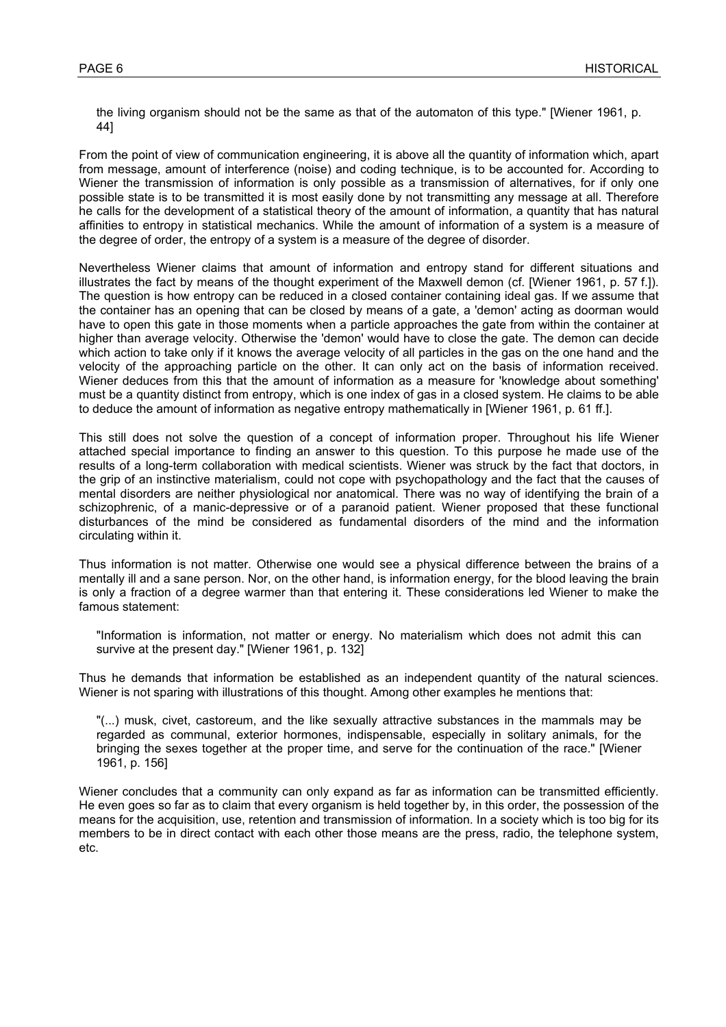the living organism should not be the same as that of the automaton of this type." [Wiener 1961, p. 44]

From the point of view of communication engineering, it is above all the quantity of information which, apart from message, amount of interference (noise) and coding technique, is to be accounted for. According to Wiener the transmission of information is only possible as a transmission of alternatives, for if only one possible state is to be transmitted it is most easily done by not transmitting any message at all. Therefore he calls for the development of a statistical theory of the amount of information, a quantity that has natural affinities to entropy in statistical mechanics. While the amount of information of a system is a measure of the degree of order, the entropy of a system is a measure of the degree of disorder.

Nevertheless Wiener claims that amount of information and entropy stand for different situations and illustrates the fact by means of the thought experiment of the Maxwell demon (cf. [Wiener 1961, p. 57 f.]). The question is how entropy can be reduced in a closed container containing ideal gas. If we assume that the container has an opening that can be closed by means of a gate, a 'demon' acting as doorman would have to open this gate in those moments when a particle approaches the gate from within the container at higher than average velocity. Otherwise the 'demon' would have to close the gate. The demon can decide which action to take only if it knows the average velocity of all particles in the gas on the one hand and the velocity of the approaching particle on the other. It can only act on the basis of information received. Wiener deduces from this that the amount of information as a measure for 'knowledge about something' must be a quantity distinct from entropy, which is one index of gas in a closed system. He claims to be able to deduce the amount of information as negative entropy mathematically in [Wiener 1961, p. 61 ff.].

This still does not solve the question of a concept of information proper. Throughout his life Wiener attached special importance to finding an answer to this question. To this purpose he made use of the results of a long-term collaboration with medical scientists. Wiener was struck by the fact that doctors, in the grip of an instinctive materialism, could not cope with psychopathology and the fact that the causes of mental disorders are neither physiological nor anatomical. There was no way of identifying the brain of a schizophrenic, of a manic-depressive or of a paranoid patient. Wiener proposed that these functional disturbances of the mind be considered as fundamental disorders of the mind and the information circulating within it.

Thus information is not matter. Otherwise one would see a physical difference between the brains of a mentally ill and a sane person. Nor, on the other hand, is information energy, for the blood leaving the brain is only a fraction of a degree warmer than that entering it. These considerations led Wiener to make the famous statement:

"Information is information, not matter or energy. No materialism which does not admit this can survive at the present day." [Wiener 1961, p. 132]

Thus he demands that information be established as an independent quantity of the natural sciences. Wiener is not sparing with illustrations of this thought. Among other examples he mentions that:

"(...) musk, civet, castoreum, and the like sexually attractive substances in the mammals may be regarded as communal, exterior hormones, indispensable, especially in solitary animals, for the bringing the sexes together at the proper time, and serve for the continuation of the race." [Wiener 1961, p. 156]

Wiener concludes that a community can only expand as far as information can be transmitted efficiently. He even goes so far as to claim that every organism is held together by, in this order, the possession of the means for the acquisition, use, retention and transmission of information. In a society which is too big for its members to be in direct contact with each other those means are the press, radio, the telephone system, etc.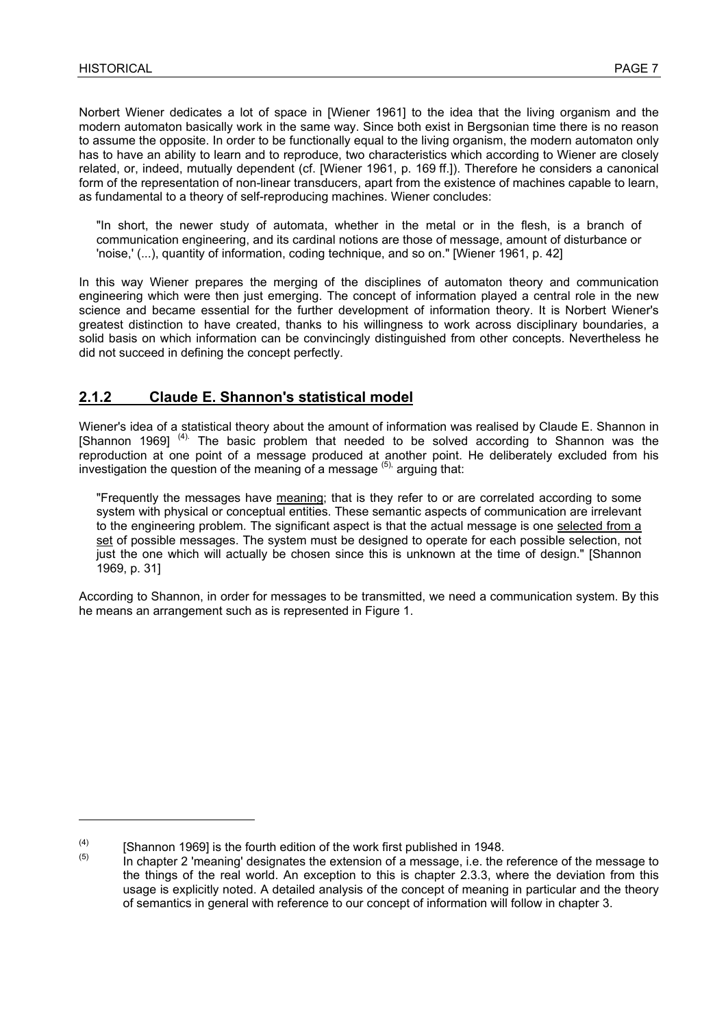Norbert Wiener dedicates a lot of space in [Wiener 1961] to the idea that the living organism and the modern automaton basically work in the same way. Since both exist in Bergsonian time there is no reason to assume the opposite. In order to be functionally equal to the living organism, the modern automaton only has to have an ability to learn and to reproduce, two characteristics which according to Wiener are closely related, or, indeed, mutually dependent (cf. [Wiener 1961, p. 169 ff.]). Therefore he considers a canonical form of the representation of non-linear transducers, apart from the existence of machines capable to learn, as fundamental to a theory of self-reproducing machines. Wiener concludes:

"In short, the newer study of automata, whether in the metal or in the flesh, is a branch of communication engineering, and its cardinal notions are those of message, amount of disturbance or 'noise,' (...), quantity of information, coding technique, and so on." [Wiener 1961, p. 42]

In this way Wiener prepares the merging of the disciplines of automaton theory and communication engineering which were then just emerging. The concept of information played a central role in the new science and became essential for the further development of information theory. It is Norbert Wiener's greatest distinction to have created, thanks to his willingness to work across disciplinary boundaries, a solid basis on which information can be convincingly distinguished from other concepts. Nevertheless he did not succeed in defining the concept perfectly.

#### **2.1.2 Claude E. Shannon's statistical model**

Wiener's idea of a statistical theory about the amount of information was realised by Claude E. Shannon in [Shannon 1969]<sup>(4).</sup> The basic problem that needed to be solved according to Shannon was the reproduction at one point of a message produced at another point. He deliberately excluded from his investigation the question of the meaning of a message  $(5)$ , arguing that:

"Frequently the messages have meaning; that is they refer to or are correlated according to some system with physical or conceptual entities. These semantic aspects of communication are irrelevant to the engineering problem. The significant aspect is that the actual message is one selected from a set of possible messages. The system must be designed to operate for each possible selection, not just the one which will actually be chosen since this is unknown at the time of design." [Shannon 1969, p. 31]

According to Shannon, in order for messages to be transmitted, we need a communication system. By this he means an arrangement such as is represented in Figure 1.

<sup>(4) [</sup>Shannon 1969] is the fourth edition of the work first published in 1948.<br>(5) In chapter 2 'meaning' designates the extension of a message, i.e. the reference of the message to the things of the real world. An exception to this is chapter 2.3.3, where the deviation from this usage is explicitly noted. A detailed analysis of the concept of meaning in particular and the theory of semantics in general with reference to our concept of information will follow in chapter 3.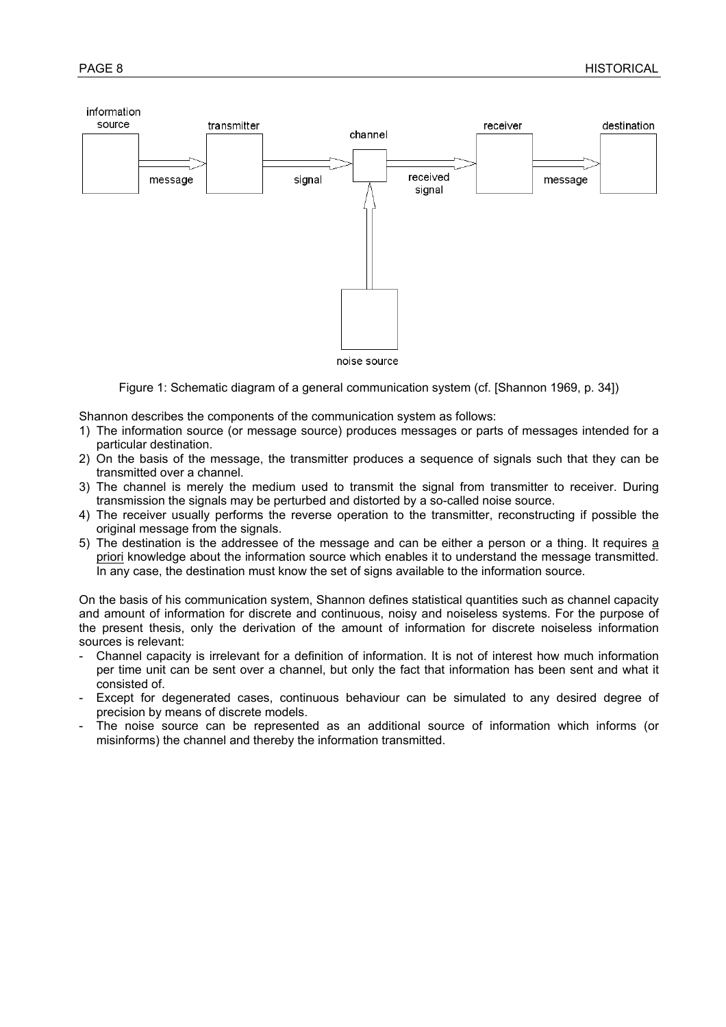

Figure 1: Schematic diagram of a general communication system (cf. [Shannon 1969, p. 34])

Shannon describes the components of the communication system as follows:

- 1) The information source (or message source) produces messages or parts of messages intended for a particular destination.
- 2) On the basis of the message, the transmitter produces a sequence of signals such that they can be transmitted over a channel.
- 3) The channel is merely the medium used to transmit the signal from transmitter to receiver. During transmission the signals may be perturbed and distorted by a so-called noise source.
- 4) The receiver usually performs the reverse operation to the transmitter, reconstructing if possible the original message from the signals.
- 5) The destination is the addressee of the message and can be either a person or a thing. It requires a priori knowledge about the information source which enables it to understand the message transmitted. In any case, the destination must know the set of signs available to the information source.

On the basis of his communication system, Shannon defines statistical quantities such as channel capacity and amount of information for discrete and continuous, noisy and noiseless systems. For the purpose of the present thesis, only the derivation of the amount of information for discrete noiseless information sources is relevant:

- Channel capacity is irrelevant for a definition of information. It is not of interest how much information per time unit can be sent over a channel, but only the fact that information has been sent and what it consisted of.
- Except for degenerated cases, continuous behaviour can be simulated to any desired degree of precision by means of discrete models.
- The noise source can be represented as an additional source of information which informs (or misinforms) the channel and thereby the information transmitted.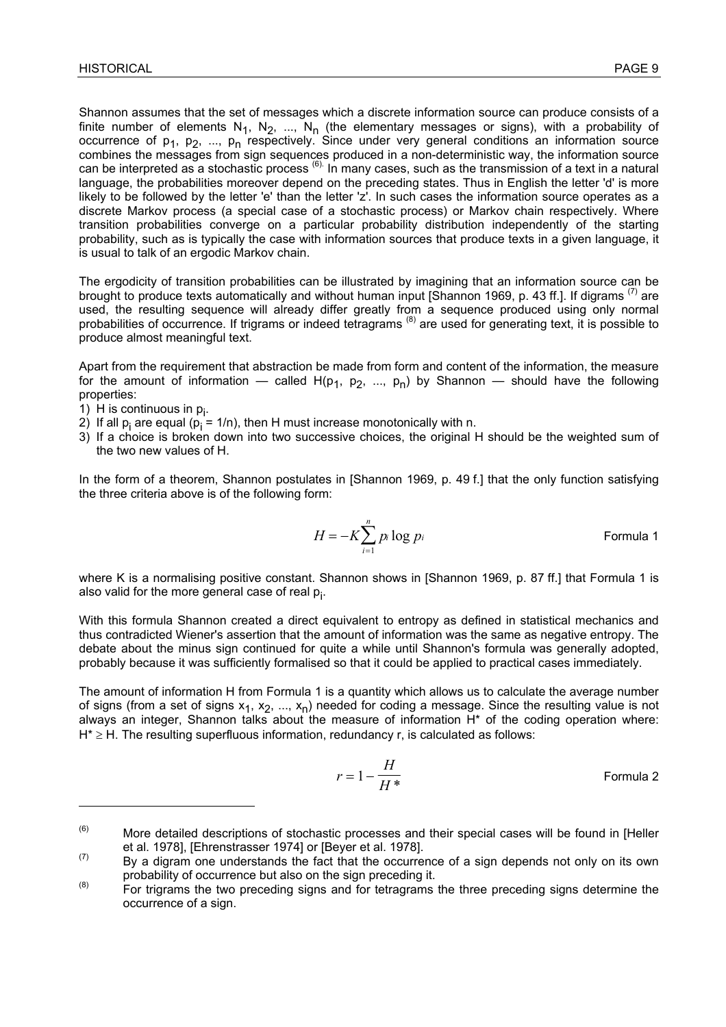Shannon assumes that the set of messages which a discrete information source can produce consists of a finite number of elements  $N_1$ ,  $N_2$ , ...,  $N_n$  (the elementary messages or signs), with a probability of occurrence of  $p_1$ ,  $p_2$ , ...,  $p_n$  respectively. Since under very general conditions an information source combines the messages from sign sequences produced in a non-deterministic way, the information source can be interpreted as a stochastic process (6). In many cases, such as the transmission of a text in a natural language, the probabilities moreover depend on the preceding states. Thus in English the letter 'd' is more likely to be followed by the letter 'e' than the letter 'z'. In such cases the information source operates as a discrete Markov process (a special case of a stochastic process) or Markov chain respectively. Where transition probabilities converge on a particular probability distribution independently of the starting probability, such as is typically the case with information sources that produce texts in a given language, it is usual to talk of an ergodic Markov chain.

The ergodicity of transition probabilities can be illustrated by imagining that an information source can be brought to produce texts automatically and without human input [Shannon 1969, p. 43 ff.]. If digrams <sup>(7)</sup> are used, the resulting sequence will already differ greatly from a sequence produced using only normal probabilities of occurrence. If trigrams or indeed tetragrams (8) are used for generating text, it is possible to produce almost meaningful text.

Apart from the requirement that abstraction be made from form and content of the information, the measure for the amount of information — called  $H(p_1, p_2, ..., p_n)$  by Shannon — should have the following properties:

1) H is continuous in  $p_i$ .

 $\overline{a}$ 

- 2) If all  $p_i$  are equal ( $p_i = 1/n$ ), then H must increase monotonically with n.
- 3) If a choice is broken down into two successive choices, the original H should be the weighted sum of the two new values of H.

In the form of a theorem, Shannon postulates in [Shannon 1969, p. 49 f.] that the only function satisfying the three criteria above is of the following form:

$$
H = -K \sum_{i=1}^{n} p_i \log p_i
$$
 Formula 1

where K is a normalising positive constant. Shannon shows in [Shannon 1969, p. 87 ff.] that Formula 1 is also valid for the more general case of real p<sub>i</sub>.

With this formula Shannon created a direct equivalent to entropy as defined in statistical mechanics and thus contradicted Wiener's assertion that the amount of information was the same as negative entropy. The debate about the minus sign continued for quite a while until Shannon's formula was generally adopted, probably because it was sufficiently formalised so that it could be applied to practical cases immediately.

The amount of information H from Formula 1 is a quantity which allows us to calculate the average number of signs (from a set of signs  $x_1, x_2, ..., x_n$ ) needed for coding a message. Since the resulting value is not always an integer, Shannon talks about the measure of information H\* of the coding operation where: H<sup>\*</sup> ≥ H. The resulting superfluous information, redundancy r, is calculated as follows:

$$
r = 1 - \frac{H}{H^*}
$$
 Formula 2

 $(6)$  More detailed descriptions of stochastic processes and their special cases will be found in [Heller et al. 1978], [Ehrenstrasser 1974] or [Beyer et al. 1978].<br>By a digram one understands the fact that the occurrence of a sign depends not only on its own

probability of occurrence but also on the sign preceding it.<br>
For trigrams the two preceding signs and for tetragrams the three preceding signs determine the

occurrence of a sign.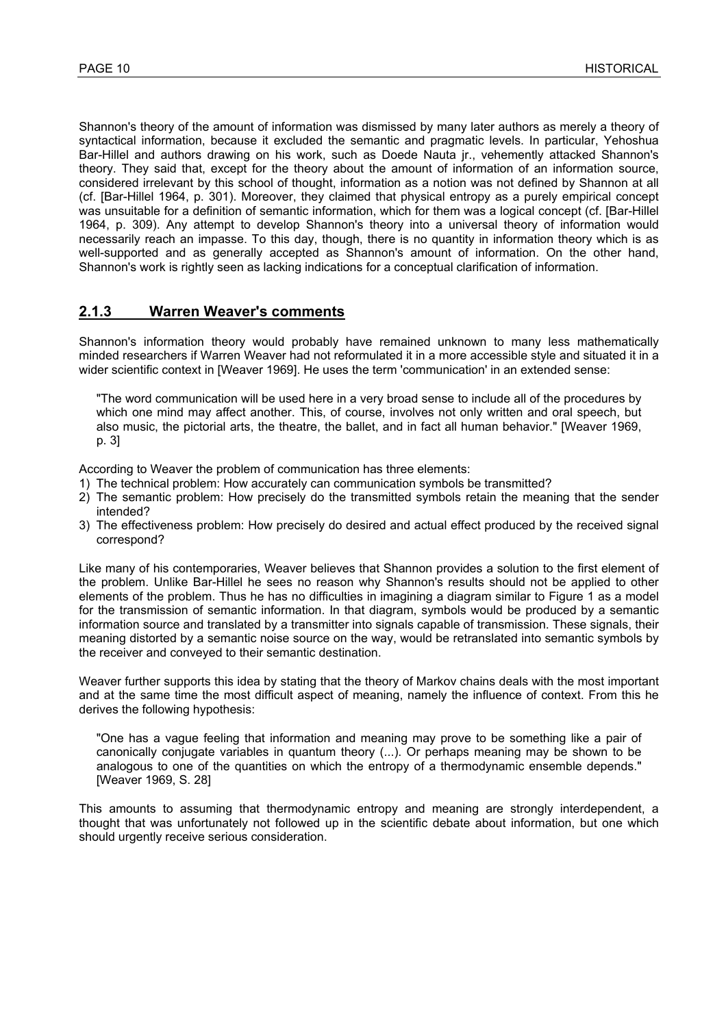Shannon's theory of the amount of information was dismissed by many later authors as merely a theory of syntactical information, because it excluded the semantic and pragmatic levels. In particular, Yehoshua Bar-Hillel and authors drawing on his work, such as Doede Nauta jr., vehemently attacked Shannon's theory. They said that, except for the theory about the amount of information of an information source, considered irrelevant by this school of thought, information as a notion was not defined by Shannon at all (cf. [Bar-Hillel 1964, p. 301). Moreover, they claimed that physical entropy as a purely empirical concept was unsuitable for a definition of semantic information, which for them was a logical concept (cf. [Bar-Hillel 1964, p. 309). Any attempt to develop Shannon's theory into a universal theory of information would necessarily reach an impasse. To this day, though, there is no quantity in information theory which is as well-supported and as generally accepted as Shannon's amount of information. On the other hand, Shannon's work is rightly seen as lacking indications for a conceptual clarification of information.

#### **2.1.3 Warren Weaver's comments**

Shannon's information theory would probably have remained unknown to many less mathematically minded researchers if Warren Weaver had not reformulated it in a more accessible style and situated it in a wider scientific context in [Weaver 1969]. He uses the term 'communication' in an extended sense:

"The word communication will be used here in a very broad sense to include all of the procedures by which one mind may affect another. This, of course, involves not only written and oral speech, but also music, the pictorial arts, the theatre, the ballet, and in fact all human behavior." [Weaver 1969, p. 3]

According to Weaver the problem of communication has three elements:

- 1) The technical problem: How accurately can communication symbols be transmitted?
- 2) The semantic problem: How precisely do the transmitted symbols retain the meaning that the sender intended?
- 3) The effectiveness problem: How precisely do desired and actual effect produced by the received signal correspond?

Like many of his contemporaries, Weaver believes that Shannon provides a solution to the first element of the problem. Unlike Bar-Hillel he sees no reason why Shannon's results should not be applied to other elements of the problem. Thus he has no difficulties in imagining a diagram similar to Figure 1 as a model for the transmission of semantic information. In that diagram, symbols would be produced by a semantic information source and translated by a transmitter into signals capable of transmission. These signals, their meaning distorted by a semantic noise source on the way, would be retranslated into semantic symbols by the receiver and conveyed to their semantic destination.

Weaver further supports this idea by stating that the theory of Markov chains deals with the most important and at the same time the most difficult aspect of meaning, namely the influence of context. From this he derives the following hypothesis:

"One has a vague feeling that information and meaning may prove to be something like a pair of canonically conjugate variables in quantum theory (...). Or perhaps meaning may be shown to be analogous to one of the quantities on which the entropy of a thermodynamic ensemble depends." [Weaver 1969, S. 28]

This amounts to assuming that thermodynamic entropy and meaning are strongly interdependent, a thought that was unfortunately not followed up in the scientific debate about information, but one which should urgently receive serious consideration.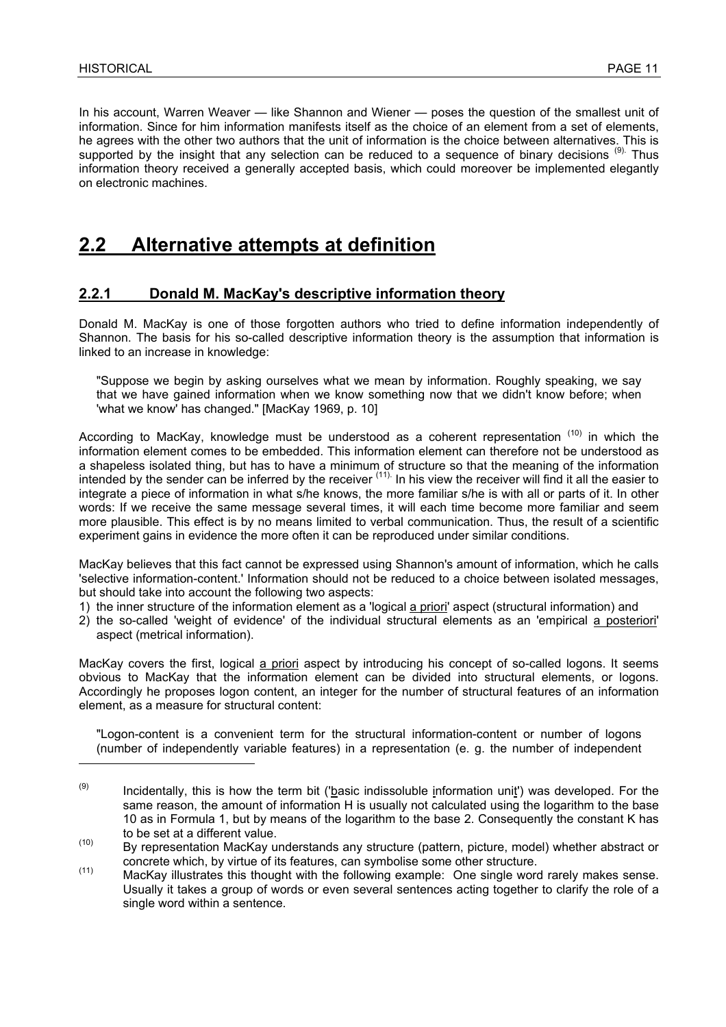In his account, Warren Weaver — like Shannon and Wiener — poses the question of the smallest unit of information. Since for him information manifests itself as the choice of an element from a set of elements, he agrees with the other two authors that the unit of information is the choice between alternatives. This is supported by the insight that any selection can be reduced to a sequence of binary decisions<sup>(9).</sup> Thus information theory received a generally accepted basis, which could moreover be implemented elegantly on electronic machines.

### **2.2 Alternative attempts at definition**

#### **2.2.1 Donald M. MacKay's descriptive information theory**

Donald M. MacKay is one of those forgotten authors who tried to define information independently of Shannon. The basis for his so-called descriptive information theory is the assumption that information is linked to an increase in knowledge:

"Suppose we begin by asking ourselves what we mean by information. Roughly speaking, we say that we have gained information when we know something now that we didn't know before; when 'what we know' has changed." [MacKay 1969, p. 10]

According to MacKay, knowledge must be understood as a coherent representation  $(10)$  in which the information element comes to be embedded. This information element can therefore not be understood as a shapeless isolated thing, but has to have a minimum of structure so that the meaning of the information intended by the sender can be inferred by the receiver <sup>(11).</sup> In his view the receiver will find it all the easier to integrate a piece of information in what s/he knows, the more familiar s/he is with all or parts of it. In other words: If we receive the same message several times, it will each time become more familiar and seem more plausible. This effect is by no means limited to verbal communication. Thus, the result of a scientific experiment gains in evidence the more often it can be reproduced under similar conditions.

MacKay believes that this fact cannot be expressed using Shannon's amount of information, which he calls 'selective information-content.' Information should not be reduced to a choice between isolated messages, but should take into account the following two aspects:

- 1) the inner structure of the information element as a 'logical a priori' aspect (structural information) and
- 2) the so-called 'weight of evidence' of the individual structural elements as an 'empirical a posteriori' aspect (metrical information).

MacKay covers the first, logical a priori aspect by introducing his concept of so-called logons. It seems obvious to MacKay that the information element can be divided into structural elements, or logons. Accordingly he proposes logon content, an integer for the number of structural features of an information element, as a measure for structural content:

"Logon-content is a convenient term for the structural information-content or number of logons (number of independently variable features) in a representation (e. g. the number of independent

 $(9)$  Incidentally, this is how the term bit ('basic indissoluble information unit') was developed. For the same reason, the amount of information H is usually not calculated using the logarithm to the base 10 as in Formula 1, but by means of the logarithm to the base 2. Consequently the constant K has to be set at a different value.

<sup>(10)</sup> By representation MacKay understands any structure (pattern, picture, model) whether abstract or

concrete which, by virtue of its features, can symbolise some other structure.<br>MacKay illustrates this thought with the following example: One single word rarely makes sense. Usually it takes a group of words or even several sentences acting together to clarify the role of a single word within a sentence.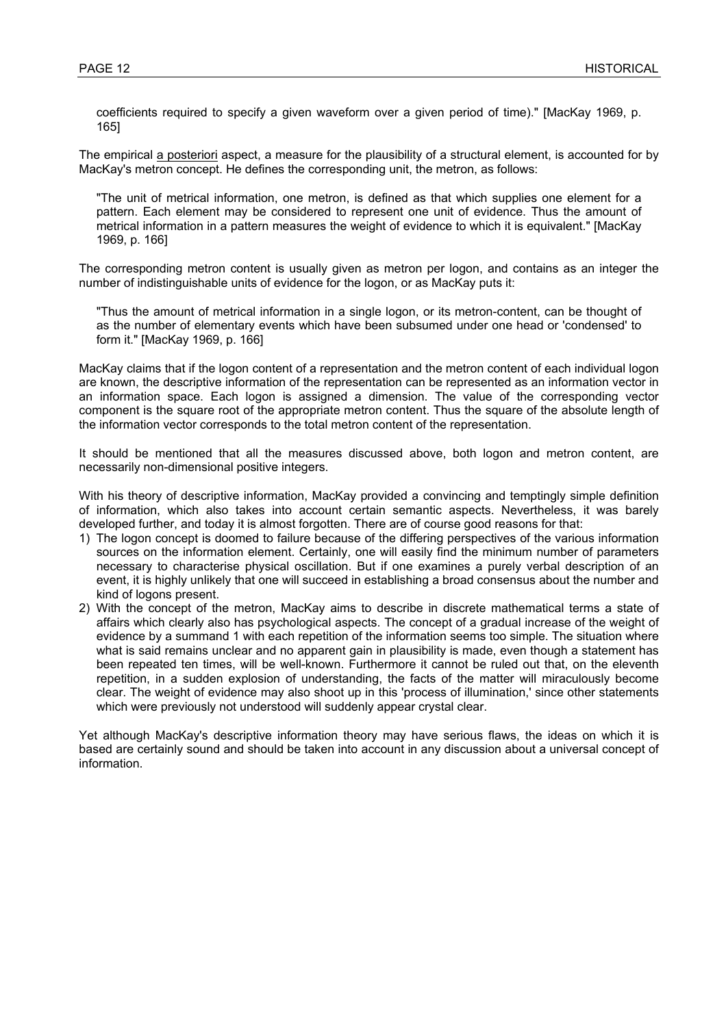coefficients required to specify a given waveform over a given period of time)." [MacKay 1969, p. 165]

The empirical a posteriori aspect, a measure for the plausibility of a structural element, is accounted for by MacKay's metron concept. He defines the corresponding unit, the metron, as follows:

"The unit of metrical information, one metron, is defined as that which supplies one element for a pattern. Each element may be considered to represent one unit of evidence. Thus the amount of metrical information in a pattern measures the weight of evidence to which it is equivalent." [MacKay 1969, p. 166]

The corresponding metron content is usually given as metron per logon, and contains as an integer the number of indistinguishable units of evidence for the logon, or as MacKay puts it:

"Thus the amount of metrical information in a single logon, or its metron-content, can be thought of as the number of elementary events which have been subsumed under one head or 'condensed' to form it." [MacKay 1969, p. 166]

MacKay claims that if the logon content of a representation and the metron content of each individual logon are known, the descriptive information of the representation can be represented as an information vector in an information space. Each logon is assigned a dimension. The value of the corresponding vector component is the square root of the appropriate metron content. Thus the square of the absolute length of the information vector corresponds to the total metron content of the representation.

It should be mentioned that all the measures discussed above, both logon and metron content, are necessarily non-dimensional positive integers.

With his theory of descriptive information, MacKay provided a convincing and temptingly simple definition of information, which also takes into account certain semantic aspects. Nevertheless, it was barely developed further, and today it is almost forgotten. There are of course good reasons for that:

- 1) The logon concept is doomed to failure because of the differing perspectives of the various information sources on the information element. Certainly, one will easily find the minimum number of parameters necessary to characterise physical oscillation. But if one examines a purely verbal description of an event, it is highly unlikely that one will succeed in establishing a broad consensus about the number and kind of logons present.
- 2) With the concept of the metron, MacKay aims to describe in discrete mathematical terms a state of affairs which clearly also has psychological aspects. The concept of a gradual increase of the weight of evidence by a summand 1 with each repetition of the information seems too simple. The situation where what is said remains unclear and no apparent gain in plausibility is made, even though a statement has been repeated ten times, will be well-known. Furthermore it cannot be ruled out that, on the eleventh repetition, in a sudden explosion of understanding, the facts of the matter will miraculously become clear. The weight of evidence may also shoot up in this 'process of illumination,' since other statements which were previously not understood will suddenly appear crystal clear.

Yet although MacKay's descriptive information theory may have serious flaws, the ideas on which it is based are certainly sound and should be taken into account in any discussion about a universal concept of information.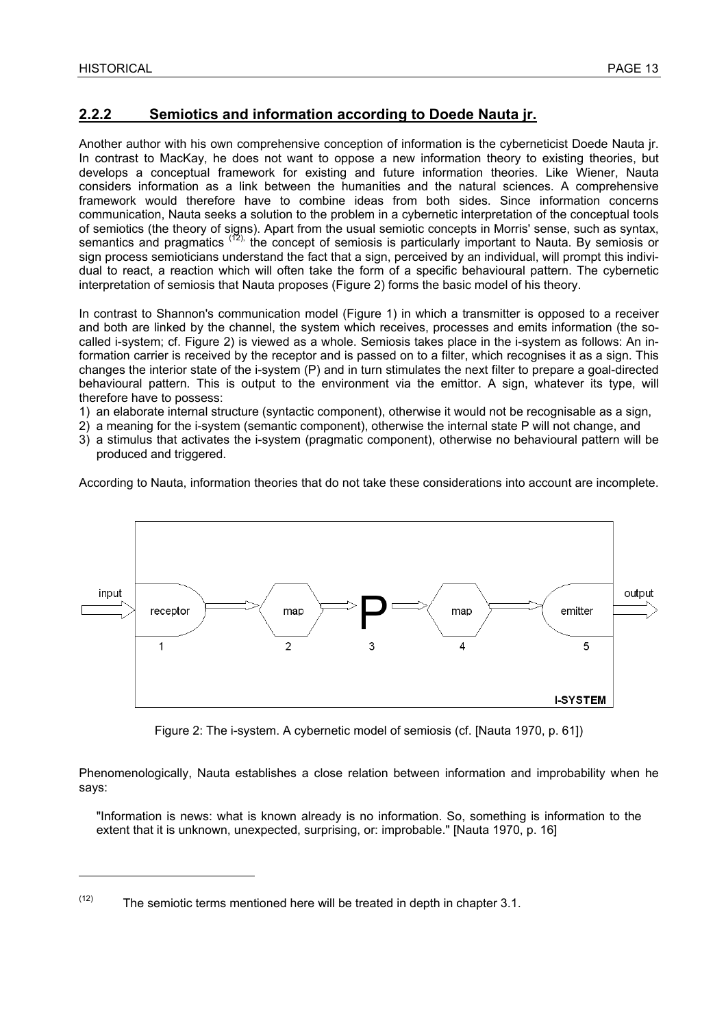#### **2.2.2 Semiotics and information according to Doede Nauta jr.**

Another author with his own comprehensive conception of information is the cyberneticist Doede Nauta jr. In contrast to MacKay, he does not want to oppose a new information theory to existing theories, but develops a conceptual framework for existing and future information theories. Like Wiener, Nauta considers information as a link between the humanities and the natural sciences. A comprehensive framework would therefore have to combine ideas from both sides. Since information concerns communication, Nauta seeks a solution to the problem in a cybernetic interpretation of the conceptual tools of semiotics (the theory of signs). Apart from the usual semiotic concepts in Morris' sense, such as syntax, semantics and pragmatics <sup>(12),</sup> the concept of semiosis is particularly important to Nauta. By semiosis or sign process semioticians understand the fact that a sign, perceived by an individual, will prompt this individual to react, a reaction which will often take the form of a specific behavioural pattern. The cybernetic interpretation of semiosis that Nauta proposes (Figure 2) forms the basic model of his theory.

In contrast to Shannon's communication model (Figure 1) in which a transmitter is opposed to a receiver and both are linked by the channel, the system which receives, processes and emits information (the socalled i-system; cf. Figure 2) is viewed as a whole. Semiosis takes place in the i-system as follows: An information carrier is received by the receptor and is passed on to a filter, which recognises it as a sign. This changes the interior state of the i-system (P) and in turn stimulates the next filter to prepare a goal-directed behavioural pattern. This is output to the environment via the emittor. A sign, whatever its type, will therefore have to possess:

- 1) an elaborate internal structure (syntactic component), otherwise it would not be recognisable as a sign,
- 2) a meaning for the i-system (semantic component), otherwise the internal state P will not change, and
- 3) a stimulus that activates the i-system (pragmatic component), otherwise no behavioural pattern will be produced and triggered.

According to Nauta, information theories that do not take these considerations into account are incomplete.



Figure 2: The i-system. A cybernetic model of semiosis (cf. [Nauta 1970, p. 61])

Phenomenologically, Nauta establishes a close relation between information and improbability when he says:

"Information is news: what is known already is no information. So, something is information to the extent that it is unknown, unexpected, surprising, or: improbable." [Nauta 1970, p. 16]

 $(12)$  The semiotic terms mentioned here will be treated in depth in chapter 3.1.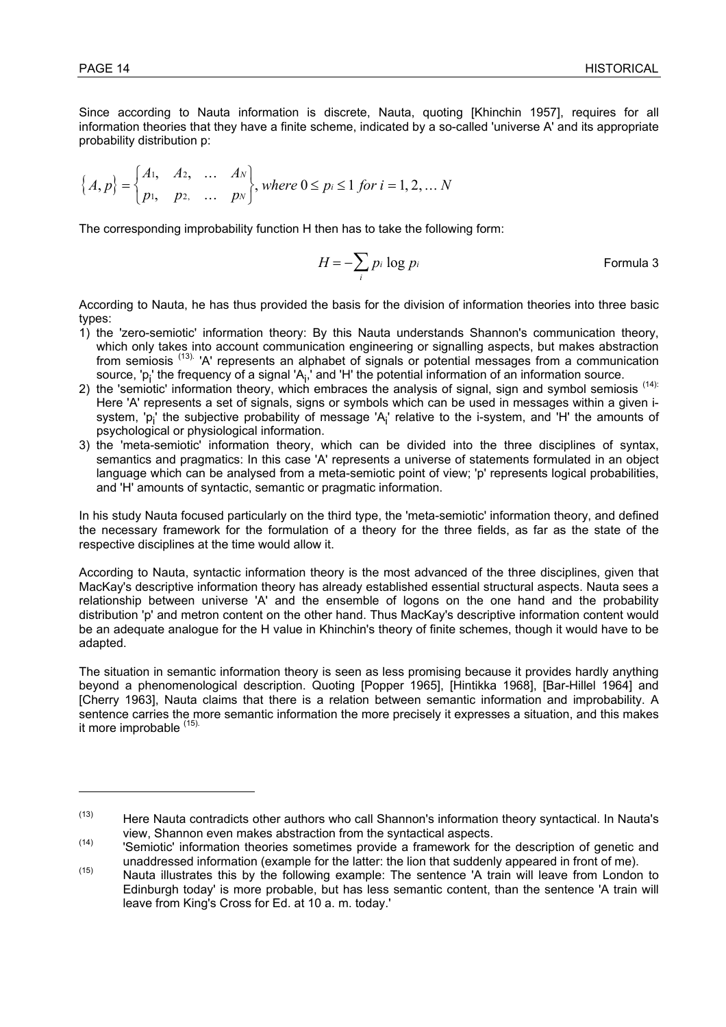Since according to Nauta information is discrete, Nauta, quoting [Khinchin 1957], requires for all information theories that they have a finite scheme, indicated by a so-called 'universe A' and its appropriate probability distribution p:

$$
\left\{ A, p \right\} = \begin{cases} A_1, & A_2, & \dots & A_N \\ p_1, & p_2, & \dots & p_N \end{cases}, where \ 0 \le p_i \le 1 \ for \ i = 1, 2, \dots N
$$

The corresponding improbability function H then has to take the following form:

$$
H = -\sum_{i} p_i \log p_i
$$
 Formula 3

According to Nauta, he has thus provided the basis for the division of information theories into three basic types:

- 1) the 'zero-semiotic' information theory: By this Nauta understands Shannon's communication theory, which only takes into account communication engineering or signalling aspects, but makes abstraction from semiosis<sup>(13).</sup> 'A' represents an alphabet of signals or potential messages from a communication source, 'p<sub>i</sub>' the frequency of a signal 'A<sub>i</sub>,' and 'H' the potential information of an information source.
- 2) the 'semiotic' information theory, which embraces the analysis of signal, sign and symbol semiosis (14): Here 'A' represents a set of signals, signs or symbols which can be used in messages within a given isystem, 'p<sub>i</sub>' the subjective probability of message 'A<sub>i</sub>' relative to the i-system, and 'H' the amounts of psychological or physiological information.
- 3) the 'meta-semiotic' information theory, which can be divided into the three disciplines of syntax, semantics and pragmatics: In this case 'A' represents a universe of statements formulated in an object language which can be analysed from a meta-semiotic point of view; 'p' represents logical probabilities, and 'H' amounts of syntactic, semantic or pragmatic information.

In his study Nauta focused particularly on the third type, the 'meta-semiotic' information theory, and defined the necessary framework for the formulation of a theory for the three fields, as far as the state of the respective disciplines at the time would allow it.

According to Nauta, syntactic information theory is the most advanced of the three disciplines, given that MacKay's descriptive information theory has already established essential structural aspects. Nauta sees a relationship between universe 'A' and the ensemble of logons on the one hand and the probability distribution 'p' and metron content on the other hand. Thus MacKay's descriptive information content would be an adequate analogue for the H value in Khinchin's theory of finite schemes, though it would have to be adapted.

The situation in semantic information theory is seen as less promising because it provides hardly anything beyond a phenomenological description. Quoting [Popper 1965], [Hintikka 1968], [Bar-Hillel 1964] and [Cherry 1963], Nauta claims that there is a relation between semantic information and improbability. A sentence carries the more semantic information the more precisely it expresses a situation, and this makes it more improbable (15).

 $(13)$  Here Nauta contradicts other authors who call Shannon's information theory syntactical. In Nauta's

view, Shannon even makes abstraction from the syntactical aspects.<br>
'Semiotic' information theories sometimes provide a framework for the description of genetic and

unaddressed information (example for the latter: the lion that suddenly appeared in front of me).<br>Nauta illustrates this by the following example: The sentence 'A train will leave from London to Edinburgh today' is more probable, but has less semantic content, than the sentence 'A train will leave from King's Cross for Ed. at 10 a. m. today.'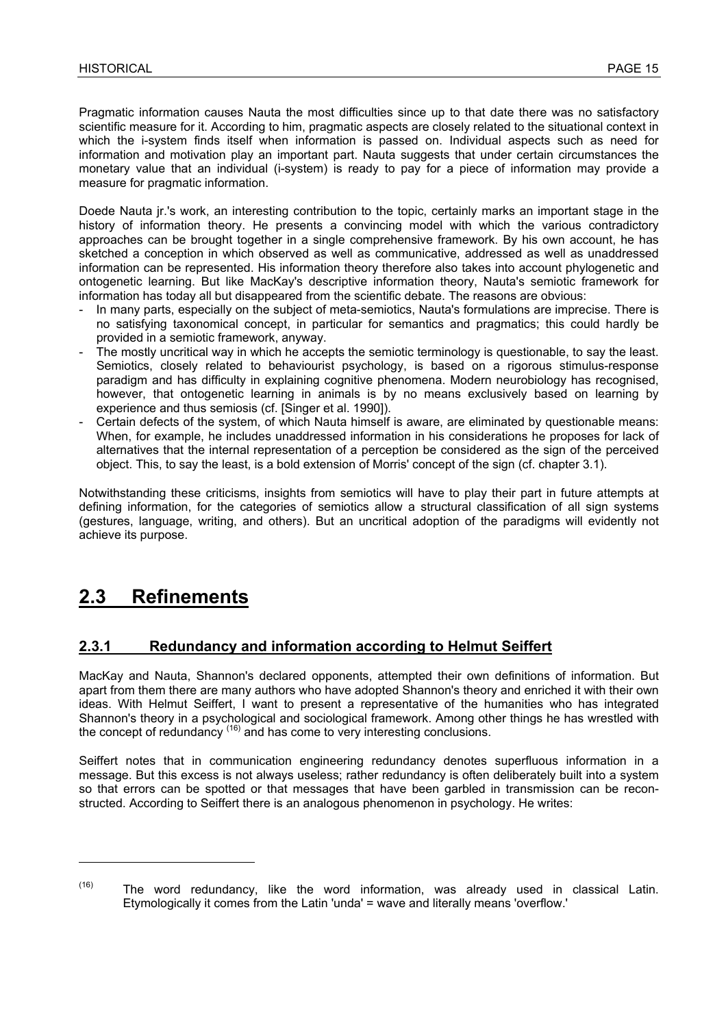Pragmatic information causes Nauta the most difficulties since up to that date there was no satisfactory scientific measure for it. According to him, pragmatic aspects are closely related to the situational context in which the i-system finds itself when information is passed on. Individual aspects such as need for information and motivation play an important part. Nauta suggests that under certain circumstances the monetary value that an individual (i-system) is ready to pay for a piece of information may provide a measure for pragmatic information.

Doede Nauta jr.'s work, an interesting contribution to the topic, certainly marks an important stage in the history of information theory. He presents a convincing model with which the various contradictory approaches can be brought together in a single comprehensive framework. By his own account, he has sketched a conception in which observed as well as communicative, addressed as well as unaddressed information can be represented. His information theory therefore also takes into account phylogenetic and ontogenetic learning. But like MacKay's descriptive information theory, Nauta's semiotic framework for information has today all but disappeared from the scientific debate. The reasons are obvious:

- In many parts, especially on the subject of meta-semiotics, Nauta's formulations are imprecise. There is no satisfying taxonomical concept, in particular for semantics and pragmatics; this could hardly be provided in a semiotic framework, anyway.
- The mostly uncritical way in which he accepts the semiotic terminology is questionable, to say the least. Semiotics, closely related to behaviourist psychology, is based on a rigorous stimulus-response paradigm and has difficulty in explaining cognitive phenomena. Modern neurobiology has recognised, however, that ontogenetic learning in animals is by no means exclusively based on learning by experience and thus semiosis (cf. [Singer et al. 1990]).
- Certain defects of the system, of which Nauta himself is aware, are eliminated by questionable means: When, for example, he includes unaddressed information in his considerations he proposes for lack of alternatives that the internal representation of a perception be considered as the sign of the perceived object. This, to say the least, is a bold extension of Morris' concept of the sign (cf. chapter 3.1).

Notwithstanding these criticisms, insights from semiotics will have to play their part in future attempts at defining information, for the categories of semiotics allow a structural classification of all sign systems (gestures, language, writing, and others). But an uncritical adoption of the paradigms will evidently not achieve its purpose.

### **2.3 Refinements**

l

#### **2.3.1 Redundancy and information according to Helmut Seiffert**

MacKay and Nauta, Shannon's declared opponents, attempted their own definitions of information. But apart from them there are many authors who have adopted Shannon's theory and enriched it with their own ideas. With Helmut Seiffert, I want to present a representative of the humanities who has integrated Shannon's theory in a psychological and sociological framework. Among other things he has wrestled with the concept of redundancy <sup>(16)</sup> and has come to very interesting conclusions.

Seiffert notes that in communication engineering redundancy denotes superfluous information in a message. But this excess is not always useless; rather redundancy is often deliberately built into a system so that errors can be spotted or that messages that have been garbled in transmission can be reconstructed. According to Seiffert there is an analogous phenomenon in psychology. He writes:

 $(16)$  The word redundancy, like the word information, was already used in classical Latin. Etymologically it comes from the Latin 'unda' = wave and literally means 'overflow.'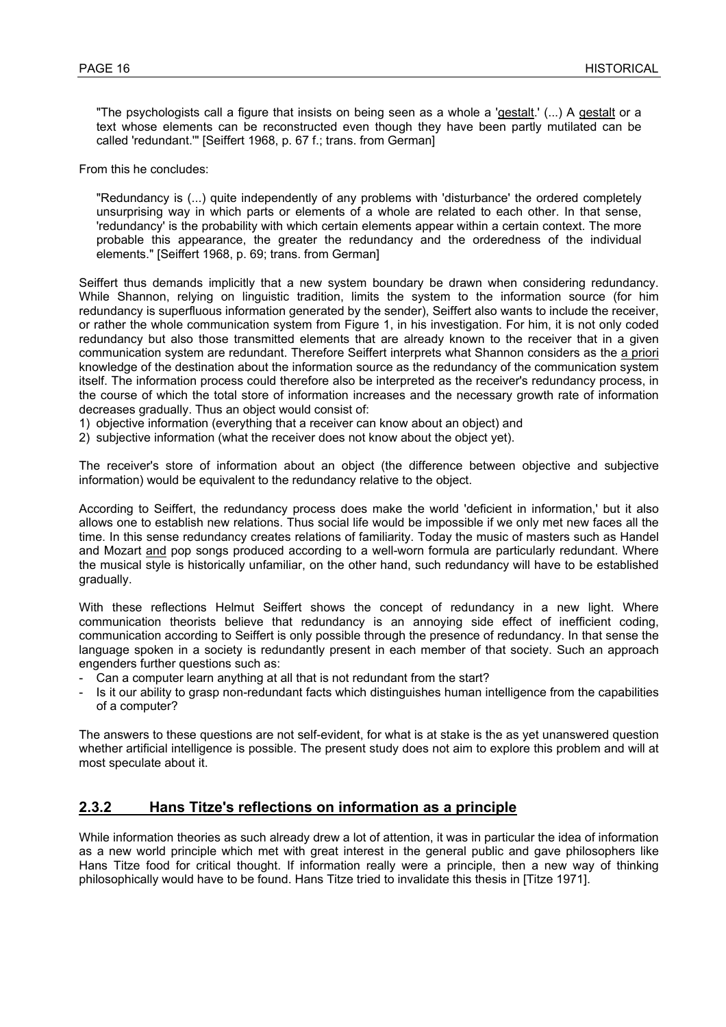"The psychologists call a figure that insists on being seen as a whole a 'gestalt.' (...) A gestalt or a text whose elements can be reconstructed even though they have been partly mutilated can be called 'redundant.'" [Seiffert 1968, p. 67 f.; trans. from German]

From this he concludes:

"Redundancy is (...) quite independently of any problems with 'disturbance' the ordered completely unsurprising way in which parts or elements of a whole are related to each other. In that sense, 'redundancy' is the probability with which certain elements appear within a certain context. The more probable this appearance, the greater the redundancy and the orderedness of the individual elements." [Seiffert 1968, p. 69; trans. from German]

Seiffert thus demands implicitly that a new system boundary be drawn when considering redundancy. While Shannon, relying on linguistic tradition, limits the system to the information source (for him redundancy is superfluous information generated by the sender), Seiffert also wants to include the receiver, or rather the whole communication system from Figure 1, in his investigation. For him, it is not only coded redundancy but also those transmitted elements that are already known to the receiver that in a given communication system are redundant. Therefore Seiffert interprets what Shannon considers as the a priori knowledge of the destination about the information source as the redundancy of the communication system itself. The information process could therefore also be interpreted as the receiver's redundancy process, in the course of which the total store of information increases and the necessary growth rate of information decreases gradually. Thus an object would consist of:

1) objective information (everything that a receiver can know about an object) and

2) subjective information (what the receiver does not know about the object yet).

The receiver's store of information about an object (the difference between objective and subjective information) would be equivalent to the redundancy relative to the object.

According to Seiffert, the redundancy process does make the world 'deficient in information,' but it also allows one to establish new relations. Thus social life would be impossible if we only met new faces all the time. In this sense redundancy creates relations of familiarity. Today the music of masters such as Handel and Mozart and pop songs produced according to a well-worn formula are particularly redundant. Where the musical style is historically unfamiliar, on the other hand, such redundancy will have to be established gradually.

With these reflections Helmut Seiffert shows the concept of redundancy in a new light. Where communication theorists believe that redundancy is an annoying side effect of inefficient coding, communication according to Seiffert is only possible through the presence of redundancy. In that sense the language spoken in a society is redundantly present in each member of that society. Such an approach engenders further questions such as:

- Can a computer learn anything at all that is not redundant from the start?
- Is it our ability to grasp non-redundant facts which distinguishes human intelligence from the capabilities of a computer?

The answers to these questions are not self-evident, for what is at stake is the as yet unanswered question whether artificial intelligence is possible. The present study does not aim to explore this problem and will at most speculate about it.

#### **2.3.2 Hans Titze's reflections on information as a principle**

While information theories as such already drew a lot of attention, it was in particular the idea of information as a new world principle which met with great interest in the general public and gave philosophers like Hans Titze food for critical thought. If information really were a principle, then a new way of thinking philosophically would have to be found. Hans Titze tried to invalidate this thesis in [Titze 1971].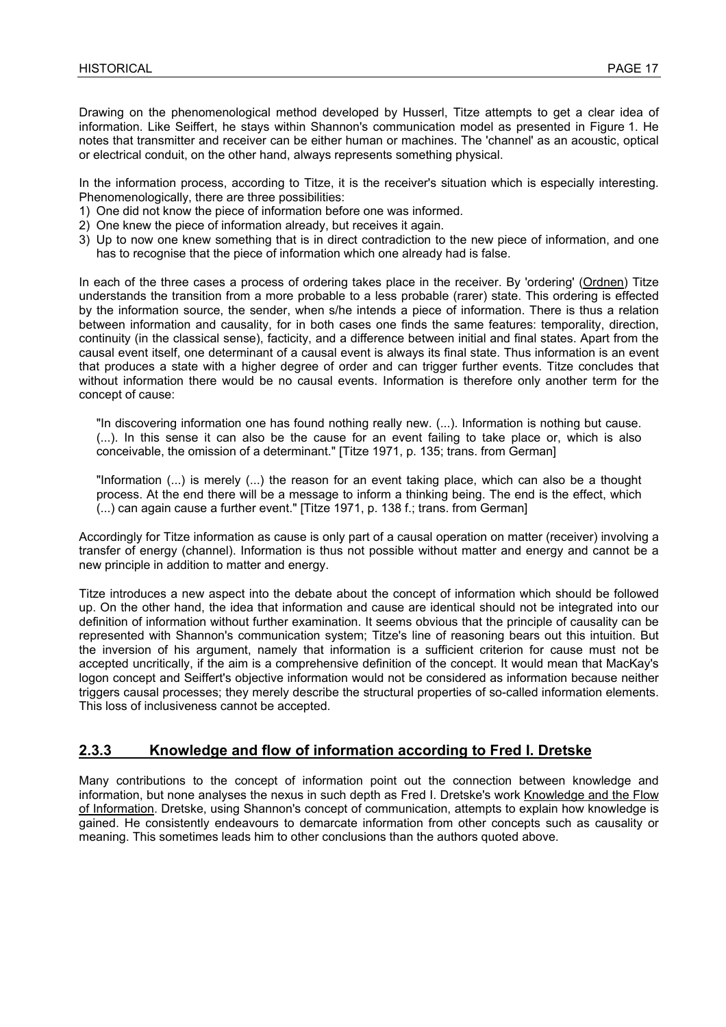Drawing on the phenomenological method developed by Husserl, Titze attempts to get a clear idea of information. Like Seiffert, he stays within Shannon's communication model as presented in Figure 1. He notes that transmitter and receiver can be either human or machines. The 'channel' as an acoustic, optical or electrical conduit, on the other hand, always represents something physical.

In the information process, according to Titze, it is the receiver's situation which is especially interesting. Phenomenologically, there are three possibilities:

- 1) One did not know the piece of information before one was informed.
- 2) One knew the piece of information already, but receives it again.
- 3) Up to now one knew something that is in direct contradiction to the new piece of information, and one has to recognise that the piece of information which one already had is false.

In each of the three cases a process of ordering takes place in the receiver. By 'ordering' (Ordnen) Titze understands the transition from a more probable to a less probable (rarer) state. This ordering is effected by the information source, the sender, when s/he intends a piece of information. There is thus a relation between information and causality, for in both cases one finds the same features: temporality, direction, continuity (in the classical sense), facticity, and a difference between initial and final states. Apart from the causal event itself, one determinant of a causal event is always its final state. Thus information is an event that produces a state with a higher degree of order and can trigger further events. Titze concludes that without information there would be no causal events. Information is therefore only another term for the concept of cause:

"In discovering information one has found nothing really new. (...). Information is nothing but cause. (...). In this sense it can also be the cause for an event failing to take place or, which is also conceivable, the omission of a determinant." [Titze 1971, p. 135; trans. from German]

"Information (...) is merely (...) the reason for an event taking place, which can also be a thought process. At the end there will be a message to inform a thinking being. The end is the effect, which (...) can again cause a further event." [Titze 1971, p. 138 f.; trans. from German]

Accordingly for Titze information as cause is only part of a causal operation on matter (receiver) involving a transfer of energy (channel). Information is thus not possible without matter and energy and cannot be a new principle in addition to matter and energy.

Titze introduces a new aspect into the debate about the concept of information which should be followed up. On the other hand, the idea that information and cause are identical should not be integrated into our definition of information without further examination. It seems obvious that the principle of causality can be represented with Shannon's communication system; Titze's line of reasoning bears out this intuition. But the inversion of his argument, namely that information is a sufficient criterion for cause must not be accepted uncritically, if the aim is a comprehensive definition of the concept. It would mean that MacKay's logon concept and Seiffert's objective information would not be considered as information because neither triggers causal processes; they merely describe the structural properties of so-called information elements. This loss of inclusiveness cannot be accepted.

#### **2.3.3 Knowledge and flow of information according to Fred I. Dretske**

Many contributions to the concept of information point out the connection between knowledge and information, but none analyses the nexus in such depth as Fred I. Dretske's work Knowledge and the Flow of Information. Dretske, using Shannon's concept of communication, attempts to explain how knowledge is gained. He consistently endeavours to demarcate information from other concepts such as causality or meaning. This sometimes leads him to other conclusions than the authors quoted above.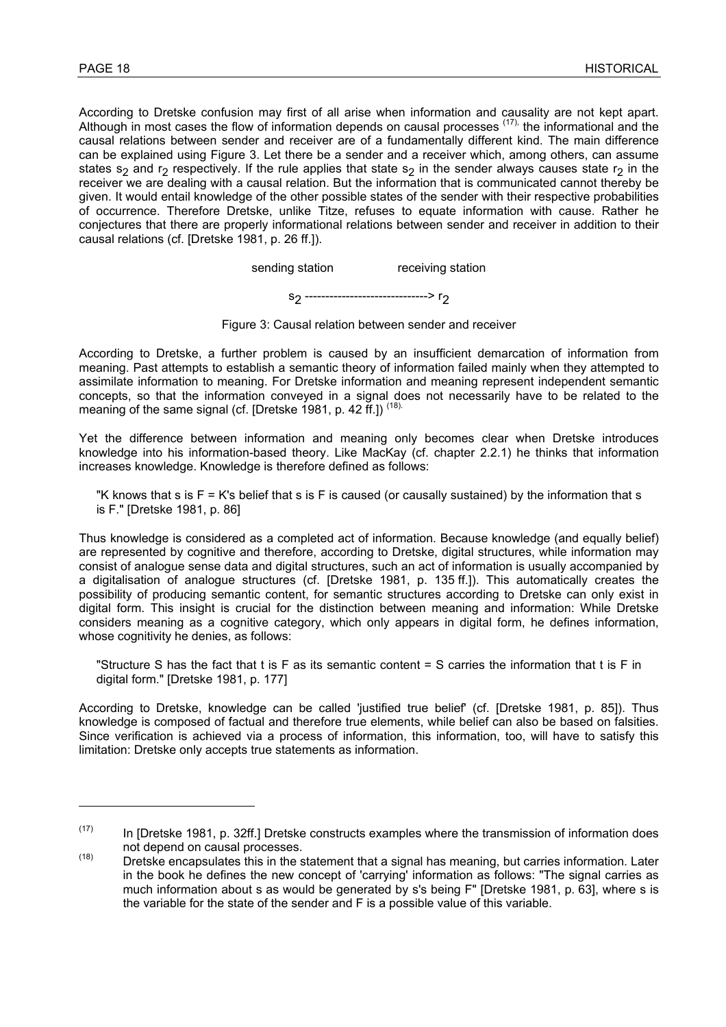$\overline{a}$ 

According to Dretske confusion may first of all arise when information and causality are not kept apart. Although in most cases the flow of information depends on causal processes <sup>(17),</sup> the informational and the causal relations between sender and receiver are of a fundamentally different kind. The main difference can be explained using Figure 3. Let there be a sender and a receiver which, among others, can assume states s<sub>2</sub> and r<sub>2</sub> respectively. If the rule applies that state s<sub>2</sub> in the sender always causes state r<sub>2</sub> in the receiver we are dealing with a causal relation. But the information that is communicated cannot thereby be given. It would entail knowledge of the other possible states of the sender with their respective probabilities of occurrence. Therefore Dretske, unlike Titze, refuses to equate information with cause. Rather he conjectures that there are properly informational relations between sender and receiver in addition to their causal relations (cf. [Dretske 1981, p. 26 ff.]).

sending station receiving station

s<sub>2</sub> ---------------------------------> r<sub>2</sub>

Figure 3: Causal relation between sender and receiver

According to Dretske, a further problem is caused by an insufficient demarcation of information from meaning. Past attempts to establish a semantic theory of information failed mainly when they attempted to assimilate information to meaning. For Dretske information and meaning represent independent semantic concepts, so that the information conveyed in a signal does not necessarily have to be related to the meaning of the same signal (cf. [Dretske 1981, p. 42 ff.])<sup>(18).</sup>

Yet the difference between information and meaning only becomes clear when Dretske introduces knowledge into his information-based theory. Like MacKay (cf. chapter 2.2.1) he thinks that information increases knowledge. Knowledge is therefore defined as follows:

"K knows that s is  $F = K's$  belief that s is F is caused (or causally sustained) by the information that s is F." [Dretske 1981, p. 86]

Thus knowledge is considered as a completed act of information. Because knowledge (and equally belief) are represented by cognitive and therefore, according to Dretske, digital structures, while information may consist of analogue sense data and digital structures, such an act of information is usually accompanied by a digitalisation of analogue structures (cf. [Dretske 1981, p. 135 ff.]). This automatically creates the possibility of producing semantic content, for semantic structures according to Dretske can only exist in digital form. This insight is crucial for the distinction between meaning and information: While Dretske considers meaning as a cognitive category, which only appears in digital form, he defines information, whose cognitivity he denies, as follows:

"Structure S has the fact that t is F as its semantic content = S carries the information that t is F in digital form." [Dretske 1981, p. 177]

According to Dretske, knowledge can be called 'justified true belief' (cf. [Dretske 1981, p. 85]). Thus knowledge is composed of factual and therefore true elements, while belief can also be based on falsities. Since verification is achieved via a process of information, this information, too, will have to satisfy this limitation: Dretske only accepts true statements as information.

 $(17)$  In [Dretske 1981, p. 32ff.] Dretske constructs examples where the transmission of information does

not depend on causal processes.<br>Dretske encapsulates this in the statement that a signal has meaning, but carries information. Later in the book he defines the new concept of 'carrying' information as follows: "The signal carries as much information about s as would be generated by s's being F" [Dretske 1981, p. 63], where s is the variable for the state of the sender and F is a possible value of this variable.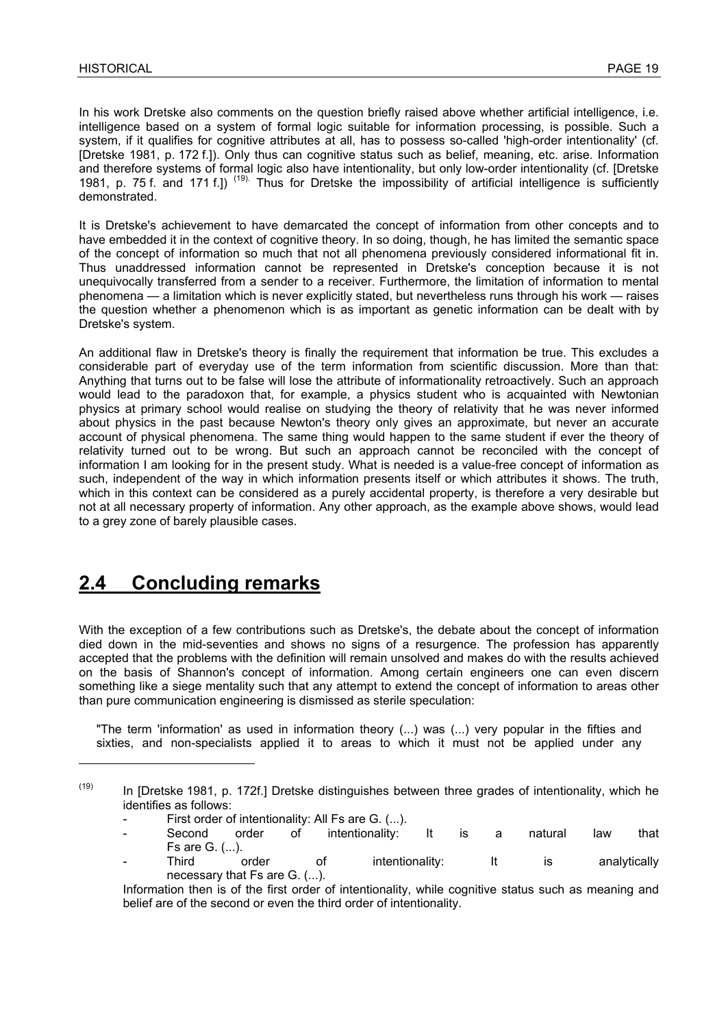In his work Dretske also comments on the question briefly raised above whether artificial intelligence, i.e. intelligence based on a system of formal logic suitable for information processing, is possible. Such a system, if it qualifies for cognitive attributes at all, has to possess so-called 'high-order intentionality' (cf. [Dretske 1981, p. 172 f.]). Only thus can cognitive status such as belief, meaning, etc. arise. Information and therefore systems of formal logic also have intentionality, but only low-order intentionality (cf. [Dretske 1981, p. 75 f. and 171 f.]) (19). Thus for Dretske the impossibility of artificial intelligence is sufficiently demonstrated.

It is Dretske's achievement to have demarcated the concept of information from other concepts and to have embedded it in the context of cognitive theory. In so doing, though, he has limited the semantic space of the concept of information so much that not all phenomena previously considered informational fit in. Thus unaddressed information cannot be represented in Dretske's conception because it is not unequivocally transferred from a sender to a receiver. Furthermore, the limitation of information to mental phenomena — a limitation which is never explicitly stated, but nevertheless runs through his work — raises the question whether a phenomenon which is as important as genetic information can be dealt with by Dretske's system.

An additional flaw in Dretske's theory is finally the requirement that information be true. This excludes a considerable part of everyday use of the term information from scientific discussion. More than that: Anything that turns out to be false will lose the attribute of informationality retroactively. Such an approach would lead to the paradoxon that, for example, a physics student who is acquainted with Newtonian physics at primary school would realise on studying the theory of relativity that he was never informed about physics in the past because Newton's theory only gives an approximate, but never an accurate account of physical phenomena. The same thing would happen to the same student if ever the theory of relativity turned out to be wrong. But such an approach cannot be reconciled with the concept of information I am looking for in the present study. What is needed is a value-free concept of information as such, independent of the way in which information presents itself or which attributes it shows. The truth, which in this context can be considered as a purely accidental property, is therefore a very desirable but not at all necessary property of information. Any other approach, as the example above shows, would lead to a grey zone of barely plausible cases.

### **2.4 Concluding remarks**

l

With the exception of a few contributions such as Dretske's, the debate about the concept of information died down in the mid-seventies and shows no signs of a resurgence. The profession has apparently accepted that the problems with the definition will remain unsolved and makes do with the results achieved on the basis of Shannon's concept of information. Among certain engineers one can even discern something like a siege mentality such that any attempt to extend the concept of information to areas other than pure communication engineering is dismissed as sterile speculation:

"The term 'information' as used in information theory (...) was (...) very popular in the fifties and sixties, and non-specialists applied it to areas to which it must not be applied under any

Third order of intentionality: It is analytically necessary that Fs are G. (...).

 $(19)$  In [Dretske 1981, p. 172f.] Dretske distinguishes between three grades of intentionality, which he identifies as follows:

First order of intentionality: All Fs are G. (...).

Second order of intentionality: It is a natural law that Fs are G. (...).

Information then is of the first order of intentionality, while cognitive status such as meaning and belief are of the second or even the third order of intentionality.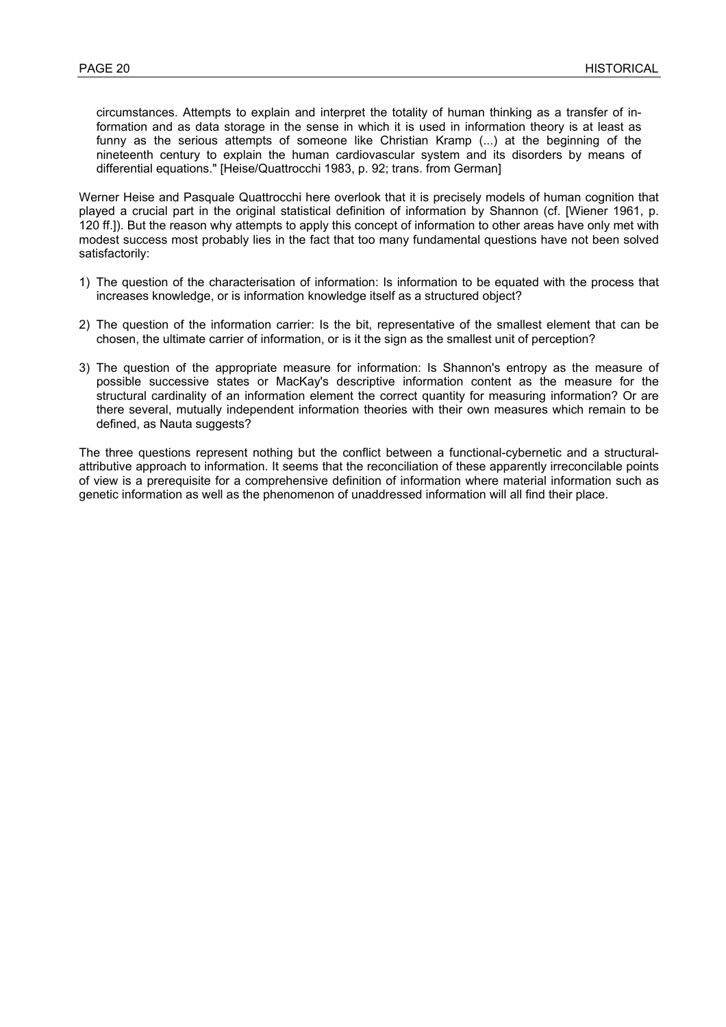circumstances. Attempts to explain and interpret the totality of human thinking as a transfer of information and as data storage in the sense in which it is used in information theory is at least as funny as the serious attempts of someone like Christian Kramp (...) at the beginning of the nineteenth century to explain the human cardiovascular system and its disorders by means of differential equations." [Heise/Quattrocchi 1983, p. 92; trans. from German]

Werner Heise and Pasquale Quattrocchi here overlook that it is precisely models of human cognition that played a crucial part in the original statistical definition of information by Shannon (cf. [Wiener 1961, p. 120 ff.]). But the reason why attempts to apply this concept of information to other areas have only met with modest success most probably lies in the fact that too many fundamental questions have not been solved satisfactorily:

- 1) The question of the characterisation of information: Is information to be equated with the process that increases knowledge, or is information knowledge itself as a structured object?
- 2) The question of the information carrier: Is the bit, representative of the smallest element that can be chosen, the ultimate carrier of information, or is it the sign as the smallest unit of perception?
- 3) The question of the appropriate measure for information: Is Shannon's entropy as the measure of possible successive states or MacKay's descriptive information content as the measure for the structural cardinality of an information element the correct quantity for measuring information? Or are there several, mutually independent information theories with their own measures which remain to be defined, as Nauta suggests?

The three questions represent nothing but the conflict between a functional-cybernetic and a structuralattributive approach to information. It seems that the reconciliation of these apparently irreconcilable points of view is a prerequisite for a comprehensive definition of information where material information such as genetic information as well as the phenomenon of unaddressed information will all find their place.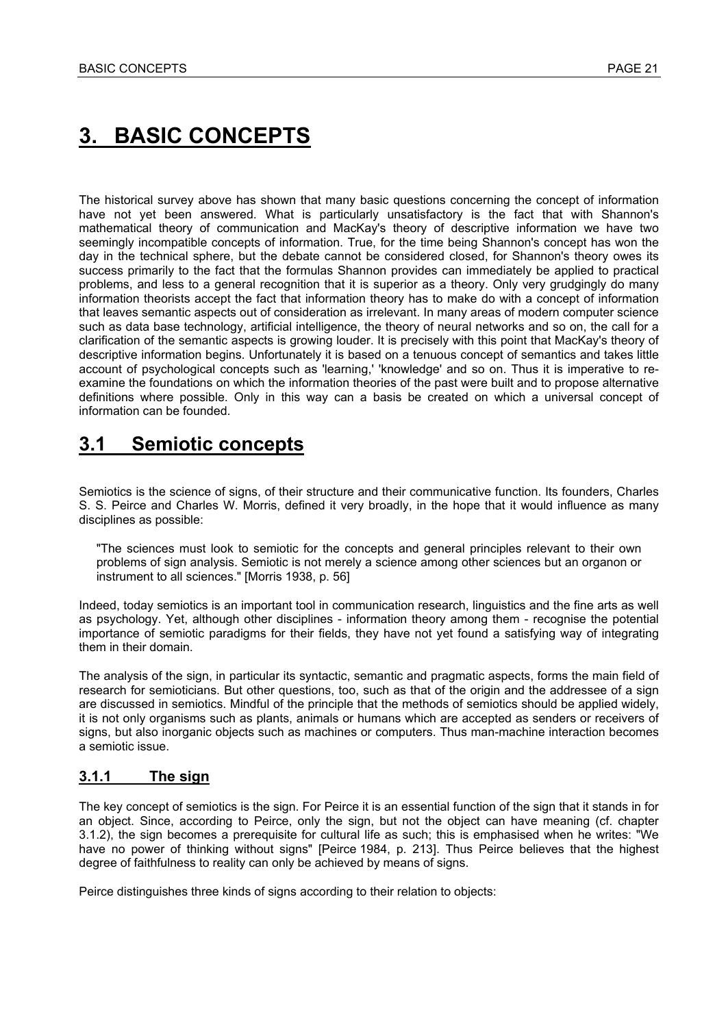# **3. BASIC CONCEPTS**

The historical survey above has shown that many basic questions concerning the concept of information have not yet been answered. What is particularly unsatisfactory is the fact that with Shannon's mathematical theory of communication and MacKay's theory of descriptive information we have two seemingly incompatible concepts of information. True, for the time being Shannon's concept has won the day in the technical sphere, but the debate cannot be considered closed, for Shannon's theory owes its success primarily to the fact that the formulas Shannon provides can immediately be applied to practical problems, and less to a general recognition that it is superior as a theory. Only very grudgingly do many information theorists accept the fact that information theory has to make do with a concept of information that leaves semantic aspects out of consideration as irrelevant. In many areas of modern computer science such as data base technology, artificial intelligence, the theory of neural networks and so on, the call for a clarification of the semantic aspects is growing louder. It is precisely with this point that MacKay's theory of descriptive information begins. Unfortunately it is based on a tenuous concept of semantics and takes little account of psychological concepts such as 'learning,' 'knowledge' and so on. Thus it is imperative to reexamine the foundations on which the information theories of the past were built and to propose alternative definitions where possible. Only in this way can a basis be created on which a universal concept of information can be founded.

### **3.1 Semiotic concepts**

Semiotics is the science of signs, of their structure and their communicative function. Its founders, Charles S. S. Peirce and Charles W. Morris, defined it very broadly, in the hope that it would influence as many disciplines as possible:

"The sciences must look to semiotic for the concepts and general principles relevant to their own problems of sign analysis. Semiotic is not merely a science among other sciences but an organon or instrument to all sciences." [Morris 1938, p. 56]

Indeed, today semiotics is an important tool in communication research, linguistics and the fine arts as well as psychology. Yet, although other disciplines - information theory among them - recognise the potential importance of semiotic paradigms for their fields, they have not yet found a satisfying way of integrating them in their domain.

The analysis of the sign, in particular its syntactic, semantic and pragmatic aspects, forms the main field of research for semioticians. But other questions, too, such as that of the origin and the addressee of a sign are discussed in semiotics. Mindful of the principle that the methods of semiotics should be applied widely, it is not only organisms such as plants, animals or humans which are accepted as senders or receivers of signs, but also inorganic objects such as machines or computers. Thus man-machine interaction becomes a semiotic issue.

#### **3.1.1 The sign**

The key concept of semiotics is the sign. For Peirce it is an essential function of the sign that it stands in for an object. Since, according to Peirce, only the sign, but not the object can have meaning (cf. chapter 3.1.2), the sign becomes a prerequisite for cultural life as such; this is emphasised when he writes: "We have no power of thinking without signs" [Peirce 1984, p. 213]. Thus Peirce believes that the highest degree of faithfulness to reality can only be achieved by means of signs.

Peirce distinguishes three kinds of signs according to their relation to objects: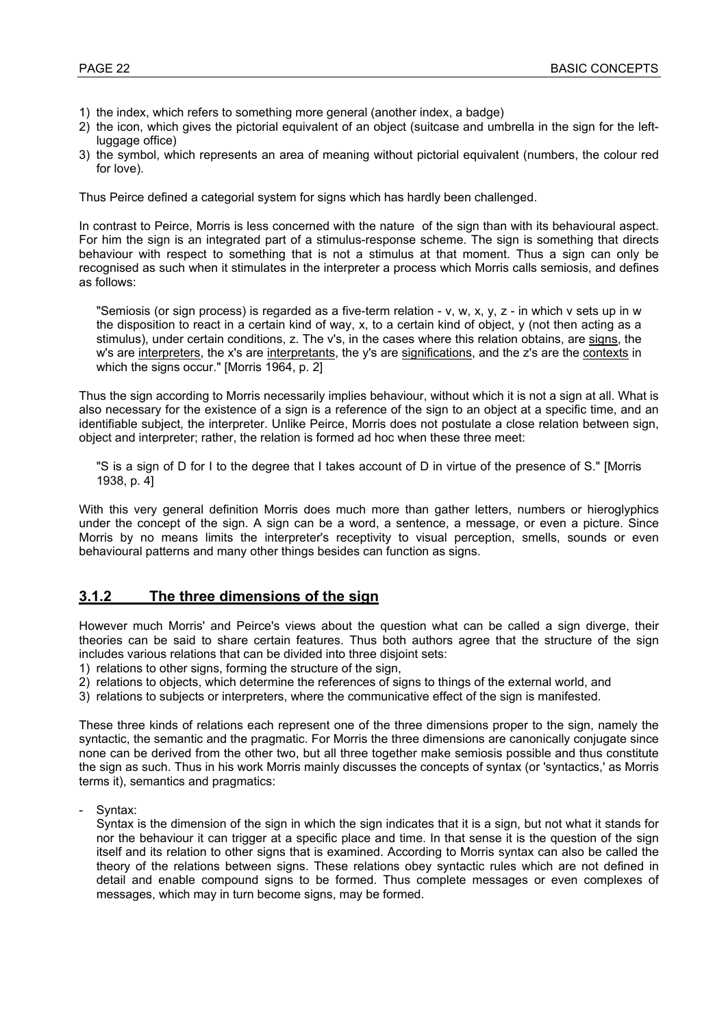- 1) the index, which refers to something more general (another index, a badge)
- 2) the icon, which gives the pictorial equivalent of an object (suitcase and umbrella in the sign for the leftluggage office)
- 3) the symbol, which represents an area of meaning without pictorial equivalent (numbers, the colour red for love).

Thus Peirce defined a categorial system for signs which has hardly been challenged.

In contrast to Peirce, Morris is less concerned with the nature of the sign than with its behavioural aspect. For him the sign is an integrated part of a stimulus-response scheme. The sign is something that directs behaviour with respect to something that is not a stimulus at that moment. Thus a sign can only be recognised as such when it stimulates in the interpreter a process which Morris calls semiosis, and defines as follows:

"Semiosis (or sign process) is regarded as a five-term relation - v, w, x, y, z - in which v sets up in w the disposition to react in a certain kind of way, x, to a certain kind of object, y (not then acting as a stimulus), under certain conditions, z. The v's, in the cases where this relation obtains, are signs, the w's are interpreters, the x's are interpretants, the y's are significations, and the z's are the contexts in which the signs occur." [Morris 1964, p. 2]

Thus the sign according to Morris necessarily implies behaviour, without which it is not a sign at all. What is also necessary for the existence of a sign is a reference of the sign to an object at a specific time, and an identifiable subject, the interpreter. Unlike Peirce, Morris does not postulate a close relation between sign, object and interpreter; rather, the relation is formed ad hoc when these three meet:

"S is a sign of D for I to the degree that I takes account of D in virtue of the presence of S." [Morris 1938, p. 4]

With this very general definition Morris does much more than gather letters, numbers or hieroglyphics under the concept of the sign. A sign can be a word, a sentence, a message, or even a picture. Since Morris by no means limits the interpreter's receptivity to visual perception, smells, sounds or even behavioural patterns and many other things besides can function as signs.

#### **3.1.2 The three dimensions of the sign**

However much Morris' and Peirce's views about the question what can be called a sign diverge, their theories can be said to share certain features. Thus both authors agree that the structure of the sign includes various relations that can be divided into three disjoint sets:

- 1) relations to other signs, forming the structure of the sign,
- 2) relations to objects, which determine the references of signs to things of the external world, and
- 3) relations to subjects or interpreters, where the communicative effect of the sign is manifested.

These three kinds of relations each represent one of the three dimensions proper to the sign, namely the syntactic, the semantic and the pragmatic. For Morris the three dimensions are canonically conjugate since none can be derived from the other two, but all three together make semiosis possible and thus constitute the sign as such. Thus in his work Morris mainly discusses the concepts of syntax (or 'syntactics,' as Morris terms it), semantics and pragmatics:

- Syntax:

Syntax is the dimension of the sign in which the sign indicates that it is a sign, but not what it stands for nor the behaviour it can trigger at a specific place and time. In that sense it is the question of the sign itself and its relation to other signs that is examined. According to Morris syntax can also be called the theory of the relations between signs. These relations obey syntactic rules which are not defined in detail and enable compound signs to be formed. Thus complete messages or even complexes of messages, which may in turn become signs, may be formed.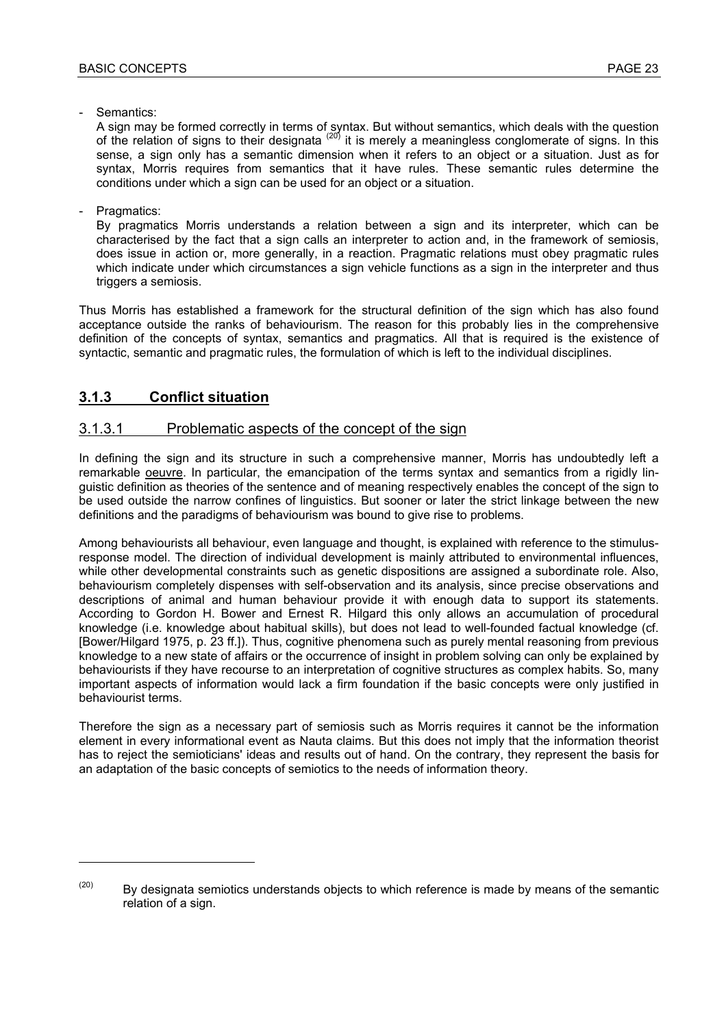- Semantics:

A sign may be formed correctly in terms of syntax. But without semantics, which deals with the question of the relation of signs to their designata (20) it is merely a meaningless conglomerate of signs. In this sense, a sign only has a semantic dimension when it refers to an object or a situation. Just as for syntax, Morris requires from semantics that it have rules. These semantic rules determine the conditions under which a sign can be used for an object or a situation.

Pragmatics:

l

By pragmatics Morris understands a relation between a sign and its interpreter, which can be characterised by the fact that a sign calls an interpreter to action and, in the framework of semiosis, does issue in action or, more generally, in a reaction. Pragmatic relations must obey pragmatic rules which indicate under which circumstances a sign vehicle functions as a sign in the interpreter and thus triggers a semiosis.

Thus Morris has established a framework for the structural definition of the sign which has also found acceptance outside the ranks of behaviourism. The reason for this probably lies in the comprehensive definition of the concepts of syntax, semantics and pragmatics. All that is required is the existence of syntactic, semantic and pragmatic rules, the formulation of which is left to the individual disciplines.

#### **3.1.3 Conflict situation**

#### 3.1.3.1 Problematic aspects of the concept of the sign

In defining the sign and its structure in such a comprehensive manner, Morris has undoubtedly left a remarkable oeuvre. In particular, the emancipation of the terms syntax and semantics from a rigidly linguistic definition as theories of the sentence and of meaning respectively enables the concept of the sign to be used outside the narrow confines of linguistics. But sooner or later the strict linkage between the new definitions and the paradigms of behaviourism was bound to give rise to problems.

Among behaviourists all behaviour, even language and thought, is explained with reference to the stimulusresponse model. The direction of individual development is mainly attributed to environmental influences, while other developmental constraints such as genetic dispositions are assigned a subordinate role. Also, behaviourism completely dispenses with self-observation and its analysis, since precise observations and descriptions of animal and human behaviour provide it with enough data to support its statements. According to Gordon H. Bower and Ernest R. Hilgard this only allows an accumulation of procedural knowledge (i.e. knowledge about habitual skills), but does not lead to well-founded factual knowledge (cf. [Bower/Hilgard 1975, p. 23 ff.]). Thus, cognitive phenomena such as purely mental reasoning from previous knowledge to a new state of affairs or the occurrence of insight in problem solving can only be explained by behaviourists if they have recourse to an interpretation of cognitive structures as complex habits. So, many important aspects of information would lack a firm foundation if the basic concepts were only justified in behaviourist terms.

Therefore the sign as a necessary part of semiosis such as Morris requires it cannot be the information element in every informational event as Nauta claims. But this does not imply that the information theorist has to reject the semioticians' ideas and results out of hand. On the contrary, they represent the basis for an adaptation of the basic concepts of semiotics to the needs of information theory.

 $(20)$  By designata semiotics understands objects to which reference is made by means of the semantic relation of a sign.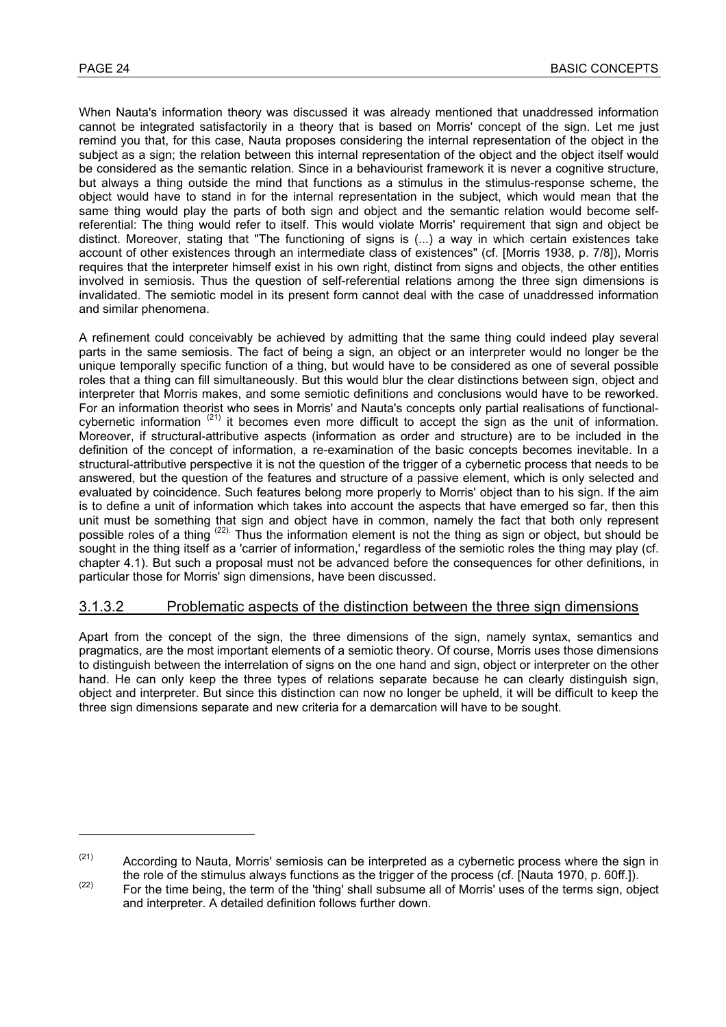When Nauta's information theory was discussed it was already mentioned that unaddressed information cannot be integrated satisfactorily in a theory that is based on Morris' concept of the sign. Let me just remind you that, for this case, Nauta proposes considering the internal representation of the object in the subject as a sign; the relation between this internal representation of the object and the object itself would be considered as the semantic relation. Since in a behaviourist framework it is never a cognitive structure, but always a thing outside the mind that functions as a stimulus in the stimulus-response scheme, the object would have to stand in for the internal representation in the subject, which would mean that the same thing would play the parts of both sign and object and the semantic relation would become selfreferential: The thing would refer to itself. This would violate Morris' requirement that sign and object be distinct. Moreover, stating that "The functioning of signs is (...) a way in which certain existences take account of other existences through an intermediate class of existences" (cf. [Morris 1938, p. 7/8]), Morris requires that the interpreter himself exist in his own right, distinct from signs and objects, the other entities involved in semiosis. Thus the question of self-referential relations among the three sign dimensions is invalidated. The semiotic model in its present form cannot deal with the case of unaddressed information and similar phenomena.

A refinement could conceivably be achieved by admitting that the same thing could indeed play several parts in the same semiosis. The fact of being a sign, an object or an interpreter would no longer be the unique temporally specific function of a thing, but would have to be considered as one of several possible roles that a thing can fill simultaneously. But this would blur the clear distinctions between sign, object and interpreter that Morris makes, and some semiotic definitions and conclusions would have to be reworked. For an information theorist who sees in Morris' and Nauta's concepts only partial realisations of functionalcybernetic information  $(21)$  it becomes even more difficult to accept the sign as the unit of information. Moreover, if structural-attributive aspects (information as order and structure) are to be included in the definition of the concept of information, a re-examination of the basic concepts becomes inevitable. In a structural-attributive perspective it is not the question of the trigger of a cybernetic process that needs to be answered, but the question of the features and structure of a passive element, which is only selected and evaluated by coincidence. Such features belong more properly to Morris' object than to his sign. If the aim is to define a unit of information which takes into account the aspects that have emerged so far, then this unit must be something that sign and object have in common, namely the fact that both only represent possible roles of a thing <sup>(22)</sup>. Thus the information element is not the thing as sign or object, but should be sought in the thing itself as a 'carrier of information,' regardless of the semiotic roles the thing may play (cf. chapter 4.1). But such a proposal must not be advanced before the consequences for other definitions, in particular those for Morris' sign dimensions, have been discussed.

#### 3.1.3.2 Problematic aspects of the distinction between the three sign dimensions

Apart from the concept of the sign, the three dimensions of the sign, namely syntax, semantics and pragmatics, are the most important elements of a semiotic theory. Of course, Morris uses those dimensions to distinguish between the interrelation of signs on the one hand and sign, object or interpreter on the other hand. He can only keep the three types of relations separate because he can clearly distinguish sign, object and interpreter. But since this distinction can now no longer be upheld, it will be difficult to keep the three sign dimensions separate and new criteria for a demarcation will have to be sought.

 $(21)$  According to Nauta, Morris' semiosis can be interpreted as a cybernetic process where the sign in

the role of the stimulus always functions as the trigger of the process (cf. [Nauta 1970, p. 60ff.]).<br>
For the time being, the term of the 'thing' shall subsume all of Morris' uses of the terms sign, object and interpreter. A detailed definition follows further down.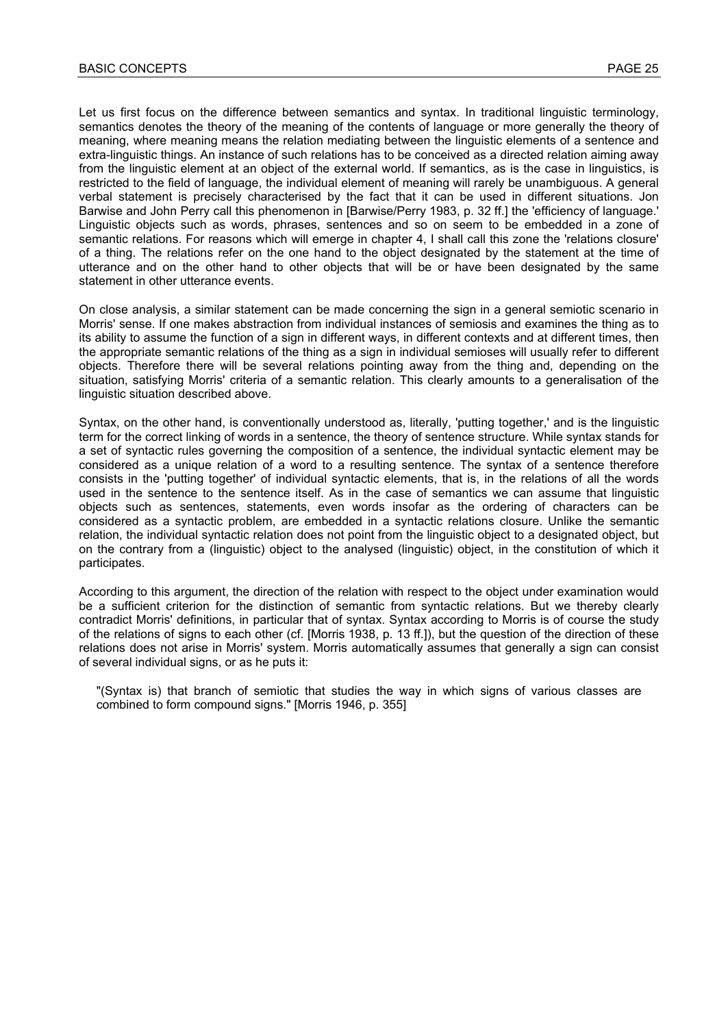Let us first focus on the difference between semantics and syntax. In traditional linguistic terminology, semantics denotes the theory of the meaning of the contents of language or more generally the theory of meaning, where meaning means the relation mediating between the linguistic elements of a sentence and extra-linguistic things. An instance of such relations has to be conceived as a directed relation aiming away from the linguistic element at an object of the external world. If semantics, as is the case in linguistics, is restricted to the field of language, the individual element of meaning will rarely be unambiguous. A general verbal statement is precisely characterised by the fact that it can be used in different situations. Jon Barwise and John Perry call this phenomenon in [Barwise/Perry 1983, p. 32 ff.] the 'efficiency of language.' Linguistic objects such as words, phrases, sentences and so on seem to be embedded in a zone of semantic relations. For reasons which will emerge in chapter 4, I shall call this zone the 'relations closure' of a thing. The relations refer on the one hand to the object designated by the statement at the time of utterance and on the other hand to other objects that will be or have been designated by the same statement in other utterance events.

On close analysis, a similar statement can be made concerning the sign in a general semiotic scenario in Morris' sense. If one makes abstraction from individual instances of semiosis and examines the thing as to its ability to assume the function of a sign in different ways, in different contexts and at different times, then the appropriate semantic relations of the thing as a sign in individual semioses will usually refer to different objects. Therefore there will be several relations pointing away from the thing and, depending on the situation, satisfying Morris' criteria of a semantic relation. This clearly amounts to a generalisation of the linguistic situation described above.

Syntax, on the other hand, is conventionally understood as, literally, 'putting together,' and is the linguistic term for the correct linking of words in a sentence, the theory of sentence structure. While syntax stands for a set of syntactic rules governing the composition of a sentence, the individual syntactic element may be considered as a unique relation of a word to a resulting sentence. The syntax of a sentence therefore consists in the 'putting together' of individual syntactic elements, that is, in the relations of all the words used in the sentence to the sentence itself. As in the case of semantics we can assume that linguistic objects such as sentences, statements, even words insofar as the ordering of characters can be considered as a syntactic problem, are embedded in a syntactic relations closure. Unlike the semantic relation, the individual syntactic relation does not point from the linguistic object to a designated object, but on the contrary from a (linguistic) object to the analysed (linguistic) object, in the constitution of which it participates.

According to this argument, the direction of the relation with respect to the object under examination would be a sufficient criterion for the distinction of semantic from syntactic relations. But we thereby clearly contradict Morris' definitions, in particular that of syntax. Syntax according to Morris is of course the study of the relations of signs to each other (cf. [Morris 1938, p. 13 ff.]), but the question of the direction of these relations does not arise in Morris' system. Morris automatically assumes that generally a sign can consist of several individual signs, or as he puts it:

"(Syntax is) that branch of semiotic that studies the way in which signs of various classes are combined to form compound signs." [Morris 1946, p. 355]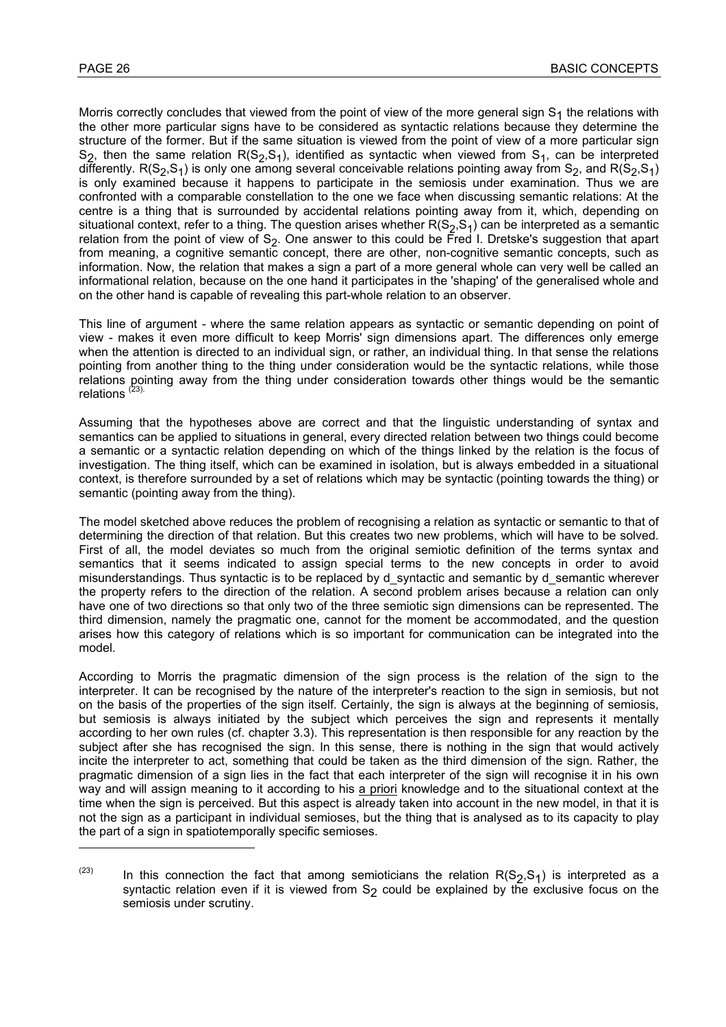$\overline{a}$ 

Morris correctly concludes that viewed from the point of view of the more general sign  $S_1$  the relations with the other more particular signs have to be considered as syntactic relations because they determine the structure of the former. But if the same situation is viewed from the point of view of a more particular sign S<sub>2</sub>, then the same relation R(S<sub>2</sub>,S<sub>1</sub>), identified as syntactic when viewed from S<sub>1</sub>, can be interpreted differently. R(S<sub>2</sub>,S<sub>1</sub>) is only one among several conceivable relations pointing away from S<sub>2</sub>, and R(S<sub>2</sub>,S<sub>1</sub>) is only examined because it happens to participate in the semiosis under examination. Thus we are confronted with a comparable constellation to the one we face when discussing semantic relations: At the centre is a thing that is surrounded by accidental relations pointing away from it, which, depending on situational context, refer to a thing. The question arises whether  $R(S_2,S_1)$  can be interpreted as a semantic relation from the point of view of  $S_2$ . One answer to this could be Fred I. Dretske's suggestion that apart from meaning, a cognitive semantic concept, there are other, non-cognitive semantic concepts, such as information. Now, the relation that makes a sign a part of a more general whole can very well be called an informational relation, because on the one hand it participates in the 'shaping' of the generalised whole and on the other hand is capable of revealing this part-whole relation to an observer.

This line of argument - where the same relation appears as syntactic or semantic depending on point of view - makes it even more difficult to keep Morris' sign dimensions apart. The differences only emerge when the attention is directed to an individual sign, or rather, an individual thing. In that sense the relations pointing from another thing to the thing under consideration would be the syntactic relations, while those relations pointing away from the thing under consideration towards other things would be the semantic relations  $(23)$ .

Assuming that the hypotheses above are correct and that the linguistic understanding of syntax and semantics can be applied to situations in general, every directed relation between two things could become a semantic or a syntactic relation depending on which of the things linked by the relation is the focus of investigation. The thing itself, which can be examined in isolation, but is always embedded in a situational context, is therefore surrounded by a set of relations which may be syntactic (pointing towards the thing) or semantic (pointing away from the thing).

The model sketched above reduces the problem of recognising a relation as syntactic or semantic to that of determining the direction of that relation. But this creates two new problems, which will have to be solved. First of all, the model deviates so much from the original semiotic definition of the terms syntax and semantics that it seems indicated to assign special terms to the new concepts in order to avoid misunderstandings. Thus syntactic is to be replaced by d\_syntactic and semantic by d\_semantic wherever the property refers to the direction of the relation. A second problem arises because a relation can only have one of two directions so that only two of the three semiotic sign dimensions can be represented. The third dimension, namely the pragmatic one, cannot for the moment be accommodated, and the question arises how this category of relations which is so important for communication can be integrated into the model.

According to Morris the pragmatic dimension of the sign process is the relation of the sign to the interpreter. It can be recognised by the nature of the interpreter's reaction to the sign in semiosis, but not on the basis of the properties of the sign itself. Certainly, the sign is always at the beginning of semiosis, but semiosis is always initiated by the subject which perceives the sign and represents it mentally according to her own rules (cf. chapter 3.3). This representation is then responsible for any reaction by the subject after she has recognised the sign. In this sense, there is nothing in the sign that would actively incite the interpreter to act, something that could be taken as the third dimension of the sign. Rather, the pragmatic dimension of a sign lies in the fact that each interpreter of the sign will recognise it in his own way and will assign meaning to it according to his a priori knowledge and to the situational context at the time when the sign is perceived. But this aspect is already taken into account in the new model, in that it is not the sign as a participant in individual semioses, but the thing that is analysed as to its capacity to play the part of a sign in spatiotemporally specific semioses.

<sup>&</sup>lt;sup>(23)</sup> In this connection the fact that among semioticians the relation R(S<sub>2</sub>,S<sub>1</sub>) is interpreted as a syntactic relation even if it is viewed from  $S<sub>2</sub>$  could be explained by the exclusive focus on the semiosis under scrutiny.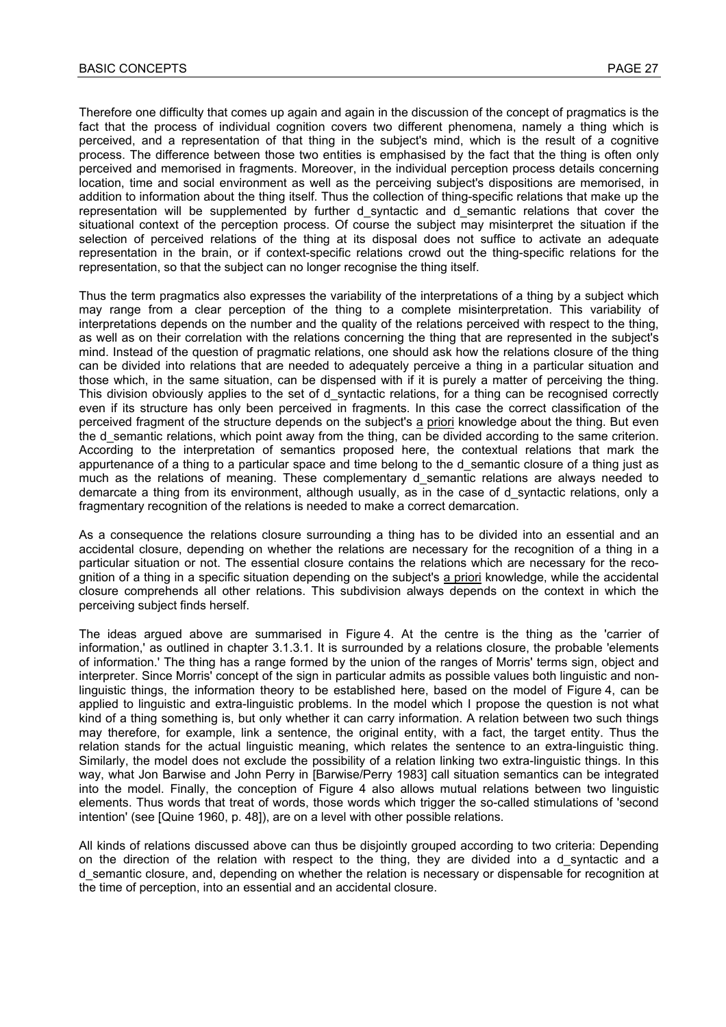Therefore one difficulty that comes up again and again in the discussion of the concept of pragmatics is the fact that the process of individual cognition covers two different phenomena, namely a thing which is perceived, and a representation of that thing in the subject's mind, which is the result of a cognitive process. The difference between those two entities is emphasised by the fact that the thing is often only perceived and memorised in fragments. Moreover, in the individual perception process details concerning location, time and social environment as well as the perceiving subject's dispositions are memorised, in addition to information about the thing itself. Thus the collection of thing-specific relations that make up the representation will be supplemented by further d syntactic and d semantic relations that cover the situational context of the perception process. Of course the subject may misinterpret the situation if the selection of perceived relations of the thing at its disposal does not suffice to activate an adequate representation in the brain, or if context-specific relations crowd out the thing-specific relations for the representation, so that the subject can no longer recognise the thing itself.

Thus the term pragmatics also expresses the variability of the interpretations of a thing by a subject which may range from a clear perception of the thing to a complete misinterpretation. This variability of interpretations depends on the number and the quality of the relations perceived with respect to the thing, as well as on their correlation with the relations concerning the thing that are represented in the subject's mind. Instead of the question of pragmatic relations, one should ask how the relations closure of the thing can be divided into relations that are needed to adequately perceive a thing in a particular situation and those which, in the same situation, can be dispensed with if it is purely a matter of perceiving the thing. This division obviously applies to the set of d syntactic relations, for a thing can be recognised correctly even if its structure has only been perceived in fragments. In this case the correct classification of the perceived fragment of the structure depends on the subject's a priori knowledge about the thing. But even the d semantic relations, which point away from the thing, can be divided according to the same criterion. According to the interpretation of semantics proposed here, the contextual relations that mark the appurtenance of a thing to a particular space and time belong to the d semantic closure of a thing just as much as the relations of meaning. These complementary d semantic relations are always needed to demarcate a thing from its environment, although usually, as in the case of d\_syntactic relations, only a fragmentary recognition of the relations is needed to make a correct demarcation.

As a consequence the relations closure surrounding a thing has to be divided into an essential and an accidental closure, depending on whether the relations are necessary for the recognition of a thing in a particular situation or not. The essential closure contains the relations which are necessary for the recognition of a thing in a specific situation depending on the subject's a priori knowledge, while the accidental closure comprehends all other relations. This subdivision always depends on the context in which the perceiving subject finds herself.

The ideas argued above are summarised in Figure 4. At the centre is the thing as the 'carrier of information,' as outlined in chapter 3.1.3.1. It is surrounded by a relations closure, the probable 'elements of information.' The thing has a range formed by the union of the ranges of Morris' terms sign, object and interpreter. Since Morris' concept of the sign in particular admits as possible values both linguistic and nonlinguistic things, the information theory to be established here, based on the model of Figure 4, can be applied to linguistic and extra-linguistic problems. In the model which I propose the question is not what kind of a thing something is, but only whether it can carry information. A relation between two such things may therefore, for example, link a sentence, the original entity, with a fact, the target entity. Thus the relation stands for the actual linguistic meaning, which relates the sentence to an extra-linguistic thing. Similarly, the model does not exclude the possibility of a relation linking two extra-linguistic things. In this way, what Jon Barwise and John Perry in [Barwise/Perry 1983] call situation semantics can be integrated into the model. Finally, the conception of Figure 4 also allows mutual relations between two linguistic elements. Thus words that treat of words, those words which trigger the so-called stimulations of 'second intention' (see [Quine 1960, p. 48]), are on a level with other possible relations.

All kinds of relations discussed above can thus be disjointly grouped according to two criteria: Depending on the direction of the relation with respect to the thing, they are divided into a d\_syntactic and a d semantic closure, and, depending on whether the relation is necessary or dispensable for recognition at the time of perception, into an essential and an accidental closure.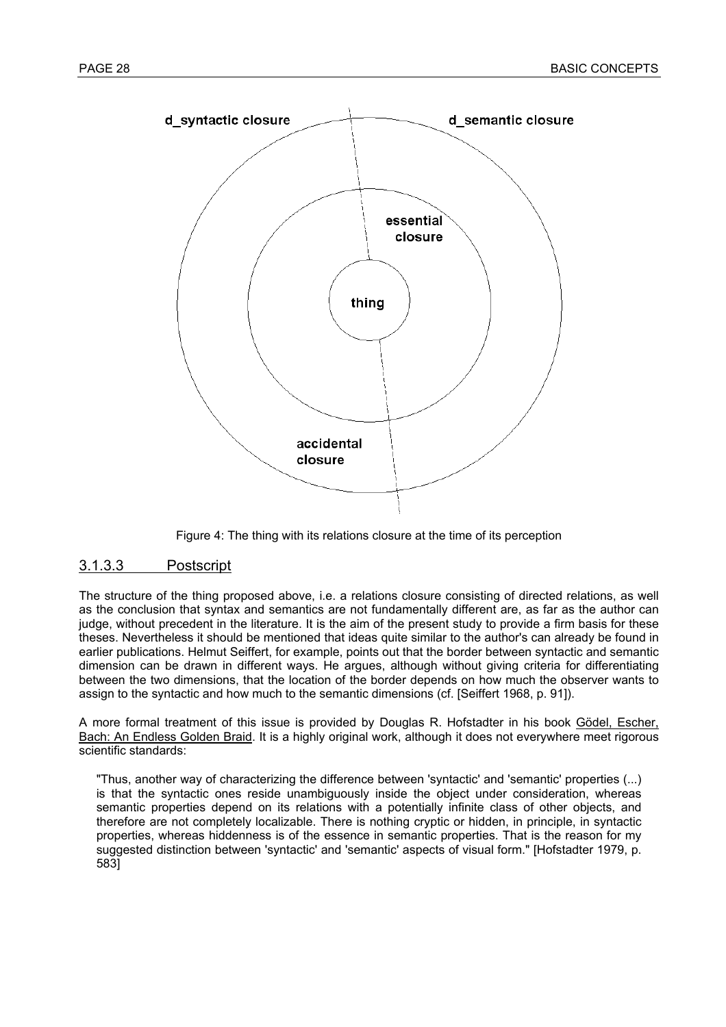

Figure 4: The thing with its relations closure at the time of its perception

#### 3.1.3.3 Postscript

The structure of the thing proposed above, i.e. a relations closure consisting of directed relations, as well as the conclusion that syntax and semantics are not fundamentally different are, as far as the author can judge, without precedent in the literature. It is the aim of the present study to provide a firm basis for these theses. Nevertheless it should be mentioned that ideas quite similar to the author's can already be found in earlier publications. Helmut Seiffert, for example, points out that the border between syntactic and semantic dimension can be drawn in different ways. He argues, although without giving criteria for differentiating between the two dimensions, that the location of the border depends on how much the observer wants to assign to the syntactic and how much to the semantic dimensions (cf. [Seiffert 1968, p. 91]).

A more formal treatment of this issue is provided by Douglas R. Hofstadter in his book Gödel, Escher, Bach: An Endless Golden Braid. It is a highly original work, although it does not everywhere meet rigorous scientific standards:

"Thus, another way of characterizing the difference between 'syntactic' and 'semantic' properties (...) is that the syntactic ones reside unambiguously inside the object under consideration, whereas semantic properties depend on its relations with a potentially infinite class of other objects, and therefore are not completely localizable. There is nothing cryptic or hidden, in principle, in syntactic properties, whereas hiddenness is of the essence in semantic properties. That is the reason for my suggested distinction between 'syntactic' and 'semantic' aspects of visual form." [Hofstadter 1979, p. 583]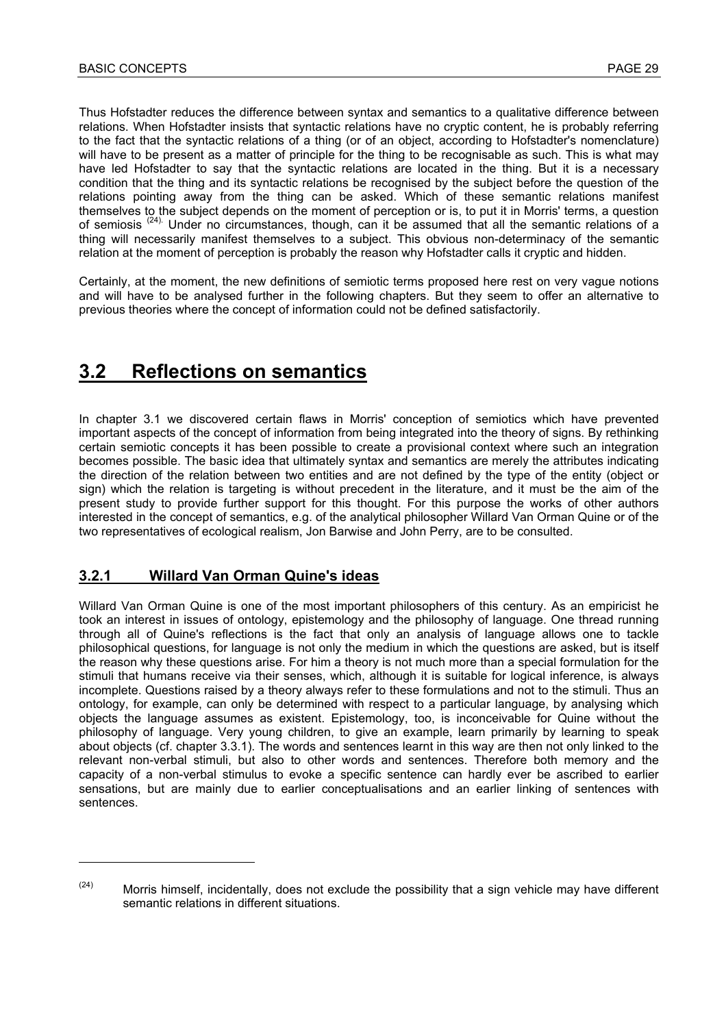Thus Hofstadter reduces the difference between syntax and semantics to a qualitative difference between relations. When Hofstadter insists that syntactic relations have no cryptic content, he is probably referring to the fact that the syntactic relations of a thing (or of an object, according to Hofstadter's nomenclature) will have to be present as a matter of principle for the thing to be recognisable as such. This is what may have led Hofstadter to say that the syntactic relations are located in the thing. But it is a necessary condition that the thing and its syntactic relations be recognised by the subject before the question of the relations pointing away from the thing can be asked. Which of these semantic relations manifest themselves to the subject depends on the moment of perception or is, to put it in Morris' terms, a question of semiosis<sup>(24)</sup>. Under no circumstances, though, can it be assumed that all the semantic relations of a thing will necessarily manifest themselves to a subject. This obvious non-determinacy of the semantic relation at the moment of perception is probably the reason why Hofstadter calls it cryptic and hidden.

Certainly, at the moment, the new definitions of semiotic terms proposed here rest on very vague notions and will have to be analysed further in the following chapters. But they seem to offer an alternative to previous theories where the concept of information could not be defined satisfactorily.

### **3.2 Reflections on semantics**

In chapter 3.1 we discovered certain flaws in Morris' conception of semiotics which have prevented important aspects of the concept of information from being integrated into the theory of signs. By rethinking certain semiotic concepts it has been possible to create a provisional context where such an integration becomes possible. The basic idea that ultimately syntax and semantics are merely the attributes indicating the direction of the relation between two entities and are not defined by the type of the entity (object or sign) which the relation is targeting is without precedent in the literature, and it must be the aim of the present study to provide further support for this thought. For this purpose the works of other authors interested in the concept of semantics, e.g. of the analytical philosopher Willard Van Orman Quine or of the two representatives of ecological realism, Jon Barwise and John Perry, are to be consulted.

#### **3.2.1 Willard Van Orman Quine's ideas**

l

Willard Van Orman Quine is one of the most important philosophers of this century. As an empiricist he took an interest in issues of ontology, epistemology and the philosophy of language. One thread running through all of Quine's reflections is the fact that only an analysis of language allows one to tackle philosophical questions, for language is not only the medium in which the questions are asked, but is itself the reason why these questions arise. For him a theory is not much more than a special formulation for the stimuli that humans receive via their senses, which, although it is suitable for logical inference, is always incomplete. Questions raised by a theory always refer to these formulations and not to the stimuli. Thus an ontology, for example, can only be determined with respect to a particular language, by analysing which objects the language assumes as existent. Epistemology, too, is inconceivable for Quine without the philosophy of language. Very young children, to give an example, learn primarily by learning to speak about objects (cf. chapter 3.3.1). The words and sentences learnt in this way are then not only linked to the relevant non-verbal stimuli, but also to other words and sentences. Therefore both memory and the capacity of a non-verbal stimulus to evoke a specific sentence can hardly ever be ascribed to earlier sensations, but are mainly due to earlier conceptualisations and an earlier linking of sentences with sentences.

 $(24)$  Morris himself, incidentally, does not exclude the possibility that a sign vehicle may have different semantic relations in different situations.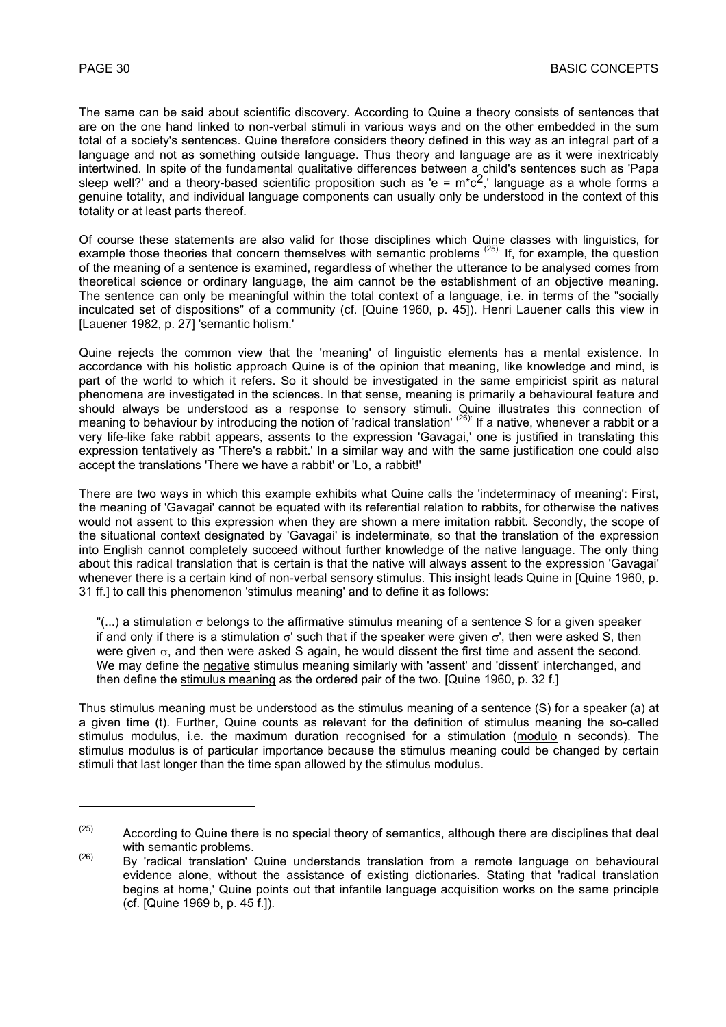$\overline{a}$ 

The same can be said about scientific discovery. According to Quine a theory consists of sentences that are on the one hand linked to non-verbal stimuli in various ways and on the other embedded in the sum total of a society's sentences. Quine therefore considers theory defined in this way as an integral part of a language and not as something outside language. Thus theory and language are as it were inextricably intertwined. In spite of the fundamental qualitative differences between a child's sentences such as 'Papa sleep well?' and a theory-based scientific proposition such as 'e =  $m^*c^2$ ,' language as a whole forms a genuine totality, and individual language components can usually only be understood in the context of this totality or at least parts thereof.

Of course these statements are also valid for those disciplines which Quine classes with linguistics, for example those theories that concern themselves with semantic problems <sup>(25).</sup> If, for example, the question of the meaning of a sentence is examined, regardless of whether the utterance to be analysed comes from theoretical science or ordinary language, the aim cannot be the establishment of an objective meaning. The sentence can only be meaningful within the total context of a language, i.e. in terms of the "socially inculcated set of dispositions" of a community (cf. [Quine 1960, p. 45]). Henri Lauener calls this view in [Lauener 1982, p. 27] 'semantic holism.'

Quine rejects the common view that the 'meaning' of linguistic elements has a mental existence. In accordance with his holistic approach Quine is of the opinion that meaning, like knowledge and mind, is part of the world to which it refers. So it should be investigated in the same empiricist spirit as natural phenomena are investigated in the sciences. In that sense, meaning is primarily a behavioural feature and should always be understood as a response to sensory stimuli. Quine illustrates this connection of meaning to behaviour by introducing the notion of 'radical translation' <sup>(26):</sup> If a native, whenever a rabbit or a very life-like fake rabbit appears, assents to the expression 'Gavagai,' one is justified in translating this expression tentatively as 'There's a rabbit.' In a similar way and with the same justification one could also accept the translations 'There we have a rabbit' or 'Lo, a rabbit!'

There are two ways in which this example exhibits what Quine calls the 'indeterminacy of meaning': First, the meaning of 'Gavagai' cannot be equated with its referential relation to rabbits, for otherwise the natives would not assent to this expression when they are shown a mere imitation rabbit. Secondly, the scope of the situational context designated by 'Gavagai' is indeterminate, so that the translation of the expression into English cannot completely succeed without further knowledge of the native language. The only thing about this radical translation that is certain is that the native will always assent to the expression 'Gavagai' whenever there is a certain kind of non-verbal sensory stimulus. This insight leads Quine in [Quine 1960, p. 31 ff.] to call this phenomenon 'stimulus meaning' and to define it as follows:

"(...) a stimulation  $\sigma$  belongs to the affirmative stimulus meaning of a sentence S for a given speaker if and only if there is a stimulation  $\sigma'$  such that if the speaker were given  $\sigma'$ , then were asked S, then were given σ, and then were asked S again, he would dissent the first time and assent the second. We may define the negative stimulus meaning similarly with 'assent' and 'dissent' interchanged, and then define the stimulus meaning as the ordered pair of the two. [Quine 1960, p. 32 f.]

Thus stimulus meaning must be understood as the stimulus meaning of a sentence (S) for a speaker (a) at a given time (t). Further, Quine counts as relevant for the definition of stimulus meaning the so-called stimulus modulus, i.e. the maximum duration recognised for a stimulation (modulo n seconds). The stimulus modulus is of particular importance because the stimulus meaning could be changed by certain stimuli that last longer than the time span allowed by the stimulus modulus.

 $(25)$  According to Quine there is no special theory of semantics, although there are disciplines that deal with semantic problems.<br><sup>(26)</sup> By 'radical translation' Quine understands translation from a remote language on behavioural

evidence alone, without the assistance of existing dictionaries. Stating that 'radical translation begins at home,' Quine points out that infantile language acquisition works on the same principle (cf. [Quine 1969 b, p. 45 f.]).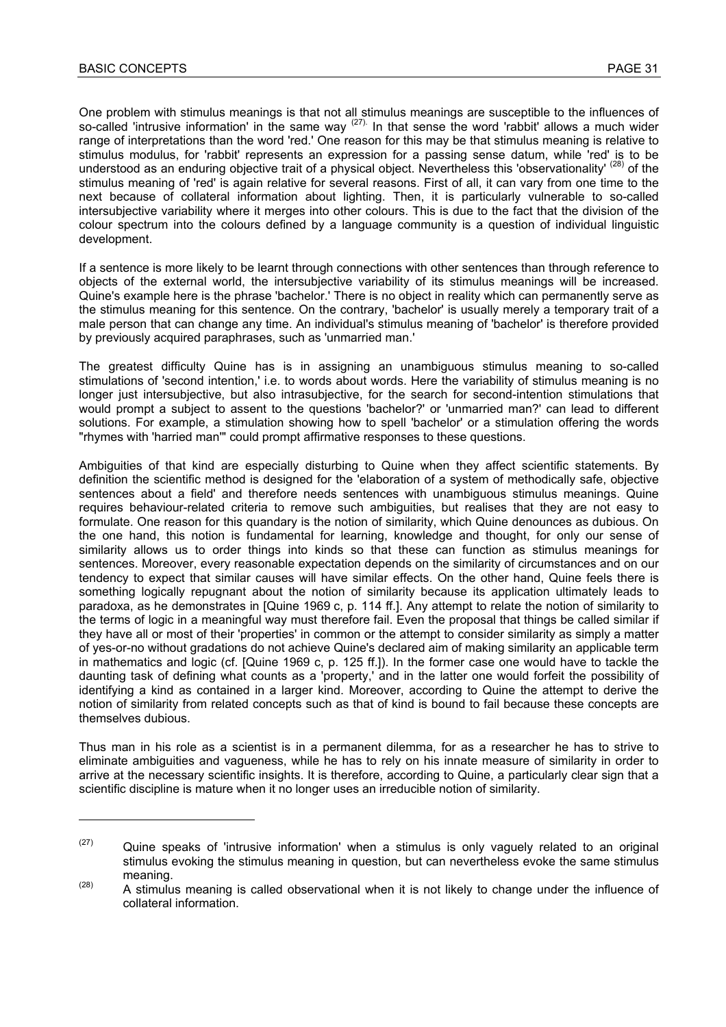One problem with stimulus meanings is that not all stimulus meanings are susceptible to the influences of so-called 'intrusive information' in the same way <sup>(27)</sup>. In that sense the word 'rabbit' allows a much wider range of interpretations than the word 'red.' One reason for this may be that stimulus meaning is relative to stimulus modulus, for 'rabbit' represents an expression for a passing sense datum, while 'red' is to be understood as an enduring objective trait of a physical object. Nevertheless this 'observationality' <sup>(28)</sup> of the stimulus meaning of 'red' is again relative for several reasons. First of all, it can vary from one time to the next because of collateral information about lighting. Then, it is particularly vulnerable to so-called intersubjective variability where it merges into other colours. This is due to the fact that the division of the colour spectrum into the colours defined by a language community is a question of individual linguistic development.

If a sentence is more likely to be learnt through connections with other sentences than through reference to objects of the external world, the intersubjective variability of its stimulus meanings will be increased. Quine's example here is the phrase 'bachelor.' There is no object in reality which can permanently serve as the stimulus meaning for this sentence. On the contrary, 'bachelor' is usually merely a temporary trait of a male person that can change any time. An individual's stimulus meaning of 'bachelor' is therefore provided by previously acquired paraphrases, such as 'unmarried man.'

The greatest difficulty Quine has is in assigning an unambiguous stimulus meaning to so-called stimulations of 'second intention,' i.e. to words about words. Here the variability of stimulus meaning is no longer just intersubjective, but also intrasubjective, for the search for second-intention stimulations that would prompt a subject to assent to the questions 'bachelor?' or 'unmarried man?' can lead to different solutions. For example, a stimulation showing how to spell 'bachelor' or a stimulation offering the words "rhymes with 'harried man'" could prompt affirmative responses to these questions.

Ambiguities of that kind are especially disturbing to Quine when they affect scientific statements. By definition the scientific method is designed for the 'elaboration of a system of methodically safe, objective sentences about a field' and therefore needs sentences with unambiguous stimulus meanings. Quine requires behaviour-related criteria to remove such ambiguities, but realises that they are not easy to formulate. One reason for this quandary is the notion of similarity, which Quine denounces as dubious. On the one hand, this notion is fundamental for learning, knowledge and thought, for only our sense of similarity allows us to order things into kinds so that these can function as stimulus meanings for sentences. Moreover, every reasonable expectation depends on the similarity of circumstances and on our tendency to expect that similar causes will have similar effects. On the other hand, Quine feels there is something logically repugnant about the notion of similarity because its application ultimately leads to paradoxa, as he demonstrates in [Quine 1969 c, p. 114 ff.]. Any attempt to relate the notion of similarity to the terms of logic in a meaningful way must therefore fail. Even the proposal that things be called similar if they have all or most of their 'properties' in common or the attempt to consider similarity as simply a matter of yes-or-no without gradations do not achieve Quine's declared aim of making similarity an applicable term in mathematics and logic (cf. [Quine 1969 c, p. 125 ff.]). In the former case one would have to tackle the daunting task of defining what counts as a 'property,' and in the latter one would forfeit the possibility of identifying a kind as contained in a larger kind. Moreover, according to Quine the attempt to derive the notion of similarity from related concepts such as that of kind is bound to fail because these concepts are themselves dubious.

Thus man in his role as a scientist is in a permanent dilemma, for as a researcher he has to strive to eliminate ambiguities and vagueness, while he has to rely on his innate measure of similarity in order to arrive at the necessary scientific insights. It is therefore, according to Quine, a particularly clear sign that a scientific discipline is mature when it no longer uses an irreducible notion of similarity.

 $(27)$  Quine speaks of 'intrusive information' when a stimulus is only vaguely related to an original stimulus evoking the stimulus meaning in question, but can nevertheless evoke the same stimulus meaning.<br><sup>(28)</sup> A stimulus meaning is called observational when it is not likely to change under the influence of

collateral information.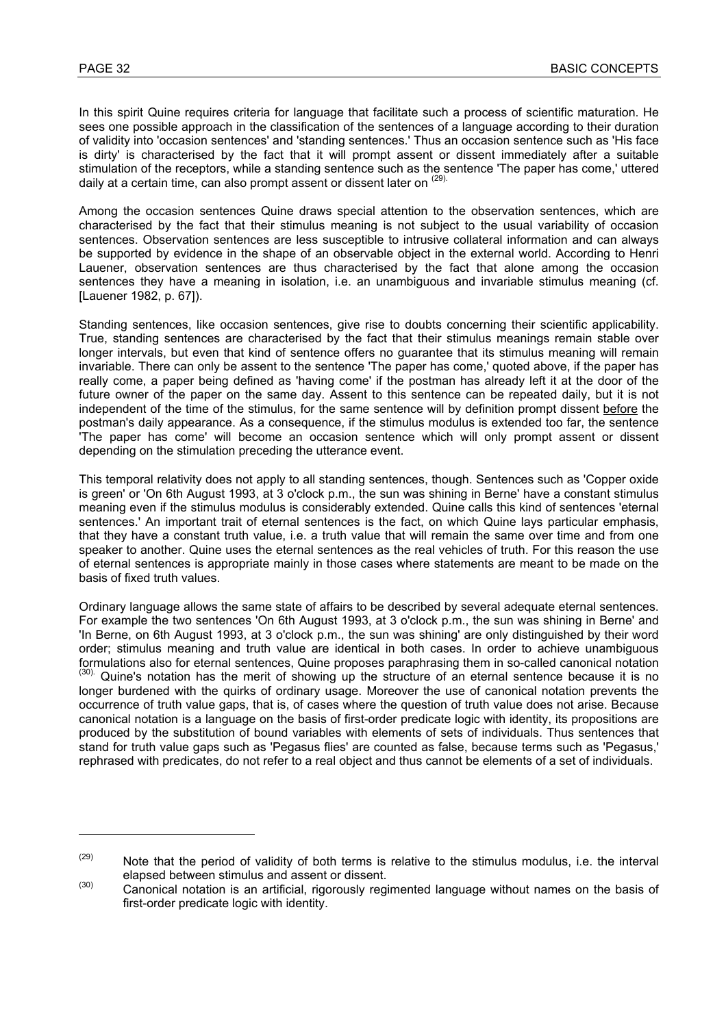In this spirit Quine requires criteria for language that facilitate such a process of scientific maturation. He sees one possible approach in the classification of the sentences of a language according to their duration of validity into 'occasion sentences' and 'standing sentences.' Thus an occasion sentence such as 'His face is dirty' is characterised by the fact that it will prompt assent or dissent immediately after a suitable stimulation of the receptors, while a standing sentence such as the sentence 'The paper has come,' uttered daily at a certain time, can also prompt assent or dissent later on <sup>(29).</sup>

Among the occasion sentences Quine draws special attention to the observation sentences, which are characterised by the fact that their stimulus meaning is not subject to the usual variability of occasion sentences. Observation sentences are less susceptible to intrusive collateral information and can always be supported by evidence in the shape of an observable object in the external world. According to Henri Lauener, observation sentences are thus characterised by the fact that alone among the occasion sentences they have a meaning in isolation, i.e. an unambiguous and invariable stimulus meaning (cf. [Lauener 1982, p. 67]).

Standing sentences, like occasion sentences, give rise to doubts concerning their scientific applicability. True, standing sentences are characterised by the fact that their stimulus meanings remain stable over longer intervals, but even that kind of sentence offers no guarantee that its stimulus meaning will remain invariable. There can only be assent to the sentence 'The paper has come,' quoted above, if the paper has really come, a paper being defined as 'having come' if the postman has already left it at the door of the future owner of the paper on the same day. Assent to this sentence can be repeated daily, but it is not independent of the time of the stimulus, for the same sentence will by definition prompt dissent before the postman's daily appearance. As a consequence, if the stimulus modulus is extended too far, the sentence 'The paper has come' will become an occasion sentence which will only prompt assent or dissent depending on the stimulation preceding the utterance event.

This temporal relativity does not apply to all standing sentences, though. Sentences such as 'Copper oxide is green' or 'On 6th August 1993, at 3 o'clock p.m., the sun was shining in Berne' have a constant stimulus meaning even if the stimulus modulus is considerably extended. Quine calls this kind of sentences 'eternal sentences.' An important trait of eternal sentences is the fact, on which Quine lays particular emphasis, that they have a constant truth value, i.e. a truth value that will remain the same over time and from one speaker to another. Quine uses the eternal sentences as the real vehicles of truth. For this reason the use of eternal sentences is appropriate mainly in those cases where statements are meant to be made on the basis of fixed truth values.

Ordinary language allows the same state of affairs to be described by several adequate eternal sentences. For example the two sentences 'On 6th August 1993, at 3 o'clock p.m., the sun was shining in Berne' and 'In Berne, on 6th August 1993, at 3 o'clock p.m., the sun was shining' are only distinguished by their word order; stimulus meaning and truth value are identical in both cases. In order to achieve unambiguous formulations also for eternal sentences. Quine proposes paraphrasing them in so-called canonical notation  $(30)$ . Quine's notation has the merit of showing up the structure of an eternal sentence because it is no longer burdened with the quirks of ordinary usage. Moreover the use of canonical notation prevents the occurrence of truth value gaps, that is, of cases where the question of truth value does not arise. Because canonical notation is a language on the basis of first-order predicate logic with identity, its propositions are produced by the substitution of bound variables with elements of sets of individuals. Thus sentences that stand for truth value gaps such as 'Pegasus flies' are counted as false, because terms such as 'Pegasus,' rephrased with predicates, do not refer to a real object and thus cannot be elements of a set of individuals.

 $(29)$  Note that the period of validity of both terms is relative to the stimulus modulus, i.e. the interval elapsed between stimulus and assent or dissent.<br>
Canonical notation is an artificial, rigorously regimented language without names on the basis of

first-order predicate logic with identity.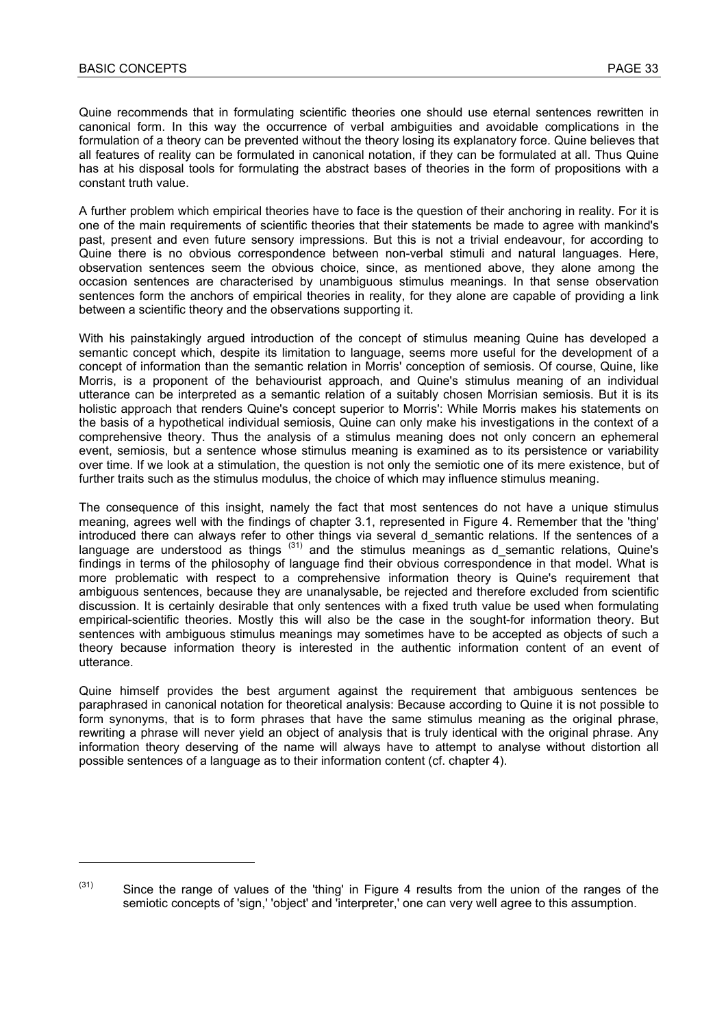l

Quine recommends that in formulating scientific theories one should use eternal sentences rewritten in canonical form. In this way the occurrence of verbal ambiguities and avoidable complications in the formulation of a theory can be prevented without the theory losing its explanatory force. Quine believes that all features of reality can be formulated in canonical notation, if they can be formulated at all. Thus Quine has at his disposal tools for formulating the abstract bases of theories in the form of propositions with a constant truth value.

A further problem which empirical theories have to face is the question of their anchoring in reality. For it is one of the main requirements of scientific theories that their statements be made to agree with mankind's past, present and even future sensory impressions. But this is not a trivial endeavour, for according to Quine there is no obvious correspondence between non-verbal stimuli and natural languages. Here, observation sentences seem the obvious choice, since, as mentioned above, they alone among the occasion sentences are characterised by unambiguous stimulus meanings. In that sense observation sentences form the anchors of empirical theories in reality, for they alone are capable of providing a link between a scientific theory and the observations supporting it.

With his painstakingly argued introduction of the concept of stimulus meaning Quine has developed a semantic concept which, despite its limitation to language, seems more useful for the development of a concept of information than the semantic relation in Morris' conception of semiosis. Of course, Quine, like Morris, is a proponent of the behaviourist approach, and Quine's stimulus meaning of an individual utterance can be interpreted as a semantic relation of a suitably chosen Morrisian semiosis. But it is its holistic approach that renders Quine's concept superior to Morris': While Morris makes his statements on the basis of a hypothetical individual semiosis, Quine can only make his investigations in the context of a comprehensive theory. Thus the analysis of a stimulus meaning does not only concern an ephemeral event, semiosis, but a sentence whose stimulus meaning is examined as to its persistence or variability over time. If we look at a stimulation, the question is not only the semiotic one of its mere existence, but of further traits such as the stimulus modulus, the choice of which may influence stimulus meaning.

The consequence of this insight, namely the fact that most sentences do not have a unique stimulus meaning, agrees well with the findings of chapter 3.1, represented in Figure 4. Remember that the 'thing' introduced there can always refer to other things via several d\_semantic relations. If the sentences of a language are understood as things  $(31)$  and the stimulus meanings as d semantic relations, Quine's findings in terms of the philosophy of language find their obvious correspondence in that model. What is more problematic with respect to a comprehensive information theory is Quine's requirement that ambiguous sentences, because they are unanalysable, be rejected and therefore excluded from scientific discussion. It is certainly desirable that only sentences with a fixed truth value be used when formulating empirical-scientific theories. Mostly this will also be the case in the sought-for information theory. But sentences with ambiguous stimulus meanings may sometimes have to be accepted as objects of such a theory because information theory is interested in the authentic information content of an event of utterance.

Quine himself provides the best argument against the requirement that ambiguous sentences be paraphrased in canonical notation for theoretical analysis: Because according to Quine it is not possible to form synonyms, that is to form phrases that have the same stimulus meaning as the original phrase, rewriting a phrase will never yield an object of analysis that is truly identical with the original phrase. Any information theory deserving of the name will always have to attempt to analyse without distortion all possible sentences of a language as to their information content (cf. chapter 4).

 $(31)$  Since the range of values of the 'thing' in Figure 4 results from the union of the ranges of the semiotic concepts of 'sign,' 'object' and 'interpreter,' one can very well agree to this assumption.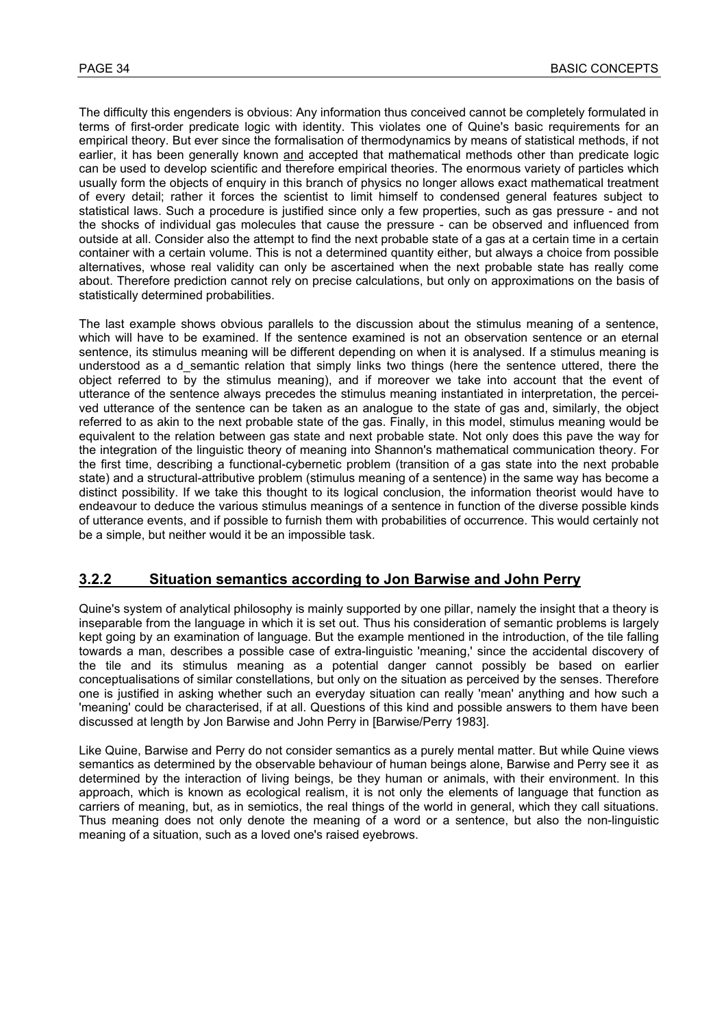The difficulty this engenders is obvious: Any information thus conceived cannot be completely formulated in terms of first-order predicate logic with identity. This violates one of Quine's basic requirements for an empirical theory. But ever since the formalisation of thermodynamics by means of statistical methods, if not earlier, it has been generally known and accepted that mathematical methods other than predicate logic can be used to develop scientific and therefore empirical theories. The enormous variety of particles which usually form the objects of enquiry in this branch of physics no longer allows exact mathematical treatment of every detail; rather it forces the scientist to limit himself to condensed general features subject to statistical laws. Such a procedure is justified since only a few properties, such as gas pressure - and not the shocks of individual gas molecules that cause the pressure - can be observed and influenced from outside at all. Consider also the attempt to find the next probable state of a gas at a certain time in a certain container with a certain volume. This is not a determined quantity either, but always a choice from possible alternatives, whose real validity can only be ascertained when the next probable state has really come about. Therefore prediction cannot rely on precise calculations, but only on approximations on the basis of statistically determined probabilities.

The last example shows obvious parallels to the discussion about the stimulus meaning of a sentence, which will have to be examined. If the sentence examined is not an observation sentence or an eternal sentence, its stimulus meaning will be different depending on when it is analysed. If a stimulus meaning is understood as a d semantic relation that simply links two things (here the sentence uttered, there the object referred to by the stimulus meaning), and if moreover we take into account that the event of utterance of the sentence always precedes the stimulus meaning instantiated in interpretation, the perceived utterance of the sentence can be taken as an analogue to the state of gas and, similarly, the object referred to as akin to the next probable state of the gas. Finally, in this model, stimulus meaning would be equivalent to the relation between gas state and next probable state. Not only does this pave the way for the integration of the linguistic theory of meaning into Shannon's mathematical communication theory. For the first time, describing a functional-cybernetic problem (transition of a gas state into the next probable state) and a structural-attributive problem (stimulus meaning of a sentence) in the same way has become a distinct possibility. If we take this thought to its logical conclusion, the information theorist would have to endeavour to deduce the various stimulus meanings of a sentence in function of the diverse possible kinds of utterance events, and if possible to furnish them with probabilities of occurrence. This would certainly not be a simple, but neither would it be an impossible task.

### **3.2.2 Situation semantics according to Jon Barwise and John Perry**

Quine's system of analytical philosophy is mainly supported by one pillar, namely the insight that a theory is inseparable from the language in which it is set out. Thus his consideration of semantic problems is largely kept going by an examination of language. But the example mentioned in the introduction, of the tile falling towards a man, describes a possible case of extra-linguistic 'meaning,' since the accidental discovery of the tile and its stimulus meaning as a potential danger cannot possibly be based on earlier conceptualisations of similar constellations, but only on the situation as perceived by the senses. Therefore one is justified in asking whether such an everyday situation can really 'mean' anything and how such a 'meaning' could be characterised, if at all. Questions of this kind and possible answers to them have been discussed at length by Jon Barwise and John Perry in [Barwise/Perry 1983].

Like Quine, Barwise and Perry do not consider semantics as a purely mental matter. But while Quine views semantics as determined by the observable behaviour of human beings alone, Barwise and Perry see it as determined by the interaction of living beings, be they human or animals, with their environment. In this approach, which is known as ecological realism, it is not only the elements of language that function as carriers of meaning, but, as in semiotics, the real things of the world in general, which they call situations. Thus meaning does not only denote the meaning of a word or a sentence, but also the non-linguistic meaning of a situation, such as a loved one's raised eyebrows.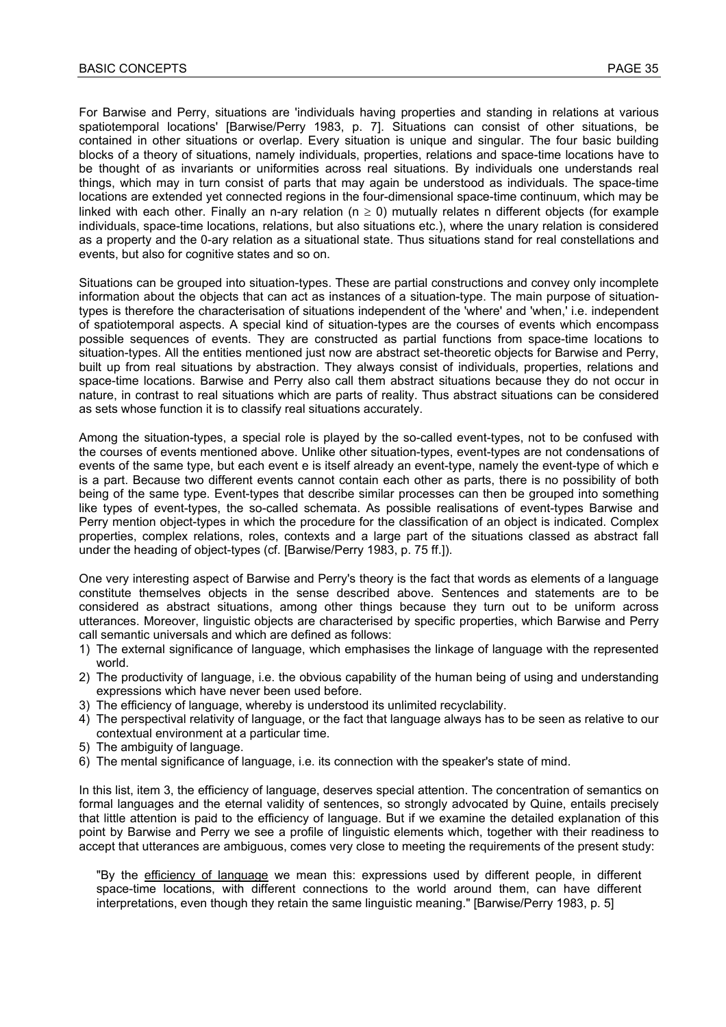For Barwise and Perry, situations are 'individuals having properties and standing in relations at various spatiotemporal locations' [Barwise/Perry 1983, p. 7]. Situations can consist of other situations, be contained in other situations or overlap. Every situation is unique and singular. The four basic building blocks of a theory of situations, namely individuals, properties, relations and space-time locations have to be thought of as invariants or uniformities across real situations. By individuals one understands real things, which may in turn consist of parts that may again be understood as individuals. The space-time locations are extended yet connected regions in the four-dimensional space-time continuum, which may be linked with each other. Finally an n-ary relation ( $n \ge 0$ ) mutually relates n different objects (for example individuals, space-time locations, relations, but also situations etc.), where the unary relation is considered as a property and the 0-ary relation as a situational state. Thus situations stand for real constellations and events, but also for cognitive states and so on.

Situations can be grouped into situation-types. These are partial constructions and convey only incomplete information about the objects that can act as instances of a situation-type. The main purpose of situationtypes is therefore the characterisation of situations independent of the 'where' and 'when,' i.e. independent of spatiotemporal aspects. A special kind of situation-types are the courses of events which encompass possible sequences of events. They are constructed as partial functions from space-time locations to situation-types. All the entities mentioned just now are abstract set-theoretic objects for Barwise and Perry, built up from real situations by abstraction. They always consist of individuals, properties, relations and space-time locations. Barwise and Perry also call them abstract situations because they do not occur in nature, in contrast to real situations which are parts of reality. Thus abstract situations can be considered as sets whose function it is to classify real situations accurately.

Among the situation-types, a special role is played by the so-called event-types, not to be confused with the courses of events mentioned above. Unlike other situation-types, event-types are not condensations of events of the same type, but each event e is itself already an event-type, namely the event-type of which e is a part. Because two different events cannot contain each other as parts, there is no possibility of both being of the same type. Event-types that describe similar processes can then be grouped into something like types of event-types, the so-called schemata. As possible realisations of event-types Barwise and Perry mention object-types in which the procedure for the classification of an object is indicated. Complex properties, complex relations, roles, contexts and a large part of the situations classed as abstract fall under the heading of object-types (cf. [Barwise/Perry 1983, p. 75 ff.]).

One very interesting aspect of Barwise and Perry's theory is the fact that words as elements of a language constitute themselves objects in the sense described above. Sentences and statements are to be considered as abstract situations, among other things because they turn out to be uniform across utterances. Moreover, linguistic objects are characterised by specific properties, which Barwise and Perry call semantic universals and which are defined as follows:

- 1) The external significance of language, which emphasises the linkage of language with the represented world.
- 2) The productivity of language, i.e. the obvious capability of the human being of using and understanding expressions which have never been used before.
- 3) The efficiency of language, whereby is understood its unlimited recyclability.
- 4) The perspectival relativity of language, or the fact that language always has to be seen as relative to our contextual environment at a particular time.
- 5) The ambiguity of language.
- 6) The mental significance of language, i.e. its connection with the speaker's state of mind.

In this list, item 3, the efficiency of language, deserves special attention. The concentration of semantics on formal languages and the eternal validity of sentences, so strongly advocated by Quine, entails precisely that little attention is paid to the efficiency of language. But if we examine the detailed explanation of this point by Barwise and Perry we see a profile of linguistic elements which, together with their readiness to accept that utterances are ambiguous, comes very close to meeting the requirements of the present study:

"By the efficiency of language we mean this: expressions used by different people, in different space-time locations, with different connections to the world around them, can have different interpretations, even though they retain the same linguistic meaning." [Barwise/Perry 1983, p. 5]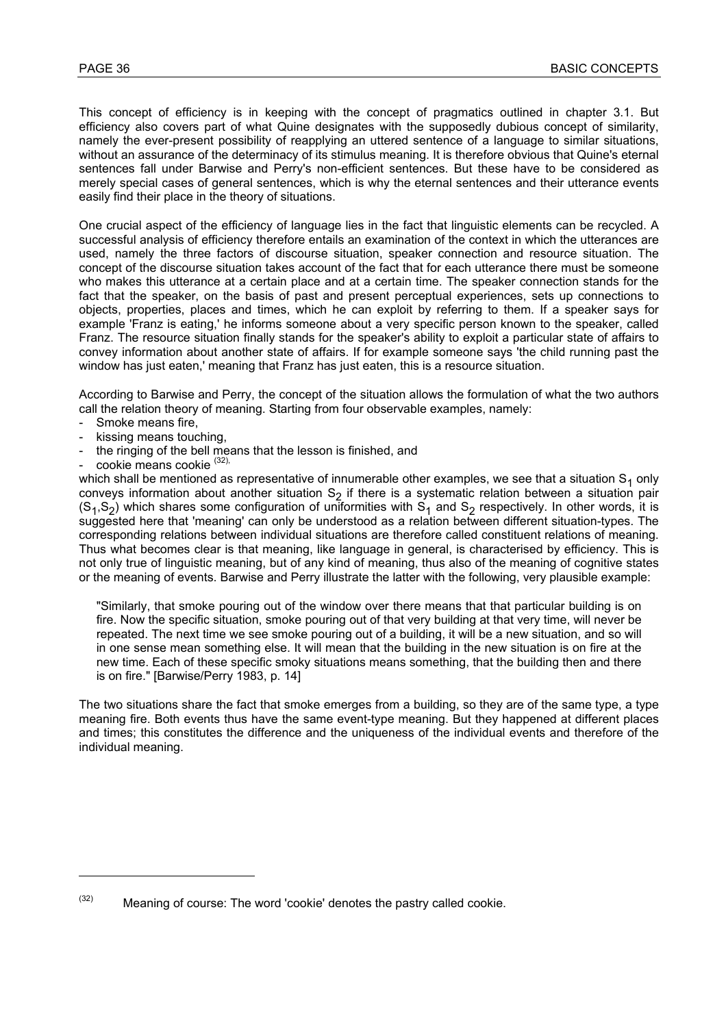This concept of efficiency is in keeping with the concept of pragmatics outlined in chapter 3.1. But efficiency also covers part of what Quine designates with the supposedly dubious concept of similarity, namely the ever-present possibility of reapplying an uttered sentence of a language to similar situations, without an assurance of the determinacy of its stimulus meaning. It is therefore obvious that Quine's eternal sentences fall under Barwise and Perry's non-efficient sentences. But these have to be considered as merely special cases of general sentences, which is why the eternal sentences and their utterance events easily find their place in the theory of situations.

One crucial aspect of the efficiency of language lies in the fact that linguistic elements can be recycled. A successful analysis of efficiency therefore entails an examination of the context in which the utterances are used, namely the three factors of discourse situation, speaker connection and resource situation. The concept of the discourse situation takes account of the fact that for each utterance there must be someone who makes this utterance at a certain place and at a certain time. The speaker connection stands for the fact that the speaker, on the basis of past and present perceptual experiences, sets up connections to objects, properties, places and times, which he can exploit by referring to them. If a speaker says for example 'Franz is eating,' he informs someone about a very specific person known to the speaker, called Franz. The resource situation finally stands for the speaker's ability to exploit a particular state of affairs to convey information about another state of affairs. If for example someone says 'the child running past the window has just eaten,' meaning that Franz has just eaten, this is a resource situation.

According to Barwise and Perry, the concept of the situation allows the formulation of what the two authors call the relation theory of meaning. Starting from four observable examples, namely:

- Smoke means fire,
- kissing means touching.
- the ringing of the bell means that the lesson is finished, and
- cookie means cookie (32),

l

which shall be mentioned as representative of innumerable other examples, we see that a situation  $S_1$  only conveys information about another situation  $S_2$  if there is a systematic relation between a situation pair  $(S_1,S_2)$  which shares some configuration of uniformities with  $S_1$  and  $S_2$  respectively. In other words, it is suggested here that 'meaning' can only be understood as a relation between different situation-types. The corresponding relations between individual situations are therefore called constituent relations of meaning. Thus what becomes clear is that meaning, like language in general, is characterised by efficiency. This is not only true of linguistic meaning, but of any kind of meaning, thus also of the meaning of cognitive states or the meaning of events. Barwise and Perry illustrate the latter with the following, very plausible example:

"Similarly, that smoke pouring out of the window over there means that that particular building is on fire. Now the specific situation, smoke pouring out of that very building at that very time, will never be repeated. The next time we see smoke pouring out of a building, it will be a new situation, and so will in one sense mean something else. It will mean that the building in the new situation is on fire at the new time. Each of these specific smoky situations means something, that the building then and there is on fire." [Barwise/Perry 1983, p. 14]

The two situations share the fact that smoke emerges from a building, so they are of the same type, a type meaning fire. Both events thus have the same event-type meaning. But they happened at different places and times; this constitutes the difference and the uniqueness of the individual events and therefore of the individual meaning.

 $(32)$  Meaning of course: The word 'cookie' denotes the pastry called cookie.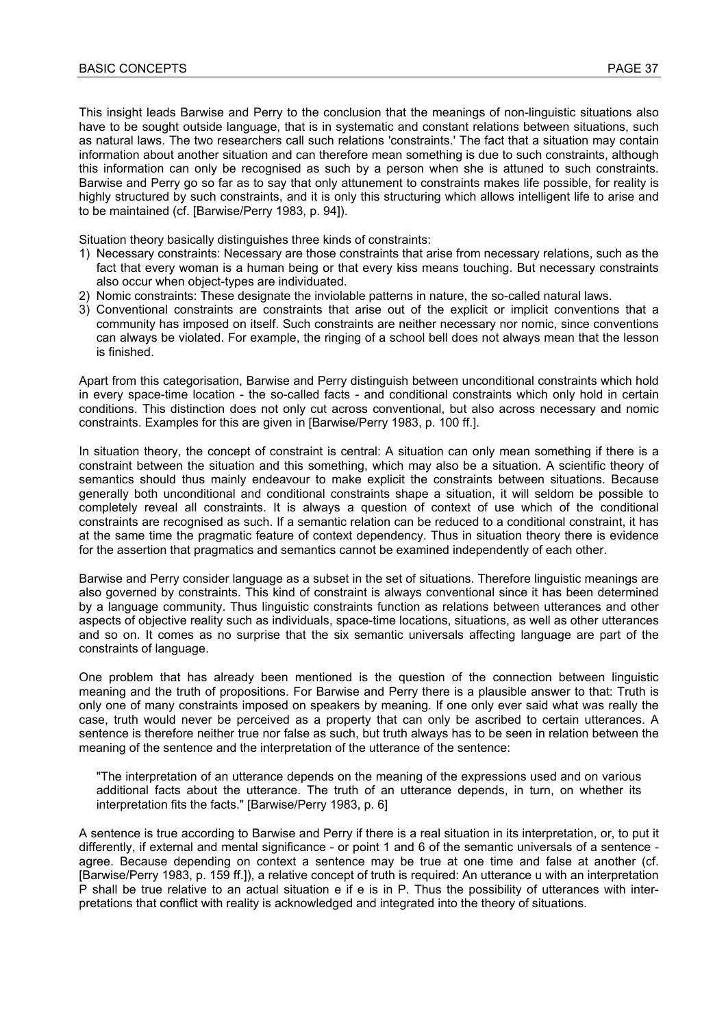This insight leads Barwise and Perry to the conclusion that the meanings of non-linguistic situations also have to be sought outside language, that is in systematic and constant relations between situations, such as natural laws. The two researchers call such relations 'constraints.' The fact that a situation may contain information about another situation and can therefore mean something is due to such constraints, although this information can only be recognised as such by a person when she is attuned to such constraints. Barwise and Perry go so far as to say that only attunement to constraints makes life possible, for reality is highly structured by such constraints, and it is only this structuring which allows intelligent life to arise and to be maintained (cf. [Barwise/Perry 1983, p. 94]).

Situation theory basically distinguishes three kinds of constraints:

- 1) Necessary constraints: Necessary are those constraints that arise from necessary relations, such as the fact that every woman is a human being or that every kiss means touching. But necessary constraints also occur when object-types are individuated.
- 2) Nomic constraints: These designate the inviolable patterns in nature, the so-called natural laws.
- 3) Conventional constraints are constraints that arise out of the explicit or implicit conventions that a community has imposed on itself. Such constraints are neither necessary nor nomic, since conventions can always be violated. For example, the ringing of a school bell does not always mean that the lesson is finished.

Apart from this categorisation, Barwise and Perry distinguish between unconditional constraints which hold in every space-time location - the so-called facts - and conditional constraints which only hold in certain conditions. This distinction does not only cut across conventional, but also across necessary and nomic constraints. Examples for this are given in [Barwise/Perry 1983, p. 100 ff.].

In situation theory, the concept of constraint is central: A situation can only mean something if there is a constraint between the situation and this something, which may also be a situation. A scientific theory of semantics should thus mainly endeavour to make explicit the constraints between situations. Because generally both unconditional and conditional constraints shape a situation, it will seldom be possible to completely reveal all constraints. It is always a question of context of use which of the conditional constraints are recognised as such. If a semantic relation can be reduced to a conditional constraint, it has at the same time the pragmatic feature of context dependency. Thus in situation theory there is evidence for the assertion that pragmatics and semantics cannot be examined independently of each other.

Barwise and Perry consider language as a subset in the set of situations. Therefore linguistic meanings are also governed by constraints. This kind of constraint is always conventional since it has been determined by a language community. Thus linguistic constraints function as relations between utterances and other aspects of objective reality such as individuals, space-time locations, situations, as well as other utterances and so on. It comes as no surprise that the six semantic universals affecting language are part of the constraints of language.

One problem that has already been mentioned is the question of the connection between linguistic meaning and the truth of propositions. For Barwise and Perry there is a plausible answer to that: Truth is only one of many constraints imposed on speakers by meaning. If one only ever said what was really the case, truth would never be perceived as a property that can only be ascribed to certain utterances. A sentence is therefore neither true nor false as such, but truth always has to be seen in relation between the meaning of the sentence and the interpretation of the utterance of the sentence:

"The interpretation of an utterance depends on the meaning of the expressions used and on various additional facts about the utterance. The truth of an utterance depends, in turn, on whether its interpretation fits the facts." [Barwise/Perry 1983, p. 6]

A sentence is true according to Barwise and Perry if there is a real situation in its interpretation, or, to put it differently, if external and mental significance - or point 1 and 6 of the semantic universals of a sentence agree. Because depending on context a sentence may be true at one time and false at another (cf. [Barwise/Perry 1983, p. 159 ff.]), a relative concept of truth is required: An utterance u with an interpretation P shall be true relative to an actual situation e if e is in P. Thus the possibility of utterances with interpretations that conflict with reality is acknowledged and integrated into the theory of situations.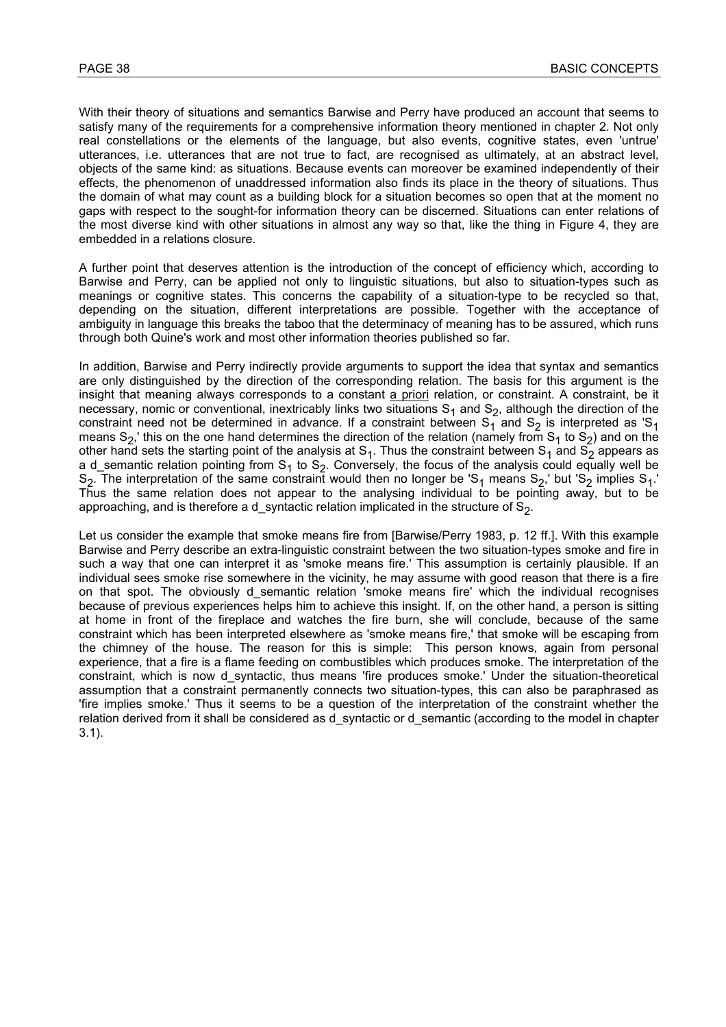With their theory of situations and semantics Barwise and Perry have produced an account that seems to satisfy many of the requirements for a comprehensive information theory mentioned in chapter 2. Not only real constellations or the elements of the language, but also events, cognitive states, even 'untrue' utterances, i.e. utterances that are not true to fact, are recognised as ultimately, at an abstract level, objects of the same kind: as situations. Because events can moreover be examined independently of their effects, the phenomenon of unaddressed information also finds its place in the theory of situations. Thus the domain of what may count as a building block for a situation becomes so open that at the moment no gaps with respect to the sought-for information theory can be discerned. Situations can enter relations of the most diverse kind with other situations in almost any way so that, like the thing in Figure 4, they are embedded in a relations closure.

A further point that deserves attention is the introduction of the concept of efficiency which, according to Barwise and Perry, can be applied not only to linguistic situations, but also to situation-types such as meanings or cognitive states. This concerns the capability of a situation-type to be recycled so that, depending on the situation, different interpretations are possible. Together with the acceptance of ambiguity in language this breaks the taboo that the determinacy of meaning has to be assured, which runs through both Quine's work and most other information theories published so far.

In addition, Barwise and Perry indirectly provide arguments to support the idea that syntax and semantics are only distinguished by the direction of the corresponding relation. The basis for this argument is the insight that meaning always corresponds to a constant a priori relation, or constraint. A constraint, be it necessary, nomic or conventional, inextricably links two situations  $S_1$  and  $S_2$ , although the direction of the constraint need not be determined in advance. If a constraint between  $S_1$  and  $S_2$  is interpreted as 'S<sub>1</sub> means S<sub>2</sub>,' this on the one hand determines the direction of the relation (namely from S<sub>1</sub> to S<sub>2</sub>) and on the other hand sets the starting point of the analysis at  $S_1$ . Thus the constraint between  $S_1$  and  $S_2$  appears as a d\_semantic relation pointing from  $S_1$  to  $S_2$ . Conversely, the focus of the analysis could equally well be  $S_2$ . The interpretation of the same constraint would then no longer be 'S<sub>1</sub> means S<sub>2</sub>,' but 'S<sub>2</sub> implies S<sub>1</sub>.' Thus the same relation does not appear to the analysing individual to be pointing away, but to be approaching, and is therefore a d syntactic relation implicated in the structure of  $S<sub>2</sub>$ .

Let us consider the example that smoke means fire from [Barwise/Perry 1983, p. 12 ff.]. With this example Barwise and Perry describe an extra-linguistic constraint between the two situation-types smoke and fire in such a way that one can interpret it as 'smoke means fire.' This assumption is certainly plausible. If an individual sees smoke rise somewhere in the vicinity, he may assume with good reason that there is a fire on that spot. The obviously d semantic relation 'smoke means fire' which the individual recognises because of previous experiences helps him to achieve this insight. If, on the other hand, a person is sitting at home in front of the fireplace and watches the fire burn, she will conclude, because of the same constraint which has been interpreted elsewhere as 'smoke means fire,' that smoke will be escaping from the chimney of the house. The reason for this is simple: This person knows, again from personal experience, that a fire is a flame feeding on combustibles which produces smoke. The interpretation of the constraint, which is now d\_syntactic, thus means 'fire produces smoke.' Under the situation-theoretical assumption that a constraint permanently connects two situation-types, this can also be paraphrased as 'fire implies smoke.' Thus it seems to be a question of the interpretation of the constraint whether the relation derived from it shall be considered as d syntactic or d semantic (according to the model in chapter 3.1).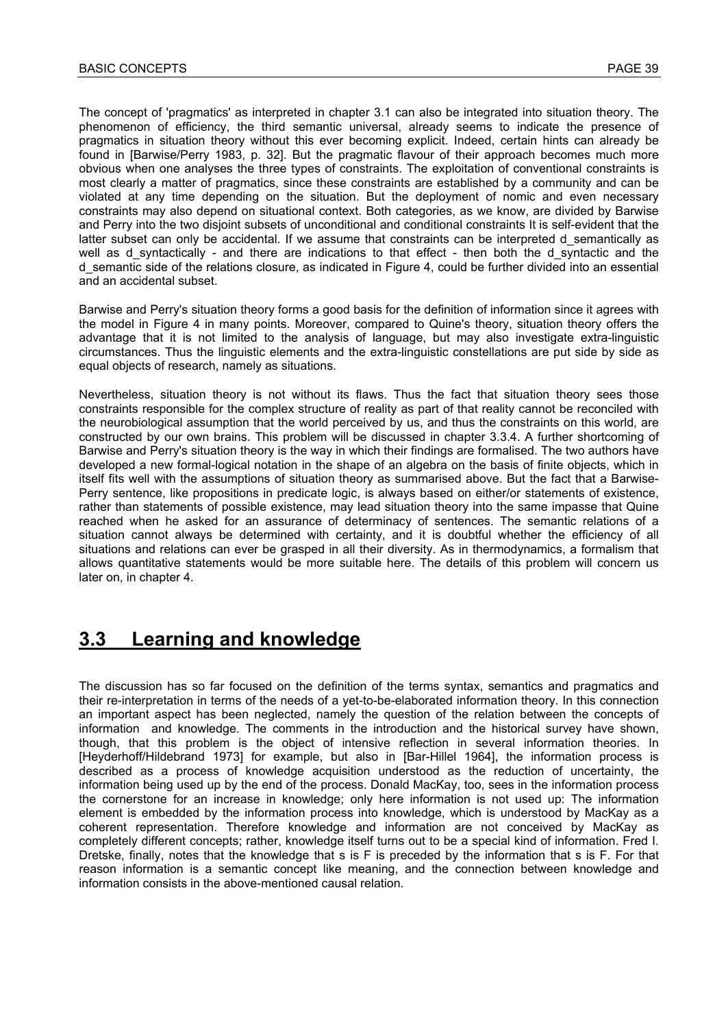The concept of 'pragmatics' as interpreted in chapter 3.1 can also be integrated into situation theory. The phenomenon of efficiency, the third semantic universal, already seems to indicate the presence of pragmatics in situation theory without this ever becoming explicit. Indeed, certain hints can already be found in [Barwise/Perry 1983, p. 32]. But the pragmatic flavour of their approach becomes much more obvious when one analyses the three types of constraints. The exploitation of conventional constraints is most clearly a matter of pragmatics, since these constraints are established by a community and can be violated at any time depending on the situation. But the deployment of nomic and even necessary constraints may also depend on situational context. Both categories, as we know, are divided by Barwise and Perry into the two disjoint subsets of unconditional and conditional constraints It is self-evident that the latter subset can only be accidental. If we assume that constraints can be interpreted d semantically as well as d syntactically - and there are indications to that effect - then both the d syntactic and the d\_semantic side of the relations closure, as indicated in Figure 4, could be further divided into an essential and an accidental subset.

Barwise and Perry's situation theory forms a good basis for the definition of information since it agrees with the model in Figure 4 in many points. Moreover, compared to Quine's theory, situation theory offers the advantage that it is not limited to the analysis of language, but may also investigate extra-linguistic circumstances. Thus the linguistic elements and the extra-linguistic constellations are put side by side as equal objects of research, namely as situations.

Nevertheless, situation theory is not without its flaws. Thus the fact that situation theory sees those constraints responsible for the complex structure of reality as part of that reality cannot be reconciled with the neurobiological assumption that the world perceived by us, and thus the constraints on this world, are constructed by our own brains. This problem will be discussed in chapter 3.3.4. A further shortcoming of Barwise and Perry's situation theory is the way in which their findings are formalised. The two authors have developed a new formal-logical notation in the shape of an algebra on the basis of finite objects, which in itself fits well with the assumptions of situation theory as summarised above. But the fact that a Barwise-Perry sentence, like propositions in predicate logic, is always based on either/or statements of existence, rather than statements of possible existence, may lead situation theory into the same impasse that Quine reached when he asked for an assurance of determinacy of sentences. The semantic relations of a situation cannot always be determined with certainty, and it is doubtful whether the efficiency of all situations and relations can ever be grasped in all their diversity. As in thermodynamics, a formalism that allows quantitative statements would be more suitable here. The details of this problem will concern us later on, in chapter 4.

# **3.3 Learning and knowledge**

The discussion has so far focused on the definition of the terms syntax, semantics and pragmatics and their re-interpretation in terms of the needs of a yet-to-be-elaborated information theory. In this connection an important aspect has been neglected, namely the question of the relation between the concepts of information and knowledge. The comments in the introduction and the historical survey have shown, though, that this problem is the object of intensive reflection in several information theories. In [Heyderhoff/Hildebrand 1973] for example, but also in [Bar-Hillel 1964], the information process is described as a process of knowledge acquisition understood as the reduction of uncertainty, the information being used up by the end of the process. Donald MacKay, too, sees in the information process the cornerstone for an increase in knowledge; only here information is not used up: The information element is embedded by the information process into knowledge, which is understood by MacKay as a coherent representation. Therefore knowledge and information are not conceived by MacKay as completely different concepts; rather, knowledge itself turns out to be a special kind of information. Fred I. Dretske, finally, notes that the knowledge that s is F is preceded by the information that s is F. For that reason information is a semantic concept like meaning, and the connection between knowledge and information consists in the above-mentioned causal relation.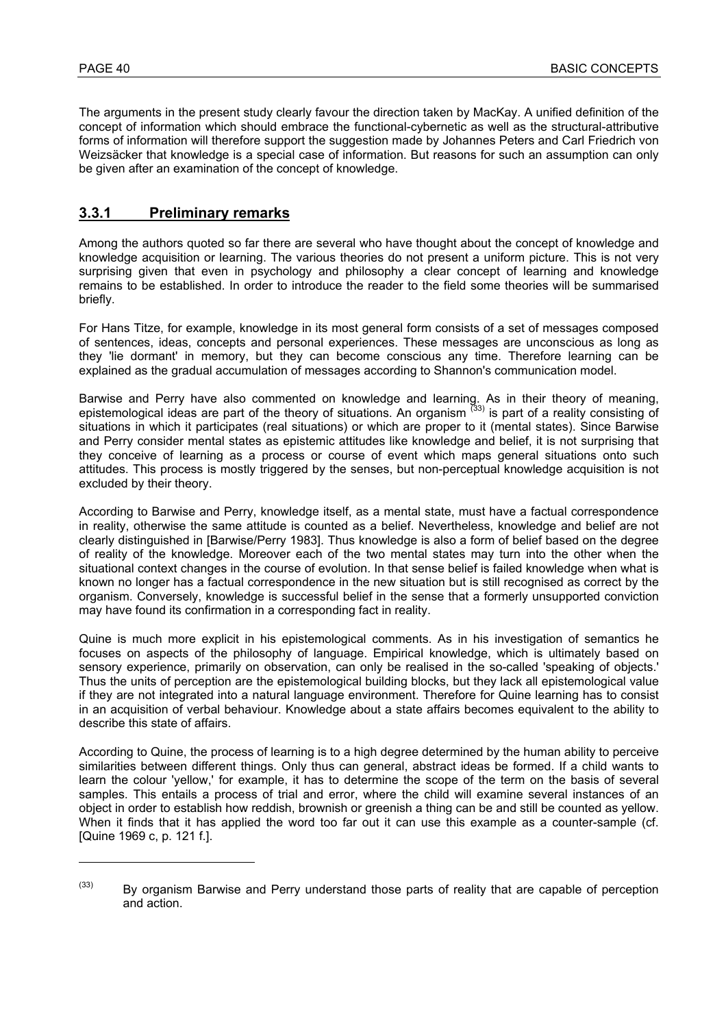l

The arguments in the present study clearly favour the direction taken by MacKay. A unified definition of the concept of information which should embrace the functional-cybernetic as well as the structural-attributive forms of information will therefore support the suggestion made by Johannes Peters and Carl Friedrich von Weizsäcker that knowledge is a special case of information. But reasons for such an assumption can only be given after an examination of the concept of knowledge.

## **3.3.1 Preliminary remarks**

Among the authors quoted so far there are several who have thought about the concept of knowledge and knowledge acquisition or learning. The various theories do not present a uniform picture. This is not very surprising given that even in psychology and philosophy a clear concept of learning and knowledge remains to be established. In order to introduce the reader to the field some theories will be summarised briefly.

For Hans Titze, for example, knowledge in its most general form consists of a set of messages composed of sentences, ideas, concepts and personal experiences. These messages are unconscious as long as they 'lie dormant' in memory, but they can become conscious any time. Therefore learning can be explained as the gradual accumulation of messages according to Shannon's communication model.

Barwise and Perry have also commented on knowledge and learning. As in their theory of meaning, epistemological ideas are part of the theory of situations. An organism <sup>(33)</sup> is part of a reality consisting of situations in which it participates (real situations) or which are proper to it (mental states). Since Barwise and Perry consider mental states as epistemic attitudes like knowledge and belief, it is not surprising that they conceive of learning as a process or course of event which maps general situations onto such attitudes. This process is mostly triggered by the senses, but non-perceptual knowledge acquisition is not excluded by their theory.

According to Barwise and Perry, knowledge itself, as a mental state, must have a factual correspondence in reality, otherwise the same attitude is counted as a belief. Nevertheless, knowledge and belief are not clearly distinguished in [Barwise/Perry 1983]. Thus knowledge is also a form of belief based on the degree of reality of the knowledge. Moreover each of the two mental states may turn into the other when the situational context changes in the course of evolution. In that sense belief is failed knowledge when what is known no longer has a factual correspondence in the new situation but is still recognised as correct by the organism. Conversely, knowledge is successful belief in the sense that a formerly unsupported conviction may have found its confirmation in a corresponding fact in reality.

Quine is much more explicit in his epistemological comments. As in his investigation of semantics he focuses on aspects of the philosophy of language. Empirical knowledge, which is ultimately based on sensory experience, primarily on observation, can only be realised in the so-called 'speaking of objects.' Thus the units of perception are the epistemological building blocks, but they lack all epistemological value if they are not integrated into a natural language environment. Therefore for Quine learning has to consist in an acquisition of verbal behaviour. Knowledge about a state affairs becomes equivalent to the ability to describe this state of affairs.

According to Quine, the process of learning is to a high degree determined by the human ability to perceive similarities between different things. Only thus can general, abstract ideas be formed. If a child wants to learn the colour 'yellow,' for example, it has to determine the scope of the term on the basis of several samples. This entails a process of trial and error, where the child will examine several instances of an object in order to establish how reddish, brownish or greenish a thing can be and still be counted as yellow. When it finds that it has applied the word too far out it can use this example as a counter-sample (cf. [Quine 1969 c, p. 121 f.].

 $(33)$  By organism Barwise and Perry understand those parts of reality that are capable of perception and action.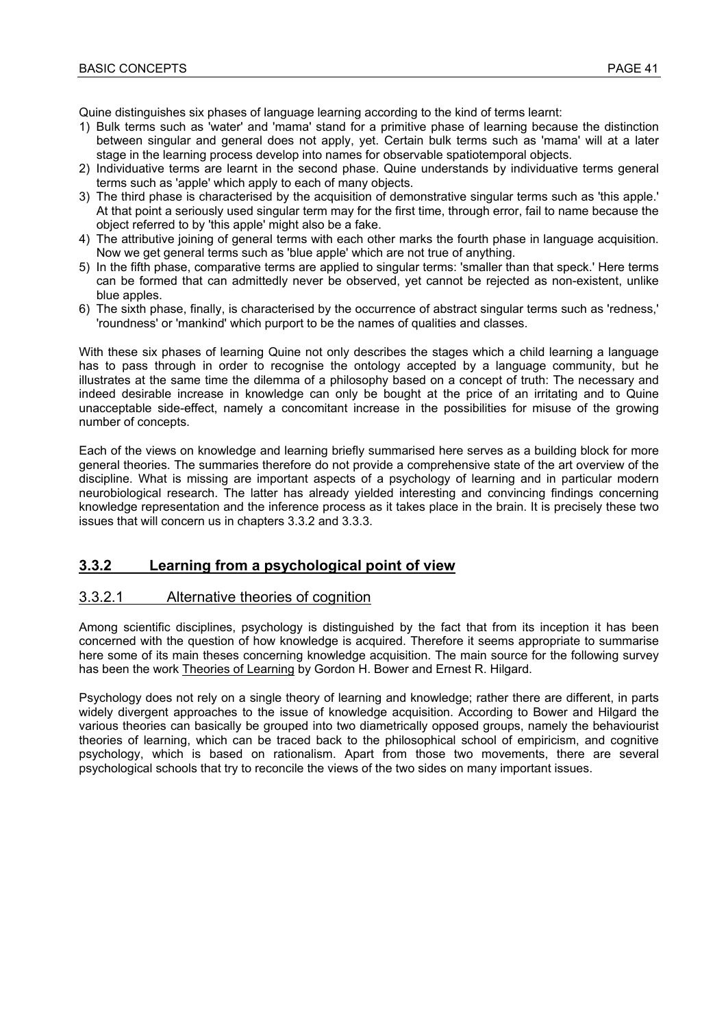Quine distinguishes six phases of language learning according to the kind of terms learnt:

- 1) Bulk terms such as 'water' and 'mama' stand for a primitive phase of learning because the distinction between singular and general does not apply, yet. Certain bulk terms such as 'mama' will at a later stage in the learning process develop into names for observable spatiotemporal objects.
- 2) Individuative terms are learnt in the second phase. Quine understands by individuative terms general terms such as 'apple' which apply to each of many objects.
- 3) The third phase is characterised by the acquisition of demonstrative singular terms such as 'this apple.' At that point a seriously used singular term may for the first time, through error, fail to name because the object referred to by 'this apple' might also be a fake.
- 4) The attributive joining of general terms with each other marks the fourth phase in language acquisition. Now we get general terms such as 'blue apple' which are not true of anything.
- 5) In the fifth phase, comparative terms are applied to singular terms: 'smaller than that speck.' Here terms can be formed that can admittedly never be observed, yet cannot be rejected as non-existent, unlike blue apples.
- 6) The sixth phase, finally, is characterised by the occurrence of abstract singular terms such as 'redness,' 'roundness' or 'mankind' which purport to be the names of qualities and classes.

With these six phases of learning Quine not only describes the stages which a child learning a language has to pass through in order to recognise the ontology accepted by a language community, but he illustrates at the same time the dilemma of a philosophy based on a concept of truth: The necessary and indeed desirable increase in knowledge can only be bought at the price of an irritating and to Quine unacceptable side-effect, namely a concomitant increase in the possibilities for misuse of the growing number of concepts.

Each of the views on knowledge and learning briefly summarised here serves as a building block for more general theories. The summaries therefore do not provide a comprehensive state of the art overview of the discipline. What is missing are important aspects of a psychology of learning and in particular modern neurobiological research. The latter has already yielded interesting and convincing findings concerning knowledge representation and the inference process as it takes place in the brain. It is precisely these two issues that will concern us in chapters 3.3.2 and 3.3.3.

### **3.3.2 Learning from a psychological point of view**

#### 3.3.2.1 Alternative theories of cognition

Among scientific disciplines, psychology is distinguished by the fact that from its inception it has been concerned with the question of how knowledge is acquired. Therefore it seems appropriate to summarise here some of its main theses concerning knowledge acquisition. The main source for the following survey has been the work Theories of Learning by Gordon H. Bower and Ernest R. Hilgard.

Psychology does not rely on a single theory of learning and knowledge; rather there are different, in parts widely divergent approaches to the issue of knowledge acquisition. According to Bower and Hilgard the various theories can basically be grouped into two diametrically opposed groups, namely the behaviourist theories of learning, which can be traced back to the philosophical school of empiricism, and cognitive psychology, which is based on rationalism. Apart from those two movements, there are several psychological schools that try to reconcile the views of the two sides on many important issues.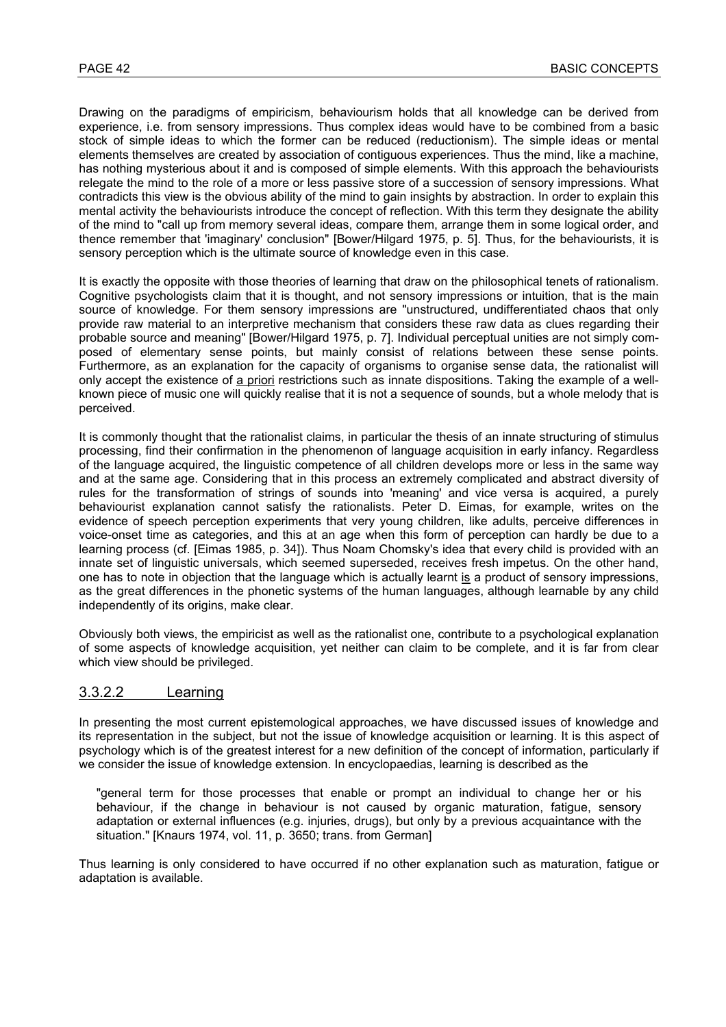Drawing on the paradigms of empiricism, behaviourism holds that all knowledge can be derived from experience, i.e. from sensory impressions. Thus complex ideas would have to be combined from a basic stock of simple ideas to which the former can be reduced (reductionism). The simple ideas or mental elements themselves are created by association of contiguous experiences. Thus the mind, like a machine, has nothing mysterious about it and is composed of simple elements. With this approach the behaviourists relegate the mind to the role of a more or less passive store of a succession of sensory impressions. What contradicts this view is the obvious ability of the mind to gain insights by abstraction. In order to explain this mental activity the behaviourists introduce the concept of reflection. With this term they designate the ability of the mind to "call up from memory several ideas, compare them, arrange them in some logical order, and thence remember that 'imaginary' conclusion" [Bower/Hilgard 1975, p. 5]. Thus, for the behaviourists, it is sensory perception which is the ultimate source of knowledge even in this case.

It is exactly the opposite with those theories of learning that draw on the philosophical tenets of rationalism. Cognitive psychologists claim that it is thought, and not sensory impressions or intuition, that is the main source of knowledge. For them sensory impressions are "unstructured, undifferentiated chaos that only provide raw material to an interpretive mechanism that considers these raw data as clues regarding their probable source and meaning" [Bower/Hilgard 1975, p. 7]. Individual perceptual unities are not simply composed of elementary sense points, but mainly consist of relations between these sense points. Furthermore, as an explanation for the capacity of organisms to organise sense data, the rationalist will only accept the existence of a priori restrictions such as innate dispositions. Taking the example of a wellknown piece of music one will quickly realise that it is not a sequence of sounds, but a whole melody that is perceived.

It is commonly thought that the rationalist claims, in particular the thesis of an innate structuring of stimulus processing, find their confirmation in the phenomenon of language acquisition in early infancy. Regardless of the language acquired, the linguistic competence of all children develops more or less in the same way and at the same age. Considering that in this process an extremely complicated and abstract diversity of rules for the transformation of strings of sounds into 'meaning' and vice versa is acquired, a purely behaviourist explanation cannot satisfy the rationalists. Peter D. Eimas, for example, writes on the evidence of speech perception experiments that very young children, like adults, perceive differences in voice-onset time as categories, and this at an age when this form of perception can hardly be due to a learning process (cf. [Eimas 1985, p. 34]). Thus Noam Chomsky's idea that every child is provided with an innate set of linguistic universals, which seemed superseded, receives fresh impetus. On the other hand, one has to note in objection that the language which is actually learnt is a product of sensory impressions, as the great differences in the phonetic systems of the human languages, although learnable by any child independently of its origins, make clear.

Obviously both views, the empiricist as well as the rationalist one, contribute to a psychological explanation of some aspects of knowledge acquisition, yet neither can claim to be complete, and it is far from clear which view should be privileged.

#### 3.3.2.2 Learning

In presenting the most current epistemological approaches, we have discussed issues of knowledge and its representation in the subject, but not the issue of knowledge acquisition or learning. It is this aspect of psychology which is of the greatest interest for a new definition of the concept of information, particularly if we consider the issue of knowledge extension. In encyclopaedias, learning is described as the

"general term for those processes that enable or prompt an individual to change her or his behaviour, if the change in behaviour is not caused by organic maturation, fatigue, sensory adaptation or external influences (e.g. injuries, drugs), but only by a previous acquaintance with the situation." [Knaurs 1974, vol. 11, p. 3650; trans. from German]

Thus learning is only considered to have occurred if no other explanation such as maturation, fatigue or adaptation is available.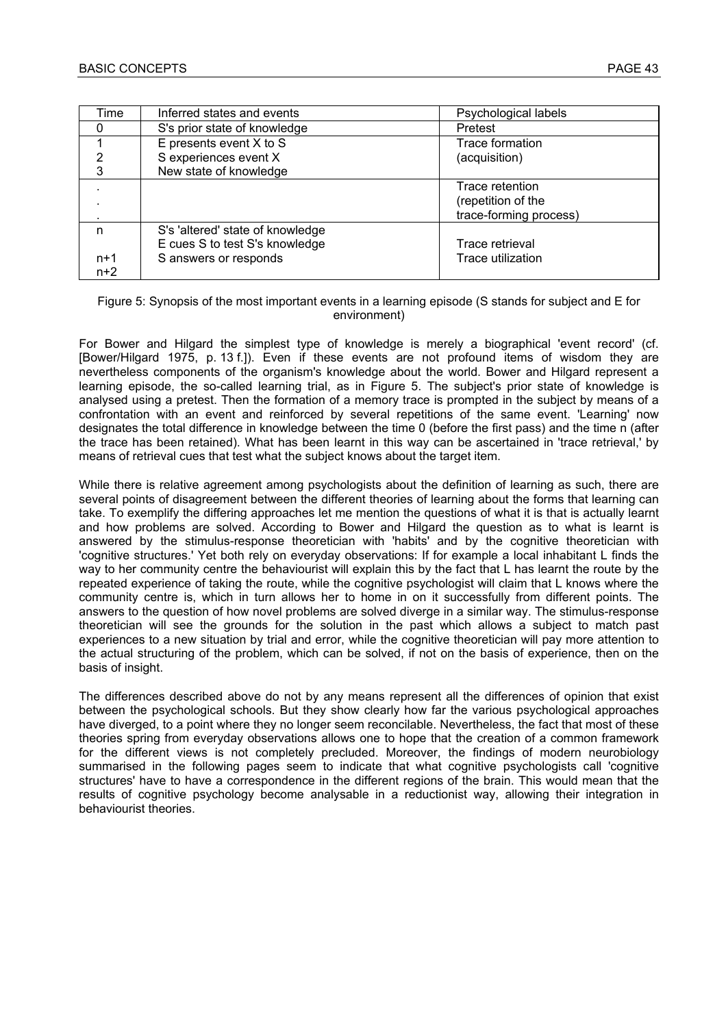| Time  | Inferred states and events       | Psychological labels   |
|-------|----------------------------------|------------------------|
| 0     | S's prior state of knowledge     | Pretest                |
|       | E presents event $X$ to $S$      | <b>Trace formation</b> |
| 2     | S experiences event X            | (acquisition)          |
| 3     | New state of knowledge           |                        |
|       |                                  | Trace retention        |
|       |                                  | (repetition of the     |
|       |                                  | trace-forming process) |
| n     | S's 'altered' state of knowledge |                        |
|       | E cues S to test S's knowledge   | Trace retrieval        |
| $n+1$ | S answers or responds            | Trace utilization      |
| $n+2$ |                                  |                        |

#### Figure 5: Synopsis of the most important events in a learning episode (S stands for subject and E for environment)

For Bower and Hilgard the simplest type of knowledge is merely a biographical 'event record' (cf. [Bower/Hilgard 1975, p. 13 f.]). Even if these events are not profound items of wisdom they are nevertheless components of the organism's knowledge about the world. Bower and Hilgard represent a learning episode, the so-called learning trial, as in Figure 5. The subject's prior state of knowledge is analysed using a pretest. Then the formation of a memory trace is prompted in the subject by means of a confrontation with an event and reinforced by several repetitions of the same event. 'Learning' now designates the total difference in knowledge between the time 0 (before the first pass) and the time n (after the trace has been retained). What has been learnt in this way can be ascertained in 'trace retrieval,' by means of retrieval cues that test what the subject knows about the target item.

While there is relative agreement among psychologists about the definition of learning as such, there are several points of disagreement between the different theories of learning about the forms that learning can take. To exemplify the differing approaches let me mention the questions of what it is that is actually learnt and how problems are solved. According to Bower and Hilgard the question as to what is learnt is answered by the stimulus-response theoretician with 'habits' and by the cognitive theoretician with 'cognitive structures.' Yet both rely on everyday observations: If for example a local inhabitant L finds the way to her community centre the behaviourist will explain this by the fact that L has learnt the route by the repeated experience of taking the route, while the cognitive psychologist will claim that L knows where the community centre is, which in turn allows her to home in on it successfully from different points. The answers to the question of how novel problems are solved diverge in a similar way. The stimulus-response theoretician will see the grounds for the solution in the past which allows a subject to match past experiences to a new situation by trial and error, while the cognitive theoretician will pay more attention to the actual structuring of the problem, which can be solved, if not on the basis of experience, then on the basis of insight.

The differences described above do not by any means represent all the differences of opinion that exist between the psychological schools. But they show clearly how far the various psychological approaches have diverged, to a point where they no longer seem reconcilable. Nevertheless, the fact that most of these theories spring from everyday observations allows one to hope that the creation of a common framework for the different views is not completely precluded. Moreover, the findings of modern neurobiology summarised in the following pages seem to indicate that what cognitive psychologists call 'cognitive structures' have to have a correspondence in the different regions of the brain. This would mean that the results of cognitive psychology become analysable in a reductionist way, allowing their integration in behaviourist theories.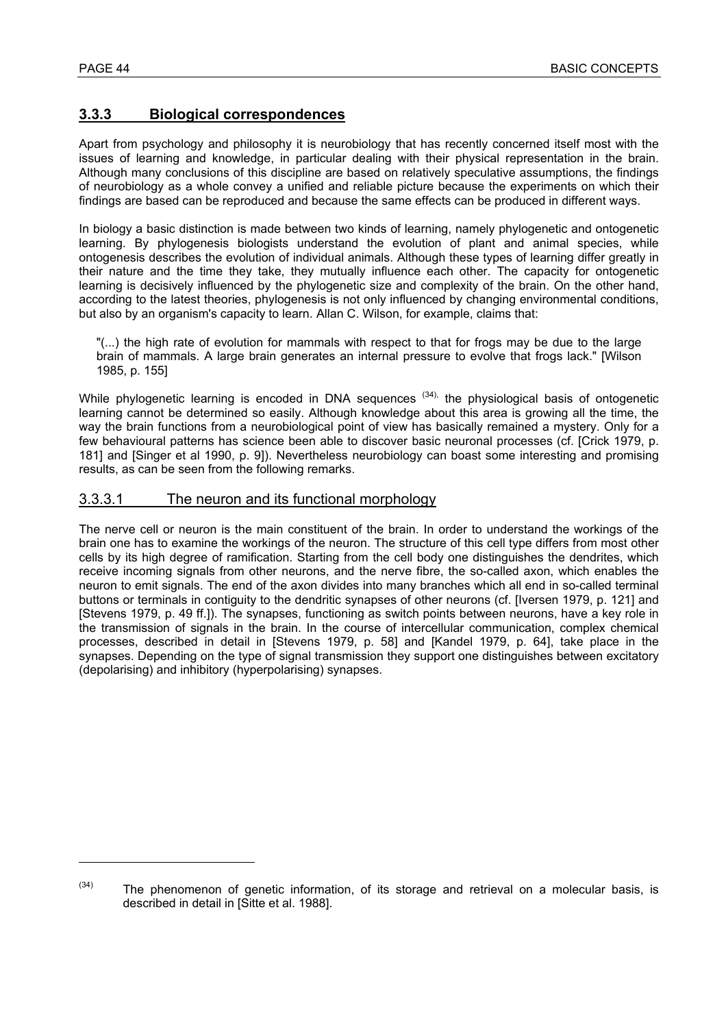l

# **3.3.3 Biological correspondences**

Apart from psychology and philosophy it is neurobiology that has recently concerned itself most with the issues of learning and knowledge, in particular dealing with their physical representation in the brain. Although many conclusions of this discipline are based on relatively speculative assumptions, the findings of neurobiology as a whole convey a unified and reliable picture because the experiments on which their findings are based can be reproduced and because the same effects can be produced in different ways.

In biology a basic distinction is made between two kinds of learning, namely phylogenetic and ontogenetic learning. By phylogenesis biologists understand the evolution of plant and animal species, while ontogenesis describes the evolution of individual animals. Although these types of learning differ greatly in their nature and the time they take, they mutually influence each other. The capacity for ontogenetic learning is decisively influenced by the phylogenetic size and complexity of the brain. On the other hand, according to the latest theories, phylogenesis is not only influenced by changing environmental conditions, but also by an organism's capacity to learn. Allan C. Wilson, for example, claims that:

"(...) the high rate of evolution for mammals with respect to that for frogs may be due to the large brain of mammals. A large brain generates an internal pressure to evolve that frogs lack." [Wilson 1985, p. 155]

While phylogenetic learning is encoded in DNA sequences  $(34)$ , the physiological basis of ontogenetic learning cannot be determined so easily. Although knowledge about this area is growing all the time, the way the brain functions from a neurobiological point of view has basically remained a mystery. Only for a few behavioural patterns has science been able to discover basic neuronal processes (cf. [Crick 1979, p. 181] and [Singer et al 1990, p. 9]). Nevertheless neurobiology can boast some interesting and promising results, as can be seen from the following remarks.

#### 3.3.3.1 The neuron and its functional morphology

The nerve cell or neuron is the main constituent of the brain. In order to understand the workings of the brain one has to examine the workings of the neuron. The structure of this cell type differs from most other cells by its high degree of ramification. Starting from the cell body one distinguishes the dendrites, which receive incoming signals from other neurons, and the nerve fibre, the so-called axon, which enables the neuron to emit signals. The end of the axon divides into many branches which all end in so-called terminal buttons or terminals in contiguity to the dendritic synapses of other neurons (cf. [Iversen 1979, p. 121] and [Stevens 1979, p. 49 ff.]). The synapses, functioning as switch points between neurons, have a key role in the transmission of signals in the brain. In the course of intercellular communication, complex chemical processes, described in detail in [Stevens 1979, p. 58] and [Kandel 1979, p. 64], take place in the synapses. Depending on the type of signal transmission they support one distinguishes between excitatory (depolarising) and inhibitory (hyperpolarising) synapses.

 $(34)$  The phenomenon of genetic information, of its storage and retrieval on a molecular basis, is described in detail in [Sitte et al. 1988].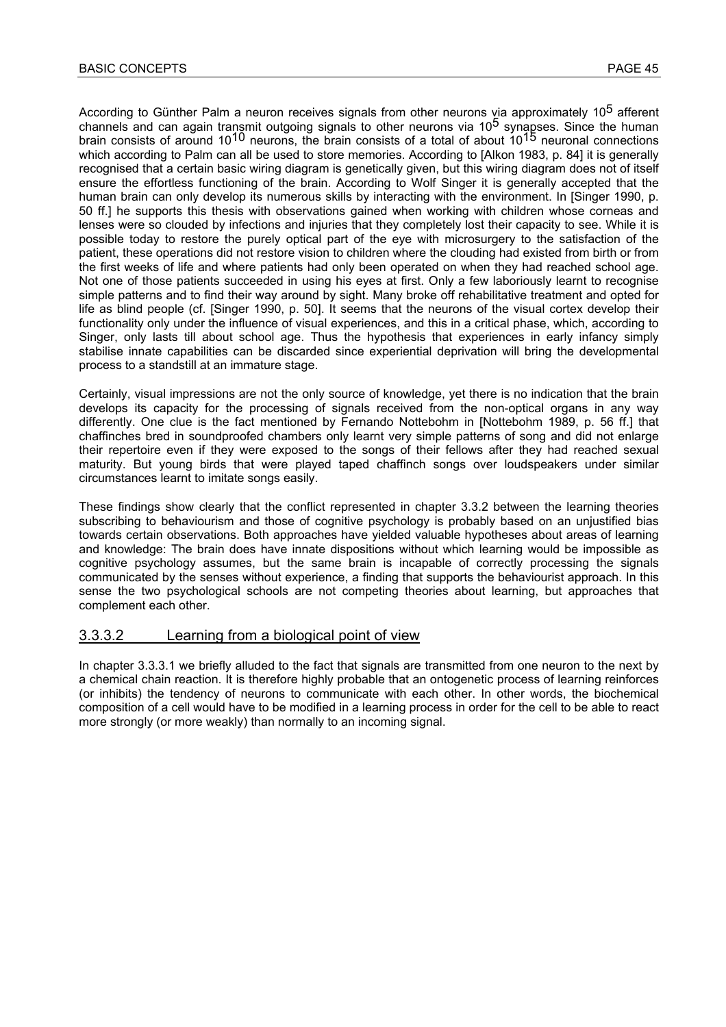According to Günther Palm a neuron receives signals from other neurons via approximately 10<sup>5</sup> afferent channels and can again transmit outgoing signals to other neurons via 10<sup>5</sup> synapses. Since the human brain consists of around 1010 neurons, the brain consists of a total of about 1015 neuronal connections which according to Palm can all be used to store memories. According to [Alkon 1983, p. 84] it is generally recognised that a certain basic wiring diagram is genetically given, but this wiring diagram does not of itself ensure the effortless functioning of the brain. According to Wolf Singer it is generally accepted that the human brain can only develop its numerous skills by interacting with the environment. In [Singer 1990, p. 50 ff.] he supports this thesis with observations gained when working with children whose corneas and lenses were so clouded by infections and injuries that they completely lost their capacity to see. While it is possible today to restore the purely optical part of the eye with microsurgery to the satisfaction of the patient, these operations did not restore vision to children where the clouding had existed from birth or from the first weeks of life and where patients had only been operated on when they had reached school age. Not one of those patients succeeded in using his eyes at first. Only a few laboriously learnt to recognise simple patterns and to find their way around by sight. Many broke off rehabilitative treatment and opted for life as blind people (cf. [Singer 1990, p. 50]. It seems that the neurons of the visual cortex develop their functionality only under the influence of visual experiences, and this in a critical phase, which, according to Singer, only lasts till about school age. Thus the hypothesis that experiences in early infancy simply stabilise innate capabilities can be discarded since experiential deprivation will bring the developmental process to a standstill at an immature stage.

Certainly, visual impressions are not the only source of knowledge, yet there is no indication that the brain develops its capacity for the processing of signals received from the non-optical organs in any way differently. One clue is the fact mentioned by Fernando Nottebohm in [Nottebohm 1989, p. 56 ff.] that chaffinches bred in soundproofed chambers only learnt very simple patterns of song and did not enlarge their repertoire even if they were exposed to the songs of their fellows after they had reached sexual maturity. But young birds that were played taped chaffinch songs over loudspeakers under similar circumstances learnt to imitate songs easily.

These findings show clearly that the conflict represented in chapter 3.3.2 between the learning theories subscribing to behaviourism and those of cognitive psychology is probably based on an unjustified bias towards certain observations. Both approaches have yielded valuable hypotheses about areas of learning and knowledge: The brain does have innate dispositions without which learning would be impossible as cognitive psychology assumes, but the same brain is incapable of correctly processing the signals communicated by the senses without experience, a finding that supports the behaviourist approach. In this sense the two psychological schools are not competing theories about learning, but approaches that complement each other.

#### 3.3.3.2 Learning from a biological point of view

In chapter 3.3.3.1 we briefly alluded to the fact that signals are transmitted from one neuron to the next by a chemical chain reaction. It is therefore highly probable that an ontogenetic process of learning reinforces (or inhibits) the tendency of neurons to communicate with each other. In other words, the biochemical composition of a cell would have to be modified in a learning process in order for the cell to be able to react more strongly (or more weakly) than normally to an incoming signal.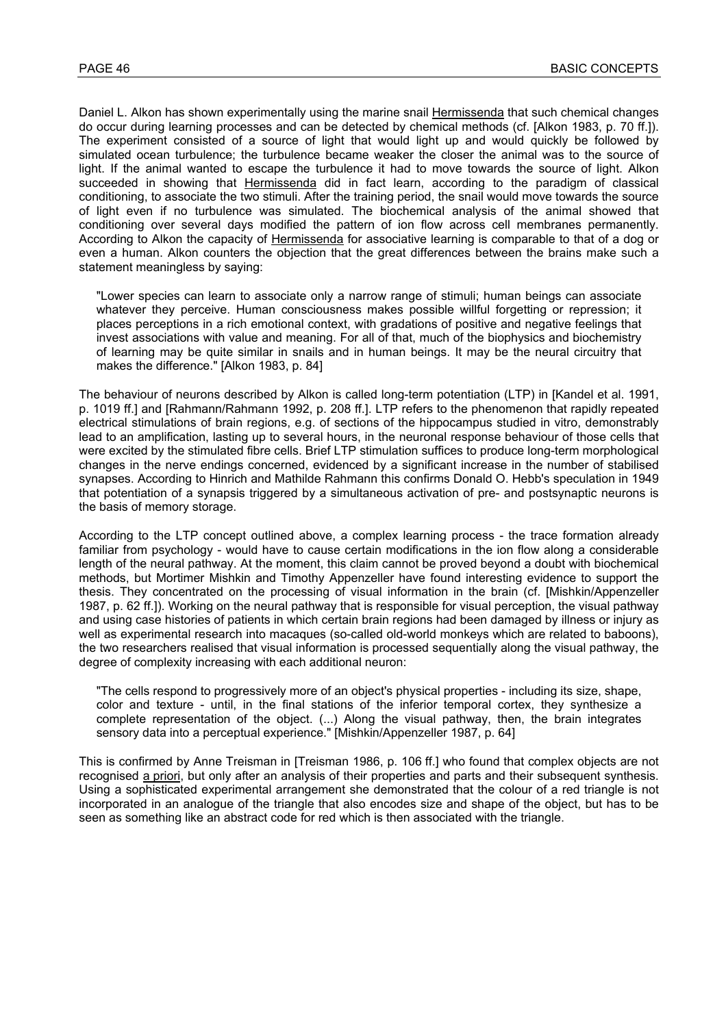Daniel L. Alkon has shown experimentally using the marine snail Hermissenda that such chemical changes do occur during learning processes and can be detected by chemical methods (cf. [Alkon 1983, p. 70 ff.]). The experiment consisted of a source of light that would light up and would quickly be followed by simulated ocean turbulence; the turbulence became weaker the closer the animal was to the source of light. If the animal wanted to escape the turbulence it had to move towards the source of light. Alkon succeeded in showing that Hermissenda did in fact learn, according to the paradigm of classical conditioning, to associate the two stimuli. After the training period, the snail would move towards the source of light even if no turbulence was simulated. The biochemical analysis of the animal showed that conditioning over several days modified the pattern of ion flow across cell membranes permanently. According to Alkon the capacity of Hermissenda for associative learning is comparable to that of a dog or even a human. Alkon counters the objection that the great differences between the brains make such a statement meaningless by saying:

"Lower species can learn to associate only a narrow range of stimuli; human beings can associate whatever they perceive. Human consciousness makes possible willful forgetting or repression; it places perceptions in a rich emotional context, with gradations of positive and negative feelings that invest associations with value and meaning. For all of that, much of the biophysics and biochemistry of learning may be quite similar in snails and in human beings. It may be the neural circuitry that makes the difference." [Alkon 1983, p. 84]

The behaviour of neurons described by Alkon is called long-term potentiation (LTP) in [Kandel et al. 1991, p. 1019 ff.] and [Rahmann/Rahmann 1992, p. 208 ff.]. LTP refers to the phenomenon that rapidly repeated electrical stimulations of brain regions, e.g. of sections of the hippocampus studied in vitro, demonstrably lead to an amplification, lasting up to several hours, in the neuronal response behaviour of those cells that were excited by the stimulated fibre cells. Brief LTP stimulation suffices to produce long-term morphological changes in the nerve endings concerned, evidenced by a significant increase in the number of stabilised synapses. According to Hinrich and Mathilde Rahmann this confirms Donald O. Hebb's speculation in 1949 that potentiation of a synapsis triggered by a simultaneous activation of pre- and postsynaptic neurons is the basis of memory storage.

According to the LTP concept outlined above, a complex learning process - the trace formation already familiar from psychology - would have to cause certain modifications in the ion flow along a considerable length of the neural pathway. At the moment, this claim cannot be proved beyond a doubt with biochemical methods, but Mortimer Mishkin and Timothy Appenzeller have found interesting evidence to support the thesis. They concentrated on the processing of visual information in the brain (cf. [Mishkin/Appenzeller 1987, p. 62 ff.]). Working on the neural pathway that is responsible for visual perception, the visual pathway and using case histories of patients in which certain brain regions had been damaged by illness or injury as well as experimental research into macaques (so-called old-world monkeys which are related to baboons), the two researchers realised that visual information is processed sequentially along the visual pathway, the degree of complexity increasing with each additional neuron:

"The cells respond to progressively more of an object's physical properties - including its size, shape, color and texture - until, in the final stations of the inferior temporal cortex, they synthesize a complete representation of the object. (...) Along the visual pathway, then, the brain integrates sensory data into a perceptual experience." [Mishkin/Appenzeller 1987, p. 64]

This is confirmed by Anne Treisman in [Treisman 1986, p. 106 ff.] who found that complex objects are not recognised a priori, but only after an analysis of their properties and parts and their subsequent synthesis. Using a sophisticated experimental arrangement she demonstrated that the colour of a red triangle is not incorporated in an analogue of the triangle that also encodes size and shape of the object, but has to be seen as something like an abstract code for red which is then associated with the triangle.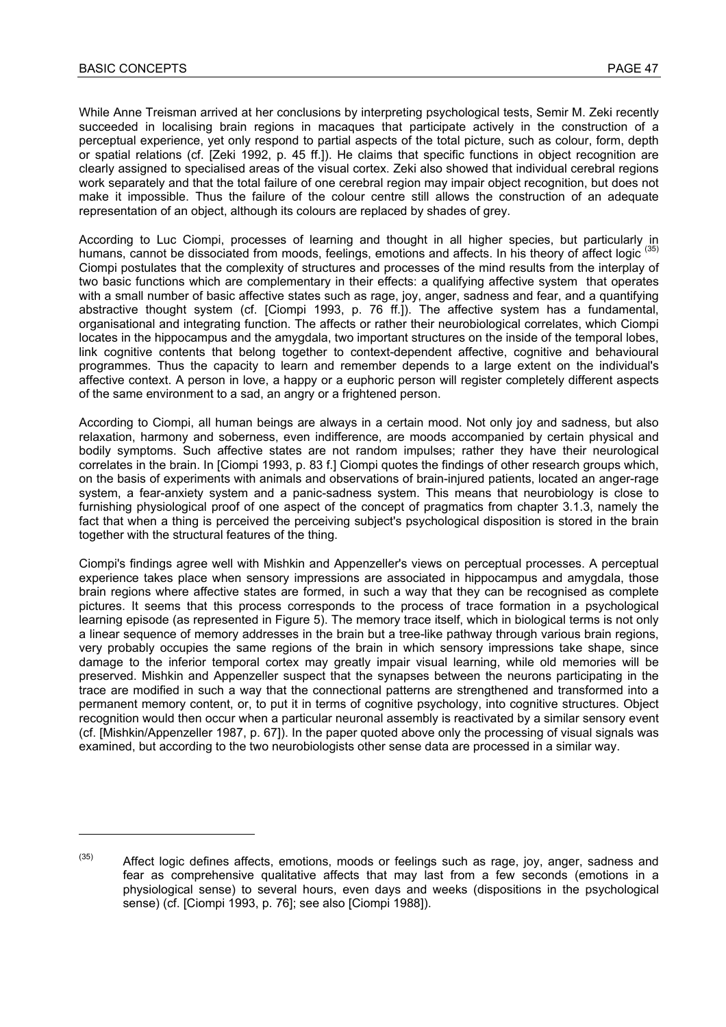l

While Anne Treisman arrived at her conclusions by interpreting psychological tests, Semir M. Zeki recently succeeded in localising brain regions in macaques that participate actively in the construction of a perceptual experience, yet only respond to partial aspects of the total picture, such as colour, form, depth or spatial relations (cf. [Zeki 1992, p. 45 ff.]). He claims that specific functions in object recognition are clearly assigned to specialised areas of the visual cortex. Zeki also showed that individual cerebral regions work separately and that the total failure of one cerebral region may impair object recognition, but does not make it impossible. Thus the failure of the colour centre still allows the construction of an adequate representation of an object, although its colours are replaced by shades of grey.

According to Luc Ciompi, processes of learning and thought in all higher species, but particularly in humans, cannot be dissociated from moods, feelings, emotions and affects. In his theory of affect logic (35) Ciompi postulates that the complexity of structures and processes of the mind results from the interplay of two basic functions which are complementary in their effects: a qualifying affective system that operates with a small number of basic affective states such as rage, joy, anger, sadness and fear, and a quantifying abstractive thought system (cf. [Ciompi 1993, p. 76 ff.]). The affective system has a fundamental, organisational and integrating function. The affects or rather their neurobiological correlates, which Ciompi locates in the hippocampus and the amygdala, two important structures on the inside of the temporal lobes, link cognitive contents that belong together to context-dependent affective, cognitive and behavioural programmes. Thus the capacity to learn and remember depends to a large extent on the individual's affective context. A person in love, a happy or a euphoric person will register completely different aspects of the same environment to a sad, an angry or a frightened person.

According to Ciompi, all human beings are always in a certain mood. Not only joy and sadness, but also relaxation, harmony and soberness, even indifference, are moods accompanied by certain physical and bodily symptoms. Such affective states are not random impulses; rather they have their neurological correlates in the brain. In [Ciompi 1993, p. 83 f.] Ciompi quotes the findings of other research groups which, on the basis of experiments with animals and observations of brain-injured patients, located an anger-rage system, a fear-anxiety system and a panic-sadness system. This means that neurobiology is close to furnishing physiological proof of one aspect of the concept of pragmatics from chapter 3.1.3, namely the fact that when a thing is perceived the perceiving subject's psychological disposition is stored in the brain together with the structural features of the thing.

Ciompi's findings agree well with Mishkin and Appenzeller's views on perceptual processes. A perceptual experience takes place when sensory impressions are associated in hippocampus and amygdala, those brain regions where affective states are formed, in such a way that they can be recognised as complete pictures. It seems that this process corresponds to the process of trace formation in a psychological learning episode (as represented in Figure 5). The memory trace itself, which in biological terms is not only a linear sequence of memory addresses in the brain but a tree-like pathway through various brain regions, very probably occupies the same regions of the brain in which sensory impressions take shape, since damage to the inferior temporal cortex may greatly impair visual learning, while old memories will be preserved. Mishkin and Appenzeller suspect that the synapses between the neurons participating in the trace are modified in such a way that the connectional patterns are strengthened and transformed into a permanent memory content, or, to put it in terms of cognitive psychology, into cognitive structures. Object recognition would then occur when a particular neuronal assembly is reactivated by a similar sensory event (cf. [Mishkin/Appenzeller 1987, p. 67]). In the paper quoted above only the processing of visual signals was examined, but according to the two neurobiologists other sense data are processed in a similar way.

 $(35)$  Affect logic defines affects, emotions, moods or feelings such as rage, joy, anger, sadness and fear as comprehensive qualitative affects that may last from a few seconds (emotions in a physiological sense) to several hours, even days and weeks (dispositions in the psychological sense) (cf. [Ciompi 1993, p. 76]; see also [Ciompi 1988]).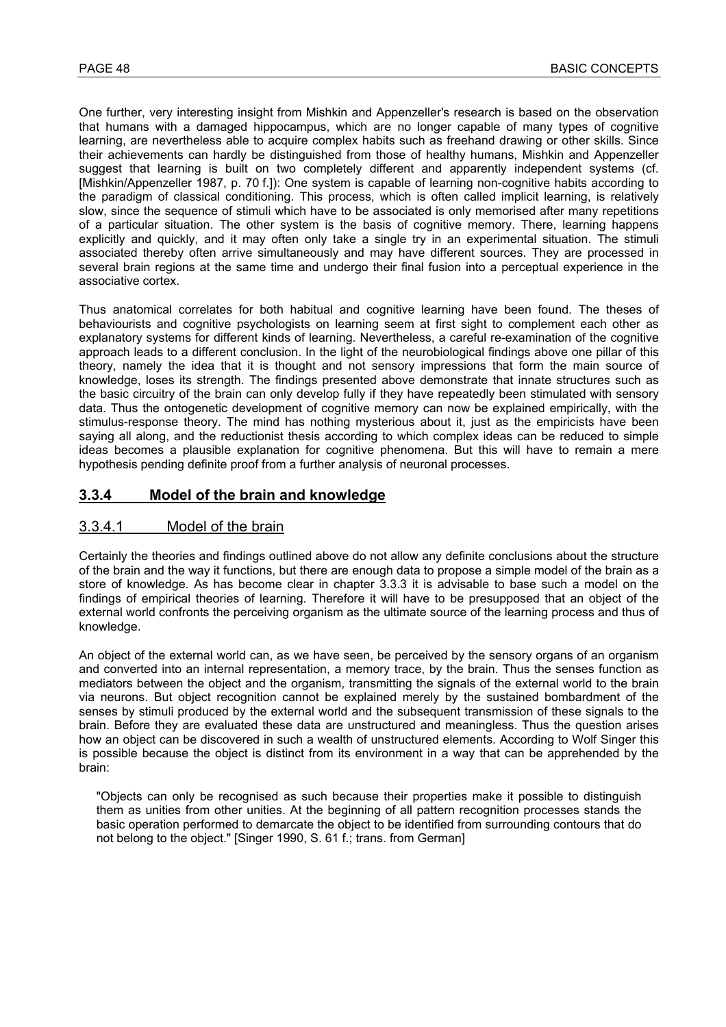One further, very interesting insight from Mishkin and Appenzeller's research is based on the observation that humans with a damaged hippocampus, which are no longer capable of many types of cognitive learning, are nevertheless able to acquire complex habits such as freehand drawing or other skills. Since their achievements can hardly be distinguished from those of healthy humans, Mishkin and Appenzeller suggest that learning is built on two completely different and apparently independent systems (cf. [Mishkin/Appenzeller 1987, p. 70 f.]): One system is capable of learning non-cognitive habits according to the paradigm of classical conditioning. This process, which is often called implicit learning, is relatively slow, since the sequence of stimuli which have to be associated is only memorised after many repetitions of a particular situation. The other system is the basis of cognitive memory. There, learning happens explicitly and quickly, and it may often only take a single try in an experimental situation. The stimuli associated thereby often arrive simultaneously and may have different sources. They are processed in several brain regions at the same time and undergo their final fusion into a perceptual experience in the associative cortex.

Thus anatomical correlates for both habitual and cognitive learning have been found. The theses of behaviourists and cognitive psychologists on learning seem at first sight to complement each other as explanatory systems for different kinds of learning. Nevertheless, a careful re-examination of the cognitive approach leads to a different conclusion. In the light of the neurobiological findings above one pillar of this theory, namely the idea that it is thought and not sensory impressions that form the main source of knowledge, loses its strength. The findings presented above demonstrate that innate structures such as the basic circuitry of the brain can only develop fully if they have repeatedly been stimulated with sensory data. Thus the ontogenetic development of cognitive memory can now be explained empirically, with the stimulus-response theory. The mind has nothing mysterious about it, just as the empiricists have been saying all along, and the reductionist thesis according to which complex ideas can be reduced to simple ideas becomes a plausible explanation for cognitive phenomena. But this will have to remain a mere hypothesis pending definite proof from a further analysis of neuronal processes.

### **3.3.4 Model of the brain and knowledge**

#### 3.3.4.1 Model of the brain

Certainly the theories and findings outlined above do not allow any definite conclusions about the structure of the brain and the way it functions, but there are enough data to propose a simple model of the brain as a store of knowledge. As has become clear in chapter 3.3.3 it is advisable to base such a model on the findings of empirical theories of learning. Therefore it will have to be presupposed that an object of the external world confronts the perceiving organism as the ultimate source of the learning process and thus of knowledge.

An object of the external world can, as we have seen, be perceived by the sensory organs of an organism and converted into an internal representation, a memory trace, by the brain. Thus the senses function as mediators between the object and the organism, transmitting the signals of the external world to the brain via neurons. But object recognition cannot be explained merely by the sustained bombardment of the senses by stimuli produced by the external world and the subsequent transmission of these signals to the brain. Before they are evaluated these data are unstructured and meaningless. Thus the question arises how an object can be discovered in such a wealth of unstructured elements. According to Wolf Singer this is possible because the object is distinct from its environment in a way that can be apprehended by the brain:

"Objects can only be recognised as such because their properties make it possible to distinguish them as unities from other unities. At the beginning of all pattern recognition processes stands the basic operation performed to demarcate the object to be identified from surrounding contours that do not belong to the object." [Singer 1990, S. 61 f.; trans. from German]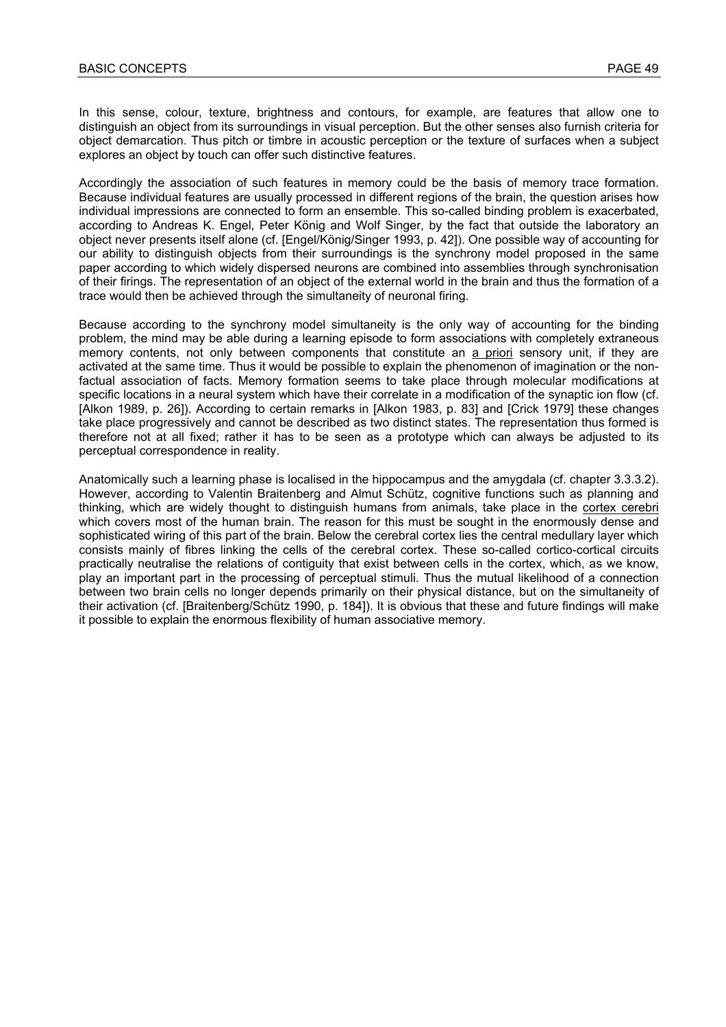In this sense, colour, texture, brightness and contours, for example, are features that allow one to distinguish an object from its surroundings in visual perception. But the other senses also furnish criteria for object demarcation. Thus pitch or timbre in acoustic perception or the texture of surfaces when a subject explores an object by touch can offer such distinctive features.

Accordingly the association of such features in memory could be the basis of memory trace formation. Because individual features are usually processed in different regions of the brain, the question arises how individual impressions are connected to form an ensemble. This so-called binding problem is exacerbated, according to Andreas K. Engel, Peter König and Wolf Singer, by the fact that outside the laboratory an object never presents itself alone (cf. [Engel/König/Singer 1993, p. 42]). One possible way of accounting for our ability to distinguish objects from their surroundings is the synchrony model proposed in the same paper according to which widely dispersed neurons are combined into assemblies through synchronisation of their firings. The representation of an object of the external world in the brain and thus the formation of a trace would then be achieved through the simultaneity of neuronal firing.

Because according to the synchrony model simultaneity is the only way of accounting for the binding problem, the mind may be able during a learning episode to form associations with completely extraneous memory contents, not only between components that constitute an a priori sensory unit, if they are activated at the same time. Thus it would be possible to explain the phenomenon of imagination or the nonfactual association of facts. Memory formation seems to take place through molecular modifications at specific locations in a neural system which have their correlate in a modification of the synaptic ion flow (cf. [Alkon 1989, p. 26]). According to certain remarks in [Alkon 1983, p. 83] and [Crick 1979] these changes take place progressively and cannot be described as two distinct states. The representation thus formed is therefore not at all fixed; rather it has to be seen as a prototype which can always be adjusted to its perceptual correspondence in reality.

Anatomically such a learning phase is localised in the hippocampus and the amygdala (cf. chapter 3.3.3.2). However, according to Valentin Braitenberg and Almut Schütz, cognitive functions such as planning and thinking, which are widely thought to distinguish humans from animals, take place in the cortex cerebri which covers most of the human brain. The reason for this must be sought in the enormously dense and sophisticated wiring of this part of the brain. Below the cerebral cortex lies the central medullary layer which consists mainly of fibres linking the cells of the cerebral cortex. These so-called cortico-cortical circuits practically neutralise the relations of contiguity that exist between cells in the cortex, which, as we know, play an important part in the processing of perceptual stimuli. Thus the mutual likelihood of a connection between two brain cells no longer depends primarily on their physical distance, but on the simultaneity of their activation (cf. [Braitenberg/Schütz 1990, p. 184]). It is obvious that these and future findings will make it possible to explain the enormous flexibility of human associative memory.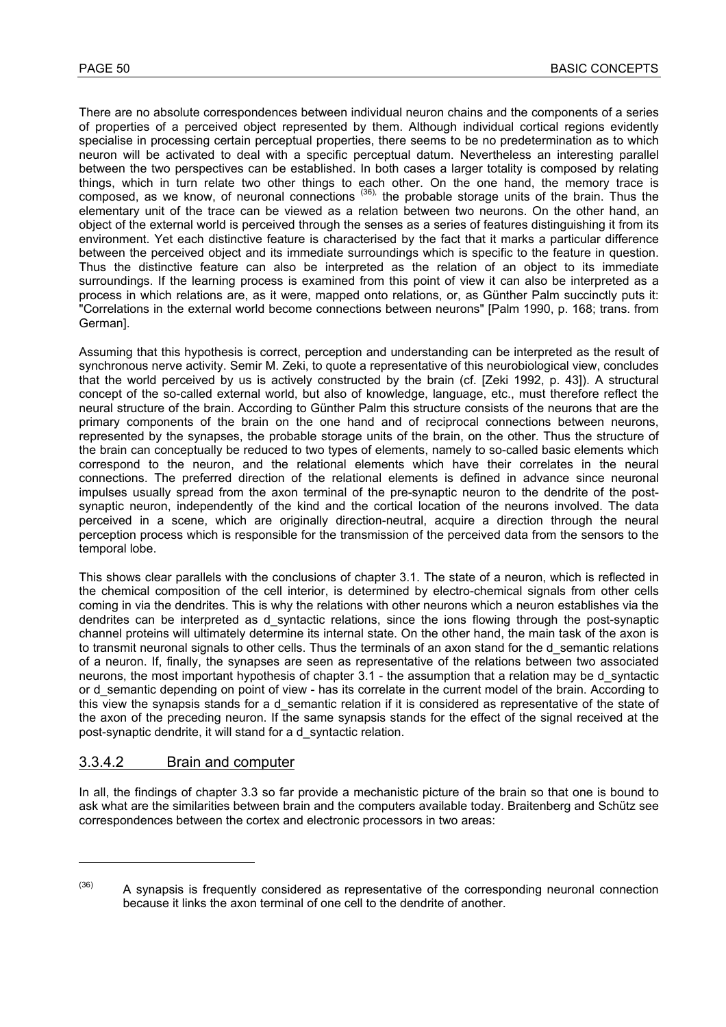There are no absolute correspondences between individual neuron chains and the components of a series of properties of a perceived object represented by them. Although individual cortical regions evidently specialise in processing certain perceptual properties, there seems to be no predetermination as to which neuron will be activated to deal with a specific perceptual datum. Nevertheless an interesting parallel between the two perspectives can be established. In both cases a larger totality is composed by relating things, which in turn relate two other things to each other. On the one hand, the memory trace is composed, as we know, of neuronal connections (36), the probable storage units of the brain. Thus the elementary unit of the trace can be viewed as a relation between two neurons. On the other hand, an object of the external world is perceived through the senses as a series of features distinguishing it from its environment. Yet each distinctive feature is characterised by the fact that it marks a particular difference between the perceived object and its immediate surroundings which is specific to the feature in question. Thus the distinctive feature can also be interpreted as the relation of an object to its immediate surroundings. If the learning process is examined from this point of view it can also be interpreted as a process in which relations are, as it were, mapped onto relations, or, as Günther Palm succinctly puts it: "Correlations in the external world become connections between neurons" [Palm 1990, p. 168; trans. from German].

Assuming that this hypothesis is correct, perception and understanding can be interpreted as the result of synchronous nerve activity. Semir M. Zeki, to quote a representative of this neurobiological view, concludes that the world perceived by us is actively constructed by the brain (cf. [Zeki 1992, p. 43]). A structural concept of the so-called external world, but also of knowledge, language, etc., must therefore reflect the neural structure of the brain. According to Günther Palm this structure consists of the neurons that are the primary components of the brain on the one hand and of reciprocal connections between neurons, represented by the synapses, the probable storage units of the brain, on the other. Thus the structure of the brain can conceptually be reduced to two types of elements, namely to so-called basic elements which correspond to the neuron, and the relational elements which have their correlates in the neural connections. The preferred direction of the relational elements is defined in advance since neuronal impulses usually spread from the axon terminal of the pre-synaptic neuron to the dendrite of the postsynaptic neuron, independently of the kind and the cortical location of the neurons involved. The data perceived in a scene, which are originally direction-neutral, acquire a direction through the neural perception process which is responsible for the transmission of the perceived data from the sensors to the temporal lobe.

This shows clear parallels with the conclusions of chapter 3.1. The state of a neuron, which is reflected in the chemical composition of the cell interior, is determined by electro-chemical signals from other cells coming in via the dendrites. This is why the relations with other neurons which a neuron establishes via the dendrites can be interpreted as d\_syntactic relations, since the ions flowing through the post-synaptic channel proteins will ultimately determine its internal state. On the other hand, the main task of the axon is to transmit neuronal signals to other cells. Thus the terminals of an axon stand for the d\_semantic relations of a neuron. If, finally, the synapses are seen as representative of the relations between two associated neurons, the most important hypothesis of chapter 3.1 - the assumption that a relation may be d\_syntactic or d\_semantic depending on point of view - has its correlate in the current model of the brain. According to this view the synapsis stands for a d semantic relation if it is considered as representative of the state of the axon of the preceding neuron. If the same synapsis stands for the effect of the signal received at the post-synaptic dendrite, it will stand for a d\_syntactic relation.

#### 3.3.4.2 Brain and computer

l

In all, the findings of chapter 3.3 so far provide a mechanistic picture of the brain so that one is bound to ask what are the similarities between brain and the computers available today. Braitenberg and Schütz see correspondences between the cortex and electronic processors in two areas:

 $(36)$  A synapsis is frequently considered as representative of the corresponding neuronal connection because it links the axon terminal of one cell to the dendrite of another.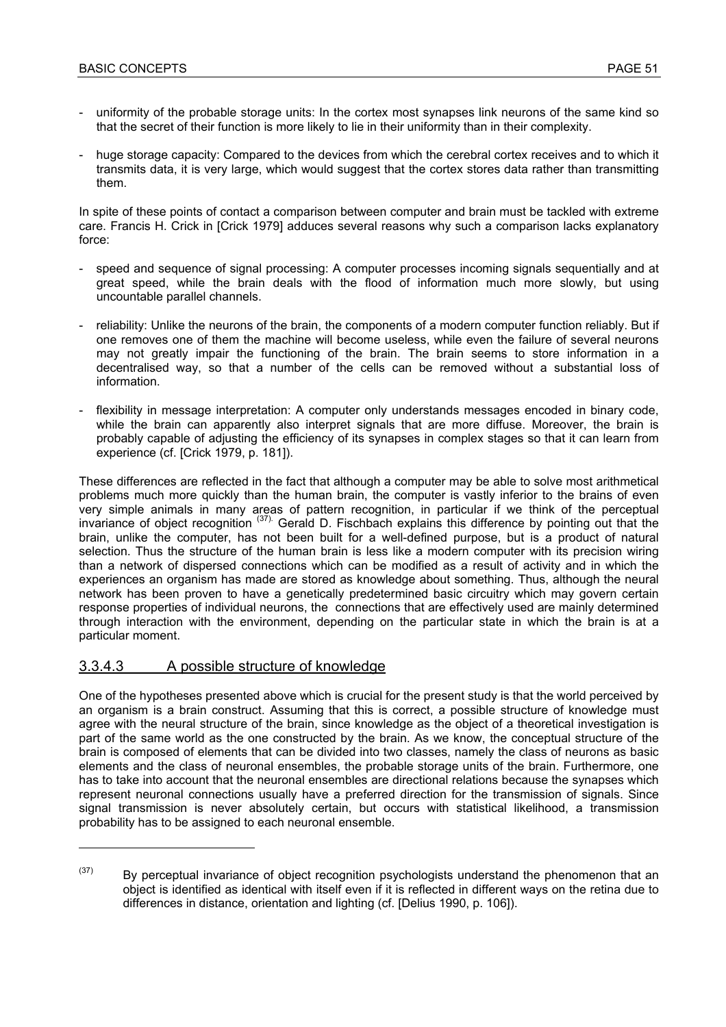- uniformity of the probable storage units: In the cortex most synapses link neurons of the same kind so that the secret of their function is more likely to lie in their uniformity than in their complexity.
- huge storage capacity: Compared to the devices from which the cerebral cortex receives and to which it transmits data, it is very large, which would suggest that the cortex stores data rather than transmitting them.

In spite of these points of contact a comparison between computer and brain must be tackled with extreme care. Francis H. Crick in [Crick 1979] adduces several reasons why such a comparison lacks explanatory force:

- speed and sequence of signal processing: A computer processes incoming signals sequentially and at great speed, while the brain deals with the flood of information much more slowly, but using uncountable parallel channels.
- reliability: Unlike the neurons of the brain, the components of a modern computer function reliably. But if one removes one of them the machine will become useless, while even the failure of several neurons may not greatly impair the functioning of the brain. The brain seems to store information in a decentralised way, so that a number of the cells can be removed without a substantial loss of information.
- flexibility in message interpretation: A computer only understands messages encoded in binary code, while the brain can apparently also interpret signals that are more diffuse. Moreover, the brain is probably capable of adjusting the efficiency of its synapses in complex stages so that it can learn from experience (cf. [Crick 1979, p. 181]).

These differences are reflected in the fact that although a computer may be able to solve most arithmetical problems much more quickly than the human brain, the computer is vastly inferior to the brains of even very simple animals in many areas of pattern recognition, in particular if we think of the perceptual invariance of object recognition (37). Gerald D. Fischbach explains this difference by pointing out that the brain, unlike the computer, has not been built for a well-defined purpose, but is a product of natural selection. Thus the structure of the human brain is less like a modern computer with its precision wiring than a network of dispersed connections which can be modified as a result of activity and in which the experiences an organism has made are stored as knowledge about something. Thus, although the neural network has been proven to have a genetically predetermined basic circuitry which may govern certain response properties of individual neurons, the connections that are effectively used are mainly determined through interaction with the environment, depending on the particular state in which the brain is at a particular moment.

### 3.3.4.3 A possible structure of knowledge

 $\overline{a}$ 

One of the hypotheses presented above which is crucial for the present study is that the world perceived by an organism is a brain construct. Assuming that this is correct, a possible structure of knowledge must agree with the neural structure of the brain, since knowledge as the object of a theoretical investigation is part of the same world as the one constructed by the brain. As we know, the conceptual structure of the brain is composed of elements that can be divided into two classes, namely the class of neurons as basic elements and the class of neuronal ensembles, the probable storage units of the brain. Furthermore, one has to take into account that the neuronal ensembles are directional relations because the synapses which represent neuronal connections usually have a preferred direction for the transmission of signals. Since signal transmission is never absolutely certain, but occurs with statistical likelihood, a transmission probability has to be assigned to each neuronal ensemble.

 $(37)$  By perceptual invariance of object recognition psychologists understand the phenomenon that an object is identified as identical with itself even if it is reflected in different ways on the retina due to differences in distance, orientation and lighting (cf. [Delius 1990, p. 106]).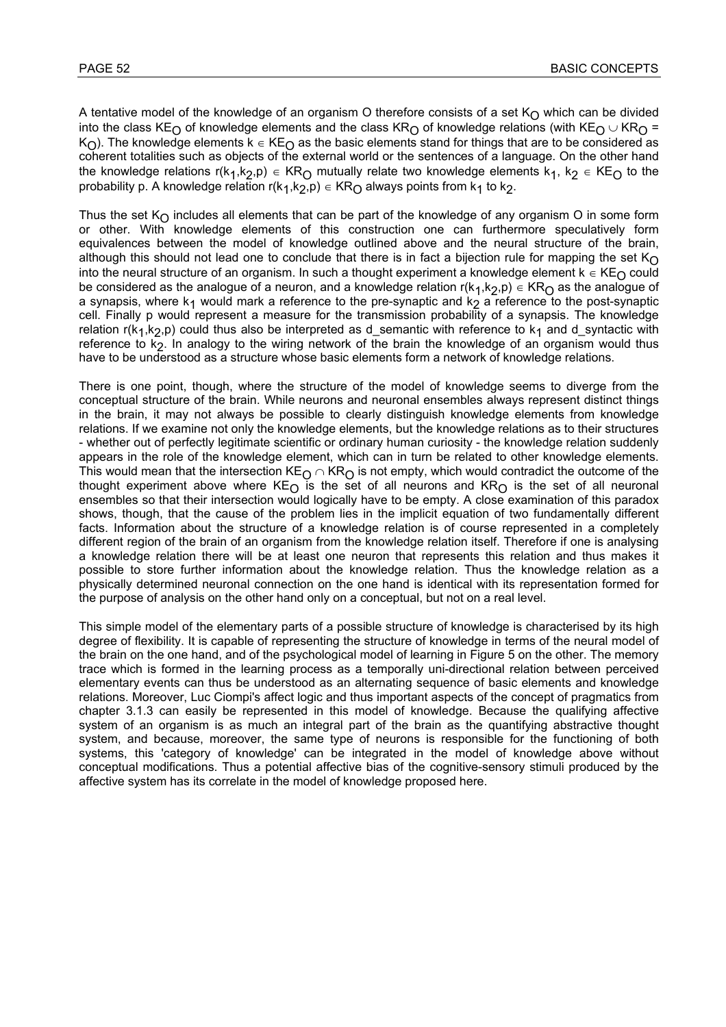A tentative model of the knowledge of an organism O therefore consists of a set  $K<sub>O</sub>$  which can be divided into the class KE<sub>O</sub> of knowledge elements and the class KR<sub>O</sub> of knowledge relations (with KE<sub>O</sub> ∪ KR<sub>O</sub> = K<sub>O</sub>). The knowledge elements k ∈ KE<sub>O</sub> as the basic elements stand for things that are to be considered as coherent totalities such as objects of the external world or the sentences of a language. On the other hand the knowledge relations r(k<sub>1</sub>,k<sub>2</sub>,p) ∈ KR<sub>O</sub> mutually relate two knowledge elements k<sub>1</sub>, k<sub>2</sub> ∈ KE<sub>O</sub> to the probability p. A knowledge relation r(k<sub>1</sub>,k<sub>2</sub>,p) ∈ KR<sub>O</sub> always points from k<sub>1</sub> to k<sub>2</sub>.

Thus the set  $K_{\Omega}$  includes all elements that can be part of the knowledge of any organism O in some form or other. With knowledge elements of this construction one can furthermore speculatively form equivalences between the model of knowledge outlined above and the neural structure of the brain, although this should not lead one to conclude that there is in fact a bijection rule for mapping the set  $K_O$ into the neural structure of an organism. In such a thought experiment a knowledge element  $k \in KE<sub>O</sub>$  could be considered as the analogue of a neuron, and a knowledge relation  $r(k_1,k_2,p) \in KR_0$  as the analogue of a synapsis, where  $k_1$  would mark a reference to the pre-synaptic and  $k_2$  a reference to the post-synaptic cell. Finally p would represent a measure for the transmission probability of a synapsis. The knowledge relation  $r(k_1,k_2,p)$  could thus also be interpreted as d\_semantic with reference to  $k_1$  and d\_syntactic with reference to  $\overline{k_2}$ . In analogy to the wiring network of the brain the knowledge of an organism would thus have to be understood as a structure whose basic elements form a network of knowledge relations.

There is one point, though, where the structure of the model of knowledge seems to diverge from the conceptual structure of the brain. While neurons and neuronal ensembles always represent distinct things in the brain, it may not always be possible to clearly distinguish knowledge elements from knowledge relations. If we examine not only the knowledge elements, but the knowledge relations as to their structures - whether out of perfectly legitimate scientific or ordinary human curiosity - the knowledge relation suddenly appears in the role of the knowledge element, which can in turn be related to other knowledge elements. This would mean that the intersection KE<sub>O</sub> ∩ KR<sub>O</sub> is not empty, which would contradict the outcome of the thought experiment above where  $KE<sub>O</sub>$  is the set of all neurons and  $KR<sub>O</sub>$  is the set of all neuronal ensembles so that their intersection would logically have to be empty. A close examination of this paradox shows, though, that the cause of the problem lies in the implicit equation of two fundamentally different facts. Information about the structure of a knowledge relation is of course represented in a completely different region of the brain of an organism from the knowledge relation itself. Therefore if one is analysing a knowledge relation there will be at least one neuron that represents this relation and thus makes it possible to store further information about the knowledge relation. Thus the knowledge relation as a physically determined neuronal connection on the one hand is identical with its representation formed for the purpose of analysis on the other hand only on a conceptual, but not on a real level.

This simple model of the elementary parts of a possible structure of knowledge is characterised by its high degree of flexibility. It is capable of representing the structure of knowledge in terms of the neural model of the brain on the one hand, and of the psychological model of learning in Figure 5 on the other. The memory trace which is formed in the learning process as a temporally uni-directional relation between perceived elementary events can thus be understood as an alternating sequence of basic elements and knowledge relations. Moreover, Luc Ciompi's affect logic and thus important aspects of the concept of pragmatics from chapter 3.1.3 can easily be represented in this model of knowledge. Because the qualifying affective system of an organism is as much an integral part of the brain as the quantifying abstractive thought system, and because, moreover, the same type of neurons is responsible for the functioning of both systems, this 'category of knowledge' can be integrated in the model of knowledge above without conceptual modifications. Thus a potential affective bias of the cognitive-sensory stimuli produced by the affective system has its correlate in the model of knowledge proposed here.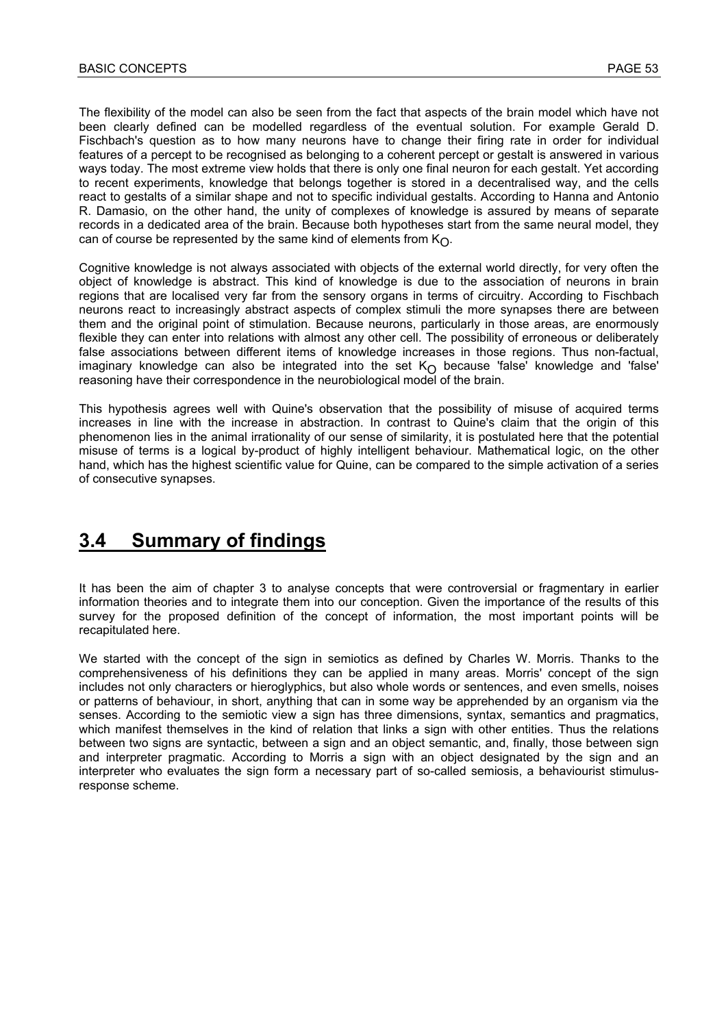The flexibility of the model can also be seen from the fact that aspects of the brain model which have not been clearly defined can be modelled regardless of the eventual solution. For example Gerald D. Fischbach's question as to how many neurons have to change their firing rate in order for individual features of a percept to be recognised as belonging to a coherent percept or gestalt is answered in various ways today. The most extreme view holds that there is only one final neuron for each gestalt. Yet according to recent experiments, knowledge that belongs together is stored in a decentralised way, and the cells react to gestalts of a similar shape and not to specific individual gestalts. According to Hanna and Antonio R. Damasio, on the other hand, the unity of complexes of knowledge is assured by means of separate records in a dedicated area of the brain. Because both hypotheses start from the same neural model, they can of course be represented by the same kind of elements from  $K_{\Omega}$ .

Cognitive knowledge is not always associated with objects of the external world directly, for very often the object of knowledge is abstract. This kind of knowledge is due to the association of neurons in brain regions that are localised very far from the sensory organs in terms of circuitry. According to Fischbach neurons react to increasingly abstract aspects of complex stimuli the more synapses there are between them and the original point of stimulation. Because neurons, particularly in those areas, are enormously flexible they can enter into relations with almost any other cell. The possibility of erroneous or deliberately false associations between different items of knowledge increases in those regions. Thus non-factual, imaginary knowledge can also be integrated into the set  $K_{\bigodot}$  because 'false' knowledge and 'false' reasoning have their correspondence in the neurobiological model of the brain.

This hypothesis agrees well with Quine's observation that the possibility of misuse of acquired terms increases in line with the increase in abstraction. In contrast to Quine's claim that the origin of this phenomenon lies in the animal irrationality of our sense of similarity, it is postulated here that the potential misuse of terms is a logical by-product of highly intelligent behaviour. Mathematical logic, on the other hand, which has the highest scientific value for Quine, can be compared to the simple activation of a series of consecutive synapses.

# **3.4 Summary of findings**

It has been the aim of chapter 3 to analyse concepts that were controversial or fragmentary in earlier information theories and to integrate them into our conception. Given the importance of the results of this survey for the proposed definition of the concept of information, the most important points will be recapitulated here.

We started with the concept of the sign in semiotics as defined by Charles W. Morris. Thanks to the comprehensiveness of his definitions they can be applied in many areas. Morris' concept of the sign includes not only characters or hieroglyphics, but also whole words or sentences, and even smells, noises or patterns of behaviour, in short, anything that can in some way be apprehended by an organism via the senses. According to the semiotic view a sign has three dimensions, syntax, semantics and pragmatics, which manifest themselves in the kind of relation that links a sign with other entities. Thus the relations between two signs are syntactic, between a sign and an object semantic, and, finally, those between sign and interpreter pragmatic. According to Morris a sign with an object designated by the sign and an interpreter who evaluates the sign form a necessary part of so-called semiosis, a behaviourist stimulusresponse scheme.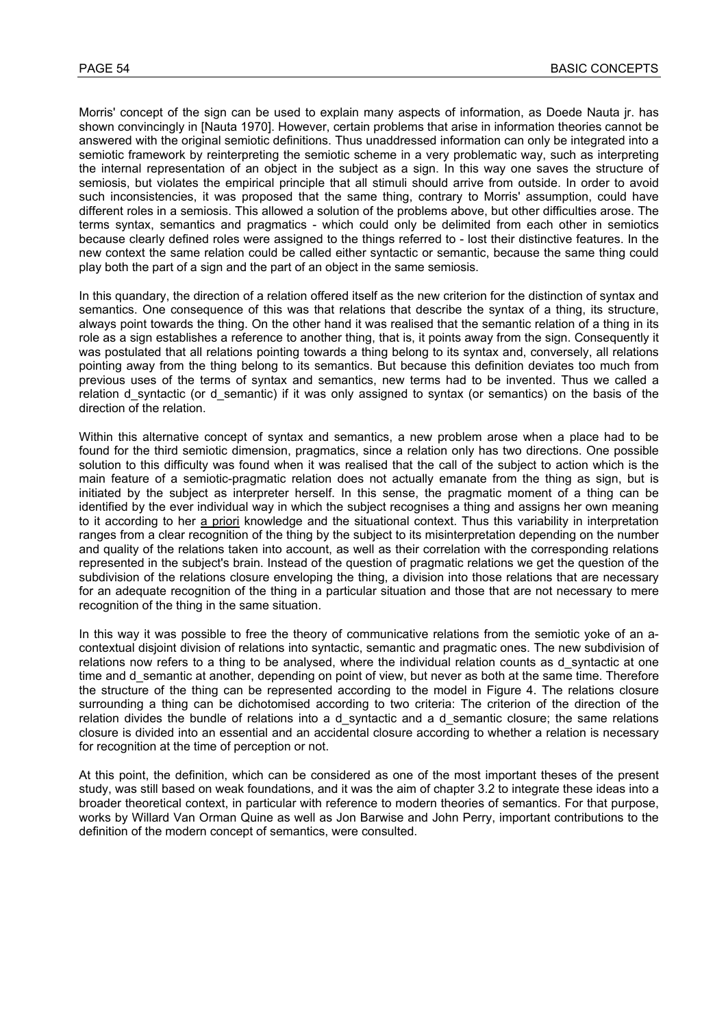Morris' concept of the sign can be used to explain many aspects of information, as Doede Nauta jr. has shown convincingly in [Nauta 1970]. However, certain problems that arise in information theories cannot be answered with the original semiotic definitions. Thus unaddressed information can only be integrated into a semiotic framework by reinterpreting the semiotic scheme in a very problematic way, such as interpreting the internal representation of an object in the subject as a sign. In this way one saves the structure of semiosis, but violates the empirical principle that all stimuli should arrive from outside. In order to avoid such inconsistencies, it was proposed that the same thing, contrary to Morris' assumption, could have different roles in a semiosis. This allowed a solution of the problems above, but other difficulties arose. The terms syntax, semantics and pragmatics - which could only be delimited from each other in semiotics because clearly defined roles were assigned to the things referred to - lost their distinctive features. In the new context the same relation could be called either syntactic or semantic, because the same thing could play both the part of a sign and the part of an object in the same semiosis.

In this quandary, the direction of a relation offered itself as the new criterion for the distinction of syntax and semantics. One consequence of this was that relations that describe the syntax of a thing, its structure, always point towards the thing. On the other hand it was realised that the semantic relation of a thing in its role as a sign establishes a reference to another thing, that is, it points away from the sign. Consequently it was postulated that all relations pointing towards a thing belong to its syntax and, conversely, all relations pointing away from the thing belong to its semantics. But because this definition deviates too much from previous uses of the terms of syntax and semantics, new terms had to be invented. Thus we called a relation d syntactic (or d semantic) if it was only assigned to syntax (or semantics) on the basis of the direction of the relation.

Within this alternative concept of syntax and semantics, a new problem arose when a place had to be found for the third semiotic dimension, pragmatics, since a relation only has two directions. One possible solution to this difficulty was found when it was realised that the call of the subject to action which is the main feature of a semiotic-pragmatic relation does not actually emanate from the thing as sign, but is initiated by the subject as interpreter herself. In this sense, the pragmatic moment of a thing can be identified by the ever individual way in which the subject recognises a thing and assigns her own meaning to it according to her a priori knowledge and the situational context. Thus this variability in interpretation ranges from a clear recognition of the thing by the subject to its misinterpretation depending on the number and quality of the relations taken into account, as well as their correlation with the corresponding relations represented in the subject's brain. Instead of the question of pragmatic relations we get the question of the subdivision of the relations closure enveloping the thing, a division into those relations that are necessary for an adequate recognition of the thing in a particular situation and those that are not necessary to mere recognition of the thing in the same situation.

In this way it was possible to free the theory of communicative relations from the semiotic yoke of an acontextual disjoint division of relations into syntactic, semantic and pragmatic ones. The new subdivision of relations now refers to a thing to be analysed, where the individual relation counts as d\_syntactic at one time and d semantic at another, depending on point of view, but never as both at the same time. Therefore the structure of the thing can be represented according to the model in Figure 4. The relations closure surrounding a thing can be dichotomised according to two criteria: The criterion of the direction of the relation divides the bundle of relations into a d syntactic and a d semantic closure; the same relations closure is divided into an essential and an accidental closure according to whether a relation is necessary for recognition at the time of perception or not.

At this point, the definition, which can be considered as one of the most important theses of the present study, was still based on weak foundations, and it was the aim of chapter 3.2 to integrate these ideas into a broader theoretical context, in particular with reference to modern theories of semantics. For that purpose, works by Willard Van Orman Quine as well as Jon Barwise and John Perry, important contributions to the definition of the modern concept of semantics, were consulted.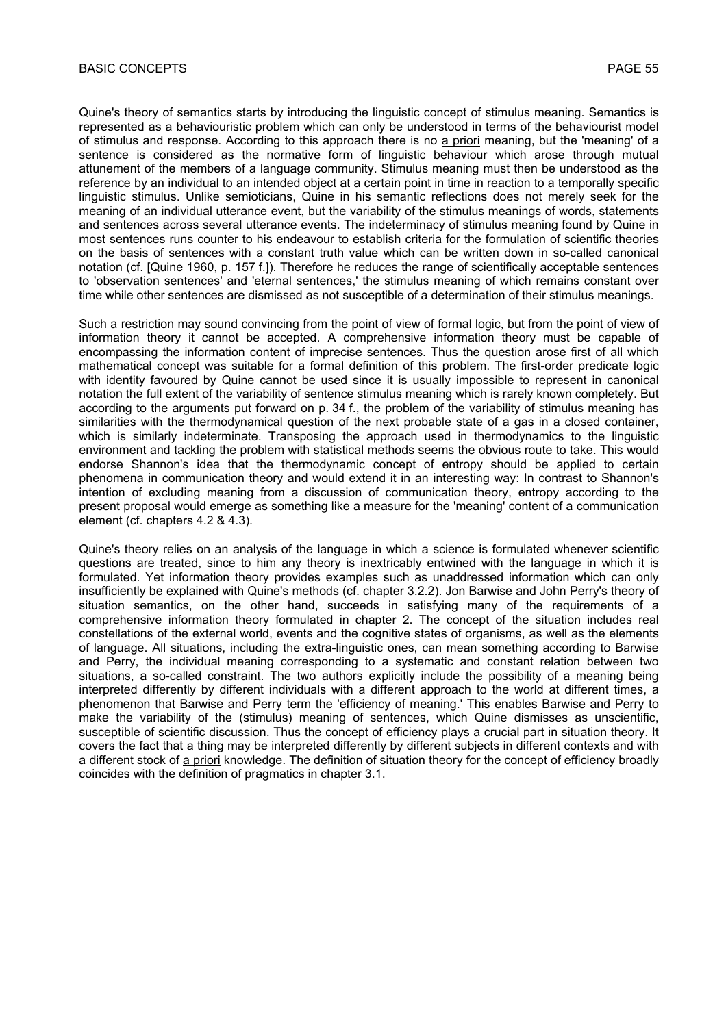Quine's theory of semantics starts by introducing the linguistic concept of stimulus meaning. Semantics is represented as a behaviouristic problem which can only be understood in terms of the behaviourist model of stimulus and response. According to this approach there is no a priori meaning, but the 'meaning' of a sentence is considered as the normative form of linguistic behaviour which arose through mutual attunement of the members of a language community. Stimulus meaning must then be understood as the reference by an individual to an intended object at a certain point in time in reaction to a temporally specific linguistic stimulus. Unlike semioticians, Quine in his semantic reflections does not merely seek for the meaning of an individual utterance event, but the variability of the stimulus meanings of words, statements and sentences across several utterance events. The indeterminacy of stimulus meaning found by Quine in most sentences runs counter to his endeavour to establish criteria for the formulation of scientific theories on the basis of sentences with a constant truth value which can be written down in so-called canonical notation (cf. [Quine 1960, p. 157 f.]). Therefore he reduces the range of scientifically acceptable sentences to 'observation sentences' and 'eternal sentences,' the stimulus meaning of which remains constant over time while other sentences are dismissed as not susceptible of a determination of their stimulus meanings.

Such a restriction may sound convincing from the point of view of formal logic, but from the point of view of information theory it cannot be accepted. A comprehensive information theory must be capable of encompassing the information content of imprecise sentences. Thus the question arose first of all which mathematical concept was suitable for a formal definition of this problem. The first-order predicate logic with identity favoured by Quine cannot be used since it is usually impossible to represent in canonical notation the full extent of the variability of sentence stimulus meaning which is rarely known completely. But according to the arguments put forward on p. 34 f., the problem of the variability of stimulus meaning has similarities with the thermodynamical question of the next probable state of a gas in a closed container, which is similarly indeterminate. Transposing the approach used in thermodynamics to the linguistic environment and tackling the problem with statistical methods seems the obvious route to take. This would endorse Shannon's idea that the thermodynamic concept of entropy should be applied to certain phenomena in communication theory and would extend it in an interesting way: In contrast to Shannon's intention of excluding meaning from a discussion of communication theory, entropy according to the present proposal would emerge as something like a measure for the 'meaning' content of a communication element (cf. chapters 4.2 & 4.3).

Quine's theory relies on an analysis of the language in which a science is formulated whenever scientific questions are treated, since to him any theory is inextricably entwined with the language in which it is formulated. Yet information theory provides examples such as unaddressed information which can only insufficiently be explained with Quine's methods (cf. chapter 3.2.2). Jon Barwise and John Perry's theory of situation semantics, on the other hand, succeeds in satisfying many of the requirements of a comprehensive information theory formulated in chapter 2. The concept of the situation includes real constellations of the external world, events and the cognitive states of organisms, as well as the elements of language. All situations, including the extra-linguistic ones, can mean something according to Barwise and Perry, the individual meaning corresponding to a systematic and constant relation between two situations, a so-called constraint. The two authors explicitly include the possibility of a meaning being interpreted differently by different individuals with a different approach to the world at different times, a phenomenon that Barwise and Perry term the 'efficiency of meaning.' This enables Barwise and Perry to make the variability of the (stimulus) meaning of sentences, which Quine dismisses as unscientific, susceptible of scientific discussion. Thus the concept of efficiency plays a crucial part in situation theory. It covers the fact that a thing may be interpreted differently by different subjects in different contexts and with a different stock of a priori knowledge. The definition of situation theory for the concept of efficiency broadly coincides with the definition of pragmatics in chapter 3.1.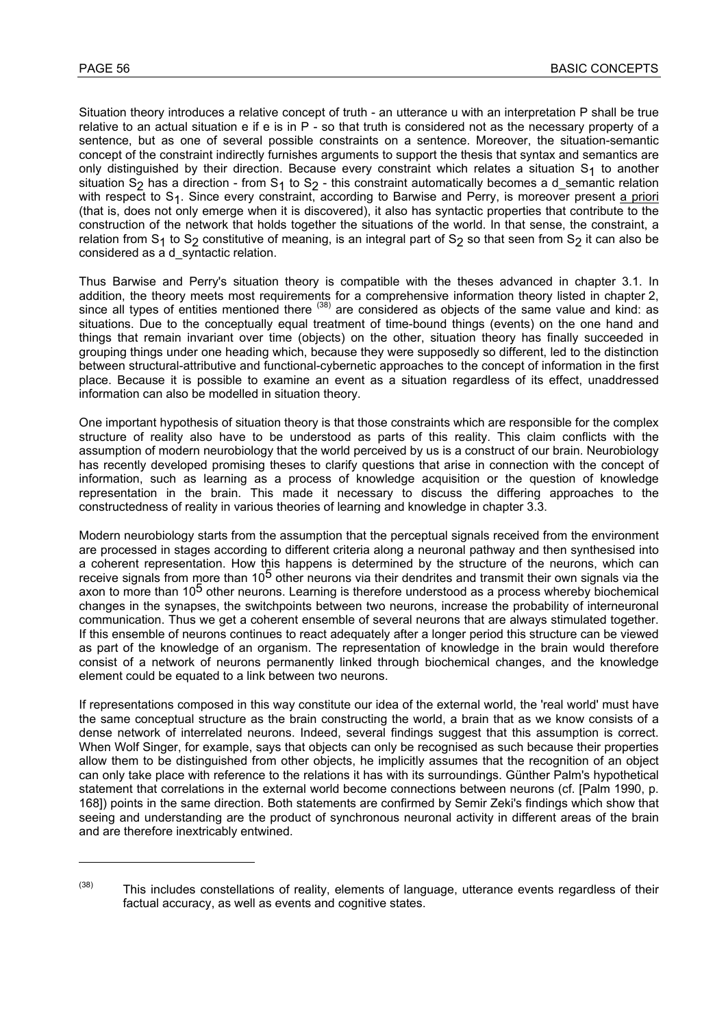l

Situation theory introduces a relative concept of truth - an utterance u with an interpretation P shall be true relative to an actual situation e if e is in P - so that truth is considered not as the necessary property of a sentence, but as one of several possible constraints on a sentence. Moreover, the situation-semantic concept of the constraint indirectly furnishes arguments to support the thesis that syntax and semantics are only distinguished by their direction. Because every constraint which relates a situation  $S_1$  to another situation  $S_2$  has a direction - from  $S_1$  to  $S_2$  - this constraint automatically becomes a d\_semantic relation with respect to  $S_1$ . Since every constraint, according to Barwise and Perry, is moreover present a priori (that is, does not only emerge when it is discovered), it also has syntactic properties that contribute to the construction of the network that holds together the situations of the world. In that sense, the constraint, a relation from S<sub>1</sub> to S<sub>2</sub> constitutive of meaning, is an integral part of S<sub>2</sub> so that seen from S<sub>2</sub> it can also be considered as a d\_syntactic relation.

Thus Barwise and Perry's situation theory is compatible with the theses advanced in chapter 3.1. In addition, the theory meets most requirements for a comprehensive information theory listed in chapter 2, since all types of entities mentioned there <sup>(38)</sup> are considered as objects of the same value and kind: as situations. Due to the conceptually equal treatment of time-bound things (events) on the one hand and things that remain invariant over time (objects) on the other, situation theory has finally succeeded in grouping things under one heading which, because they were supposedly so different, led to the distinction between structural-attributive and functional-cybernetic approaches to the concept of information in the first place. Because it is possible to examine an event as a situation regardless of its effect, unaddressed information can also be modelled in situation theory.

One important hypothesis of situation theory is that those constraints which are responsible for the complex structure of reality also have to be understood as parts of this reality. This claim conflicts with the assumption of modern neurobiology that the world perceived by us is a construct of our brain. Neurobiology has recently developed promising theses to clarify questions that arise in connection with the concept of information, such as learning as a process of knowledge acquisition or the question of knowledge representation in the brain. This made it necessary to discuss the differing approaches to the constructedness of reality in various theories of learning and knowledge in chapter 3.3.

Modern neurobiology starts from the assumption that the perceptual signals received from the environment are processed in stages according to different criteria along a neuronal pathway and then synthesised into a coherent representation. How this happens is determined by the structure of the neurons, which can receive signals from more than 10<sup>5</sup> other neurons via their dendrites and transmit their own signals via the axon to more than 10<sup>5</sup> other neurons. Learning is therefore understood as a process whereby biochemical changes in the synapses, the switchpoints between two neurons, increase the probability of interneuronal communication. Thus we get a coherent ensemble of several neurons that are always stimulated together. If this ensemble of neurons continues to react adequately after a longer period this structure can be viewed as part of the knowledge of an organism. The representation of knowledge in the brain would therefore consist of a network of neurons permanently linked through biochemical changes, and the knowledge element could be equated to a link between two neurons.

If representations composed in this way constitute our idea of the external world, the 'real world' must have the same conceptual structure as the brain constructing the world, a brain that as we know consists of a dense network of interrelated neurons. Indeed, several findings suggest that this assumption is correct. When Wolf Singer, for example, says that objects can only be recognised as such because their properties allow them to be distinguished from other objects, he implicitly assumes that the recognition of an object can only take place with reference to the relations it has with its surroundings. Günther Palm's hypothetical statement that correlations in the external world become connections between neurons (cf. [Palm 1990, p. 168]) points in the same direction. Both statements are confirmed by Semir Zeki's findings which show that seeing and understanding are the product of synchronous neuronal activity in different areas of the brain and are therefore inextricably entwined.

 $(38)$  This includes constellations of reality, elements of language, utterance events regardless of their factual accuracy, as well as events and cognitive states.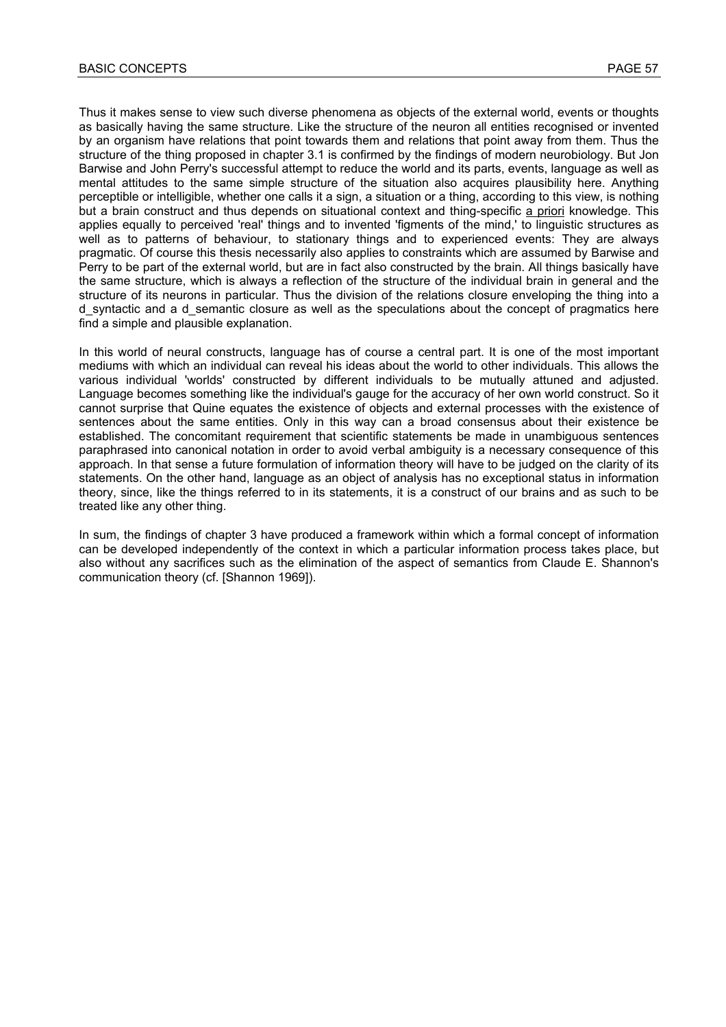Thus it makes sense to view such diverse phenomena as objects of the external world, events or thoughts as basically having the same structure. Like the structure of the neuron all entities recognised or invented by an organism have relations that point towards them and relations that point away from them. Thus the structure of the thing proposed in chapter 3.1 is confirmed by the findings of modern neurobiology. But Jon Barwise and John Perry's successful attempt to reduce the world and its parts, events, language as well as mental attitudes to the same simple structure of the situation also acquires plausibility here. Anything perceptible or intelligible, whether one calls it a sign, a situation or a thing, according to this view, is nothing but a brain construct and thus depends on situational context and thing-specific a priori knowledge. This applies equally to perceived 'real' things and to invented 'figments of the mind,' to linguistic structures as well as to patterns of behaviour, to stationary things and to experienced events. They are always pragmatic. Of course this thesis necessarily also applies to constraints which are assumed by Barwise and Perry to be part of the external world, but are in fact also constructed by the brain. All things basically have the same structure, which is always a reflection of the structure of the individual brain in general and the structure of its neurons in particular. Thus the division of the relations closure enveloping the thing into a d syntactic and a d semantic closure as well as the speculations about the concept of pragmatics here find a simple and plausible explanation.

In this world of neural constructs, language has of course a central part. It is one of the most important mediums with which an individual can reveal his ideas about the world to other individuals. This allows the various individual 'worlds' constructed by different individuals to be mutually attuned and adjusted. Language becomes something like the individual's gauge for the accuracy of her own world construct. So it cannot surprise that Quine equates the existence of objects and external processes with the existence of sentences about the same entities. Only in this way can a broad consensus about their existence be established. The concomitant requirement that scientific statements be made in unambiguous sentences paraphrased into canonical notation in order to avoid verbal ambiguity is a necessary consequence of this approach. In that sense a future formulation of information theory will have to be judged on the clarity of its statements. On the other hand, language as an object of analysis has no exceptional status in information theory, since, like the things referred to in its statements, it is a construct of our brains and as such to be treated like any other thing.

In sum, the findings of chapter 3 have produced a framework within which a formal concept of information can be developed independently of the context in which a particular information process takes place, but also without any sacrifices such as the elimination of the aspect of semantics from Claude E. Shannon's communication theory (cf. [Shannon 1969]).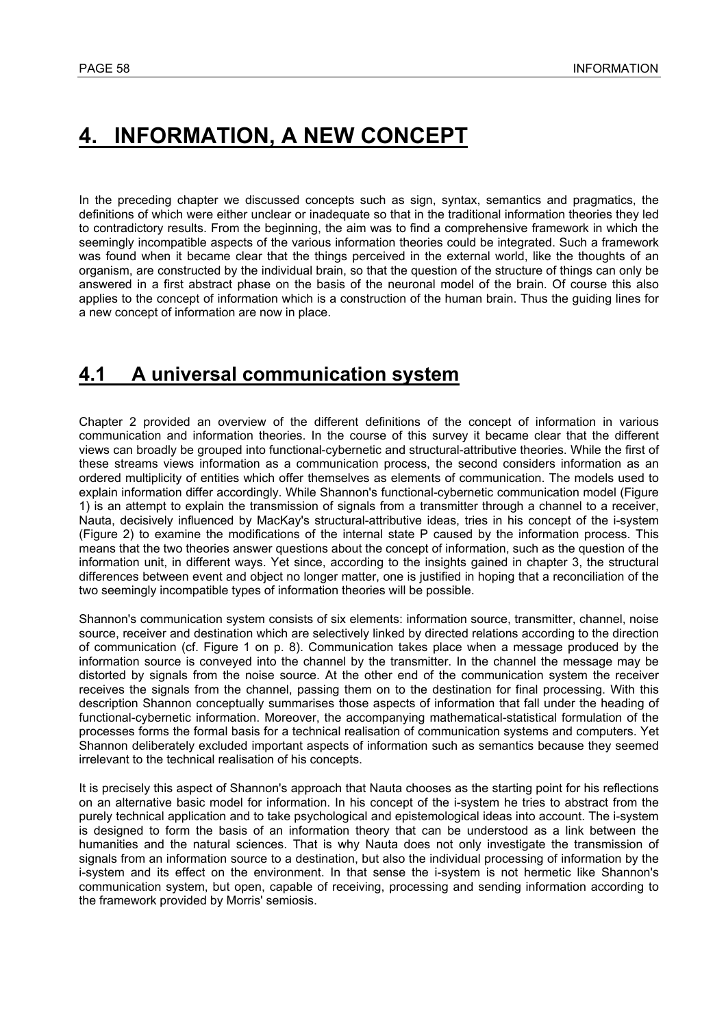# **4. INFORMATION, A NEW CONCEPT**

In the preceding chapter we discussed concepts such as sign, syntax, semantics and pragmatics, the definitions of which were either unclear or inadequate so that in the traditional information theories they led to contradictory results. From the beginning, the aim was to find a comprehensive framework in which the seemingly incompatible aspects of the various information theories could be integrated. Such a framework was found when it became clear that the things perceived in the external world, like the thoughts of an organism, are constructed by the individual brain, so that the question of the structure of things can only be answered in a first abstract phase on the basis of the neuronal model of the brain. Of course this also applies to the concept of information which is a construction of the human brain. Thus the guiding lines for a new concept of information are now in place.

# **4.1 A universal communication system**

Chapter 2 provided an overview of the different definitions of the concept of information in various communication and information theories. In the course of this survey it became clear that the different views can broadly be grouped into functional-cybernetic and structural-attributive theories. While the first of these streams views information as a communication process, the second considers information as an ordered multiplicity of entities which offer themselves as elements of communication. The models used to explain information differ accordingly. While Shannon's functional-cybernetic communication model (Figure 1) is an attempt to explain the transmission of signals from a transmitter through a channel to a receiver, Nauta, decisively influenced by MacKay's structural-attributive ideas, tries in his concept of the i-system (Figure 2) to examine the modifications of the internal state P caused by the information process. This means that the two theories answer questions about the concept of information, such as the question of the information unit, in different ways. Yet since, according to the insights gained in chapter 3, the structural differences between event and object no longer matter, one is justified in hoping that a reconciliation of the two seemingly incompatible types of information theories will be possible.

Shannon's communication system consists of six elements: information source, transmitter, channel, noise source, receiver and destination which are selectively linked by directed relations according to the direction of communication (cf. Figure 1 on p. 8). Communication takes place when a message produced by the information source is conveyed into the channel by the transmitter. In the channel the message may be distorted by signals from the noise source. At the other end of the communication system the receiver receives the signals from the channel, passing them on to the destination for final processing. With this description Shannon conceptually summarises those aspects of information that fall under the heading of functional-cybernetic information. Moreover, the accompanying mathematical-statistical formulation of the processes forms the formal basis for a technical realisation of communication systems and computers. Yet Shannon deliberately excluded important aspects of information such as semantics because they seemed irrelevant to the technical realisation of his concepts.

It is precisely this aspect of Shannon's approach that Nauta chooses as the starting point for his reflections on an alternative basic model for information. In his concept of the i-system he tries to abstract from the purely technical application and to take psychological and epistemological ideas into account. The i-system is designed to form the basis of an information theory that can be understood as a link between the humanities and the natural sciences. That is why Nauta does not only investigate the transmission of signals from an information source to a destination, but also the individual processing of information by the i-system and its effect on the environment. In that sense the i-system is not hermetic like Shannon's communication system, but open, capable of receiving, processing and sending information according to the framework provided by Morris' semiosis.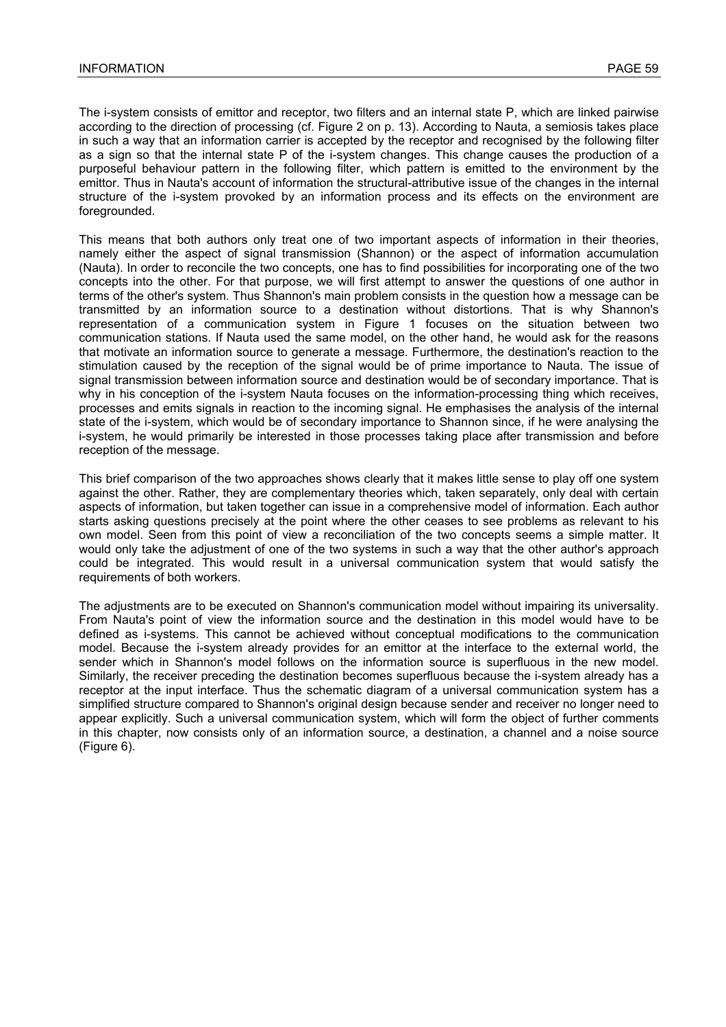The i-system consists of emittor and receptor, two filters and an internal state P, which are linked pairwise according to the direction of processing (cf. Figure 2 on p. 13). According to Nauta, a semiosis takes place in such a way that an information carrier is accepted by the receptor and recognised by the following filter as a sign so that the internal state P of the i-system changes. This change causes the production of a purposeful behaviour pattern in the following filter, which pattern is emitted to the environment by the emittor. Thus in Nauta's account of information the structural-attributive issue of the changes in the internal structure of the i-system provoked by an information process and its effects on the environment are foregrounded.

This means that both authors only treat one of two important aspects of information in their theories, namely either the aspect of signal transmission (Shannon) or the aspect of information accumulation (Nauta). In order to reconcile the two concepts, one has to find possibilities for incorporating one of the two concepts into the other. For that purpose, we will first attempt to answer the questions of one author in terms of the other's system. Thus Shannon's main problem consists in the question how a message can be transmitted by an information source to a destination without distortions. That is why Shannon's representation of a communication system in Figure 1 focuses on the situation between two communication stations. If Nauta used the same model, on the other hand, he would ask for the reasons that motivate an information source to generate a message. Furthermore, the destination's reaction to the stimulation caused by the reception of the signal would be of prime importance to Nauta. The issue of signal transmission between information source and destination would be of secondary importance. That is why in his conception of the i-system Nauta focuses on the information-processing thing which receives, processes and emits signals in reaction to the incoming signal. He emphasises the analysis of the internal state of the i-system, which would be of secondary importance to Shannon since, if he were analysing the i-system, he would primarily be interested in those processes taking place after transmission and before reception of the message.

This brief comparison of the two approaches shows clearly that it makes little sense to play off one system against the other. Rather, they are complementary theories which, taken separately, only deal with certain aspects of information, but taken together can issue in a comprehensive model of information. Each author starts asking questions precisely at the point where the other ceases to see problems as relevant to his own model. Seen from this point of view a reconciliation of the two concepts seems a simple matter. It would only take the adjustment of one of the two systems in such a way that the other author's approach could be integrated. This would result in a universal communication system that would satisfy the requirements of both workers.

The adjustments are to be executed on Shannon's communication model without impairing its universality. From Nauta's point of view the information source and the destination in this model would have to be defined as i-systems. This cannot be achieved without conceptual modifications to the communication model. Because the i-system already provides for an emittor at the interface to the external world, the sender which in Shannon's model follows on the information source is superfluous in the new model. Similarly, the receiver preceding the destination becomes superfluous because the i-system already has a receptor at the input interface. Thus the schematic diagram of a universal communication system has a simplified structure compared to Shannon's original design because sender and receiver no longer need to appear explicitly. Such a universal communication system, which will form the object of further comments in this chapter, now consists only of an information source, a destination, a channel and a noise source (Figure 6).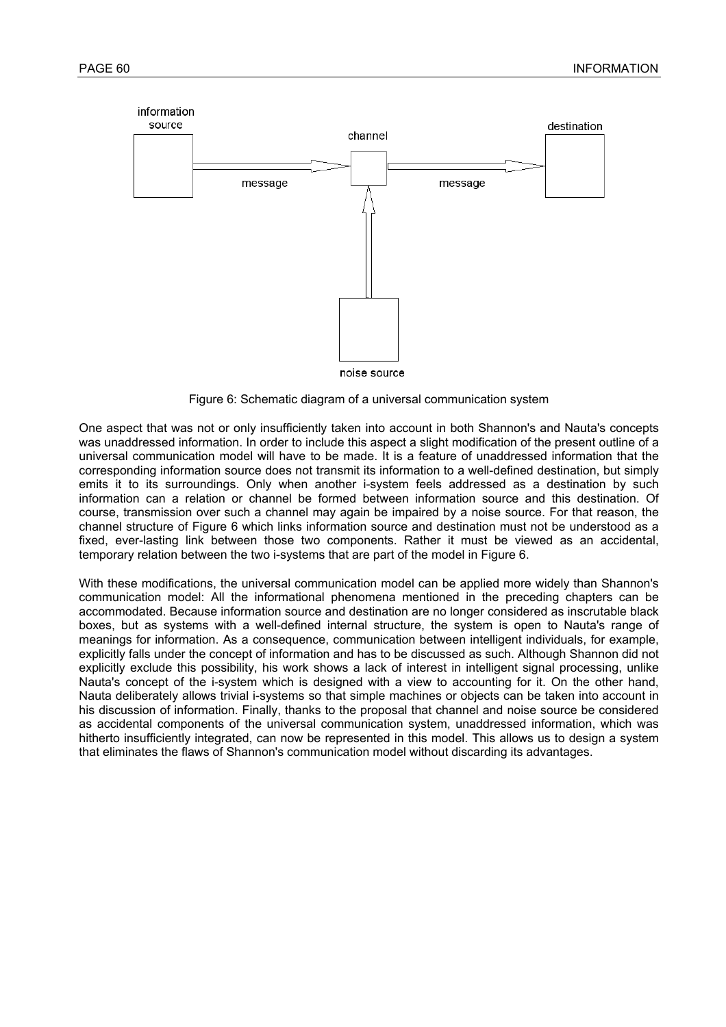

Figure 6: Schematic diagram of a universal communication system

One aspect that was not or only insufficiently taken into account in both Shannon's and Nauta's concepts was unaddressed information. In order to include this aspect a slight modification of the present outline of a universal communication model will have to be made. It is a feature of unaddressed information that the corresponding information source does not transmit its information to a well-defined destination, but simply emits it to its surroundings. Only when another i-system feels addressed as a destination by such information can a relation or channel be formed between information source and this destination. Of course, transmission over such a channel may again be impaired by a noise source. For that reason, the channel structure of Figure 6 which links information source and destination must not be understood as a fixed, ever-lasting link between those two components. Rather it must be viewed as an accidental, temporary relation between the two i-systems that are part of the model in Figure 6.

With these modifications, the universal communication model can be applied more widely than Shannon's communication model: All the informational phenomena mentioned in the preceding chapters can be accommodated. Because information source and destination are no longer considered as inscrutable black boxes, but as systems with a well-defined internal structure, the system is open to Nauta's range of meanings for information. As a consequence, communication between intelligent individuals, for example, explicitly falls under the concept of information and has to be discussed as such. Although Shannon did not explicitly exclude this possibility, his work shows a lack of interest in intelligent signal processing, unlike Nauta's concept of the i-system which is designed with a view to accounting for it. On the other hand, Nauta deliberately allows trivial i-systems so that simple machines or objects can be taken into account in his discussion of information. Finally, thanks to the proposal that channel and noise source be considered as accidental components of the universal communication system, unaddressed information, which was hitherto insufficiently integrated, can now be represented in this model. This allows us to design a system that eliminates the flaws of Shannon's communication model without discarding its advantages.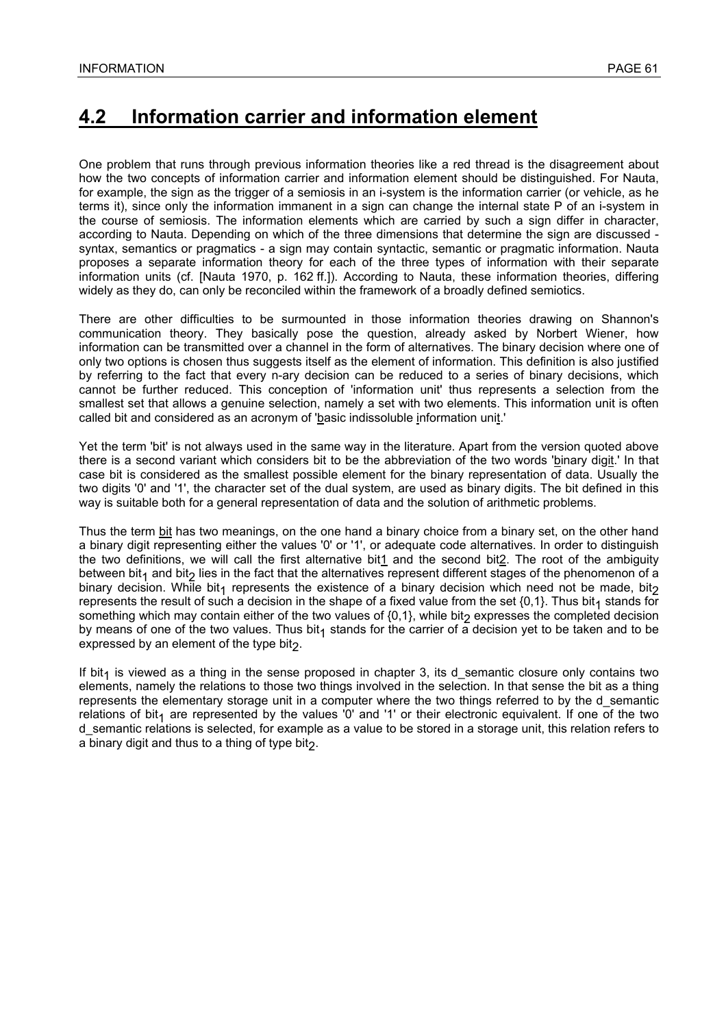# **4.2 Information carrier and information element**

One problem that runs through previous information theories like a red thread is the disagreement about how the two concepts of information carrier and information element should be distinguished. For Nauta, for example, the sign as the trigger of a semiosis in an i-system is the information carrier (or vehicle, as he terms it), since only the information immanent in a sign can change the internal state P of an i-system in the course of semiosis. The information elements which are carried by such a sign differ in character, according to Nauta. Depending on which of the three dimensions that determine the sign are discussed syntax, semantics or pragmatics - a sign may contain syntactic, semantic or pragmatic information. Nauta proposes a separate information theory for each of the three types of information with their separate information units (cf. [Nauta 1970, p. 162 ff.]). According to Nauta, these information theories, differing widely as they do, can only be reconciled within the framework of a broadly defined semiotics.

There are other difficulties to be surmounted in those information theories drawing on Shannon's communication theory. They basically pose the question, already asked by Norbert Wiener, how information can be transmitted over a channel in the form of alternatives. The binary decision where one of only two options is chosen thus suggests itself as the element of information. This definition is also justified by referring to the fact that every n-ary decision can be reduced to a series of binary decisions, which cannot be further reduced. This conception of 'information unit' thus represents a selection from the smallest set that allows a genuine selection, namely a set with two elements. This information unit is often called bit and considered as an acronym of 'basic indissoluble information unit.'

Yet the term 'bit' is not always used in the same way in the literature. Apart from the version quoted above there is a second variant which considers bit to be the abbreviation of the two words 'binary digit.' In that case bit is considered as the smallest possible element for the binary representation of data. Usually the two digits '0' and '1', the character set of the dual system, are used as binary digits. The bit defined in this way is suitable both for a general representation of data and the solution of arithmetic problems.

Thus the term bit has two meanings, on the one hand a binary choice from a binary set, on the other hand a binary digit representing either the values '0' or '1', or adequate code alternatives. In order to distinguish the two definitions, we will call the first alternative bit1 and the second bit2. The root of the ambiguity between bit<sub>1</sub> and bit<sub>2</sub> lies in the fact that the alternatives represent different stages of the phenomenon of a binary decision. While bit<sub>1</sub> represents the existence of a binary decision which need not be made, bit<sub>2</sub> represents the result of such a decision in the shape of a fixed value from the set  $\{0,1\}$ . Thus bit<sub>1</sub> stands for something which may contain either of the two values of  $\{0,1\}$ , while bit<sub>2</sub> expresses the completed decision by means of one of the two values. Thus bit<sub>1</sub> stands for the carrier of a decision yet to be taken and to be expressed by an element of the type bit $_2$ .

If bit<sub>1</sub> is viewed as a thing in the sense proposed in chapter 3, its d\_semantic closure only contains two elements, namely the relations to those two things involved in the selection. In that sense the bit as a thing represents the elementary storage unit in a computer where the two things referred to by the d\_semantic relations of bit<sub>1</sub> are represented by the values '0' and '1' or their electronic equivalent. If one of the two d\_semantic relations is selected, for example as a value to be stored in a storage unit, this relation refers to a binary digit and thus to a thing of type bit $_2$ .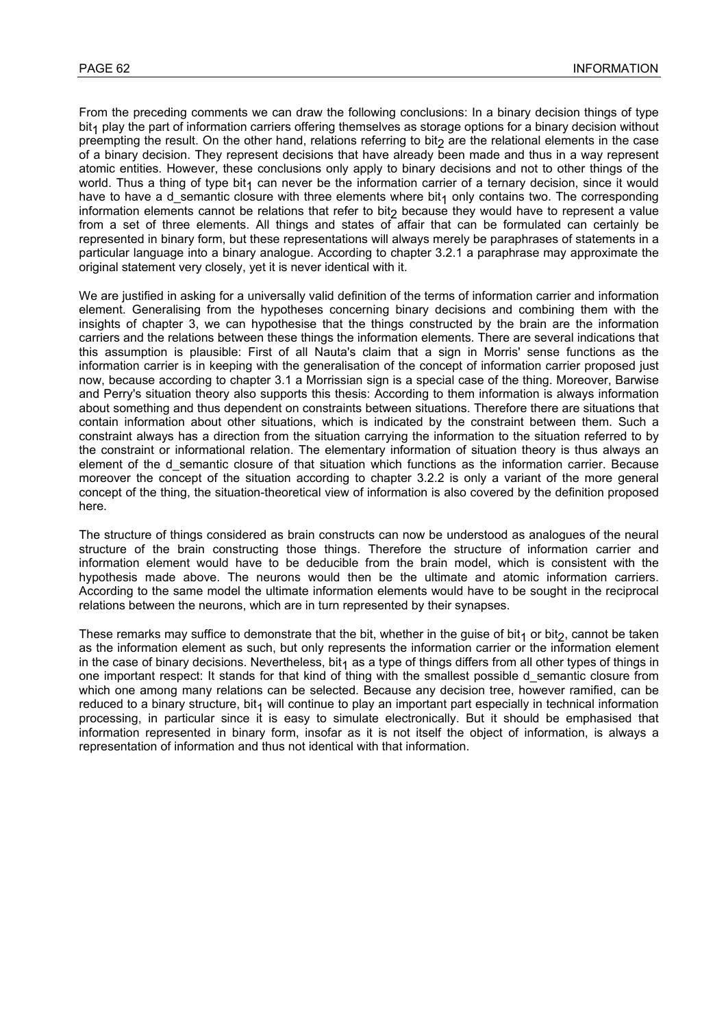From the preceding comments we can draw the following conclusions: In a binary decision things of type bit<sub>1</sub> play the part of information carriers offering themselves as storage options for a binary decision without preempting the result. On the other hand, relations referring to bit<sub>2</sub> are the relational elements in the case of a binary decision. They represent decisions that have already been made and thus in a way represent atomic entities. However, these conclusions only apply to binary decisions and not to other things of the world. Thus a thing of type bit<sub>1</sub> can never be the information carrier of a ternary decision, since it would have to have a d semantic closure with three elements where  $bit<sub>1</sub>$  only contains two. The corresponding information elements cannot be relations that refer to bit<sub>2</sub> because they would have to represent a value from a set of three elements. All things and states of affair that can be formulated can certainly be represented in binary form, but these representations will always merely be paraphrases of statements in a particular language into a binary analogue. According to chapter 3.2.1 a paraphrase may approximate the original statement very closely, yet it is never identical with it.

We are justified in asking for a universally valid definition of the terms of information carrier and information element. Generalising from the hypotheses concerning binary decisions and combining them with the insights of chapter 3, we can hypothesise that the things constructed by the brain are the information carriers and the relations between these things the information elements. There are several indications that this assumption is plausible: First of all Nauta's claim that a sign in Morris' sense functions as the information carrier is in keeping with the generalisation of the concept of information carrier proposed just now, because according to chapter 3.1 a Morrissian sign is a special case of the thing. Moreover, Barwise and Perry's situation theory also supports this thesis: According to them information is always information about something and thus dependent on constraints between situations. Therefore there are situations that contain information about other situations, which is indicated by the constraint between them. Such a constraint always has a direction from the situation carrying the information to the situation referred to by the constraint or informational relation. The elementary information of situation theory is thus always an element of the d\_semantic closure of that situation which functions as the information carrier. Because moreover the concept of the situation according to chapter 3.2.2 is only a variant of the more general concept of the thing, the situation-theoretical view of information is also covered by the definition proposed here.

The structure of things considered as brain constructs can now be understood as analogues of the neural structure of the brain constructing those things. Therefore the structure of information carrier and information element would have to be deducible from the brain model, which is consistent with the hypothesis made above. The neurons would then be the ultimate and atomic information carriers. According to the same model the ultimate information elements would have to be sought in the reciprocal relations between the neurons, which are in turn represented by their synapses.

These remarks may suffice to demonstrate that the bit, whether in the guise of bit<sub>1</sub> or bit<sub>2</sub>, cannot be taken as the information element as such, but only represents the information carrier or the information element in the case of binary decisions. Nevertheless, bit<sub>1</sub> as a type of things differs from all other types of things in one important respect: It stands for that kind of thing with the smallest possible d\_semantic closure from which one among many relations can be selected. Because any decision tree, however ramified, can be reduced to a binary structure, bit<sub>1</sub> will continue to play an important part especially in technical information processing, in particular since it is easy to simulate electronically. But it should be emphasised that information represented in binary form, insofar as it is not itself the object of information, is always a representation of information and thus not identical with that information.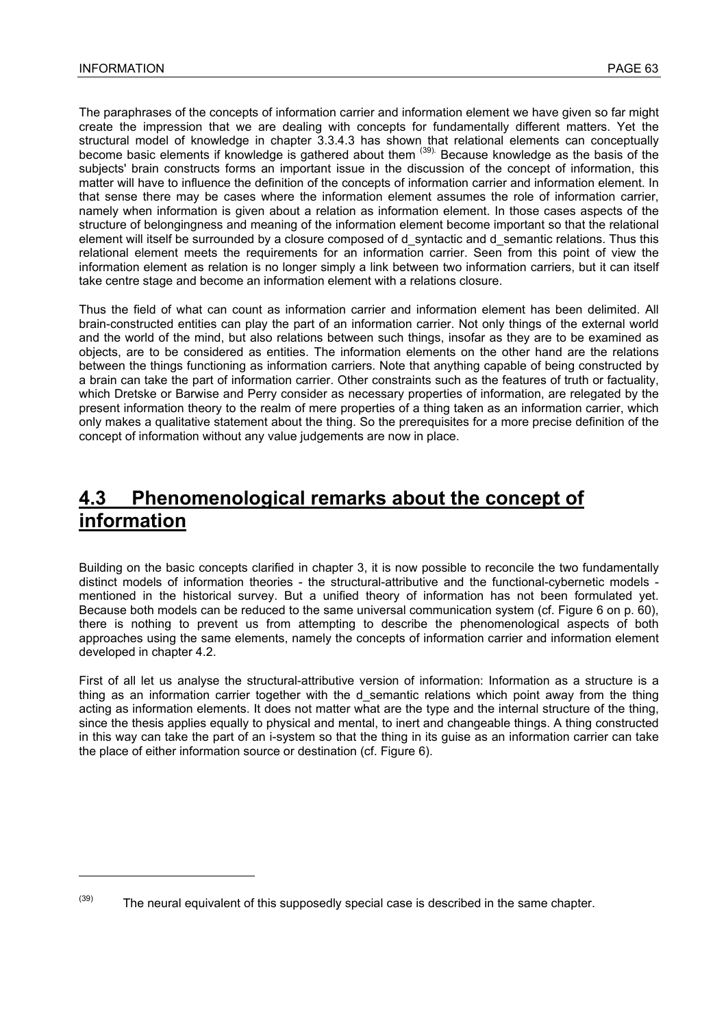l

The paraphrases of the concepts of information carrier and information element we have given so far might create the impression that we are dealing with concepts for fundamentally different matters. Yet the structural model of knowledge in chapter 3.3.4.3 has shown that relational elements can conceptually become basic elements if knowledge is gathered about them <sup>(39)</sup>. Because knowledge as the basis of the subjects' brain constructs forms an important issue in the discussion of the concept of information, this matter will have to influence the definition of the concepts of information carrier and information element. In that sense there may be cases where the information element assumes the role of information carrier, namely when information is given about a relation as information element. In those cases aspects of the structure of belongingness and meaning of the information element become important so that the relational element will itself be surrounded by a closure composed of d\_syntactic and d\_semantic relations. Thus this relational element meets the requirements for an information carrier. Seen from this point of view the information element as relation is no longer simply a link between two information carriers, but it can itself take centre stage and become an information element with a relations closure.

Thus the field of what can count as information carrier and information element has been delimited. All brain-constructed entities can play the part of an information carrier. Not only things of the external world and the world of the mind, but also relations between such things, insofar as they are to be examined as objects, are to be considered as entities. The information elements on the other hand are the relations between the things functioning as information carriers. Note that anything capable of being constructed by a brain can take the part of information carrier. Other constraints such as the features of truth or factuality, which Dretske or Barwise and Perry consider as necessary properties of information, are relegated by the present information theory to the realm of mere properties of a thing taken as an information carrier, which only makes a qualitative statement about the thing. So the prerequisites for a more precise definition of the concept of information without any value judgements are now in place.

# **4.3 Phenomenological remarks about the concept of information**

Building on the basic concepts clarified in chapter 3, it is now possible to reconcile the two fundamentally distinct models of information theories - the structural-attributive and the functional-cybernetic models mentioned in the historical survey. But a unified theory of information has not been formulated yet. Because both models can be reduced to the same universal communication system (cf. Figure 6 on p. 60), there is nothing to prevent us from attempting to describe the phenomenological aspects of both approaches using the same elements, namely the concepts of information carrier and information element developed in chapter 4.2.

First of all let us analyse the structural-attributive version of information: Information as a structure is a thing as an information carrier together with the d\_semantic relations which point away from the thing acting as information elements. It does not matter what are the type and the internal structure of the thing, since the thesis applies equally to physical and mental, to inert and changeable things. A thing constructed in this way can take the part of an i-system so that the thing in its guise as an information carrier can take the place of either information source or destination (cf. Figure 6).

 $(39)$  The neural equivalent of this supposedly special case is described in the same chapter.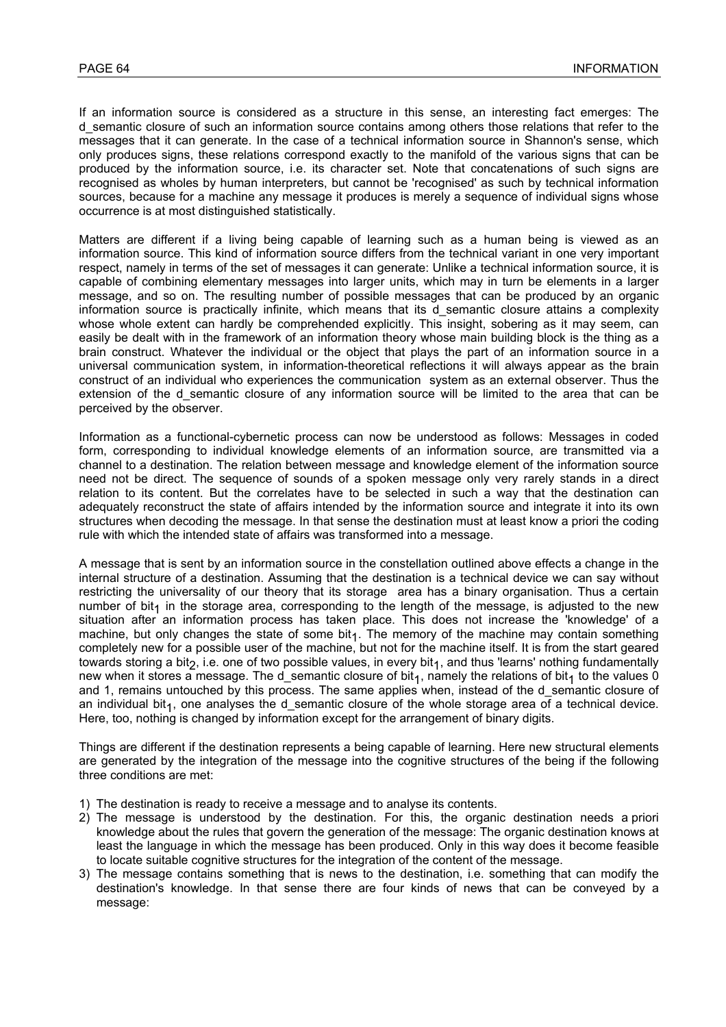If an information source is considered as a structure in this sense, an interesting fact emerges: The d semantic closure of such an information source contains among others those relations that refer to the messages that it can generate. In the case of a technical information source in Shannon's sense, which only produces signs, these relations correspond exactly to the manifold of the various signs that can be produced by the information source, i.e. its character set. Note that concatenations of such signs are recognised as wholes by human interpreters, but cannot be 'recognised' as such by technical information sources, because for a machine any message it produces is merely a sequence of individual signs whose occurrence is at most distinguished statistically.

Matters are different if a living being capable of learning such as a human being is viewed as an information source. This kind of information source differs from the technical variant in one very important respect, namely in terms of the set of messages it can generate: Unlike a technical information source, it is capable of combining elementary messages into larger units, which may in turn be elements in a larger message, and so on. The resulting number of possible messages that can be produced by an organic information source is practically infinite, which means that its  $\overline{d}$  semantic closure attains a complexity whose whole extent can hardly be comprehended explicitly. This insight, sobering as it may seem, can easily be dealt with in the framework of an information theory whose main building block is the thing as a brain construct. Whatever the individual or the object that plays the part of an information source in a universal communication system, in information-theoretical reflections it will always appear as the brain construct of an individual who experiences the communication system as an external observer. Thus the extension of the d semantic closure of any information source will be limited to the area that can be perceived by the observer.

Information as a functional-cybernetic process can now be understood as follows: Messages in coded form, corresponding to individual knowledge elements of an information source, are transmitted via a channel to a destination. The relation between message and knowledge element of the information source need not be direct. The sequence of sounds of a spoken message only very rarely stands in a direct relation to its content. But the correlates have to be selected in such a way that the destination can adequately reconstruct the state of affairs intended by the information source and integrate it into its own structures when decoding the message. In that sense the destination must at least know a priori the coding rule with which the intended state of affairs was transformed into a message.

A message that is sent by an information source in the constellation outlined above effects a change in the internal structure of a destination. Assuming that the destination is a technical device we can say without restricting the universality of our theory that its storage area has a binary organisation. Thus a certain number of bit<sub>1</sub> in the storage area, corresponding to the length of the message, is adjusted to the new situation after an information process has taken place. This does not increase the 'knowledge' of a machine, but only changes the state of some bit<sub>1</sub>. The memory of the machine may contain something completely new for a possible user of the machine, but not for the machine itself. It is from the start geared towards storing a bit<sub>2</sub>, i.e. one of two possible values, in every bit<sub>1</sub>, and thus 'learns' nothing fundamentally new when it stores a message. The d\_semantic closure of bit<sub>1</sub>, namely the relations of bit<sub>1</sub> to the values 0 and 1, remains untouched by this process. The same applies when, instead of the d\_semantic closure of an individual bit<sub>1</sub>, one analyses the d semantic closure of the whole storage area of a technical device. Here, too, nothing is changed by information except for the arrangement of binary digits.

Things are different if the destination represents a being capable of learning. Here new structural elements are generated by the integration of the message into the cognitive structures of the being if the following three conditions are met:

- 1) The destination is ready to receive a message and to analyse its contents.
- 2) The message is understood by the destination. For this, the organic destination needs a priori knowledge about the rules that govern the generation of the message: The organic destination knows at least the language in which the message has been produced. Only in this way does it become feasible to locate suitable cognitive structures for the integration of the content of the message.
- 3) The message contains something that is news to the destination, i.e. something that can modify the destination's knowledge. In that sense there are four kinds of news that can be conveyed by a message: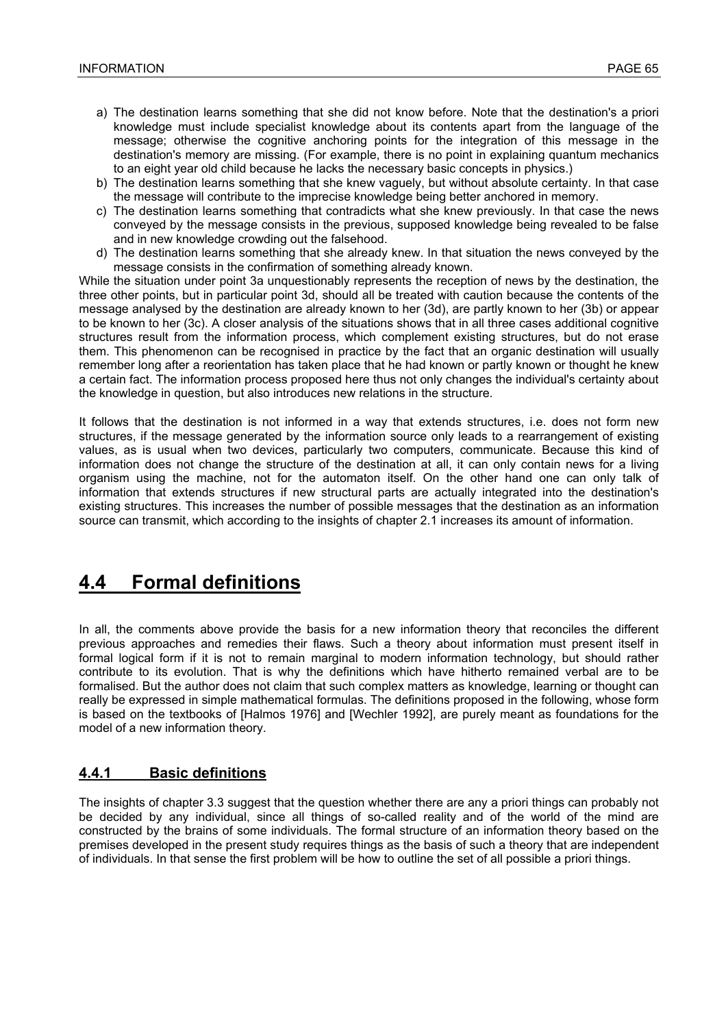- a) The destination learns something that she did not know before. Note that the destination's a priori knowledge must include specialist knowledge about its contents apart from the language of the message; otherwise the cognitive anchoring points for the integration of this message in the destination's memory are missing. (For example, there is no point in explaining quantum mechanics to an eight year old child because he lacks the necessary basic concepts in physics.)
- b) The destination learns something that she knew vaguely, but without absolute certainty. In that case the message will contribute to the imprecise knowledge being better anchored in memory.
- c) The destination learns something that contradicts what she knew previously. In that case the news conveyed by the message consists in the previous, supposed knowledge being revealed to be false and in new knowledge crowding out the falsehood.
- d) The destination learns something that she already knew. In that situation the news conveyed by the message consists in the confirmation of something already known.

While the situation under point 3a unquestionably represents the reception of news by the destination, the three other points, but in particular point 3d, should all be treated with caution because the contents of the message analysed by the destination are already known to her (3d), are partly known to her (3b) or appear to be known to her (3c). A closer analysis of the situations shows that in all three cases additional cognitive structures result from the information process, which complement existing structures, but do not erase them. This phenomenon can be recognised in practice by the fact that an organic destination will usually remember long after a reorientation has taken place that he had known or partly known or thought he knew a certain fact. The information process proposed here thus not only changes the individual's certainty about the knowledge in question, but also introduces new relations in the structure.

It follows that the destination is not informed in a way that extends structures, i.e. does not form new structures, if the message generated by the information source only leads to a rearrangement of existing values, as is usual when two devices, particularly two computers, communicate. Because this kind of information does not change the structure of the destination at all, it can only contain news for a living organism using the machine, not for the automaton itself. On the other hand one can only talk of information that extends structures if new structural parts are actually integrated into the destination's existing structures. This increases the number of possible messages that the destination as an information source can transmit, which according to the insights of chapter 2.1 increases its amount of information.

# **4.4 Formal definitions**

In all, the comments above provide the basis for a new information theory that reconciles the different previous approaches and remedies their flaws. Such a theory about information must present itself in formal logical form if it is not to remain marginal to modern information technology, but should rather contribute to its evolution. That is why the definitions which have hitherto remained verbal are to be formalised. But the author does not claim that such complex matters as knowledge, learning or thought can really be expressed in simple mathematical formulas. The definitions proposed in the following, whose form is based on the textbooks of [Halmos 1976] and [Wechler 1992], are purely meant as foundations for the model of a new information theory.

### **4.4.1 Basic definitions**

The insights of chapter 3.3 suggest that the question whether there are any a priori things can probably not be decided by any individual, since all things of so-called reality and of the world of the mind are constructed by the brains of some individuals. The formal structure of an information theory based on the premises developed in the present study requires things as the basis of such a theory that are independent of individuals. In that sense the first problem will be how to outline the set of all possible a priori things.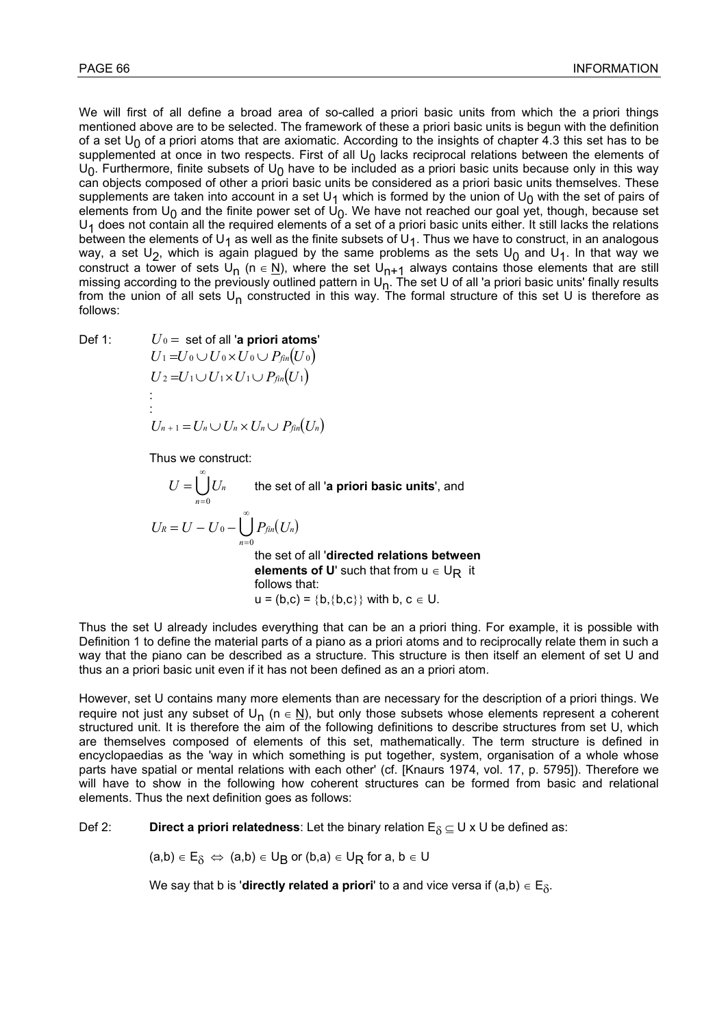We will first of all define a broad area of so-called a priori basic units from which the a priori things mentioned above are to be selected. The framework of these a priori basic units is begun with the definition of a set  $U_0$  of a priori atoms that are axiomatic. According to the insights of chapter 4.3 this set has to be supplemented at once in two respects. First of all  $U_0$  lacks reciprocal relations between the elements of  $U_0$ . Furthermore, finite subsets of  $U_0$  have to be included as a priori basic units because only in this way can objects composed of other a priori basic units be considered as a priori basic units themselves. These supplements are taken into account in a set U<sub>1</sub> which is formed by the union of U<sub>0</sub> with the set of pairs of elements from U<sub>0</sub> and the finite power set of U<sub>0</sub>. We have not reached our goal yet, though, because set  $U_1$  does not contain all the required elements of a set of a priori basic units either. It still lacks the relations between the elements of U<sub>1</sub> as well as the finite subsets of U<sub>1</sub>. Thus we have to construct, in an analogous way, a set U<sub>2</sub>, which is again plagued by the same problems as the sets U<sub>0</sub> and U<sub>1</sub>. In that way we construct a tower of sets U<sub>n</sub> (n  $\in$  N), where the set U<sub>n+1</sub> always contains those elements that are still missing according to the previously outlined pattern in  $U_{n}$ . The set U of all 'a priori basic units' finally results from the union of all sets  $U_n$  constructed in this way. The formal structure of this set U is therefore as follows:

$$
Def 1:
$$

Def 1:

\n
$$
U_0 = \text{set of all 'a priori atoms'}
$$
\n
$$
U_1 = U_0 \cup U_0 \times U_0 \cup P_{fin}(U_0)
$$
\n
$$
U_2 = U_1 \cup U_1 \times U_1 \cup P_{fin}(U_1)
$$
\n
$$
\vdots
$$
\n
$$
U_{n+1} = U_n \cup U_n \times U_n \cup P_{fin}(U_n)
$$

Thus we construct:

$$
U = \bigcup_{n=0}^{\infty} U_n
$$
 the set of all 'a priori basic units', and  

$$
U_R = U - U_0 - \bigcup_{n=0}^{\infty} P_{fin}(U_n)
$$
the set of all 'directed relations between  
elements of U' such that from  $u \in U_R$  it  
follows that:  

$$
u = (b,c) = \{b,\{b,c\}\} \text{ with } b, c \in U.
$$

Thus the set U already includes everything that can be an a priori thing. For example, it is possible with Definition 1 to define the material parts of a piano as a priori atoms and to reciprocally relate them in such a way that the piano can be described as a structure. This structure is then itself an element of set U and thus an a priori basic unit even if it has not been defined as an a priori atom.

However, set U contains many more elements than are necessary for the description of a priori things. We require not just any subset of  $U_n$  (n  $\in$  N), but only those subsets whose elements represent a coherent structured unit. It is therefore the aim of the following definitions to describe structures from set U, which are themselves composed of elements of this set, mathematically. The term structure is defined in encyclopaedias as the 'way in which something is put together, system, organisation of a whole whose parts have spatial or mental relations with each other' (cf. [Knaurs 1974, vol. 17, p. 5795]). Therefore we will have to show in the following how coherent structures can be formed from basic and relational elements. Thus the next definition goes as follows:

Def 2: **Direct a priori relatedness**: Let the binary relation  $E_{\delta} \subseteq U \times U$  be defined as:

 $(a,b) \in E_{\delta} \iff (a,b) \in U_B$  or  $(b,a) \in U_R$  for  $a, b \in U$ 

We say that b is '**directly related a priori'** to a and vice versa if  $(a,b) \in E_{\delta}$ .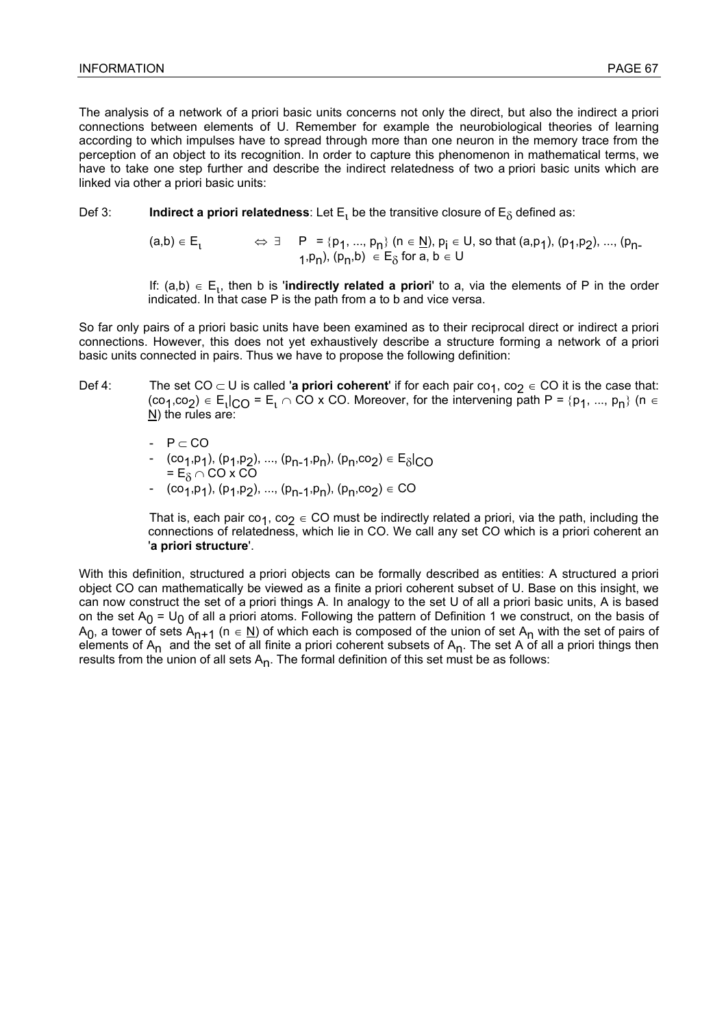The analysis of a network of a priori basic units concerns not only the direct, but also the indirect a priori connections between elements of U. Remember for example the neurobiological theories of learning according to which impulses have to spread through more than one neuron in the memory trace from the perception of an object to its recognition. In order to capture this phenomenon in mathematical terms, we have to take one step further and describe the indirect relatedness of two a priori basic units which are linked via other a priori basic units:

Def 3: **Indirect a priori relatedness**: Let  $E_1$  be the transitive closure of  $E_8$  defined as:

 $(a,b)\in E^1_1$   $\Leftrightarrow$   $\exists$   $P = \{p_1, ..., p_n\}$   $(n \in \underline{N}), p_i \in U$ , so that  $(a,p_1), (p_1,p_2), ..., (p_n)$ 1,p<sub>n</sub>), (p<sub>n</sub>,b)  $\in E_{\delta}$  for a, b  $\in U$ 

If:  $(a,b) \in E_1$ , then b is '**indirectly related a priori**' to a, via the elements of P in the order indicated. In that case P is the path from a to b and vice versa.

So far only pairs of a priori basic units have been examined as to their reciprocal direct or indirect a priori connections. However, this does not yet exhaustively describe a structure forming a network of a priori basic units connected in pairs. Thus we have to propose the following definition:

- Def 4: The set CO  $\subset$  U is called '**a priori coherent'** if for each pair co<sub>1</sub>, co<sub>2</sub> ∈ CO it is the case that: (co<sub>1</sub>,co<sub>2</sub>)  $\in$  E<sub>1</sub>|<sub>CO</sub> = E<sub>1</sub>  $\cap$  CO x CO. Moreover, for the intervening path P = {p<sub>1</sub>, ..., p<sub>n</sub>} (n  $\in$ N) the rules are:
	- $-$  P  $\subset$  CO
- $(co_1, p_1)$ ,  $(p_1, p_2)$ , ...,  $(p_{n-1}, p_n)$ ,  $(p_n, co_2) \in E_{\delta}|_{CO}$ =  $E_{\delta}$   $\cap$  CO x CO
	- $-$  (co<sub>1</sub>,p<sub>1</sub>), (p<sub>1</sub>,p<sub>2</sub>), ..., (p<sub>n-1</sub>,p<sub>n</sub>), (p<sub>n</sub>,co<sub>2</sub>)  $\in$  CO

That is, each pair co<sub>1</sub>, co<sub>2</sub>  $\in$  CO must be indirectly related a priori, via the path, including the connections of relatedness, which lie in CO. We call any set CO which is a priori coherent an '**a priori structure**'.

With this definition, structured a priori objects can be formally described as entities: A structured a priori object CO can mathematically be viewed as a finite a priori coherent subset of U. Base on this insight, we can now construct the set of a priori things A. In analogy to the set U of all a priori basic units, A is based on the set  $A_0 = U_0$  of all a priori atoms. Following the pattern of Definition 1 we construct, on the basis of A<sub>0</sub>, a tower of sets A<sub>n+1</sub> (n  $\in$  N) of which each is composed of the union of set A<sub>n</sub> with the set of pairs of elements of  $A_n$  and the set of all finite a priori coherent subsets of  $A_n$ . The set A of all a priori things then results from the union of all sets  $A_n$ . The formal definition of this set must be as follows: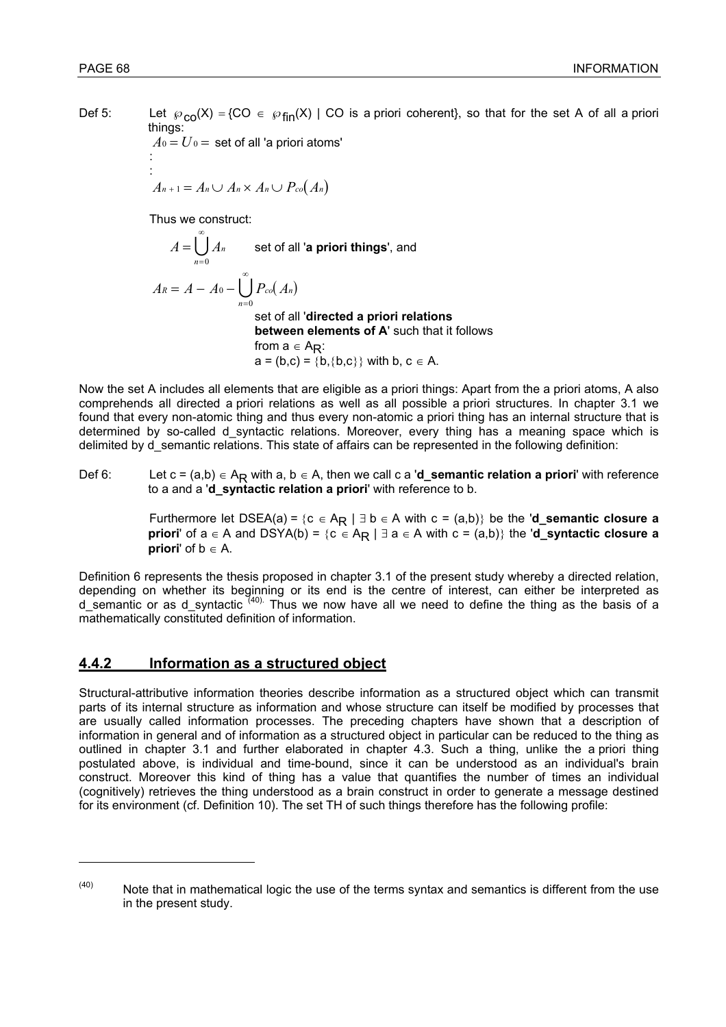l

Def 5: Let  $\wp_{\text{CO}}(X) = \{CO \in \wp_{\text{fin}}(X) \mid CO \text{ is a priori coherent}\}$ , so that for the set A of all a priori things:

 $A_0 = U_0$  = set of all 'a priori atoms' : 1999 - 1999 - 1999 : 1999 - 1999 - 1999

 $A_{n+1} = A_n \cup A_n \times A_n \cup P_{co}(A_n)$ 

Thus we construct:

 $A = \bigcup A_n$ *n* = = ∞  $\bigcup_{n=0} A_n$  set of all **'a priori things'**, and  $A_R = A - A_0 - \bigcup P_{co}(A_n)$ *n*  $= A - A_0 -$ = ∞ 0  $\bigcup_{n=0}$  set of all '**directed a priori relations between elements of A**' such that it follows from  $a \in A_{R}$ :

 $a = (b,c) = \{b,\{b,c\}\}\$  with b,  $c \in A$ .

Now the set A includes all elements that are eligible as a priori things: Apart from the a priori atoms, A also comprehends all directed a priori relations as well as all possible a priori structures. In chapter 3.1 we found that every non-atomic thing and thus every non-atomic a priori thing has an internal structure that is determined by so-called d syntactic relations. Moreover, every thing has a meaning space which is delimited by d\_semantic relations. This state of affairs can be represented in the following definition:

Def 6: Let c = (a,b) ∈ AR with a, b ∈ A, then we call c a '**d\_semantic relation a priori**' with reference to a and a '**d\_syntactic relation a priori**' with reference to b.

> Furthermore let DSEA(a) = {c ∈ AR | ∃ b ∈ A with c = (a,b)} be the '**d\_semantic closure a priori'** of  $a \in A$  and  $DSYA(b) = {c \in A_R \mid \exists a \in A \text{ with } c = (a,b)}$  the '**d\_syntactic closure a priori'** of  $b \in A$ .

Definition 6 represents the thesis proposed in chapter 3.1 of the present study whereby a directed relation, depending on whether its beginning or its end is the centre of interest, can either be interpreted as d\_semantic or as d\_syntactic <sup>(40).</sup> Thus we now have all we need to define the thing as the basis of a mathematically constituted definition of information.

### **4.4.2 Information as a structured object**

Structural-attributive information theories describe information as a structured object which can transmit parts of its internal structure as information and whose structure can itself be modified by processes that are usually called information processes. The preceding chapters have shown that a description of information in general and of information as a structured object in particular can be reduced to the thing as outlined in chapter 3.1 and further elaborated in chapter 4.3. Such a thing, unlike the a priori thing postulated above, is individual and time-bound, since it can be understood as an individual's brain construct. Moreover this kind of thing has a value that quantifies the number of times an individual (cognitively) retrieves the thing understood as a brain construct in order to generate a message destined for its environment (cf. Definition 10). The set TH of such things therefore has the following profile:

 $(40)$  Note that in mathematical logic the use of the terms syntax and semantics is different from the use in the present study.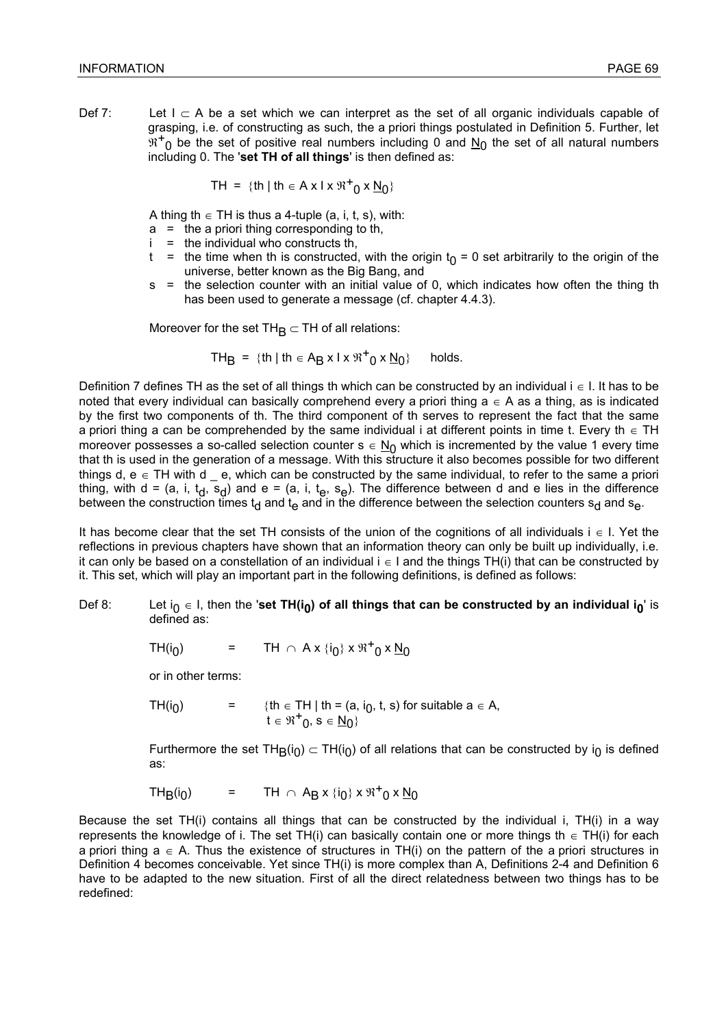Def 7: Let  $I \subset A$  be a set which we can interpret as the set of all organic individuals capable of grasping, i.e. of constructing as such, the a priori things postulated in Definition 5. Further, let  $\mathbb{R}^+$ <sub>0</sub> be the set of positive real numbers including 0 and  $N_0$  the set of all natural numbers including 0. The '**set TH of all things**' is then defined as:

$$
TH = \{th \mid th \in A \times I \times \mathfrak{R}^+ \setminus 0 \times \underline{N}_0\}
$$

A thing th  $\in$  TH is thus a 4-tuple (a, i, t, s), with:

- $a =$  the a priori thing corresponding to th,
- $i =$  the individual who constructs th,
- t = the time when th is constructed, with the origin  $t_0 = 0$  set arbitrarily to the origin of the universe, better known as the Big Bang, and
- s = the selection counter with an initial value of 0, which indicates how often the thing th has been used to generate a message (cf. chapter 4.4.3).

Moreover for the set  $TH_B \subset TH$  of all relations:

$$
TH_B = \{ th \mid th \in A_B \times I \times \mathfrak{R}^+_{0} \times \underline{N}_0 \} \quad \text{ holds.}
$$

Definition 7 defines TH as the set of all things th which can be constructed by an individual i ∈ I. It has to be noted that every individual can basically comprehend every a priori thing  $a \in A$  as a thing, as is indicated by the first two components of th. The third component of th serves to represent the fact that the same a priori thing a can be comprehended by the same individual i at different points in time t. Every th  $\in$  TH moreover possesses a so-called selection counter  $s \in N_0$  which is incremented by the value 1 every time that th is used in the generation of a message. With this structure it also becomes possible for two different things d,  $e \in TH$  with d  $\equiv e$ , which can be constructed by the same individual, to refer to the same a priori thing, with d = (a, i, t<sub>d</sub>, s<sub>d</sub>) and e = (a, i, t<sub>e</sub>, s<sub>e</sub>). The difference between d and e lies in the difference between the construction times t<sub>d</sub> and t<sub>e</sub> and in the difference between the selection counters s<sub>d</sub> and s<sub>e</sub>.

It has become clear that the set TH consists of the union of the cognitions of all individuals i ∈ I. Yet the reflections in previous chapters have shown that an information theory can only be built up individually, i.e. it can only be based on a constellation of an individual i ∈ I and the things TH(i) that can be constructed by it. This set, which will play an important part in the following definitions, is defined as follows:

- Def 8: Let i<sub>0</sub> ∈ I, then the '**set TH(i<sub>0</sub>) of all things that can be constructed by an individual i<sub>0</sub>' is** defined as:
- TH(i<sub>0</sub>) = TH  $\cap$  A x {i<sub>0</sub>} x  $\Re^+$ <sub>0</sub> x <u>N</u><sub>0</sub>

or in other terms:

TH(i<sub>0</sub>) = {th ∈ TH | th = (a, i<sub>0</sub>, t, s) for suitable a ∈ A, t  $\in \mathfrak{R}^+$ <sub>0</sub>, s  $\in \underline{\mathsf{N}}_0$ }

> Furthermore the set TH<sub>B</sub>(i<sub>0</sub>) ⊂ TH(i<sub>0</sub>) of all relations that can be constructed by i<sub>0</sub> is defined as:

TH<sub>B</sub>(i<sub>0</sub>) = TH  $\cap$  A<sub>B</sub> x {i<sub>0</sub>} x  $\mathfrak{R}^+$ <sub>0</sub> x <u>N</u><sub>0</sub>

Because the set TH(i) contains all things that can be constructed by the individual i, TH(i) in a way represents the knowledge of i. The set TH(i) can basically contain one or more things th  $\in$  TH(i) for each a priori thing  $a \in A$ . Thus the existence of structures in TH(i) on the pattern of the a priori structures in Definition 4 becomes conceivable. Yet since TH(i) is more complex than A, Definitions 2-4 and Definition 6 have to be adapted to the new situation. First of all the direct relatedness between two things has to be redefined: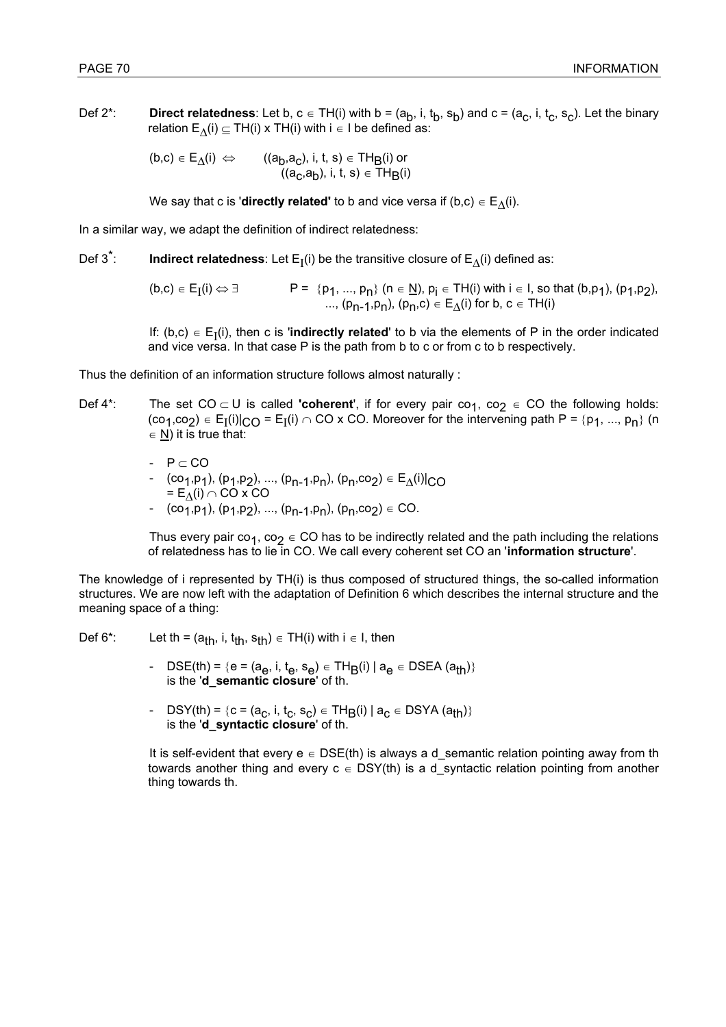Def 2<sup>\*</sup>: **Direct relatedness**: Let b, c  $\in$  TH(i) with b = (a<sub>b</sub>, i, t<sub>b</sub>, s<sub>b</sub>) and c = (a<sub>c</sub>, i, t<sub>c</sub>, s<sub>c</sub>). Let the binary relation  $E_{\Lambda}(i)$   $\subseteq$  TH(i) x TH(i) with i ∈ I be defined as:

> $(b, c) \in E_{\Lambda}(i) \iff$  ((a<sub>b</sub>,a<sub>c</sub>), i, t, s)  $\in$  TH<sub>B</sub>(i) or  $((a_C, a_D), i, t, s) \in \overline{TH}_B(i)$

We say that c is '**directly related'** to b and vice versa if (b,c)  $\in$  E<sub> $\Lambda$ </sub>(i).

In a similar way, we adapt the definition of indirect relatedness:

Def 3<sup>\*</sup>: **Indirect relatedness**: Let  $E_I(i)$  be the transitive closure of  $E_A(i)$  defined as:

 $(b, c) \in E_I(i) \Leftrightarrow \exists$   $P = \{p_1, ..., p_n\}$   $(n \in \underline{N})$ ,  $p_i \in TH(i)$  with  $i \in I$ , so that  $(b, p_1)$ ,  $(p_1, p_2)$ , ...,  $(p_{n-1}, p_n)$ ,  $(p_n, c) \in E_\Lambda(i)$  for b,  $c \in TH(i)$ 

If: (b,c)  $\in$  E<sub>I</sub>(i), then c is '**indirectly related**' to b via the elements of P in the order indicated and vice versa. In that case P is the path from b to c or from c to b respectively.

Thus the definition of an information structure follows almost naturally :

- Def 4<sup>\*</sup>: The set CO  $\subset$  U is called **'coherent'**, if for every pair co<sub>1</sub>, co<sub>2</sub> ∈ CO the following holds:  $(co_1, co_2) \in E_I(i)|_{C \cap I} = E_I(i) \cap CO \times CO$ . Moreover for the intervening path  $P = \{p_1, ..., p_n\}$  (n  $\in$  N) it is true that:
	- $-$  P  $\subset$  CO  $(\text{co}_1,\text{p}_1), (\text{p}_1,\text{p}_2), ..., (\text{p}_{n-1},\text{p}_n), (\text{p}_n,\text{co}_2) \in \mathsf{E}_\Delta(\text{i})|_{\text{CO}}$  $= E$ <sub>Λ</sub>(i) ∩ CO x CO
	- $\begin{array}{ll} & (\text{co}_{1},\text{p}_{1}), (\text{p}_{1},\text{p}_{2}), ..., (\text{p}_{n-1},\text{p}_{n}), (\text{p}_{n},\text{co}_{2}) \in \text{CO}. \end{array}$

Thus every pair co<sub>1</sub>, co<sub>2</sub>  $\in$  CO has to be indirectly related and the path including the relations of relatedness has to lie in CO. We call every coherent set CO an '**information structure**'.

The knowledge of i represented by TH(i) is thus composed of structured things, the so-called information structures. We are now left with the adaptation of Definition 6 which describes the internal structure and the meaning space of a thing:

Def 6\*: Let th =  $(a_{th}$ , i,  $t_{th}$ ,  $s_{th}$ )  $\in$  TH(i) with i  $\in$  I, then

- $DSE(th) = {e = (a_e, i, t_e, s_e) \in TH_B(i) | a_e \in DSEA (a_{th})}$ is the '**d\_semantic closure**' of th.
- $DSY(th) = {c = (a_c, i, t_c, s_c) \in TH_B(i) | a_c \in DSYA(a_{th})}$ is the '**d\_syntactic closure**' of th.

It is self-evident that every  $e \in \text{DSE}(\text{th})$  is always a d\_semantic relation pointing away from th towards another thing and every  $c \in DSY(th)$  is a d syntactic relation pointing from another thing towards th.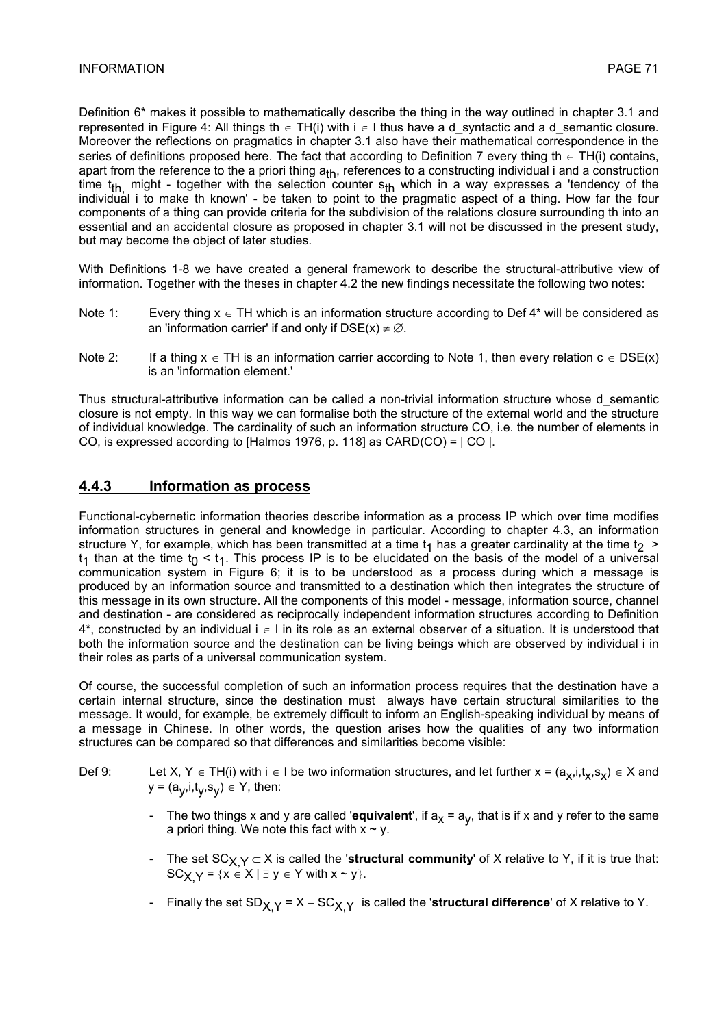Definition 6\* makes it possible to mathematically describe the thing in the way outlined in chapter 3.1 and represented in Figure 4: All things th  $\in$  TH(i) with i  $\in$  I thus have a d syntactic and a d semantic closure. Moreover the reflections on pragmatics in chapter 3.1 also have their mathematical correspondence in the series of definitions proposed here. The fact that according to Definition 7 every thing th  $\epsilon$  TH(i) contains, apart from the reference to the a priori thing  $a_{th}$ , references to a constructing individual i and a construction time t<sub>th,</sub> might - together with the selection counter  $s_{th}$  which in a way expresses a 'tendency of the individual i to make th known' - be taken to point to the pragmatic aspect of a thing. How far the four components of a thing can provide criteria for the subdivision of the relations closure surrounding th into an essential and an accidental closure as proposed in chapter 3.1 will not be discussed in the present study, but may become the object of later studies.

With Definitions 1-8 we have created a general framework to describe the structural-attributive view of information. Together with the theses in chapter 4.2 the new findings necessitate the following two notes:

- Note 1: Every thing  $x \in TH$  which is an information structure according to Def 4\* will be considered as an 'information carrier' if and only if  $DSE(x) \neq \emptyset$ .
- Note 2: If a thing  $x \in TH$  is an information carrier according to Note 1, then every relation  $c \in DSE(x)$ is an 'information element.'

Thus structural-attributive information can be called a non-trivial information structure whose d\_semantic closure is not empty. In this way we can formalise both the structure of the external world and the structure of individual knowledge. The cardinality of such an information structure CO, i.e. the number of elements in CO, is expressed according to [Halmos 1976, p. 118] as  $CARD(CO) = | CO|$ .

# **4.4.3 Information as process**

Functional-cybernetic information theories describe information as a process IP which over time modifies information structures in general and knowledge in particular. According to chapter 4.3, an information structure Y, for example, which has been transmitted at a time  $t_1$  has a greater cardinality at the time  $t_2$  >  $t_1$  than at the time  $t_0 < t_1$ . This process IP is to be elucidated on the basis of the model of a universal communication system in Figure 6; it is to be understood as a process during which a message is produced by an information source and transmitted to a destination which then integrates the structure of this message in its own structure. All the components of this model - message, information source, channel and destination - are considered as reciprocally independent information structures according to Definition 4\*, constructed by an individual i ∈ I in its role as an external observer of a situation. It is understood that both the information source and the destination can be living beings which are observed by individual i in their roles as parts of a universal communication system.

Of course, the successful completion of such an information process requires that the destination have a certain internal structure, since the destination must always have certain structural similarities to the message. It would, for example, be extremely difficult to inform an English-speaking individual by means of a message in Chinese. In other words, the question arises how the qualities of any two information structures can be compared so that differences and similarities become visible:

- Def 9: Let X, Y ∈ TH(i) with i ∈ I be two information structures, and let further  $x = (a_x, i, t_x, s_x) \in X$  and  $y = (a_V, i, t_V, s_V) \in Y$ , then:
	- The two things x and y are called '**equivalent'**, if  $a_x = a_y$ , that is if x and y refer to the same a priori thing. We note this fact with  $x \sim y$ .
	- The set  $SC_{X,Y} \subset X$  is called the '**structural community'** of X relative to Y, if it is true that:  $SC_{X,Y} = \{x \in X \mid \exists y \in Y \text{ with } x \sim y\}.$
	- Finally the set SD<sub>X, Y</sub> = X SC<sub>X, Y</sub> is called the '**structural difference**' of X relative to Y.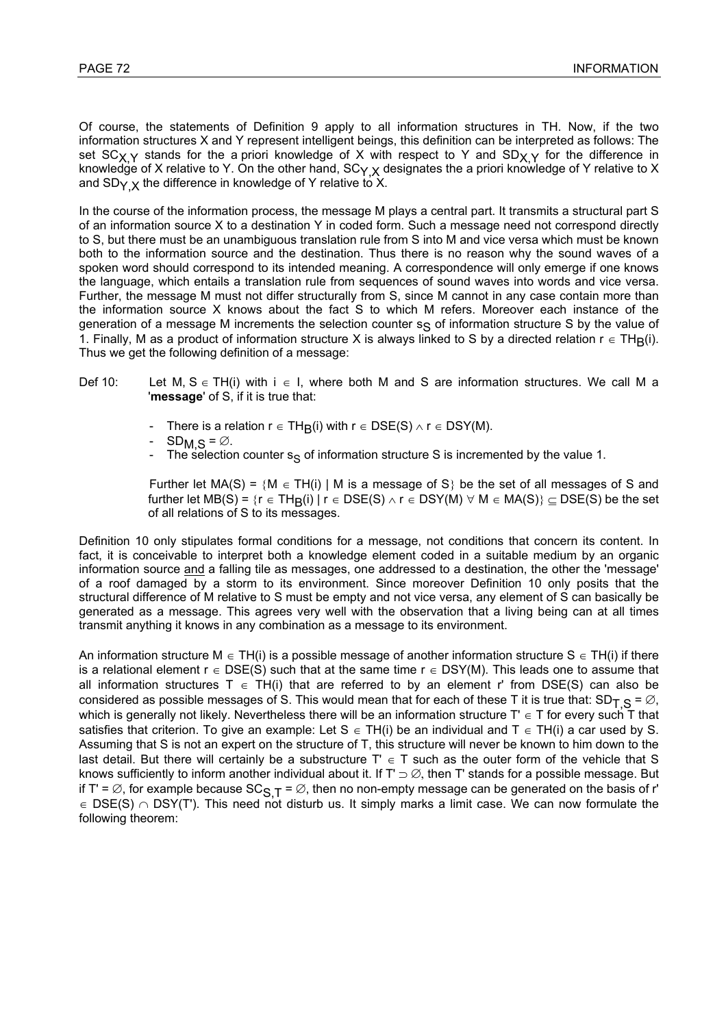Of course, the statements of Definition 9 apply to all information structures in TH. Now, if the two information structures X and Y represent intelligent beings, this definition can be interpreted as follows: The set SC<sub>X Y</sub> stands for the a priori knowledge of X with respect to Y and SD<sub>X, Y</sub> for the difference in knowledge of X relative to Y. On the other hand,  $SC_{Y,X}$  designates the a priori knowledge of Y relative to X and  $SD_{Y}$  x the difference in knowledge of Y relative to X.

In the course of the information process, the message M plays a central part. It transmits a structural part S of an information source X to a destination Y in coded form. Such a message need not correspond directly to S, but there must be an unambiguous translation rule from S into M and vice versa which must be known both to the information source and the destination. Thus there is no reason why the sound waves of a spoken word should correspond to its intended meaning. A correspondence will only emerge if one knows the language, which entails a translation rule from sequences of sound waves into words and vice versa. Further, the message M must not differ structurally from S, since M cannot in any case contain more than the information source X knows about the fact S to which M refers. Moreover each instance of the generation of a message M increments the selection counter  $s<sub>S</sub>$  of information structure S by the value of 1. Finally, M as a product of information structure X is always linked to S by a directed relation  $r \in TH<sub>B</sub>(i)$ . Thus we get the following definition of a message:

- Def 10: Let M, S ∈ TH(i) with i ∈ I, where both M and S are information structures. We call M a '**message**' of S, if it is true that:
	- There is a relation  $r \in TH_R(i)$  with  $r \in DSE(S) \wedge r \in DSY(M)$ .
	- $SD_{M,S} = \emptyset$ .
	- The selection counter  $s_S$  of information structure S is incremented by the value 1.

Further let MA(S) = {M  $\in$  TH(i) | M is a message of S} be the set of all messages of S and further let MB(S) =  $\{r \in TH_R(i) \mid r \in DSE(S) \land r \in DSY(M) \forall M \in MA(S)\} \subset DSE(S)$  be the set of all relations of S to its messages.

Definition 10 only stipulates formal conditions for a message, not conditions that concern its content. In fact, it is conceivable to interpret both a knowledge element coded in a suitable medium by an organic information source and a falling tile as messages, one addressed to a destination, the other the 'message' of a roof damaged by a storm to its environment. Since moreover Definition 10 only posits that the structural difference of M relative to S must be empty and not vice versa, any element of S can basically be generated as a message. This agrees very well with the observation that a living being can at all times transmit anything it knows in any combination as a message to its environment.

An information structure M  $\in$  TH(i) is a possible message of another information structure S  $\in$  TH(i) if there is a relational element  $r \in \text{DSE}(S)$  such that at the same time  $r \in \text{DSY}(M)$ . This leads one to assume that all information structures T  $\in$  TH(i) that are referred to by an element r' from DSE(S) can also be considered as possible messages of S. This would mean that for each of these T it is true that:  $SD_T$   $\leq \varnothing$ , which is generally not likely. Nevertheless there will be an information structure T'  $\in$  T for every such T that satisfies that criterion. To give an example: Let S  $\in$  TH(i) be an individual and T  $\in$  TH(i) a car used by S. Assuming that S is not an expert on the structure of T, this structure will never be known to him down to the last detail. But there will certainly be a substructure  $T' \in T$  such as the outer form of the vehicle that S knows sufficiently to inform another individual about it. If T'  $\supset \emptyset$ , then T' stands for a possible message. But if T' =  $\varnothing$ , for example because SC<sub>S, T</sub> =  $\varnothing$ , then no non-empty message can be generated on the basis of r'  $\in$  DSE(S)  $\cap$  DSY(T'). This need not disturb us. It simply marks a limit case. We can now formulate the following theorem: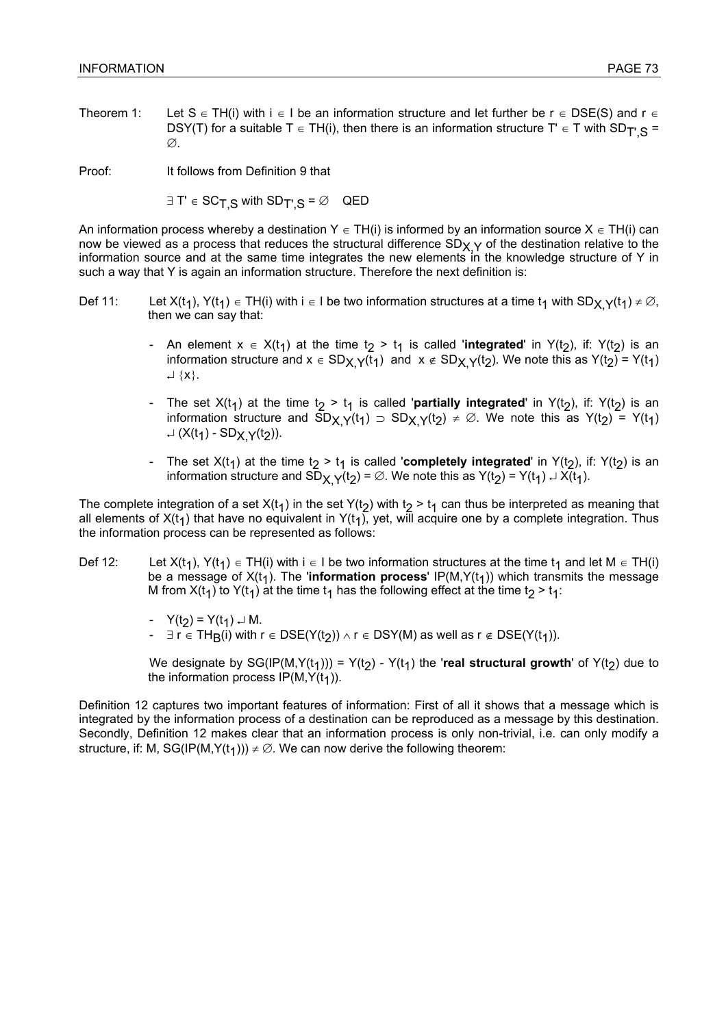Theorem 1: Let S  $\in$  TH(i) with i  $\in$  I be an information structure and let further be r  $\in$  DSE(S) and r  $\in$ DSY(T) for a suitable T  $\in$  TH(i), then there is an information structure T'  $\in$  T with SD<sub>T' S</sub> =  $\varnothing$ .

Proof: It follows from Definition 9 that

 $\exists T \in SC_T$  S with  $SD_T$ ,  $S = \emptyset$  QED

An information process whereby a destination  $Y \in TH(i)$  is informed by an information source  $X \in TH(i)$  can now be viewed as a process that reduces the structural difference  $SD_{X,Y}$  of the destination relative to the information source and at the same time integrates the new elements in the knowledge structure of Y in such a way that Y is again an information structure. Therefore the next definition is:

- Def 11: Let  $X(t_1)$ ,  $Y(t_1) \in TH(i)$  with i  $\in I$  be two information structures at a time  $t_1$  with SD<sub>X</sub>  $Y(t_1) \neq \emptyset$ , then we can say that:
	- An element  $x \in X(t_1)$  at the time  $t_2 > t_1$  is called **'integrated'** in Y( $t_2$ ), if: Y( $t_2$ ) is an information structure and  $x \in SD_{X,Y}(t_1)$  and  $x \notin SD_{X,Y}(t_2)$ . We note this as  $Y(t_2) = Y(t_1)$ ↵ {x}.
	- The set  $X(t_1)$  at the time  $t_2 > t_1$  is called '**partially integrated**' in  $Y(t_2)$ , if:  $Y(t_2)$  is an information structure and  $SD_{X,Y}(t_1)$   $\supset$   $SD_{X,Y}(t_2) \neq \emptyset$ . We note this as  $Y(t_2) = Y(t_1)$  $\cup$  (X(t<sub>1</sub>) - SD<sub>X</sub>  $\vee$ (t<sub>2</sub>)).
	- The set  $X(t_1)$  at the time  $t_2 > t_1$  is called '**completely integrated**' in  $Y(t_2)$ , if:  $Y(t_2)$  is an information structure and  $SD_{X,Y}(t_2) = \emptyset$ . We note this as  $Y(t_2) = Y(t_1) \cup X(t_1)$ .

The complete integration of a set  $X(t_1)$  in the set Y(t<sub>2</sub>) with t<sub>2</sub> > t<sub>1</sub> can thus be interpreted as meaning that all elements of  $X(t_1)$  that have no equivalent in  $Y(t_1)$ , yet, will acquire one by a complete integration. Thus the information process can be represented as follows:

- Def 12: Let  $X(t_1)$ ,  $Y(t_1) \in TH(i)$  with  $i \in I$  be two information structures at the time  $t_1$  and let  $M \in TH(i)$ be a message of  $X(t_1)$ . The 'information process'  $IP(M,Y(t_1))$  which transmits the message M from  $X(t_1)$  to  $Y(t_1)$  at the time  $t_1$  has the following effect at the time  $t_2 > t_1$ :
	- $Y(t_2) = Y(t_1) \cup M$ .
	- $\exists$  r ∈ TH<sub>R</sub>(i) with r ∈ DSE(Y(t<sub>2</sub>))  $\land$  r ∈ DSY(M) as well as r ∉ DSE(Y(t<sub>1</sub>)).

We designate by  $SG(\mathsf{IP}(M,Y(t_1))) = Y(t_2) - Y(t_1)$  the 'real structural growth' of  $Y(t_2)$  due to the information process  $IP(M,Y(t<sub>1</sub>)).$ 

Definition 12 captures two important features of information: First of all it shows that a message which is integrated by the information process of a destination can be reproduced as a message by this destination. Secondly, Definition 12 makes clear that an information process is only non-trivial, i.e. can only modify a structure, if: M, SG(IP(M,Y(t<sub>1</sub>)))  $\neq \emptyset$ . We can now derive the following theorem: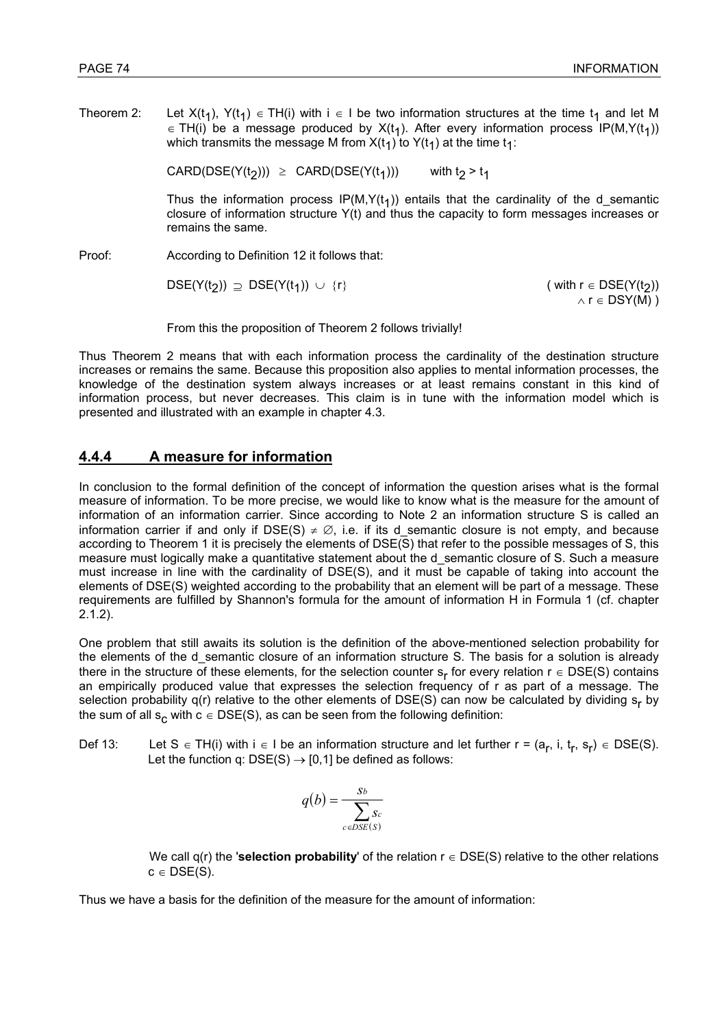Theorem 2: Let  $X(t_1)$ ,  $Y(t_1) \in TH(i)$  with  $i \in I$  be two information structures at the time  $t_1$  and let M ∈ TH(i) be a message produced by  $X(t_1)$ . After every information process IP(M,Y(t<sub>1</sub>)) which transmits the message M from  $X(t_1)$  to  $Y(t_1)$  at the time  $t_1$ :

CARD(DSE(Y(t2)))  $\ge$  CARD(DSE(Y(t<sub>1</sub>))) with t<sub>2</sub> > t<sub>1</sub>

Thus the information process  $IP(M,Y(t_1))$  entails that the cardinality of the d\_semantic closure of information structure Y(t) and thus the capacity to form messages increases or remains the same.

Proof: According to Definition 12 it follows that:

 $DSE(Y(t_2)) \supseteq DSE(Y(t_1)) \cup \{r\}$  ( with  $r \in DSE(Y(t_2))$ 

 $\land r \in DSY(M)$ )

From this the proposition of Theorem 2 follows trivially!

Thus Theorem 2 means that with each information process the cardinality of the destination structure increases or remains the same. Because this proposition also applies to mental information processes, the knowledge of the destination system always increases or at least remains constant in this kind of information process, but never decreases. This claim is in tune with the information model which is presented and illustrated with an example in chapter 4.3.

# **4.4.4 A measure for information**

In conclusion to the formal definition of the concept of information the question arises what is the formal measure of information. To be more precise, we would like to know what is the measure for the amount of information of an information carrier. Since according to Note 2 an information structure S is called an information carrier if and only if DSE(S)  $\neq \emptyset$ , i.e. if its d semantic closure is not empty, and because according to Theorem 1 it is precisely the elements of DSE(S) that refer to the possible messages of S, this measure must logically make a quantitative statement about the desemantic closure of S. Such a measure must increase in line with the cardinality of DSE(S), and it must be capable of taking into account the elements of DSE(S) weighted according to the probability that an element will be part of a message. These requirements are fulfilled by Shannon's formula for the amount of information H in Formula 1 (cf. chapter 2.1.2).

One problem that still awaits its solution is the definition of the above-mentioned selection probability for the elements of the d semantic closure of an information structure S. The basis for a solution is already there in the structure of these elements, for the selection counter  $s_r$  for every relation  $r \in \text{DSE}(S)$  contains an empirically produced value that expresses the selection frequency of r as part of a message. The selection probability  $q(r)$  relative to the other elements of DSE(S) can now be calculated by dividing  $s_r$  by the sum of all s<sub>c</sub> with  $c \in \text{DSE}(S)$ , as can be seen from the following definition:

Def 13: Let S ∈ TH(i) with i ∈ I be an information structure and let further r =  $(a_r, i, t_r, s_r) \in \text{DSE}(S)$ . Let the function q:  $DSE(S) \rightarrow [0.1]$  be defined as follows:

$$
q(b) = \frac{s_b}{\sum_{c \in DSE(S)} s_c}
$$

 We call q(r) the '**selection probability**' of the relation r ∈ DSE(S) relative to the other relations  $c \in \text{DSE}(S)$ .

Thus we have a basis for the definition of the measure for the amount of information: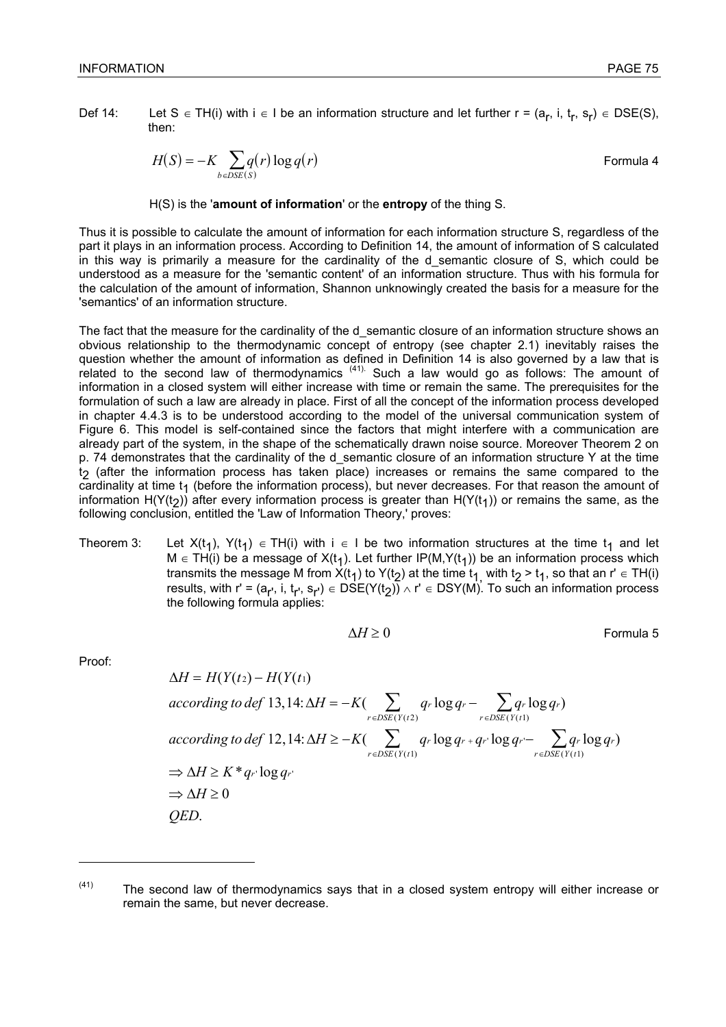Def 14: Let S ∈ TH(i) with i ∈ I be an information structure and let further r =  $(a_r, i, t_r, s_r) \in \text{DSE}(S)$ , then:

$$
H(S) = -K \sum_{b \in DSE(S)} q(r) \log q(r)
$$
 Formula 4

### H(S) is the '**amount of information**' or the **entropy** of the thing S.

Thus it is possible to calculate the amount of information for each information structure S, regardless of the part it plays in an information process. According to Definition 14, the amount of information of S calculated in this way is primarily a measure for the cardinality of the d\_semantic closure of S, which could be understood as a measure for the 'semantic content' of an information structure. Thus with his formula for the calculation of the amount of information, Shannon unknowingly created the basis for a measure for the 'semantics' of an information structure.

The fact that the measure for the cardinality of the desemantic closure of an information structure shows an obvious relationship to the thermodynamic concept of entropy (see chapter 2.1) inevitably raises the question whether the amount of information as defined in Definition 14 is also governed by a law that is related to the second law of thermodynamics  $(41)$ . Such a law would go as follows: The amount of information in a closed system will either increase with time or remain the same. The prerequisites for the formulation of such a law are already in place. First of all the concept of the information process developed in chapter 4.4.3 is to be understood according to the model of the universal communication system of Figure 6. This model is self-contained since the factors that might interfere with a communication are already part of the system, in the shape of the schematically drawn noise source. Moreover Theorem 2 on p. 74 demonstrates that the cardinality of the d semantic closure of an information structure Y at the time t 2 (after the information process has taken place) increases or remains the same compared to the  $c$ ardinality at time t<sub>1</sub> (before the information process), but never decreases. For that reason the amount of information H(Y(t<sub>2</sub>)) after every information process is greater than H(Y(t<sub>1</sub>)) or remains the same, as the following conclusion, entitled the 'Law of Information Theory,' proves:

Theorem 3: Let  $X(t_1)$ ,  $Y(t_1) \in TH(i)$  with  $i \in I$  be two information structures at the time  $t_1$  and let  $M$  ∈ TH(i) be a message of X(t<sub>1</sub>). Let further IP(M,Y(t<sub>1</sub>)) be an information process which transmits the message M from X(t<sub>1</sub>) to Y(t<sub>2</sub>) at the time t<sub>1,</sub> with t<sub>2</sub> > t<sub>1</sub>, so that an r' ∈ TH(i) results, with r' = (a<sub>r'</sub>, i, t<sub>r'</sub>, s<sub>r'</sub>) ∈ DSE(Y(t<sub>2</sub>)) ∧ r' ∈ DSY(M). To such an information process the following formula applies:

$$
\Delta H \ge 0
$$
 Formula 5

Proof:

l

$$
\Delta H = H(Y(t_2) - H(Y(t_1))
$$
  
\naccording to def 13,14:  $\Delta H = -K(\sum_{r \in DSE(Y(t_2))} q_r \log q_r - \sum_{r \in DSE(Y(t_1))} q_r \log q_r)$   
\naccording to def 12,14:  $\Delta H \ge -K(\sum_{r \in DSE(Y(t_1))} q_r \log q_r + q_r \log q_r - \sum_{r \in DSE(Y(t_1))} q_r \log q_r)$   
\n $\Rightarrow \Delta H \ge K^* q_r \log q_r$   
\n $\Rightarrow \Delta H \ge 0$   
\nQED.

 $(41)$  The second law of thermodynamics says that in a closed system entropy will either increase or remain the same, but never decrease.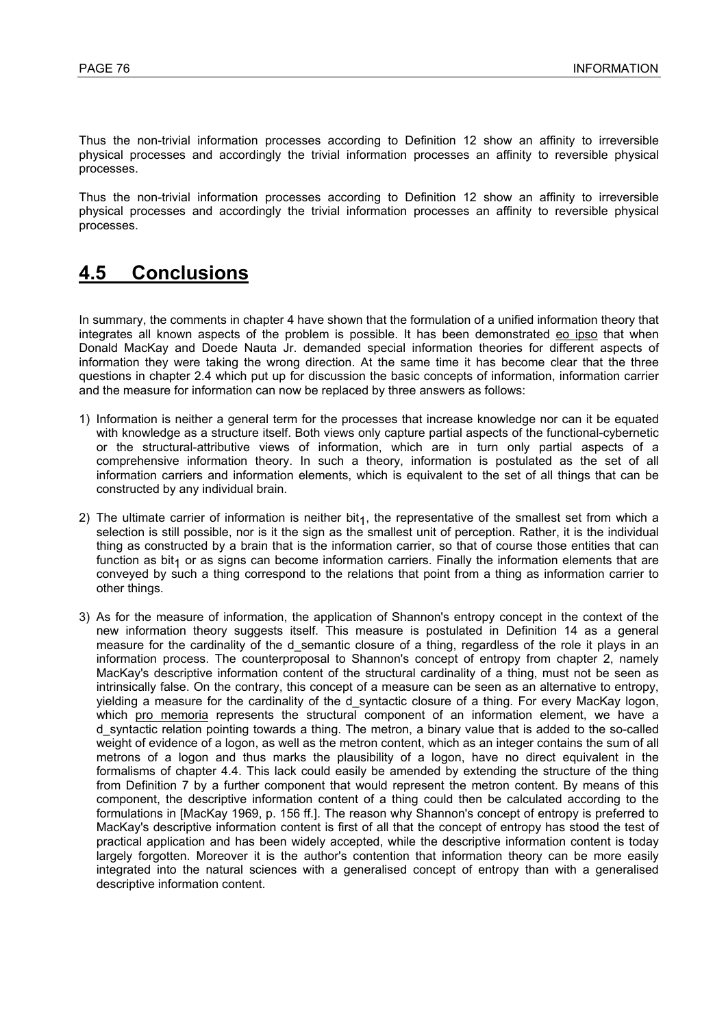Thus the non-trivial information processes according to Definition 12 show an affinity to irreversible physical processes and accordingly the trivial information processes an affinity to reversible physical processes.

Thus the non-trivial information processes according to Definition 12 show an affinity to irreversible physical processes and accordingly the trivial information processes an affinity to reversible physical processes.

# **4.5 Conclusions**

In summary, the comments in chapter 4 have shown that the formulation of a unified information theory that integrates all known aspects of the problem is possible. It has been demonstrated eo ipso that when Donald MacKay and Doede Nauta Jr. demanded special information theories for different aspects of information they were taking the wrong direction. At the same time it has become clear that the three questions in chapter 2.4 which put up for discussion the basic concepts of information, information carrier and the measure for information can now be replaced by three answers as follows:

- 1) Information is neither a general term for the processes that increase knowledge nor can it be equated with knowledge as a structure itself. Both views only capture partial aspects of the functional-cybernetic or the structural-attributive views of information, which are in turn only partial aspects of a comprehensive information theory. In such a theory, information is postulated as the set of all information carriers and information elements, which is equivalent to the set of all things that can be constructed by any individual brain.
- 2) The ultimate carrier of information is neither bit<sub>1</sub>, the representative of the smallest set from which a selection is still possible, nor is it the sign as the smallest unit of perception. Rather, it is the individual thing as constructed by a brain that is the information carrier, so that of course those entities that can function as bit<sub>1</sub> or as signs can become information carriers. Finally the information elements that are conveyed by such a thing correspond to the relations that point from a thing as information carrier to other things.
- 3) As for the measure of information, the application of Shannon's entropy concept in the context of the new information theory suggests itself. This measure is postulated in Definition 14 as a general measure for the cardinality of the d semantic closure of a thing, regardless of the role it plays in an information process. The counterproposal to Shannon's concept of entropy from chapter 2, namely MacKay's descriptive information content of the structural cardinality of a thing, must not be seen as intrinsically false. On the contrary, this concept of a measure can be seen as an alternative to entropy, yielding a measure for the cardinality of the d syntactic closure of a thing. For every MacKay logon, which pro memoria represents the structural component of an information element, we have a d\_syntactic relation pointing towards a thing. The metron, a binary value that is added to the so-called weight of evidence of a logon, as well as the metron content, which as an integer contains the sum of all metrons of a logon and thus marks the plausibility of a logon, have no direct equivalent in the formalisms of chapter 4.4. This lack could easily be amended by extending the structure of the thing from Definition 7 by a further component that would represent the metron content. By means of this component, the descriptive information content of a thing could then be calculated according to the formulations in [MacKay 1969, p. 156 ff.]. The reason why Shannon's concept of entropy is preferred to MacKay's descriptive information content is first of all that the concept of entropy has stood the test of practical application and has been widely accepted, while the descriptive information content is today largely forgotten. Moreover it is the author's contention that information theory can be more easily integrated into the natural sciences with a generalised concept of entropy than with a generalised descriptive information content.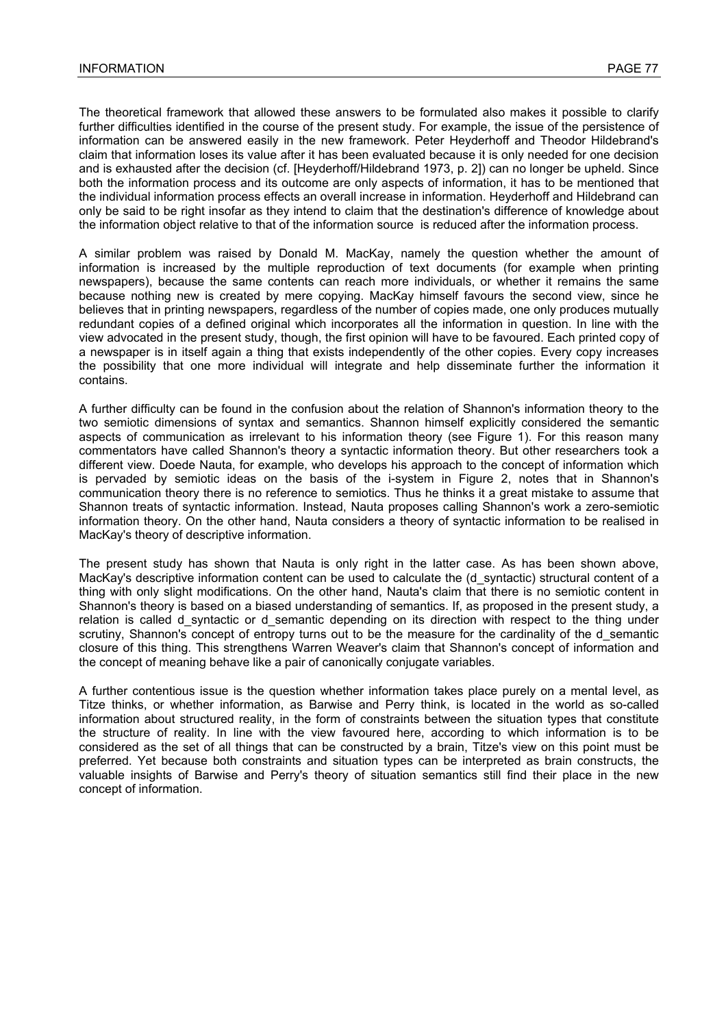The theoretical framework that allowed these answers to be formulated also makes it possible to clarify further difficulties identified in the course of the present study. For example, the issue of the persistence of information can be answered easily in the new framework. Peter Heyderhoff and Theodor Hildebrand's claim that information loses its value after it has been evaluated because it is only needed for one decision and is exhausted after the decision (cf. [Heyderhoff/Hildebrand 1973, p. 2]) can no longer be upheld. Since both the information process and its outcome are only aspects of information, it has to be mentioned that the individual information process effects an overall increase in information. Heyderhoff and Hildebrand can only be said to be right insofar as they intend to claim that the destination's difference of knowledge about the information object relative to that of the information source is reduced after the information process.

A similar problem was raised by Donald M. MacKay, namely the question whether the amount of information is increased by the multiple reproduction of text documents (for example when printing newspapers), because the same contents can reach more individuals, or whether it remains the same because nothing new is created by mere copying. MacKay himself favours the second view, since he believes that in printing newspapers, regardless of the number of copies made, one only produces mutually redundant copies of a defined original which incorporates all the information in question. In line with the view advocated in the present study, though, the first opinion will have to be favoured. Each printed copy of a newspaper is in itself again a thing that exists independently of the other copies. Every copy increases the possibility that one more individual will integrate and help disseminate further the information it contains.

A further difficulty can be found in the confusion about the relation of Shannon's information theory to the two semiotic dimensions of syntax and semantics. Shannon himself explicitly considered the semantic aspects of communication as irrelevant to his information theory (see Figure 1). For this reason many commentators have called Shannon's theory a syntactic information theory. But other researchers took a different view. Doede Nauta, for example, who develops his approach to the concept of information which is pervaded by semiotic ideas on the basis of the i-system in Figure 2, notes that in Shannon's communication theory there is no reference to semiotics. Thus he thinks it a great mistake to assume that Shannon treats of syntactic information. Instead, Nauta proposes calling Shannon's work a zero-semiotic information theory. On the other hand, Nauta considers a theory of syntactic information to be realised in MacKay's theory of descriptive information.

The present study has shown that Nauta is only right in the latter case. As has been shown above, MacKay's descriptive information content can be used to calculate the (d syntactic) structural content of a thing with only slight modifications. On the other hand, Nauta's claim that there is no semiotic content in Shannon's theory is based on a biased understanding of semantics. If, as proposed in the present study, a relation is called d\_syntactic or d\_semantic depending on its direction with respect to the thing under scrutiny, Shannon's concept of entropy turns out to be the measure for the cardinality of the d\_semantic closure of this thing. This strengthens Warren Weaver's claim that Shannon's concept of information and the concept of meaning behave like a pair of canonically conjugate variables.

A further contentious issue is the question whether information takes place purely on a mental level, as Titze thinks, or whether information, as Barwise and Perry think, is located in the world as so-called information about structured reality, in the form of constraints between the situation types that constitute the structure of reality. In line with the view favoured here, according to which information is to be considered as the set of all things that can be constructed by a brain, Titze's view on this point must be preferred. Yet because both constraints and situation types can be interpreted as brain constructs, the valuable insights of Barwise and Perry's theory of situation semantics still find their place in the new concept of information.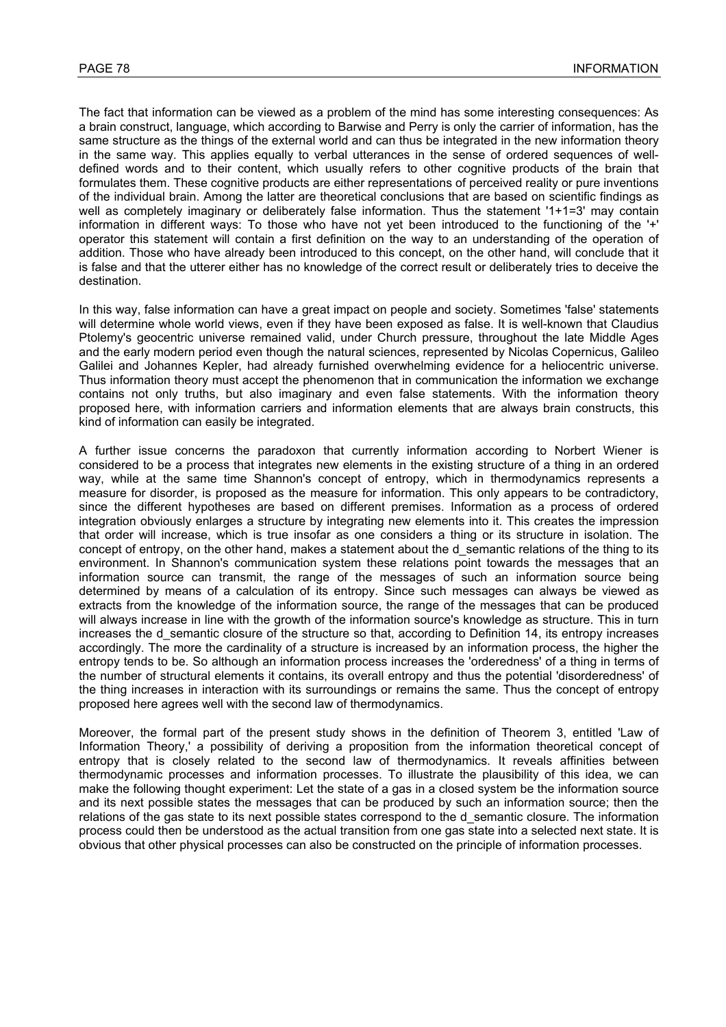The fact that information can be viewed as a problem of the mind has some interesting consequences: As a brain construct, language, which according to Barwise and Perry is only the carrier of information, has the same structure as the things of the external world and can thus be integrated in the new information theory in the same way. This applies equally to verbal utterances in the sense of ordered sequences of welldefined words and to their content, which usually refers to other cognitive products of the brain that formulates them. These cognitive products are either representations of perceived reality or pure inventions of the individual brain. Among the latter are theoretical conclusions that are based on scientific findings as well as completely imaginary or deliberately false information. Thus the statement '1+1=3' may contain information in different ways: To those who have not yet been introduced to the functioning of the '+' operator this statement will contain a first definition on the way to an understanding of the operation of addition. Those who have already been introduced to this concept, on the other hand, will conclude that it is false and that the utterer either has no knowledge of the correct result or deliberately tries to deceive the destination.

In this way, false information can have a great impact on people and society. Sometimes 'false' statements will determine whole world views, even if they have been exposed as false. It is well-known that Claudius Ptolemy's geocentric universe remained valid, under Church pressure, throughout the late Middle Ages and the early modern period even though the natural sciences, represented by Nicolas Copernicus, Galileo Galilei and Johannes Kepler, had already furnished overwhelming evidence for a heliocentric universe. Thus information theory must accept the phenomenon that in communication the information we exchange contains not only truths, but also imaginary and even false statements. With the information theory proposed here, with information carriers and information elements that are always brain constructs, this kind of information can easily be integrated.

A further issue concerns the paradoxon that currently information according to Norbert Wiener is considered to be a process that integrates new elements in the existing structure of a thing in an ordered way, while at the same time Shannon's concept of entropy, which in thermodynamics represents a measure for disorder, is proposed as the measure for information. This only appears to be contradictory, since the different hypotheses are based on different premises. Information as a process of ordered integration obviously enlarges a structure by integrating new elements into it. This creates the impression that order will increase, which is true insofar as one considers a thing or its structure in isolation. The concept of entropy, on the other hand, makes a statement about the d\_semantic relations of the thing to its environment. In Shannon's communication system these relations point towards the messages that an information source can transmit, the range of the messages of such an information source being determined by means of a calculation of its entropy. Since such messages can always be viewed as extracts from the knowledge of the information source, the range of the messages that can be produced will always increase in line with the growth of the information source's knowledge as structure. This in turn increases the d\_semantic closure of the structure so that, according to Definition 14, its entropy increases accordingly. The more the cardinality of a structure is increased by an information process, the higher the entropy tends to be. So although an information process increases the 'orderedness' of a thing in terms of the number of structural elements it contains, its overall entropy and thus the potential 'disorderedness' of the thing increases in interaction with its surroundings or remains the same. Thus the concept of entropy proposed here agrees well with the second law of thermodynamics.

Moreover, the formal part of the present study shows in the definition of Theorem 3, entitled 'Law of Information Theory,' a possibility of deriving a proposition from the information theoretical concept of entropy that is closely related to the second law of thermodynamics. It reveals affinities between thermodynamic processes and information processes. To illustrate the plausibility of this idea, we can make the following thought experiment: Let the state of a gas in a closed system be the information source and its next possible states the messages that can be produced by such an information source; then the relations of the gas state to its next possible states correspond to the d\_semantic closure. The information process could then be understood as the actual transition from one gas state into a selected next state. It is obvious that other physical processes can also be constructed on the principle of information processes.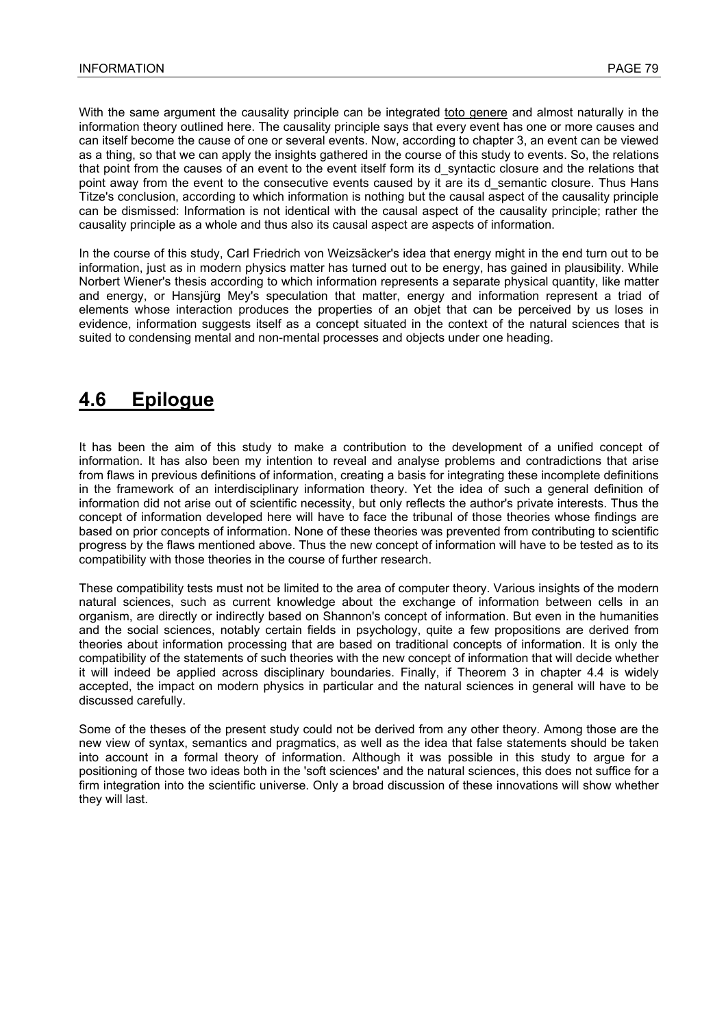With the same argument the causality principle can be integrated toto genere and almost naturally in the information theory outlined here. The causality principle says that every event has one or more causes and can itself become the cause of one or several events. Now, according to chapter 3, an event can be viewed as a thing, so that we can apply the insights gathered in the course of this study to events. So, the relations that point from the causes of an event to the event itself form its d\_syntactic closure and the relations that point away from the event to the consecutive events caused by it are its d semantic closure. Thus Hans Titze's conclusion, according to which information is nothing but the causal aspect of the causality principle can be dismissed: Information is not identical with the causal aspect of the causality principle; rather the causality principle as a whole and thus also its causal aspect are aspects of information.

In the course of this study, Carl Friedrich von Weizsäcker's idea that energy might in the end turn out to be information, just as in modern physics matter has turned out to be energy, has gained in plausibility. While Norbert Wiener's thesis according to which information represents a separate physical quantity, like matter and energy, or Hansjürg Mey's speculation that matter, energy and information represent a triad of elements whose interaction produces the properties of an objet that can be perceived by us loses in evidence, information suggests itself as a concept situated in the context of the natural sciences that is suited to condensing mental and non-mental processes and objects under one heading.

# **4.6 Epilogue**

It has been the aim of this study to make a contribution to the development of a unified concept of information. It has also been my intention to reveal and analyse problems and contradictions that arise from flaws in previous definitions of information, creating a basis for integrating these incomplete definitions in the framework of an interdisciplinary information theory. Yet the idea of such a general definition of information did not arise out of scientific necessity, but only reflects the author's private interests. Thus the concept of information developed here will have to face the tribunal of those theories whose findings are based on prior concepts of information. None of these theories was prevented from contributing to scientific progress by the flaws mentioned above. Thus the new concept of information will have to be tested as to its compatibility with those theories in the course of further research.

These compatibility tests must not be limited to the area of computer theory. Various insights of the modern natural sciences, such as current knowledge about the exchange of information between cells in an organism, are directly or indirectly based on Shannon's concept of information. But even in the humanities and the social sciences, notably certain fields in psychology, quite a few propositions are derived from theories about information processing that are based on traditional concepts of information. It is only the compatibility of the statements of such theories with the new concept of information that will decide whether it will indeed be applied across disciplinary boundaries. Finally, if Theorem 3 in chapter 4.4 is widely accepted, the impact on modern physics in particular and the natural sciences in general will have to be discussed carefully.

Some of the theses of the present study could not be derived from any other theory. Among those are the new view of syntax, semantics and pragmatics, as well as the idea that false statements should be taken into account in a formal theory of information. Although it was possible in this study to argue for a positioning of those two ideas both in the 'soft sciences' and the natural sciences, this does not suffice for a firm integration into the scientific universe. Only a broad discussion of these innovations will show whether they will last.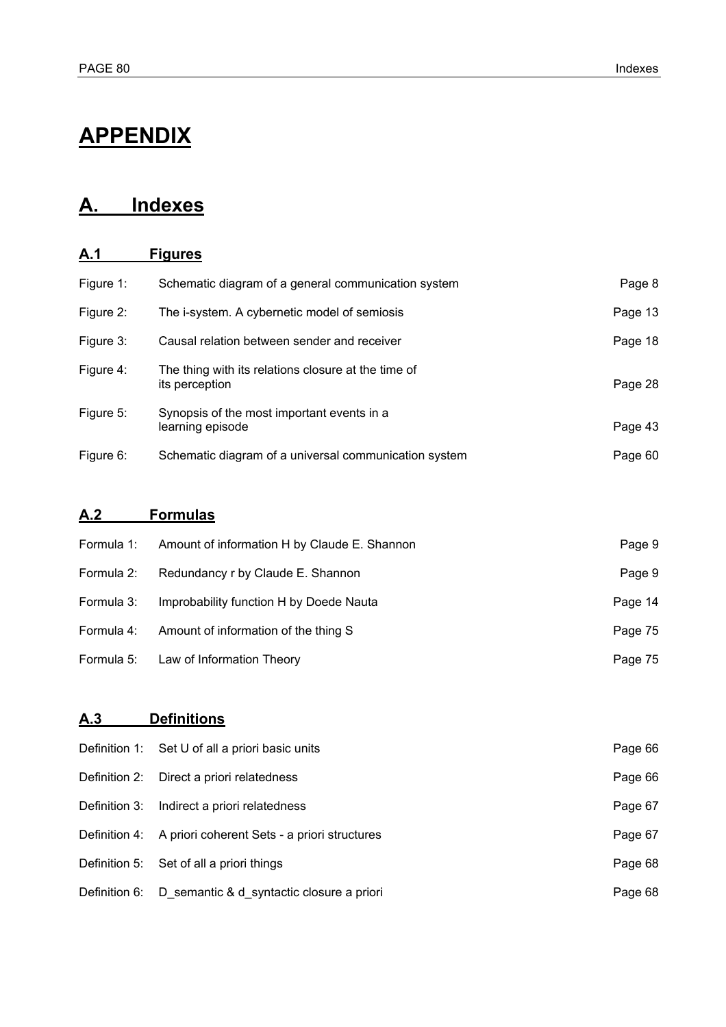# **APPENDIX**

# **A. Indexes**

# **A.1 Figures**

| Figure 1: | Schematic diagram of a general communication system                   | Page 8  |
|-----------|-----------------------------------------------------------------------|---------|
| Figure 2: | The i-system. A cybernetic model of semiosis                          | Page 13 |
| Figure 3: | Causal relation between sender and receiver                           | Page 18 |
| Figure 4: | The thing with its relations closure at the time of<br>its perception | Page 28 |
| Figure 5: | Synopsis of the most important events in a<br>learning episode        | Page 43 |
| Figure 6: | Schematic diagram of a universal communication system                 | Page 60 |

# **A.2 Formulas**

| Formula 1: | Amount of information H by Claude E. Shannon | Page 9  |
|------------|----------------------------------------------|---------|
| Formula 2: | Redundancy r by Claude E. Shannon            | Page 9  |
| Formula 3: | Improbability function H by Doede Nauta      | Page 14 |
| Formula 4: | Amount of information of the thing S         | Page 75 |
|            | Formula 5: Law of Information Theory         | Page 75 |

# **A.3 Definitions**

|               | Definition 1: Set U of all a priori basic units            | Page 66 |
|---------------|------------------------------------------------------------|---------|
|               | Definition 2: Direct a priori relatedness                  | Page 66 |
| Definition 3: | Indirect a priori relatedness                              | Page 67 |
|               | Definition 4: A priori coherent Sets - a priori structures | Page 67 |
|               | Definition 5: Set of all a priori things                   | Page 68 |
|               | Definition 6: D_semantic & d_syntactic closure a priori    | Page 68 |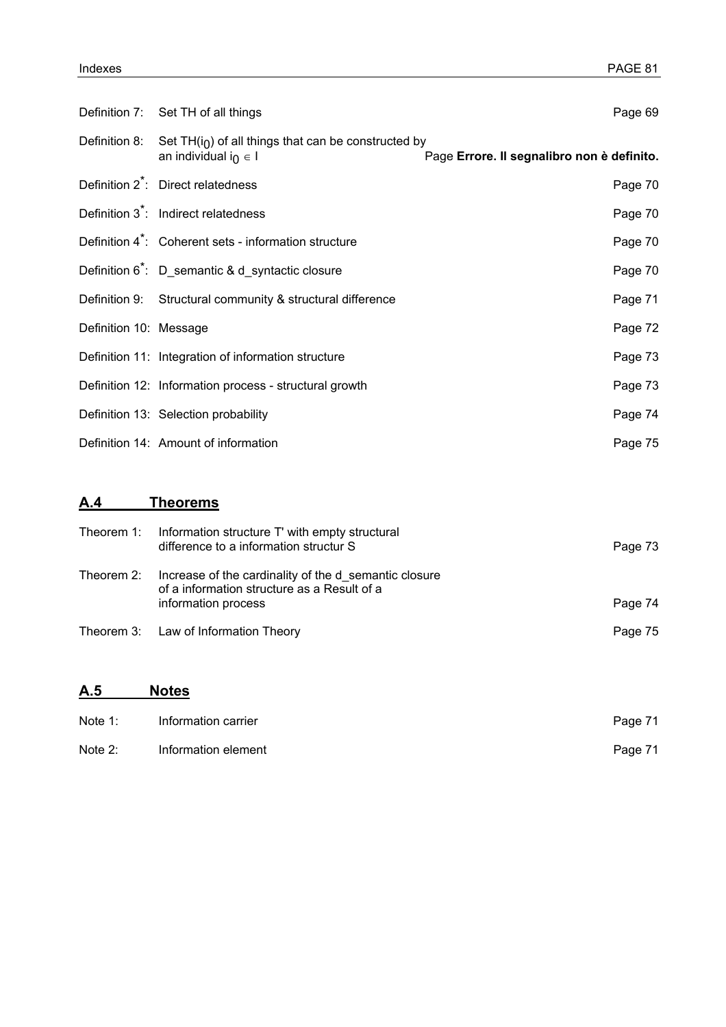|                        | Definition 7: Set TH of all things                                                                            | Page 69                                    |
|------------------------|---------------------------------------------------------------------------------------------------------------|--------------------------------------------|
|                        | Definition 8: Set TH( $i0$ ) of all things that can be constructed by<br>an individual i <sub>0</sub> $\in$ I | Page Errore. Il segnalibro non è definito. |
|                        | Definition 2 <sup>*</sup> : Direct relatedness                                                                | Page 70                                    |
|                        | Definition 3 <sup>*</sup> : Indirect relatedness                                                              | Page 70                                    |
|                        | Definition 4 <sup>*</sup> : Coherent sets - information structure                                             | Page 70                                    |
|                        | Definition 6 <sup>*</sup> : D_semantic & d_syntactic closure                                                  | Page 70                                    |
|                        | Definition 9: Structural community & structural difference                                                    | Page 71                                    |
| Definition 10: Message |                                                                                                               | Page 72                                    |
|                        | Definition 11: Integration of information structure                                                           | Page 73                                    |
|                        | Definition 12: Information process - structural growth                                                        | Page 73                                    |
|                        | Definition 13: Selection probability                                                                          | Page 74                                    |
|                        | Definition 14: Amount of information                                                                          | Page 75                                    |

# **A.4 Theorems**

| Theorem 1: | Information structure T' with empty structural<br>difference to a information structur S                                    | Page 73 |
|------------|-----------------------------------------------------------------------------------------------------------------------------|---------|
| Theorem 2: | Increase of the cardinality of the d semantic closure<br>of a information structure as a Result of a<br>information process | Page 74 |
|            | Theorem 3: Law of Information Theory                                                                                        | Page 75 |

# **A.5 Notes**

| Note 1:   | Information carrier | Page 71 |
|-----------|---------------------|---------|
| Note $2:$ | Information element | Page 71 |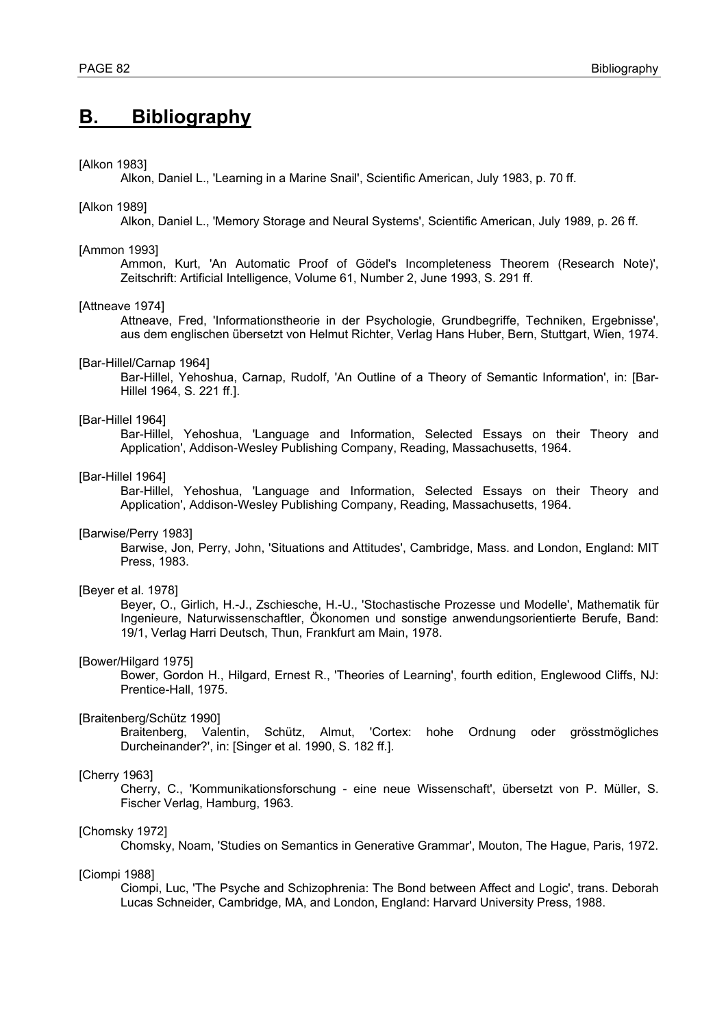# **B. Bibliography**

#### [Alkon 1983]

Alkon, Daniel L., 'Learning in a Marine Snail', Scientific American, July 1983, p. 70 ff.

### [Alkon 1989]

Alkon, Daniel L., 'Memory Storage and Neural Systems', Scientific American, July 1989, p. 26 ff.

### [Ammon 1993]

Ammon, Kurt, 'An Automatic Proof of Gödel's Incompleteness Theorem (Research Note)', Zeitschrift: Artificial Intelligence, Volume 61, Number 2, June 1993, S. 291 ff.

#### [Attneave 1974]

Attneave, Fred, 'Informationstheorie in der Psychologie, Grundbegriffe, Techniken, Ergebnisse', aus dem englischen übersetzt von Helmut Richter, Verlag Hans Huber, Bern, Stuttgart, Wien, 1974.

#### [Bar-Hillel/Carnap 1964]

Bar-Hillel, Yehoshua, Carnap, Rudolf, 'An Outline of a Theory of Semantic Information', in: [Bar-Hillel 1964, S. 221 ff.].

#### [Bar-Hillel 1964]

Bar-Hillel, Yehoshua, 'Language and Information, Selected Essays on their Theory and Application', Addison-Wesley Publishing Company, Reading, Massachusetts, 1964.

# [Bar-Hillel 1964]

Bar-Hillel, Yehoshua, 'Language and Information, Selected Essays on their Theory and Application', Addison-Wesley Publishing Company, Reading, Massachusetts, 1964.

#### [Barwise/Perry 1983]

Barwise, Jon, Perry, John, 'Situations and Attitudes', Cambridge, Mass. and London, England: MIT Press, 1983.

#### [Beyer et al. 1978]

Beyer, O., Girlich, H.-J., Zschiesche, H.-U., 'Stochastische Prozesse und Modelle', Mathematik für Ingenieure, Naturwissenschaftler, Ökonomen und sonstige anwendungsorientierte Berufe, Band: 19/1, Verlag Harri Deutsch, Thun, Frankfurt am Main, 1978.

#### [Bower/Hilgard 1975]

Bower, Gordon H., Hilgard, Ernest R., 'Theories of Learning', fourth edition, Englewood Cliffs, NJ: Prentice-Hall, 1975.

#### [Braitenberg/Schütz 1990]

Braitenberg, Valentin, Schütz, Almut, 'Cortex: hohe Ordnung oder grösstmögliches Durcheinander?', in: [Singer et al. 1990, S. 182 ff.].

# [Cherry 1963]

Cherry, C., 'Kommunikationsforschung - eine neue Wissenschaft', übersetzt von P. Müller, S. Fischer Verlag, Hamburg, 1963.

#### [Chomsky 1972]

Chomsky, Noam, 'Studies on Semantics in Generative Grammar', Mouton, The Hague, Paris, 1972.

#### [Ciompi 1988]

Ciompi, Luc, 'The Psyche and Schizophrenia: The Bond between Affect and Logic', trans. Deborah Lucas Schneider, Cambridge, MA, and London, England: Harvard University Press, 1988.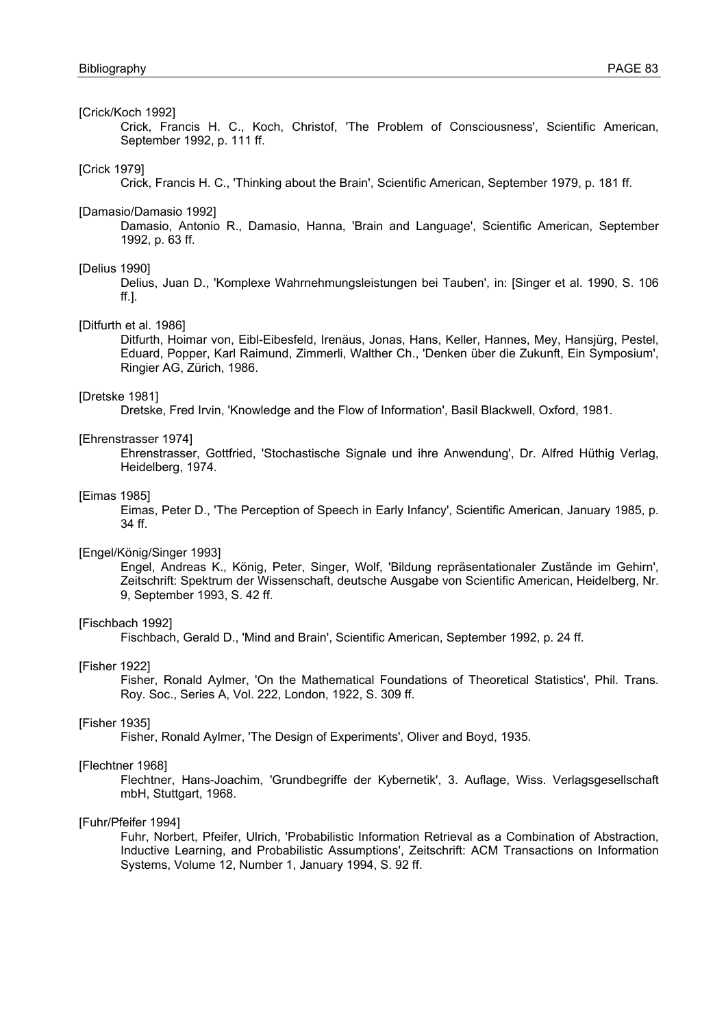### [Crick/Koch 1992]

Crick, Francis H. C., Koch, Christof, 'The Problem of Consciousness', Scientific American, September 1992, p. 111 ff.

#### [Crick 1979]

Crick, Francis H. C., 'Thinking about the Brain', Scientific American, September 1979, p. 181 ff.

#### [Damasio/Damasio 1992]

Damasio, Antonio R., Damasio, Hanna, 'Brain and Language', Scientific American, September 1992, p. 63 ff.

#### [Delius 1990]

Delius, Juan D., 'Komplexe Wahrnehmungsleistungen bei Tauben', in: [Singer et al. 1990, S. 106 ff.].

# [Ditfurth et al. 1986]

Ditfurth, Hoimar von, Eibl-Eibesfeld, Irenäus, Jonas, Hans, Keller, Hannes, Mey, Hansjürg, Pestel, Eduard, Popper, Karl Raimund, Zimmerli, Walther Ch., 'Denken über die Zukunft, Ein Symposium', Ringier AG, Zürich, 1986.

#### [Dretske 1981]

Dretske, Fred Irvin, 'Knowledge and the Flow of Information', Basil Blackwell, Oxford, 1981.

#### [Ehrenstrasser 1974]

Ehrenstrasser, Gottfried, 'Stochastische Signale und ihre Anwendung', Dr. Alfred Hüthig Verlag, Heidelberg, 1974.

#### [Eimas 1985]

Eimas, Peter D., 'The Perception of Speech in Early Infancy', Scientific American, January 1985, p. 34 ff.

#### [Engel/König/Singer 1993]

Engel, Andreas K., König, Peter, Singer, Wolf, 'Bildung repräsentationaler Zustände im Gehirn', Zeitschrift: Spektrum der Wissenschaft, deutsche Ausgabe von Scientific American, Heidelberg, Nr. 9, September 1993, S. 42 ff.

#### [Fischbach 1992]

Fischbach, Gerald D., 'Mind and Brain', Scientific American, September 1992, p. 24 ff.

### [Fisher 1922]

Fisher, Ronald Aylmer, 'On the Mathematical Foundations of Theoretical Statistics', Phil. Trans. Roy. Soc., Series A, Vol. 222, London, 1922, S. 309 ff.

#### [Fisher 1935]

Fisher, Ronald Aylmer, 'The Design of Experiments', Oliver and Boyd, 1935.

#### [Flechtner 1968]

Flechtner, Hans-Joachim, 'Grundbegriffe der Kybernetik', 3. Auflage, Wiss. Verlagsgesellschaft mbH, Stuttgart, 1968.

#### [Fuhr/Pfeifer 1994]

Fuhr, Norbert, Pfeifer, Ulrich, 'Probabilistic Information Retrieval as a Combination of Abstraction, Inductive Learning, and Probabilistic Assumptions', Zeitschrift: ACM Transactions on Information Systems, Volume 12, Number 1, January 1994, S. 92 ff.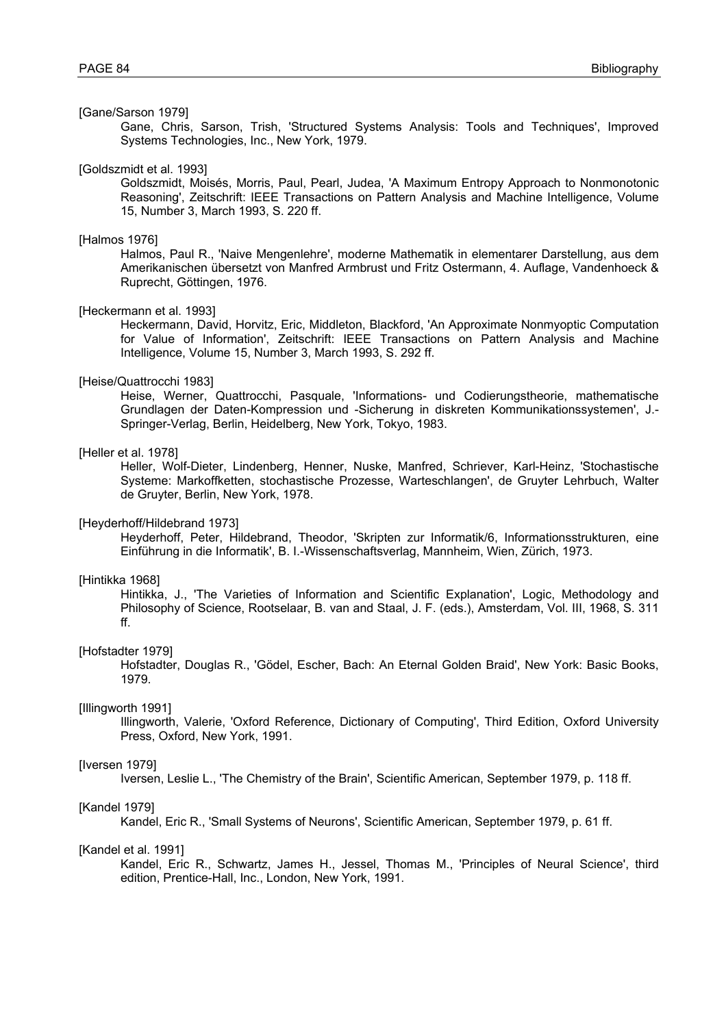## [Gane/Sarson 1979]

Gane, Chris, Sarson, Trish, 'Structured Systems Analysis: Tools and Techniques', Improved Systems Technologies, Inc., New York, 1979.

#### [Goldszmidt et al. 1993]

Goldszmidt, Moisés, Morris, Paul, Pearl, Judea, 'A Maximum Entropy Approach to Nonmonotonic Reasoning', Zeitschrift: IEEE Transactions on Pattern Analysis and Machine Intelligence, Volume 15, Number 3, March 1993, S. 220 ff.

# [Halmos 1976]

Halmos, Paul R., 'Naive Mengenlehre', moderne Mathematik in elementarer Darstellung, aus dem Amerikanischen übersetzt von Manfred Armbrust und Fritz Ostermann, 4. Auflage, Vandenhoeck & Ruprecht, Göttingen, 1976.

#### [Heckermann et al. 1993]

Heckermann, David, Horvitz, Eric, Middleton, Blackford, 'An Approximate Nonmyoptic Computation for Value of Information', Zeitschrift: IEEE Transactions on Pattern Analysis and Machine Intelligence, Volume 15, Number 3, March 1993, S. 292 ff.

#### [Heise/Quattrocchi 1983]

Heise, Werner, Quattrocchi, Pasquale, 'Informations- und Codierungstheorie, mathematische Grundlagen der Daten-Kompression und -Sicherung in diskreten Kommunikationssystemen', J.- Springer-Verlag, Berlin, Heidelberg, New York, Tokyo, 1983.

# [Heller et al. 1978]

Heller, Wolf-Dieter, Lindenberg, Henner, Nuske, Manfred, Schriever, Karl-Heinz, 'Stochastische Systeme: Markoffketten, stochastische Prozesse, Warteschlangen', de Gruyter Lehrbuch, Walter de Gruyter, Berlin, New York, 1978.

#### [Heyderhoff/Hildebrand 1973]

Heyderhoff, Peter, Hildebrand, Theodor, 'Skripten zur Informatik/6, Informationsstrukturen, eine Einführung in die Informatik', B. I.-Wissenschaftsverlag, Mannheim, Wien, Zürich, 1973.

# [Hintikka 1968]

Hintikka, J., 'The Varieties of Information and Scientific Explanation', Logic, Methodology and Philosophy of Science, Rootselaar, B. van and Staal, J. F. (eds.), Amsterdam, Vol. III, 1968, S. 311 ff.

### [Hofstadter 1979]

Hofstadter, Douglas R., 'Gödel, Escher, Bach: An Eternal Golden Braid', New York: Basic Books, 1979.

#### [Illingworth 1991]

Illingworth, Valerie, 'Oxford Reference, Dictionary of Computing', Third Edition, Oxford University Press, Oxford, New York, 1991.

#### [Iversen 1979]

Iversen, Leslie L., 'The Chemistry of the Brain', Scientific American, September 1979, p. 118 ff.

#### [Kandel 1979]

Kandel, Eric R., 'Small Systems of Neurons', Scientific American, September 1979, p. 61 ff.

# [Kandel et al. 1991]

Kandel, Eric R., Schwartz, James H., Jessel, Thomas M., 'Principles of Neural Science', third edition, Prentice-Hall, Inc., London, New York, 1991.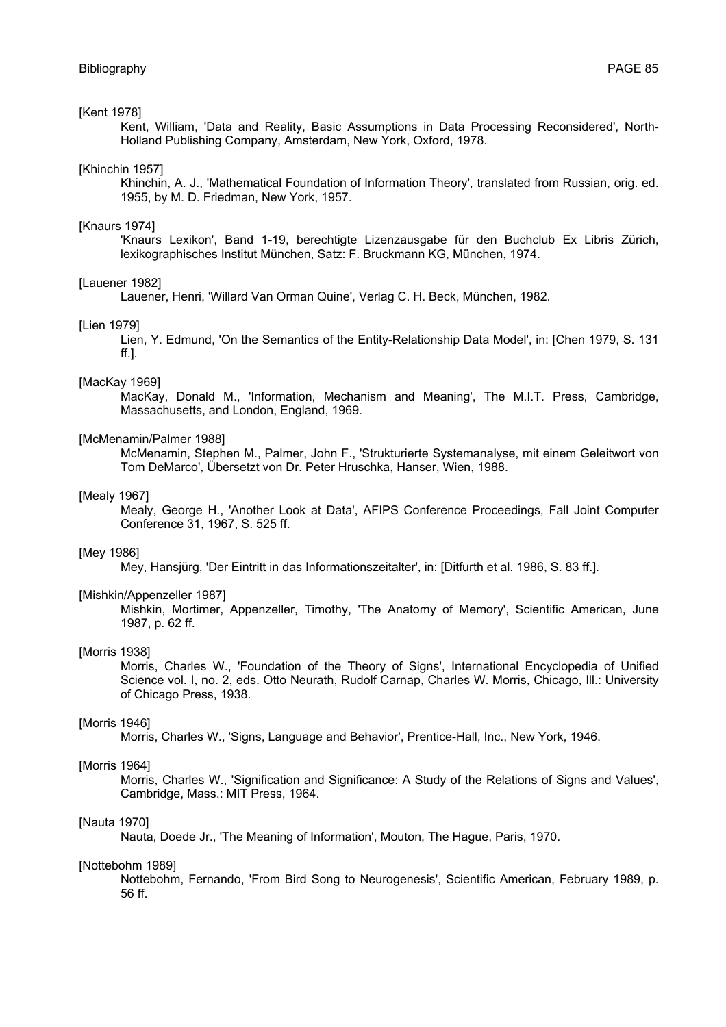# [Kent 1978]

Kent, William, 'Data and Reality, Basic Assumptions in Data Processing Reconsidered', North-Holland Publishing Company, Amsterdam, New York, Oxford, 1978.

[Khinchin 1957]

Khinchin, A. J., 'Mathematical Foundation of Information Theory', translated from Russian, orig. ed. 1955, by M. D. Friedman, New York, 1957.

#### [Knaurs 1974]

'Knaurs Lexikon', Band 1-19, berechtigte Lizenzausgabe für den Buchclub Ex Libris Zürich, lexikographisches Institut München, Satz: F. Bruckmann KG, München, 1974.

#### [Lauener 1982]

Lauener, Henri, 'Willard Van Orman Quine', Verlag C. H. Beck, München, 1982.

#### [Lien 1979]

Lien, Y. Edmund, 'On the Semantics of the Entity-Relationship Data Model', in: [Chen 1979, S. 131 ff.].

#### [MacKay 1969]

MacKay, Donald M., 'Information, Mechanism and Meaning', The M.I.T. Press, Cambridge, Massachusetts, and London, England, 1969.

#### [McMenamin/Palmer 1988]

McMenamin, Stephen M., Palmer, John F., 'Strukturierte Systemanalyse, mit einem Geleitwort von Tom DeMarco', Übersetzt von Dr. Peter Hruschka, Hanser, Wien, 1988.

#### [Mealy 1967]

Mealy, George H., 'Another Look at Data', AFIPS Conference Proceedings, Fall Joint Computer Conference 31, 1967, S. 525 ff.

## [Mey 1986]

Mey, Hansjürg, 'Der Eintritt in das Informationszeitalter', in: [Ditfurth et al. 1986, S. 83 ff.].

### [Mishkin/Appenzeller 1987]

Mishkin, Mortimer, Appenzeller, Timothy, 'The Anatomy of Memory', Scientific American, June 1987, p. 62 ff.

#### [Morris 1938]

Morris, Charles W., 'Foundation of the Theory of Signs', International Encyclopedia of Unified Science vol. I, no. 2, eds. Otto Neurath, Rudolf Carnap, Charles W. Morris, Chicago, Ill.: University of Chicago Press, 1938.

#### [Morris 1946]

Morris, Charles W., 'Signs, Language and Behavior', Prentice-Hall, Inc., New York, 1946.

#### [Morris 1964]

Morris, Charles W., 'Signification and Significance: A Study of the Relations of Signs and Values', Cambridge, Mass.: MIT Press, 1964.

#### [Nauta 1970]

Nauta, Doede Jr., 'The Meaning of Information', Mouton, The Hague, Paris, 1970.

#### [Nottebohm 1989]

Nottebohm, Fernando, 'From Bird Song to Neurogenesis', Scientific American, February 1989, p. 56 ff.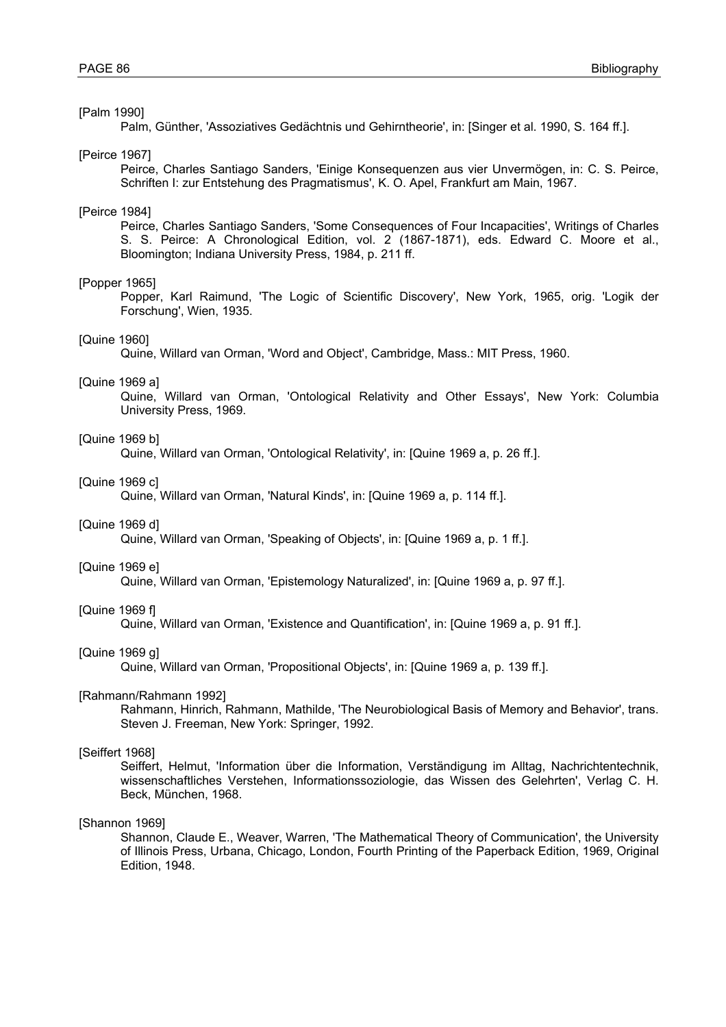# [Palm 1990]

Palm, Günther, 'Assoziatives Gedächtnis und Gehirntheorie', in: [Singer et al. 1990, S. 164 ff.].

#### [Peirce 1967]

Peirce, Charles Santiago Sanders, 'Einige Konsequenzen aus vier Unvermögen, in: C. S. Peirce, Schriften I: zur Entstehung des Pragmatismus', K. O. Apel, Frankfurt am Main, 1967.

#### [Peirce 1984]

Peirce, Charles Santiago Sanders, 'Some Consequences of Four Incapacities', Writings of Charles S. S. Peirce: A Chronological Edition, vol. 2 (1867-1871), eds. Edward C. Moore et al., Bloomington; Indiana University Press, 1984, p. 211 ff.

#### [Popper 1965]

Popper, Karl Raimund, 'The Logic of Scientific Discovery', New York, 1965, orig. 'Logik der Forschung', Wien, 1935.

#### [Quine 1960]

Quine, Willard van Orman, 'Word and Object', Cambridge, Mass.: MIT Press, 1960.

#### [Quine 1969 a]

Quine, Willard van Orman, 'Ontological Relativity and Other Essays', New York: Columbia University Press, 1969.

#### [Quine 1969 b]

Quine, Willard van Orman, 'Ontological Relativity', in: [Quine 1969 a, p. 26 ff.].

#### [Quine 1969 c]

Quine, Willard van Orman, 'Natural Kinds', in: [Quine 1969 a, p. 114 ff.].

#### [Quine 1969 d]

Quine, Willard van Orman, 'Speaking of Objects', in: [Quine 1969 a, p. 1 ff.].

#### [Quine 1969 e]

Quine, Willard van Orman, 'Epistemology Naturalized', in: [Quine 1969 a, p. 97 ff.].

#### [Quine 1969 f]

Quine, Willard van Orman, 'Existence and Quantification', in: [Quine 1969 a, p. 91 ff.].

#### [Quine 1969 g]

Quine, Willard van Orman, 'Propositional Objects', in: [Quine 1969 a, p. 139 ff.].

#### [Rahmann/Rahmann 1992]

Rahmann, Hinrich, Rahmann, Mathilde, 'The Neurobiological Basis of Memory and Behavior', trans. Steven J. Freeman, New York: Springer, 1992.

### [Seiffert 1968]

Seiffert, Helmut, 'Information über die Information, Verständigung im Alltag, Nachrichtentechnik, wissenschaftliches Verstehen, Informationssoziologie, das Wissen des Gelehrten', Verlag C. H. Beck, München, 1968.

### [Shannon 1969]

Shannon, Claude E., Weaver, Warren, 'The Mathematical Theory of Communication', the University of Illinois Press, Urbana, Chicago, London, Fourth Printing of the Paperback Edition, 1969, Original Edition, 1948.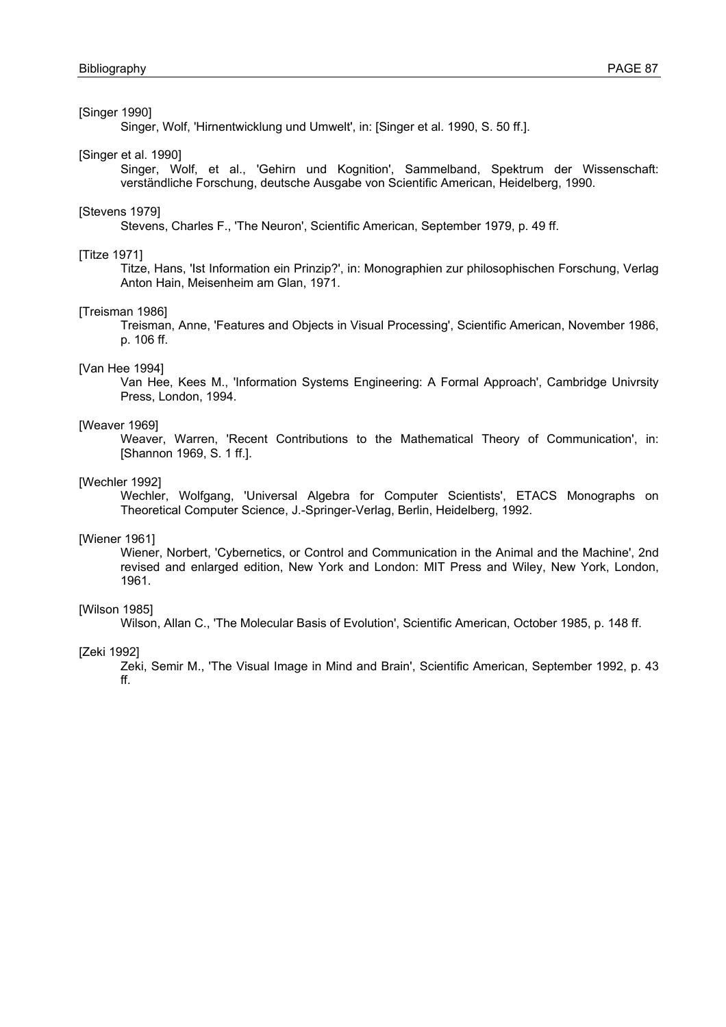# [Singer 1990]

Singer, Wolf, 'Hirnentwicklung und Umwelt', in: [Singer et al. 1990, S. 50 ff.].

## [Singer et al. 1990]

Singer, Wolf, et al., 'Gehirn und Kognition', Sammelband, Spektrum der Wissenschaft: verständliche Forschung, deutsche Ausgabe von Scientific American, Heidelberg, 1990.

#### [Stevens 1979]

Stevens, Charles F., 'The Neuron', Scientific American, September 1979, p. 49 ff.

# [Titze 1971]

Titze, Hans, 'Ist Information ein Prinzip?', in: Monographien zur philosophischen Forschung, Verlag Anton Hain, Meisenheim am Glan, 1971.

#### [Treisman 1986]

Treisman, Anne, 'Features and Objects in Visual Processing', Scientific American, November 1986, p. 106 ff.

# [Van Hee 1994]

Van Hee, Kees M., 'Information Systems Engineering: A Formal Approach', Cambridge Univrsity Press, London, 1994.

#### [Weaver 1969]

Weaver, Warren, 'Recent Contributions to the Mathematical Theory of Communication', in: [Shannon 1969, S. 1 ff.].

#### [Wechler 1992]

Wechler, Wolfgang, 'Universal Algebra for Computer Scientists', ETACS Monographs on Theoretical Computer Science, J.-Springer-Verlag, Berlin, Heidelberg, 1992.

# [Wiener 1961]

Wiener, Norbert, 'Cybernetics, or Control and Communication in the Animal and the Machine', 2nd revised and enlarged edition, New York and London: MIT Press and Wiley, New York, London, 1961.

## [Wilson 1985]

Wilson, Allan C., 'The Molecular Basis of Evolution', Scientific American, October 1985, p. 148 ff.

#### [Zeki 1992]

Zeki, Semir M., 'The Visual Image in Mind and Brain', Scientific American, September 1992, p. 43 ff.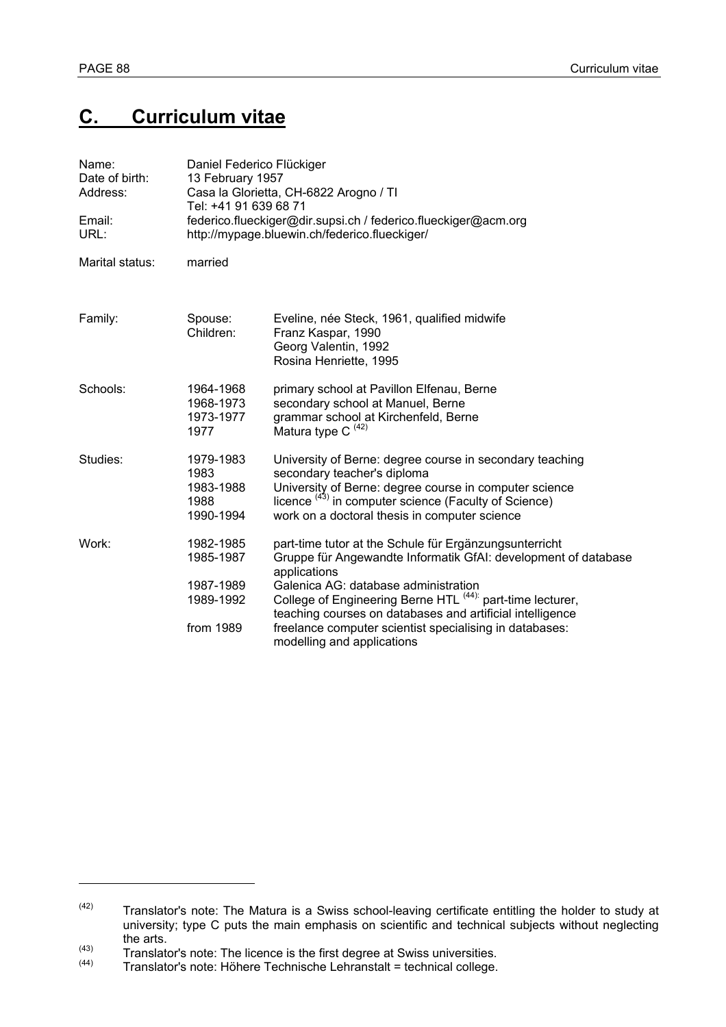l

# **C. Curriculum vitae**

| Name:<br>Date of birth:<br>Address:<br>Email:<br>URL: | Daniel Federico Flückiger<br>13 February 1957<br>Casa la Glorietta, CH-6822 Arogno / TI<br>Tel: +41 91 639 68 71<br>federico.flueckiger@dir.supsi.ch / federico.flueckiger@acm.org<br>http://mypage.bluewin.ch/federico.flueckiger/ |                                                                                                                                                                                                                                                                                                                                                                                                                 |  |
|-------------------------------------------------------|-------------------------------------------------------------------------------------------------------------------------------------------------------------------------------------------------------------------------------------|-----------------------------------------------------------------------------------------------------------------------------------------------------------------------------------------------------------------------------------------------------------------------------------------------------------------------------------------------------------------------------------------------------------------|--|
| Marital status:                                       | married                                                                                                                                                                                                                             |                                                                                                                                                                                                                                                                                                                                                                                                                 |  |
| Family:                                               | Spouse:<br>Children:                                                                                                                                                                                                                | Eveline, née Steck, 1961, qualified midwife<br>Franz Kaspar, 1990<br>Georg Valentin, 1992<br>Rosina Henriette, 1995                                                                                                                                                                                                                                                                                             |  |
| Schools:                                              | 1964-1968<br>1968-1973<br>1973-1977<br>1977                                                                                                                                                                                         | primary school at Pavillon Elfenau, Berne<br>secondary school at Manuel, Berne<br>grammar school at Kirchenfeld, Berne<br>Matura type C <sup>(42)</sup>                                                                                                                                                                                                                                                         |  |
| Studies:                                              | 1979-1983<br>1983<br>1983-1988<br>1988<br>1990-1994                                                                                                                                                                                 | University of Berne: degree course in secondary teaching<br>secondary teacher's diploma<br>University of Berne: degree course in computer science<br>licence $(43)$ in computer science (Faculty of Science)<br>work on a doctoral thesis in computer science                                                                                                                                                   |  |
| Work:                                                 | 1982-1985<br>1985-1987<br>1987-1989<br>1989-1992<br>from 1989                                                                                                                                                                       | part-time tutor at the Schule für Ergänzungsunterricht<br>Gruppe für Angewandte Informatik GfAI: development of database<br>applications<br>Galenica AG: database administration<br>College of Engineering Berne HTL <sup>(44):</sup> part-time lecturer,<br>teaching courses on databases and artificial intelligence<br>freelance computer scientist specialising in databases:<br>modelling and applications |  |

 $(42)$  Translator's note: The Matura is a Swiss school-leaving certificate entitling the holder to study at university; type C puts the main emphasis on scientific and technical subjects without neglecting the arts.

 $\frac{(43)}{(44)}$  Translator's note: The licence is the first degree at Swiss universities.<br>Translator's note: Höhere Technische Lehranstalt = technical college.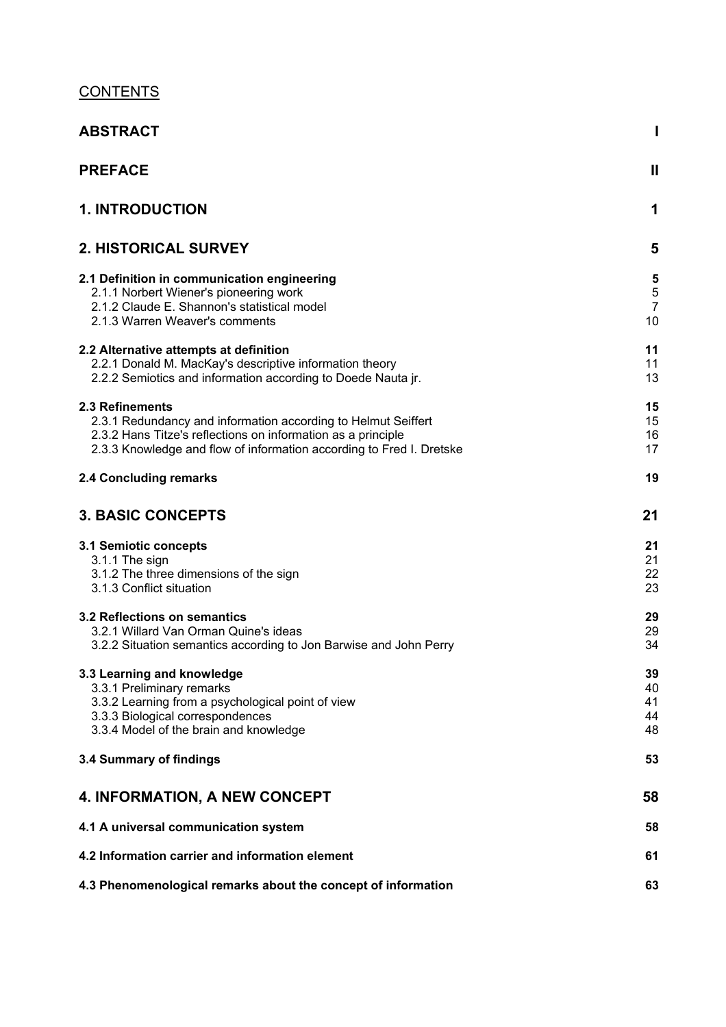# **CONTENTS**

| <b>ABSTRACT</b>                                                                                                                                                                                                          | I                                       |
|--------------------------------------------------------------------------------------------------------------------------------------------------------------------------------------------------------------------------|-----------------------------------------|
| <b>PREFACE</b>                                                                                                                                                                                                           | $\mathbf{I}$                            |
| <b>1. INTRODUCTION</b>                                                                                                                                                                                                   | 1                                       |
| <b>2. HISTORICAL SURVEY</b>                                                                                                                                                                                              | 5                                       |
| 2.1 Definition in communication engineering<br>2.1.1 Norbert Wiener's pioneering work<br>2.1.2 Claude E. Shannon's statistical model<br>2.1.3 Warren Weaver's comments                                                   | 5<br>$\sqrt{5}$<br>$\overline{7}$<br>10 |
| 2.2 Alternative attempts at definition<br>2.2.1 Donald M. MacKay's descriptive information theory<br>2.2.2 Semiotics and information according to Doede Nauta jr.                                                        | 11<br>11<br>13                          |
| 2.3 Refinements<br>2.3.1 Redundancy and information according to Helmut Seiffert<br>2.3.2 Hans Titze's reflections on information as a principle<br>2.3.3 Knowledge and flow of information according to Fred I. Dretske | 15<br>15<br>16<br>17                    |
| 2.4 Concluding remarks                                                                                                                                                                                                   | 19                                      |
| <b>3. BASIC CONCEPTS</b>                                                                                                                                                                                                 | 21                                      |
| 3.1 Semiotic concepts<br>3.1.1 The sign<br>3.1.2 The three dimensions of the sign<br>3.1.3 Conflict situation                                                                                                            | 21<br>21<br>22<br>23                    |
| 3.2 Reflections on semantics<br>3.2.1 Willard Van Orman Quine's ideas<br>3.2.2 Situation semantics according to Jon Barwise and John Perry                                                                               | 29<br>29<br>34                          |
| 3.3 Learning and knowledge<br>3.3.1 Preliminary remarks<br>3.3.2 Learning from a psychological point of view<br>3.3.3 Biological correspondences<br>3.3.4 Model of the brain and knowledge                               | 39<br>40<br>41<br>44<br>48              |
| 3.4 Summary of findings                                                                                                                                                                                                  | 53                                      |
| <b>4. INFORMATION, A NEW CONCEPT</b>                                                                                                                                                                                     | 58                                      |
| 4.1 A universal communication system                                                                                                                                                                                     | 58                                      |
| 4.2 Information carrier and information element                                                                                                                                                                          | 61                                      |
| 4.3 Phenomenological remarks about the concept of information                                                                                                                                                            | 63                                      |